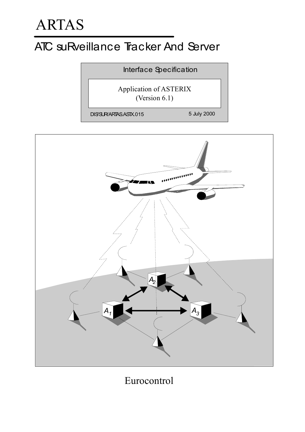# ATC suRveillance Tracker And Server

Interface Specification

Application of ASTERIX (Version 6.1)

DIS/SUR/ARTAS.ASTX.015 5 July 2000



Eurocontrol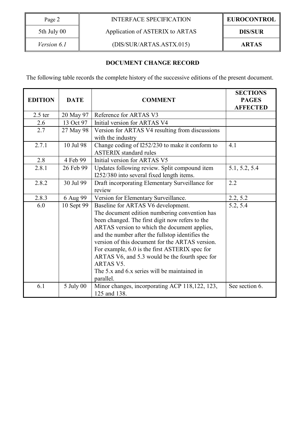Page 2 | INTERFACE SPECIFICATION | EUROCONTROL

5th July 00 Application of ASTERIX to ARTAS **DIS/SUR** 

*Version 6.1* (DIS/SUR/ARTAS.ASTX.015) **ARTAS** 

# **DOCUMENT CHANGE RECORD**

The following table records the complete history of the successive editions of the present document.

| <b>EDITION</b> | <b>DATE</b> | <b>COMMENT</b>                                                                                                                                                                                                                                                                                                                                                                                                                                                                     | <b>SECTIONS</b><br><b>PAGES</b><br><b>AFFECTED</b> |
|----------------|-------------|------------------------------------------------------------------------------------------------------------------------------------------------------------------------------------------------------------------------------------------------------------------------------------------------------------------------------------------------------------------------------------------------------------------------------------------------------------------------------------|----------------------------------------------------|
| $2.5$ ter      | 20 May 97   | Reference for ARTAS V3                                                                                                                                                                                                                                                                                                                                                                                                                                                             |                                                    |
| 2.6            | 13 Oct 97   | Initial version for ARTAS V4                                                                                                                                                                                                                                                                                                                                                                                                                                                       |                                                    |
| 2.7            | 27 May 98   | Version for ARTAS V4 resulting from discussions<br>with the industry                                                                                                                                                                                                                                                                                                                                                                                                               |                                                    |
| 2.7.1          | 10 Jul 98   | Change coding of I252/230 to make it conform to<br><b>ASTERIX</b> standard rules                                                                                                                                                                                                                                                                                                                                                                                                   | 4.1                                                |
| 2.8            | 4 Feb 99    | Initial version for ARTAS V5                                                                                                                                                                                                                                                                                                                                                                                                                                                       |                                                    |
| 2.8.1          | 26 Feb 99   | Updates following review. Split compound item<br>I252/380 into several fixed length items.                                                                                                                                                                                                                                                                                                                                                                                         | 5.1, 5.2, 5.4                                      |
| 2.8.2          | 30 Jul 99   | Draft incorporating Elementary Surveillance for<br>review                                                                                                                                                                                                                                                                                                                                                                                                                          | 2.2                                                |
| 2.8.3          | 6 Aug 99    | Version for Elementary Surveillance.                                                                                                                                                                                                                                                                                                                                                                                                                                               | 2.2, 5.2                                           |
| 6.0            | 10 Sept 99  | Baseline for ARTAS V6 development.<br>The document edition numbering convention has<br>been changed. The first digit now refers to the<br>ARTAS version to which the document applies,<br>and the number after the fullstop identifies the<br>version of this document for the ARTAS version.<br>For example, 6.0 is the first ASTERIX spec for<br>ARTAS V6, and 5.3 would be the fourth spec for<br><b>ARTAS V5.</b><br>The 5.x and 6.x series will be maintained in<br>parallel. | 5.2, 5.4                                           |
| 6.1            | 5 July 00   | Minor changes, incorporating ACP 118,122, 123,<br>125 and 138.                                                                                                                                                                                                                                                                                                                                                                                                                     | See section 6.                                     |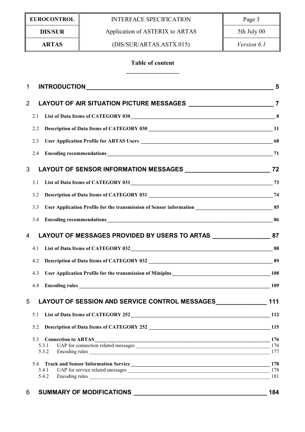**DIS/SUR** Application of ASTERIX to ARTAS 5th July 00

**ARTAS** (DIS/SUR/ARTAS.ASTX.015) *Version 6.1* 

#### **Table of content \_\_\_\_\_\_\_\_\_\_\_\_\_\_\_\_\_**

| 1                                                                                                                                                           | 5   |
|-------------------------------------------------------------------------------------------------------------------------------------------------------------|-----|
| 2                                                                                                                                                           |     |
| List of Data Items of CATEGORY 030<br>8<br>2.1                                                                                                              |     |
| Description of Data Items of CATEGORY 030<br>2.2                                                                                                            |     |
| 2.3                                                                                                                                                         |     |
| Encoding recommendations 21 21<br>2.4                                                                                                                       |     |
| 3                                                                                                                                                           |     |
| List of Data Items of CATEGORY 031 73<br>3.1                                                                                                                |     |
| 3.2                                                                                                                                                         |     |
| 3.3                                                                                                                                                         |     |
| 3.4<br>Encoding recommendations 86                                                                                                                          |     |
| LAYOUT OF MESSAGES PROVIDED BY USERS TO ARTAS ___________________________________<br>$\overline{4}$                                                         |     |
| List of Data Items of CATEGORY 032<br>88<br>4.1                                                                                                             |     |
| 4.2                                                                                                                                                         |     |
| User Application Profile for the transmission of Miniplns 108<br>4.3                                                                                        |     |
| 4.4                                                                                                                                                         |     |
| LAYOUT OF SESSION AND SERVICE CONTROL MESSAGES __________________________________<br>5                                                                      |     |
| List of Data Items of CATEGORY 252<br><u>List of Data Items of CATEGORY 252</u><br>5.1                                                                      | 112 |
| 5.2<br>Description of Data Items of CATEGORY 252                                                                                                            | 115 |
| 5.3<br><b>Connection to ARTAS</b><br><u> 1989 - Johann Stoff, deutscher Stoffen und der Stoffen und der Stoffen und der Stoffen und der Stoffen und der</u> | 176 |
| UAP for connection related messages 176<br>5.3.1<br>5.3.2<br>Encoding rules                                                                                 | 177 |
|                                                                                                                                                             | 178 |
| 5.4.1<br>5.4.2<br>Encoding rules                                                                                                                            | 181 |
| 6                                                                                                                                                           | 184 |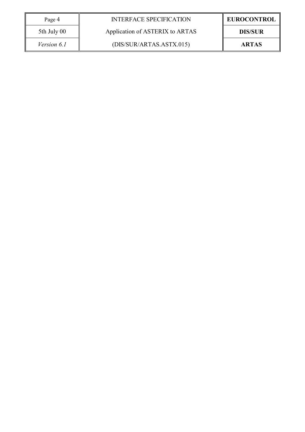| Page 4             | <b>INTERFACE SPECIFICATION</b>  | <b>EUROCONTROL</b> |
|--------------------|---------------------------------|--------------------|
| 5th July 00        | Application of ASTERIX to ARTAS | <b>DIS/SUR</b>     |
| <i>Version 6.1</i> | (DIS/SUR/ARTAS.ASTX.015)        | <b>ARTAS</b>       |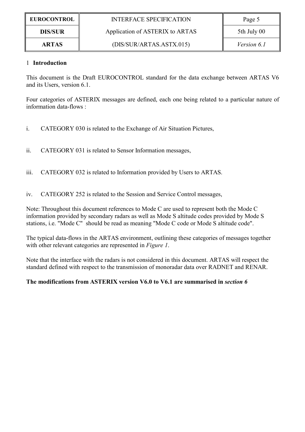| <b>EUROCONTROL</b><br><b>INTERFACE SPECIFICATION</b> |                                 | Page 5             |
|------------------------------------------------------|---------------------------------|--------------------|
| <b>DIS/SUR</b>                                       | Application of ASTERIX to ARTAS | 5th July 00        |
| ARTAS                                                | (DIS/SUR/ARTAS.ASTX.015)        | <i>Version 6.1</i> |

#### 1 **Introduction**

This document is the Draft EUROCONTROL standard for the data exchange between ARTAS V6 and its Users, version 6.1.

Four categories of ASTERIX messages are defined, each one being related to a particular nature of information data-flows :

- i. CATEGORY 030 is related to the Exchange of Air Situation Pictures,
- ii. CATEGORY 031 is related to Sensor Information messages,
- iii. CATEGORY 032 is related to Information provided by Users to ARTAS.
- iv. CATEGORY 252 is related to the Session and Service Control messages,

Note: Throughout this document references to Mode C are used to represent both the Mode C information provided by secondary radars as well as Mode S altitude codes provided by Mode S stations, i.e. "Mode C" should be read as meaning "Mode C code or Mode S altitude code".

The typical data-flows in the ARTAS environment, outlining these categories of messages together with other relevant categories are represented in *Figure 1*.

Note that the interface with the radars is not considered in this document. ARTAS will respect the standard defined with respect to the transmission of monoradar data over RADNET and RENAR.

#### **The modifications from ASTERIX version V6.0 to V6.1 are summarised in** *section 6*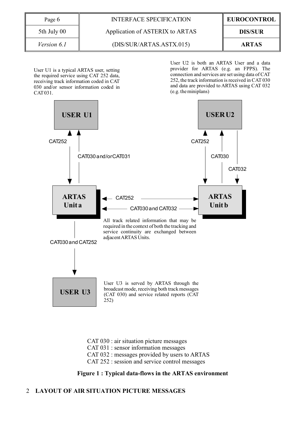| Page 6             | <b>INTERFACE SPECIFICATION</b>  | <b>EUROCONTROL</b> |
|--------------------|---------------------------------|--------------------|
| 5th July 00        | Application of ASTERIX to ARTAS | <b>DIS/SUR</b>     |
| <i>Version 6.1</i> | (DIS/SUR/ARTAS.ASTX.015)        | <b>ARTAS</b>       |

User U1 is a typical ARTAS user, setting the required service using CAT 252 data, receiving track information coded in CAT 030 and/or sensor information coded in CAT 031.

User U2 is both an ARTAS User and a data provider for ARTAS (e.g. an FPPS). The connection and services are set using data of CAT 252, the track information is received in CAT 030 and data are provided to ARTAS using CAT 032 (e.g. the miniplans)



CAT 030 : air situation picture messages CAT 031 : sensor information messages CAT 032 : messages provided by users to ARTAS CAT 252 : session and service control messages

#### **Figure 1 : Typical data-flows in the ARTAS environment**

#### 2 **LAYOUT OF AIR SITUATION PICTURE MESSAGES**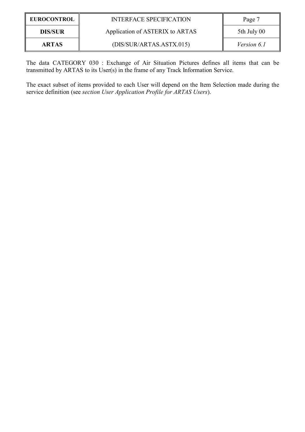| <b>EUROCONTROL</b><br><b>INTERFACE SPECIFICATION</b> |                                 | Page 7             |
|------------------------------------------------------|---------------------------------|--------------------|
| <b>DIS/SUR</b>                                       | Application of ASTERIX to ARTAS | 5th July 00        |
| <b>ARTAS</b>                                         | (DIS/SUR/ARTAS.ASTX.015)        | <i>Version 6.1</i> |

The data CATEGORY 030 : Exchange of Air Situation Pictures defines all items that can be transmitted by ARTAS to its User(s) in the frame of any Track Information Service.

The exact subset of items provided to each User will depend on the Item Selection made during the service definition (see *section User Application Profile for ARTAS Users*).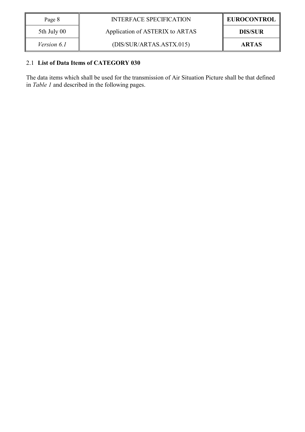| Page 8             | <b>INTERFACE SPECIFICATION</b>  | <b>EUROCONTROL</b> |
|--------------------|---------------------------------|--------------------|
| 5th July 00        | Application of ASTERIX to ARTAS | <b>DIS/SUR</b>     |
| <i>Version 6.1</i> | (DIS/SUR/ARTAS.ASTX.015)        | <b>ARTAS</b>       |

#### 2.1 **List of Data Items of CATEGORY 030**

The data items which shall be used for the transmission of Air Situation Picture shall be that defined in *Table 1* and described in the following pages.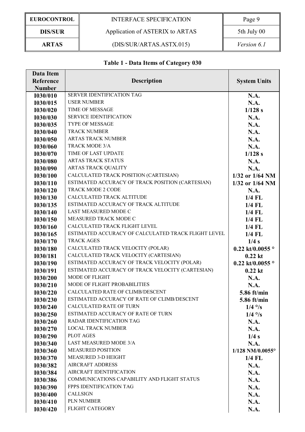| <b>EUROCONTROL</b> | <b>INTERFACE SPEC</b> |
|--------------------|-----------------------|
|                    |                       |

**DIS/SUR** Application of ASTERIX to ARTAS 5th July 00

**ARTAS** (DIS/SUR/ARTAS.ASTX.015) *Version 6.1* 

# **Table 1 - Data Items of Category 030**

| Data Item<br>Reference | <b>Description</b>                                                                               | <b>System Units</b>       |
|------------------------|--------------------------------------------------------------------------------------------------|---------------------------|
| <b>Number</b>          |                                                                                                  |                           |
| 1030/010               | SERVER IDENTIFICATION TAG                                                                        | <b>N.A.</b>               |
| 1030/015               | <b>USER NUMBER</b>                                                                               | <b>N.A.</b>               |
| 1030/020               | TIME OF MESSAGE                                                                                  | $1/128$ s                 |
| 1030/030               | SERVICE IDENTIFICATION                                                                           | N.A.                      |
| 1030/035               | TYPE OF MESSAGE                                                                                  | N.A.                      |
| 1030/040               | <b>TRACK NUMBER</b>                                                                              | <b>N.A.</b>               |
| 1030/050               | <b>ARTAS TRACK NUMBER</b>                                                                        | N.A.                      |
| 1030/060               | TRACK MODE 3/A                                                                                   | <b>N.A.</b>               |
| 1030/070               | TIME OF LAST UPDATE                                                                              | 1/128s                    |
| 1030/080               | <b>ARTAS TRACK STATUS</b>                                                                        | N.A.                      |
| 1030/090               | ARTAS TRACK QUALITY                                                                              | N.A.                      |
| 1030/100               | CALCULATED TRACK POSITION (CARTESIAN)                                                            | 1/32 or 1/64 NM           |
| 1030/110               | ESTIMATED ACCURACY OF TRACK POSITION (CARTESIAN)                                                 | 1/32 or 1/64 NM           |
| 1030/120               | <b>TRACK MODE 2 CODE</b>                                                                         | N.A.                      |
| 1030/130               | CALCULATED TRACK ALTITUDE                                                                        | $1/4$ FL                  |
| 1030/135               | ESTIMATED ACCURACY OF TRACK ALTITUDE                                                             | $1/4$ FL                  |
| 1030/140               | LAST MEASURED MODE C                                                                             | $1/4$ FL                  |
| 1030/150               | MEASURED TRACK MODE C                                                                            | $1/4$ FL                  |
| 1030/160               | CALCULATED TRACK FLIGHT LEVEL                                                                    | $1/4$ FL                  |
| 1030/165               | ESTIMATED ACCURACY OF CALCULATED TRACK FLIGHT LEVEL                                              | $1/4$ FL                  |
| 1030/170               | <b>TRACK AGES</b>                                                                                | 1/4s                      |
| 1030/180               | CALCULATED TRACK VELOCITY (POLAR)                                                                | 0.22 kt/0.0055 $^{\circ}$ |
| 1030/181               | CALCULATED TRACK VELOCITY (CARTESIAN)                                                            | $0.22$ kt                 |
| 1030/190               | ESTIMATED ACCURACY OF TRACK VELOCITY (POLAR)<br>ESTIMATED ACCURACY OF TRACK VELOCITY (CARTESIAN) | 0.22 kt/0.0055 $^{\circ}$ |
| 1030/191<br>1030/200   | <b>MODE OF FLIGHT</b>                                                                            | $0.22$ kt                 |
| 1030/210               | MODE OF FLIGHT PROBABILITIES                                                                     | N.A.<br>N.A.              |
| 1030/220               | CALCULATED RATE OF CLIMB/DESCENT                                                                 | 5.86 ft/min               |
| 1030/230               | ESTIMATED ACCURACY OF RATE OF CLIMB/DESCENT                                                      | 5.86 ft/min               |
| 1030/240               | <b>CALCULATED RATE OF TURN</b>                                                                   | $1/4$ %                   |
| 1030/250               | ESTIMATED ACCURACY OF RATE OF TURN                                                               | $1/4$ %                   |
| 1030/260               | RADAR IDENTIFICATION TAG                                                                         | N.A.                      |
| 1030/270               | <b>LOCAL TRACK NUMBER</b>                                                                        | <b>N.A.</b>               |
| 1030/290               | <b>PLOT AGES</b>                                                                                 | 1/4s                      |
| 1030/340               | LAST MEASURED MODE 3/A                                                                           | N.A.                      |
| 1030/360               | <b>MEASURED POSITION</b>                                                                         | $1/128$ NM/0.0055°        |
| 1030/370               | MEASURED 3-D HEIGHT                                                                              | $1/4$ FL                  |
| 1030/382               | <b>AIRCRAFT ADDRESS</b>                                                                          | <b>N.A.</b>               |
| 1030/384               | AIRCRAFT IDENTIFICATION                                                                          | N.A.                      |
| 1030/386               | COMMUNICATIONS CAPABILITY AND FLIGHT STATUS                                                      | N.A.                      |
| 1030/390               | FPPS IDENTIFICATION TAG                                                                          | N.A.                      |
| 1030/400               | <b>CALLSIGN</b>                                                                                  | N.A.                      |
| 1030/410               | <b>PLN NUMBER</b>                                                                                | <b>N.A.</b>               |
| 1030/420               | FLIGHT CATEGORY                                                                                  | N.A.                      |

**CIFICATION** Page 9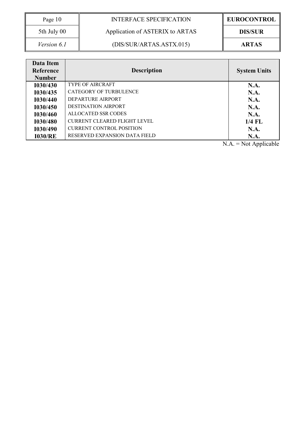### Page 10 **INTERFACE SPECIFICATION EUROCONTROL**

5th July 00 Application of ASTERIX to ARTAS **DIS/SUR** 

*Version 6.1* (DIS/SUR/ARTAS.ASTX.015) **ARTAS** 

| Data Item      |                               |                     |
|----------------|-------------------------------|---------------------|
| Reference      | <b>Description</b>            | <b>System Units</b> |
| <b>Number</b>  |                               |                     |
| 1030/430       | <b>TYPE OF AIRCRAFT</b>       | <b>N.A.</b>         |
| 1030/435       | CATEGORY OF TURBULENCE        | <b>N.A.</b>         |
| 1030/440       | DEPARTURE AIRPORT             | N.A.                |
| 1030/450       | DESTINATION AIRPORT           | <b>N.A.</b>         |
| 1030/460       | ALLOCATED SSR CODES           | <b>N.A.</b>         |
| 1030/480       | CURRENT CLEARED FLIGHT LEVEL  | $1/4$ FL            |
| 1030/490       | CURRENT CONTROL POSITION      | <b>N.A.</b>         |
| <b>I030/RE</b> | RESERVED EXPANSION DATA FIELD | N.A.                |

 $N.A. = Not Applicable$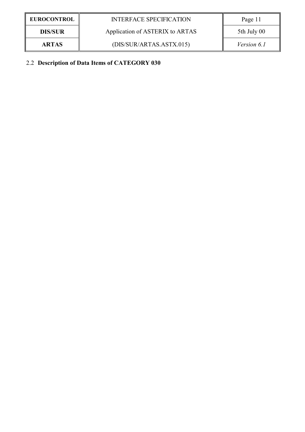| <b>EUROCONTROL</b><br><b>INTERFACE SPECIFICATION</b> |                                 | Page 11            |
|------------------------------------------------------|---------------------------------|--------------------|
| <b>DIS/SUR</b>                                       | Application of ASTERIX to ARTAS | 5th July 00        |
| <b>ARTAS</b>                                         | (DIS/SUR/ARTAS.ASTX.015)        | <i>Version 6.1</i> |

# 2.2 **Description of Data Items of CATEGORY 030**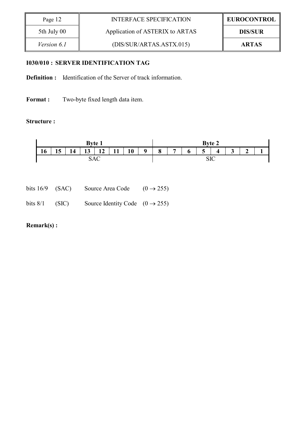Page 12 | INTERFACE SPECIFICATION | EUROCONTROL 5th July 00 Application of ASTERIX to ARTAS **DIS/SUR** 

*Version 6.1* **COIS/SUR/ARTAS.ASTX.015) ARTAS** 

#### **I030/010 : SERVER IDENTIFICATION TAG**

**Definition :** Identification of the Server of track information.

**Format :** Two-byte fixed length data item.

#### **Structure :**



| bits $16/9$ (SAC) | Source Area Code | $(0 \rightarrow 255)$ |
|-------------------|------------------|-----------------------|
|                   |                  |                       |

bits  $8/1$  (SIC) Source Identity Code (0  $\rightarrow$  255)

# **Remark(s) :**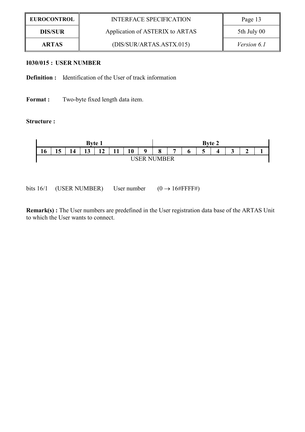| <b>EUROCONTROL</b> |
|--------------------|
|--------------------|

**DIS/SUR** Application of ASTERIX to ARTAS 5th July 00

**ARTAS** (DIS/SUR/ARTAS.ASTX.015) *Version 6.1* 

#### **I030/015 : USER NUMBER**

**Definition :** Identification of the User of track information

**Format :** Two-byte fixed length data item.

#### **Structure :**

|    |                                |    | <b>Byte 1</b> |           |           |           |             | <b>Byte</b><br>A  |   |   |        |  |   |                    |  |
|----|--------------------------------|----|---------------|-----------|-----------|-----------|-------------|-------------------|---|---|--------|--|---|--------------------|--|
| 10 | $\overline{a}$<br>15           | 14 | $\sim$<br>⊥୰  | 1.4<br>┸┢ | . .<br>11 | 10<br>1 V | $\mathbf 0$ | $\mathbf{o}$<br>O | - | o | -<br>ັ |  | ັ | $\rightarrow$<br>◢ |  |
|    | <b>IMBER</b><br>. INFR .<br>NH |    |               |           |           |           |             |                   |   |   |        |  |   |                    |  |

bits 16/1 (USER NUMBER) User number  $(0 \rightarrow 16 \# F F F F \#)$ 

**Remark(s) :** The User numbers are predefined in the User registration data base of the ARTAS Unit to which the User wants to connect.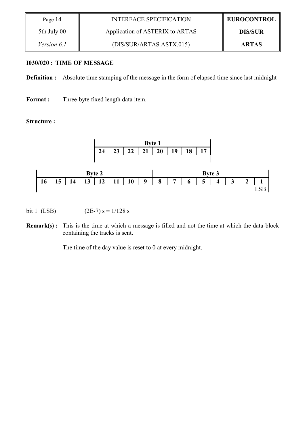| Page 14            | <b>INTERFACE SPECIFICATION</b>  | <b>EUROCONTROL</b> |
|--------------------|---------------------------------|--------------------|
| 5th July 00        | Application of ASTERIX to ARTAS | DIS/SUR            |
| <i>Version 6.1</i> | (DIS/SUR/ARTAS.ASTX.015)        | <b>ARTAS</b>       |
|                    |                                 |                    |

#### **I030/020 : TIME OF MESSAGE**

**Definition :** Absolute time stamping of the message in the form of elapsed time since last midnight

**Format :** Three-byte fixed length data item.

#### **Structure :**



bit 1 (LSB)  $(2E-7) s = 1/128 s$ 

**Remark(s) :** This is the time at which a message is filled and not the time at which the data-block containing the tracks is sent.

The time of the day value is reset to 0 at every midnight.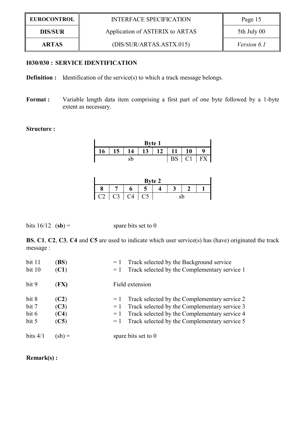| <b>EUROCONTROL</b> |
|--------------------|
|--------------------|

**EUROCONTROL INTERFACE SPECIFICATION** Page 15 **DIS/SUR** Application of ASTERIX to ARTAS 5th July 00

#### **I030/030 : SERVICE IDENTIFICATION**

- **Definition :** Identification of the service(s) to which a track message belongs.
- **Format :** Variable length data item comprising a first part of one byte followed by a 1-byte extent as necessary.

#### **Structure :**

| <b>Byte 1</b> |    |    |           |           |    |    |  |  |  |  |  |
|---------------|----|----|-----------|-----------|----|----|--|--|--|--|--|
| 16            | 15 | 14 | $13 \mid$ | <b>12</b> | 11 | 10 |  |  |  |  |  |
|               |    | sb |           |           | FХ |    |  |  |  |  |  |

| Byte 2 |  |         |  |  |  |  |  |  |  |  |  |
|--------|--|---------|--|--|--|--|--|--|--|--|--|
|        |  |         |  |  |  |  |  |  |  |  |  |
| C2     |  | C3   C4 |  |  |  |  |  |  |  |  |  |

bits  $16/12$  (sb) = spare bits set to 0

**BS**, **C1**, **C2**, **C3**, **C4** and **C5** are used to indicate which user service(s) has (have) originated the track message :

| bit 11<br>bit 10                 | BS)<br>(C1)                  | Track selected by the Background service<br>$=$ 1<br>Track selected by the Complementary service 1<br>$=1$                                                                                                                        |
|----------------------------------|------------------------------|-----------------------------------------------------------------------------------------------------------------------------------------------------------------------------------------------------------------------------------|
| bit 9                            | FX)                          | Field extension                                                                                                                                                                                                                   |
| bit 8<br>bit 7<br>bit 6<br>bit 5 | (C2)<br>(C3)<br>(C4)<br>(C5) | Track selected by the Complementary service 2<br>$=$ 1<br>Track selected by the Complementary service 3<br>$=$ 1<br>Track selected by the Complementary service 4<br>$= 1$<br>$= 1$ Track selected by the Complementary service 5 |
| bits $4/1$                       | $sb) =$                      | spare bits set to 0                                                                                                                                                                                                               |

#### **Remark(s) :**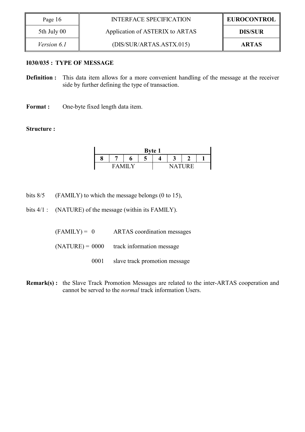| аре |  |
|-----|--|
|-----|--|

5th July 00 Application of ASTERIX to ARTAS **DIS/SUR** 

**PAGE 16 INTERFACE SPECIFICATION IF UROCONTROL** 

*Version 6.1* (DIS/SUR/ARTAS.ASTX.015) **ARTAS** 

#### **I030/035 : TYPE OF MESSAGE**

- **Definition :** This data item allows for a more convenient handling of the message at the receiver side by further defining the type of transaction.
- **Format :** One-byte fixed length data item.

#### **Structure :**

| <b>Byte 1</b> |          |   |  |   |  |  |  |  |  |  |
|---------------|----------|---|--|---|--|--|--|--|--|--|
|               |          |   |  |   |  |  |  |  |  |  |
|               | $\Delta$ | . |  | Δ |  |  |  |  |  |  |

- bits 8/5 (FAMILY) to which the message belongs (0 to 15),
- bits  $4/1$  : (NATURE) of the message (within its FAMILY).
	- $(FAMILY) = 0$  ARTAS coordination messages
	- $(NATURE) = 0000$  track information message
		- 0001 slave track promotion message
- **Remark(s) :** the Slave Track Promotion Messages are related to the inter-ARTAS cooperation and cannot be served to the *normal* track information Users.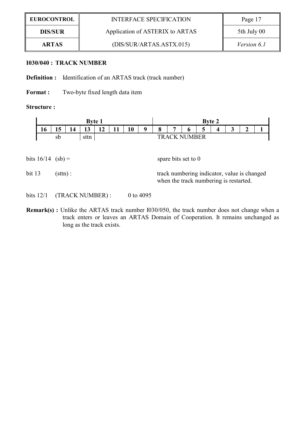**DIS/SUR** Application of ASTERIX to ARTAS 5th July 00

**ARTAS** (DIS/SUR/ARTAS.ASTX.015) *Version 6.1* 

#### **I030/040 : TRACK NUMBER**

**Definition :** Identification of an ARTAS track (track number)

**Format :** Two-byte fixed length data item

#### **Structure :**

|        |    |                     | <b>Byte 1</b>                            |    |  |    |   | <b>Byte 2</b> |   |   |   |                     |  |   |                                                                                       |
|--------|----|---------------------|------------------------------------------|----|--|----|---|---------------|---|---|---|---------------------|--|---|---------------------------------------------------------------------------------------|
| 16     | 15 | 14                  | 13                                       | 12 |  | 10 | 9 | 8             | 7 | 6 | 5 | $\overline{4}$      |  | 2 |                                                                                       |
|        | sb |                     | sttn                                     |    |  |    |   |               |   |   |   |                     |  |   |                                                                                       |
|        |    |                     |                                          |    |  |    |   |               |   |   |   |                     |  |   |                                                                                       |
|        |    | spare bits set to 0 |                                          |    |  |    |   |               |   |   |   |                     |  |   |                                                                                       |
| bit 13 |    |                     |                                          |    |  |    |   |               |   |   |   |                     |  |   |                                                                                       |
|        |    |                     | bits $16/14$ (sb) =<br>$\text{(sttn)}$ : |    |  |    |   |               |   |   |   | <b>TRACK NUMBER</b> |  |   | track numbering indicator, value is changed<br>when the track numbering is restarted. |

bits 12/1 (TRACK NUMBER): 0 to 4095

**Remark(s) :** Unlike the ARTAS track number I030/050, the track number does not change when a track enters or leaves an ARTAS Domain of Cooperation. It remains unchanged as long as the track exists.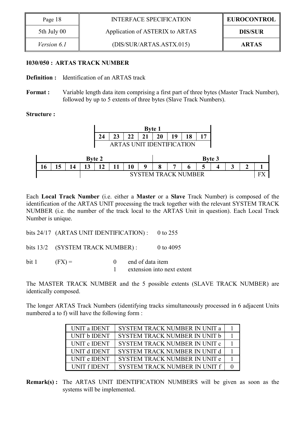Page 18 | INTERFACE SPECIFICATION | EUROCONTROL 5th July 00 Application of ASTERIX to ARTAS **DIS/SUR** 

*Version 6.1* (DIS/SUR/ARTAS.ASTX.015) **ARTAS** 

#### **I030/050 : ARTAS TRACK NUMBER**

**Definition :** Identification of an ARTAS track

**Format :** Variable length data item comprising a first part of three bytes (Master Track Number), followed by up to 5 extents of three bytes (Slave Track Numbers).

#### **Structure :**

|                            |    | <b>Byte 1</b> |    |               |    |                                  |    |    |    |              |    |               |   |  |  |
|----------------------------|----|---------------|----|---------------|----|----------------------------------|----|----|----|--------------|----|---------------|---|--|--|
|                            |    |               |    | 24            | 23 | 22                               | 21 | 20 | 19 | 18           |    |               |   |  |  |
|                            |    |               |    |               |    | <b>ARTAS UNIT IDENTIFICATION</b> |    |    |    |              |    |               |   |  |  |
|                            |    |               |    |               |    |                                  |    |    |    |              |    |               |   |  |  |
|                            |    |               |    | <b>Byte 2</b> |    |                                  |    |    |    |              |    | <b>Byte 3</b> |   |  |  |
|                            | 15 | 14            | 13 | 12            | 11 |                                  |    | 8  |    | <sup>0</sup> |    |               | Ĵ |  |  |
| <b>SYSTEM TRACK NUMBER</b> |    |               |    |               |    |                                  |    |    |    |              | FX |               |   |  |  |

Each **Local Track Number** (i.e. either a **Master** or a **Slave** Track Number) is composed of the identification of the ARTAS UNIT processing the track together with the relevant SYSTEM TRACK NUMBER (i.e. the number of the track local to the ARTAS Unit in question). Each Local Track Number is unique.

bits 24/17 (ARTAS UNIT IDENTIFICATION): 0 to 255

bits 13/2 (SYSTEM TRACK NUMBER): 0 to 4095

| bit 1 | $(FX) =$ | end of data item           |
|-------|----------|----------------------------|
|       |          | extension into next extent |

The MASTER TRACK NUMBER and the 5 possible extents (SLAVE TRACK NUMBER) are identically composed.

The longer ARTAS Track Numbers (identifying tracks simultaneously processed in 6 adjacent Units numbered a to f) will have the following form :

| UNIT a IDENT | SYSTEM TRACK NUMBER IN UNIT a        |  |
|--------------|--------------------------------------|--|
| UNIT b IDENT | <b>SYSTEM TRACK NUMBER IN UNIT b</b> |  |
| UNIT c IDENT | SYSTEM TRACK NUMBER IN UNIT c        |  |
| UNIT d IDENT | SYSTEM TRACK NUMBER IN UNIT d        |  |
| UNIT e IDENT | SYSTEM TRACK NUMBER IN UNIT e        |  |
| UNIT f IDENT | SYSTEM TRACK NUMBER IN UNIT f        |  |

**Remark(s) :** The ARTAS UNIT IDENTIFICATION NUMBERS will be given as soon as the systems will be implemented.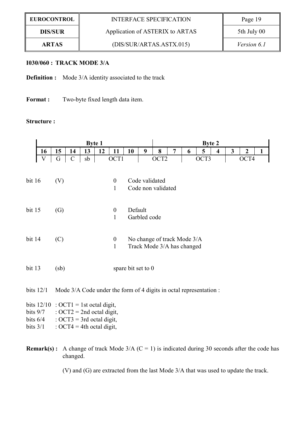**DIS/SUR** Application of ASTERIX to ARTAS 5th July 00

**ARTAS** (DIS/SUR/ARTAS.ASTX.015) *Version 6.1* 

# **I030/060 : TRACK MODE 3/A**

**Definition :** Mode 3/A identity associated to the track

# Format : Two-byte fixed length data item.

#### **Structure :**

|                                                        | <b>Byte 1</b>                                                                                                       |                    |    |    |                                                                    |         |                |                    | <b>Byte 2</b>  |                                                           |      |                         |              |                  |              |
|--------------------------------------------------------|---------------------------------------------------------------------------------------------------------------------|--------------------|----|----|--------------------------------------------------------------------|---------|----------------|--------------------|----------------|-----------------------------------------------------------|------|-------------------------|--------------|------------------|--------------|
| 16                                                     | 15                                                                                                                  | 14                 | 13 | 12 | 11                                                                 | 10      | 9              | 8                  | $\overline{7}$ | 6                                                         | 5    | $\overline{\mathbf{4}}$ | $\mathbf{3}$ | $\boldsymbol{2}$ | $\mathbf{1}$ |
| $\mathbf V$                                            | G                                                                                                                   | $\mathcal{C}$      | sb |    | OCT1                                                               |         |                | OCT <sub>2</sub>   |                |                                                           | OCT3 |                         |              | OCT4             |              |
| bit 16                                                 | (V)                                                                                                                 |                    |    |    | $\boldsymbol{0}$<br>$\mathbf{1}$                                   |         | Code validated | Code non validated |                |                                                           |      |                         |              |                  |              |
| bit 15                                                 | $\left( G\right)$                                                                                                   |                    |    |    | $\boldsymbol{0}$<br>$\mathbf{1}$                                   | Default | Garbled code   |                    |                |                                                           |      |                         |              |                  |              |
| bit 14                                                 | (C)                                                                                                                 |                    |    |    | $\boldsymbol{0}$<br>$\mathbf{1}$                                   |         |                |                    |                | No change of track Mode 3/A<br>Track Mode 3/A has changed |      |                         |              |                  |              |
| bit 13                                                 | (s <sub>b</sub> )                                                                                                   | spare bit set to 0 |    |    |                                                                    |         |                |                    |                |                                                           |      |                         |              |                  |              |
| bits $12/1$                                            |                                                                                                                     |                    |    |    | Mode 3/A Code under the form of 4 digits in octal representation : |         |                |                    |                |                                                           |      |                         |              |                  |              |
| bits $12/10$<br>bits $9/7$<br>bits $6/4$<br>bits $3/1$ | : OCT1 = 1st octal digit,<br>: OCT2 = 2nd octal digit,<br>: OCT3 = 3rd octal digit,<br>: OCT4 = 4th octal digit,    |                    |    |    |                                                                    |         |                |                    |                |                                                           |      |                         |              |                  |              |
|                                                        | A change of track Mode $3/A$ (C = 1) is indicated during 30 seconds after the code has<br>$Remark(s)$ :<br>changed. |                    |    |    |                                                                    |         |                |                    |                |                                                           |      |                         |              |                  |              |

(V) and (G) are extracted from the last Mode 3/A that was used to update the track.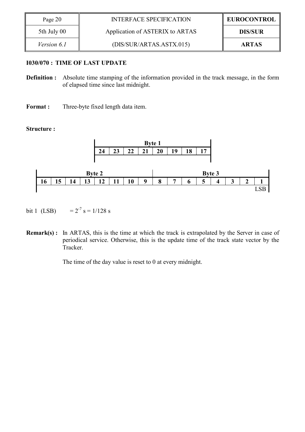| Page 20            | <b>INTERFACE SPECIFICATION</b>  | <b>EUROCONTROL</b> |
|--------------------|---------------------------------|--------------------|
| 5th July 00        | Application of ASTERIX to ARTAS | <b>DIS/SUR</b>     |
| <i>Version 6.1</i> | (DIS/SUR/ARTAS.ASTX.015)        | <b>ARTAS</b>       |

#### **I030/070 : TIME OF LAST UPDATE**

- **Definition :** Absolute time stamping of the information provided in the track message, in the form of elapsed time since last midnight.
- **Format :** Three-byte fixed length data item.

#### **Structure :**



- bit 1 (LSB)  $= 2^{-7}$  s = 1/128 s
- **Remark(s) :** In ARTAS, this is the time at which the track is extrapolated by the Server in case of periodical service. Otherwise, this is the update time of the track state vector by the Tracker.

The time of the day value is reset to 0 at every midnight.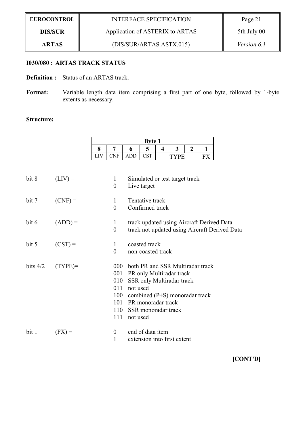**ARTAS** (DIS/SUR/ARTAS.ASTX.015) *Version 6.1* 

#### **I030/080 : ARTAS TRACK STATUS**

- **Definition :** Status of an ARTAS track.
- **Format:** Variable length data item comprising a first part of one byte, followed by 1-byte extents as necessary.

#### **Structure:**

| <b>Byte 1</b> |            |     |            |     |  |  |  |  |  |
|---------------|------------|-----|------------|-----|--|--|--|--|--|
|               |            |     |            |     |  |  |  |  |  |
|               | <b>CNF</b> | ADD | <b>CST</b> | v D |  |  |  |  |  |

| bit 8      | $(LIV) =$  | 1<br>$\boldsymbol{0}$                                | Simulated or test target track<br>Live target                                                                                                                                                      |
|------------|------------|------------------------------------------------------|----------------------------------------------------------------------------------------------------------------------------------------------------------------------------------------------------|
| bit 7      | $(CNF) =$  | 1<br>$\overline{0}$                                  | Tentative track<br>Confirmed track                                                                                                                                                                 |
| bit 6      | $(ADD) =$  | $\mathbf{1}$<br>$\boldsymbol{0}$                     | track updated using Aircraft Derived Data<br>track not updated using Aircraft Derived Data                                                                                                         |
| bit 5      | $(CST) =$  | 1<br>$\theta$                                        | coasted track<br>non-coasted track                                                                                                                                                                 |
| bits $4/2$ | $(TYPE)$ = | 000<br>001<br>010<br>011<br>100<br>101<br>110<br>111 | both PR and SSR Multiradar track<br>PR only Multiradar track<br>SSR only Multiradar track<br>not used<br>combined $(P+S)$ monoradar track<br>PR monoradar track<br>SSR monoradar track<br>not used |
| bit 1      | $(FX)$ =   | $\boldsymbol{0}$<br>1                                | end of data item<br>extension into first extent                                                                                                                                                    |

**[CONT'D]**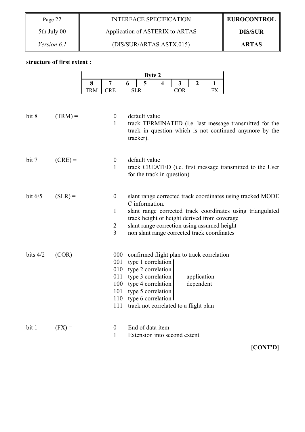Page 22 | INTERFACE SPECIFICATION | EUROCONTROL

5th July 00 Application of ASTERIX to ARTAS **DIS/SUR** 

*Version 6.1* (DIS/SUR/ARTAS.ASTX.015) **ARTAS** 

# **structure of first extent :**

| <b>Byte 2</b> |          |  |  |  |  |  |  |  |  |
|---------------|----------|--|--|--|--|--|--|--|--|
|               |          |  |  |  |  |  |  |  |  |
|               | ١E<br>тъ |  |  |  |  |  |  |  |  |

| bit 8      | $(TRM) =$ | $\boldsymbol{0}$<br>1                                                | default value<br>track TERMINATED (i.e. last message transmitted for the<br>track in question which is not continued anymore by the<br>tracker).                                                                                                                                         |
|------------|-----------|----------------------------------------------------------------------|------------------------------------------------------------------------------------------------------------------------------------------------------------------------------------------------------------------------------------------------------------------------------------------|
| bit 7      | $(CRE) =$ | $\boldsymbol{0}$<br>$\mathbf{1}$                                     | default value<br>track CREATED (i.e. first message transmitted to the User<br>for the track in question)                                                                                                                                                                                 |
| bit $6/5$  | $(SLR) =$ | $\boldsymbol{0}$<br>$\mathbf{1}$<br>$\overline{2}$<br>$\overline{3}$ | slant range corrected track coordinates using tracked MODE<br>C information.<br>slant range corrected track coordinates using triangulated<br>track height or height derived from coverage<br>slant range correction using assumed height<br>non slant range corrected track coordinates |
| bits $4/2$ | $(COR) =$ | 000<br>001<br>010<br>011<br>100<br>101<br>110<br>111                 | confirmed flight plan to track correlation<br>type 1 correlation<br>type 2 correlation<br>type 3 correlation<br>application<br>type 4 correlation<br>dependent<br>type 5 correlation<br>type 6 correlation<br>track not correlated to a flight plan                                      |
| bit 1      | $(FX) =$  | $\boldsymbol{0}$<br>$\mathbf{1}$                                     | End of data item<br>Extension into second extent                                                                                                                                                                                                                                         |

**[CONT'D]**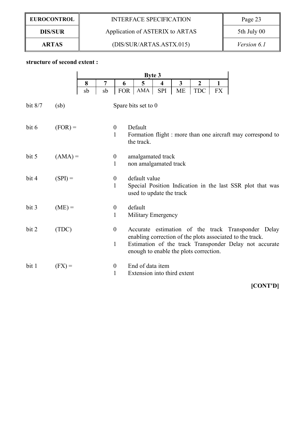**DIS/SUR** Application of ASTERIX to ARTAS 5th July 00

**ARTAS** (DIS/SUR/ARTAS.ASTX.015) *Version 6.1* 

# **structure of second extent :**

|           |                   | 8                                                                                   | $\overline{7}$ | 6                                | 5                                                                                                                                                                                                                   | $\overline{\mathbf{4}}$ | $\mathbf{3}$ | $\boldsymbol{2}$ | $\mathbf{1}$ |  |  |  |  |  |
|-----------|-------------------|-------------------------------------------------------------------------------------|----------------|----------------------------------|---------------------------------------------------------------------------------------------------------------------------------------------------------------------------------------------------------------------|-------------------------|--------------|------------------|--------------|--|--|--|--|--|
|           |                   | sb                                                                                  | sb             |                                  | FOR AMA                                                                                                                                                                                                             | <b>SPI</b>              | ME           | <b>TDC</b>       | <b>FX</b>    |  |  |  |  |  |
| bit $8/7$ | (s <sub>b</sub> ) |                                                                                     |                | Spare bits set to 0              |                                                                                                                                                                                                                     |                         |              |                  |              |  |  |  |  |  |
| bit 6     | $(FOR) =$         |                                                                                     |                | $\boldsymbol{0}$<br>$\mathbf{1}$ | Default<br>Formation flight : more than one aircraft may correspond to<br>the track.                                                                                                                                |                         |              |                  |              |  |  |  |  |  |
| bit 5     | $(AMA) =$         |                                                                                     |                | $\boldsymbol{0}$<br>$\mathbf{1}$ | amalgamated track<br>non amalgamated track                                                                                                                                                                          |                         |              |                  |              |  |  |  |  |  |
| bit 4     | $(SPI) =$         |                                                                                     |                | $\boldsymbol{0}$<br>$\mathbf{1}$ | default value<br>Special Position Indication in the last SSR plot that was<br>used to update the track                                                                                                              |                         |              |                  |              |  |  |  |  |  |
| bit 3     | $(ME) =$          |                                                                                     |                | $\boldsymbol{0}$<br>1            | default<br>Military Emergency                                                                                                                                                                                       |                         |              |                  |              |  |  |  |  |  |
| bit 2     | (TDC)             |                                                                                     |                | $\boldsymbol{0}$<br>$\mathbf{1}$ | Accurate estimation of the track Transponder Delay<br>enabling correction of the plots associated to the track.<br>Estimation of the track Transponder Delay not accurate<br>enough to enable the plots correction. |                         |              |                  |              |  |  |  |  |  |
| bit 1     | $(FX) =$          | End of data item<br>$\boldsymbol{0}$<br>$\mathbf{1}$<br>Extension into third extent |                |                                  |                                                                                                                                                                                                                     |                         |              |                  |              |  |  |  |  |  |

**[CONT'D]**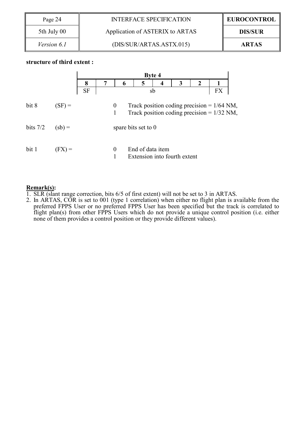| Page 24                     | <b>INTERFACE SPECIFICATION</b>  | <b>EUROCONTROL</b> |
|-----------------------------|---------------------------------|--------------------|
| 5th July 00                 | Application of ASTERIX to ARTAS | <b>DIS/SUR</b>     |
| Version 6.1                 | (DIS/SUR/ARTAS.ASTX.015)        | <b>ARTAS</b>       |
| structure of third extent : |                                 |                    |

|            |          | Byte 4 |                     |                                      |                                                                                              |  |  |  |  |  |  |  |  |  |
|------------|----------|--------|---------------------|--------------------------------------|----------------------------------------------------------------------------------------------|--|--|--|--|--|--|--|--|--|
|            |          | 8      | 7                   | 3<br>$\boldsymbol{2}$<br>5<br>6<br>4 |                                                                                              |  |  |  |  |  |  |  |  |  |
|            |          | SF     | <b>FX</b><br>sb     |                                      |                                                                                              |  |  |  |  |  |  |  |  |  |
| bit 8      | $(SF) =$ |        |                     | $\theta$                             | Track position coding precision = $1/64$ NM,<br>Track position coding precision = $1/32$ NM, |  |  |  |  |  |  |  |  |  |
| bits $7/2$ | $(sb) =$ |        | spare bits set to 0 |                                      |                                                                                              |  |  |  |  |  |  |  |  |  |
| bit 1      | $H(X) =$ |        | $\theta$            |                                      | End of data item<br>Extension into fourth extent                                             |  |  |  |  |  |  |  |  |  |

#### **Remark(s):**

- 1. SLR (slant range correction, bits 6/5 of first extent) will not be set to 3 in ARTAS.
- 2. In ARTAS, COR is set to 001 (type 1 correlation) when either no flight plan is available from the preferred FPPS User or no preferred FPPS User has been specified but the track is correlated to flight plan(s) from other FPPS Users which do not provide a unique control position (i.e. either none of them provides a control position or they provide different values).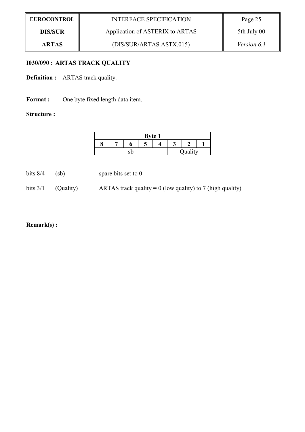**ARTAS** (DIS/SUR/ARTAS.ASTX.015) *Version 6.1* 

# **I030/090 : ARTAS TRACK QUALITY**

**Definition :** ARTAS track quality.

# Format : One byte fixed length data item.

# **Structure :**

| <b>Byte 1</b> |  |  |  |  |  |  |  |  |  |
|---------------|--|--|--|--|--|--|--|--|--|
|               |  |  |  |  |  |  |  |  |  |
| Quality       |  |  |  |  |  |  |  |  |  |

| bits $8/4$ | (s <b>b</b> ) | spare bits set to 0 |
|------------|---------------|---------------------|
|            |               |                     |

bits  $3/1$  (Quality) ARTAS track quality = 0 (low quality) to 7 (high quality)

**Remark(s) :**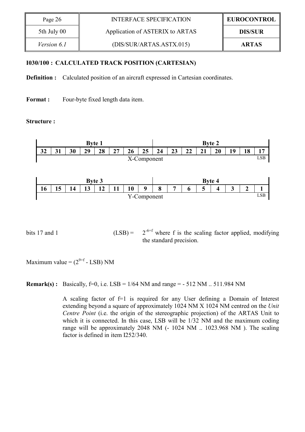| Page 26            | <b>INTERFACE SPECIFICATION</b>  | <b>EUROCONTROL</b> |
|--------------------|---------------------------------|--------------------|
| 5th July 00        | Application of ASTERIX to ARTAS | <b>DIS/SUR</b>     |
| <i>Version 6.1</i> | (DIS/SUR/ARTAS.ASTX.015)        | <b>ARTAS</b>       |

#### **I030/100 : CALCULATED TRACK POSITION (CARTESIAN)**

**Definition :** Calculated position of an aircraft expressed in Cartesian coordinates.

Format : Four-byte fixed length data item.

#### **Structure :**



bits 17 and 1 (LSB) =  $2^{-6+f}$  where f is the scaling factor applied, modifying the standard precision.

Maximum value =  $(2^{9+f}$  - LSB) NM

**Remark(s) :** Basically,  $f=0$ , i.e. LSB = 1/64 NM and range = - 512 NM .. 511.984 NM

A scaling factor of f=1 is required for any User defining a Domain of Interest extending beyond a square of approximately 1024 NM X 1024 NM centred on the *Unit Centre Point* (i.e. the origin of the stereographic projection) of the ARTAS Unit to which it is connected. In this case, LSB will be  $1/32$  NM and the maximum coding range will be approximately 2048 NM (- 1024 NM .. 1023.968 NM ). The scaling factor is defined in item I252/340.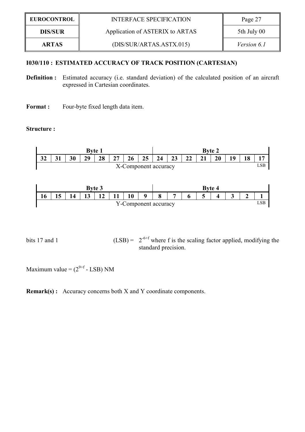| <b>EUROCONTROL</b> | <b>INTERFACE SPECIFICATION</b>  | Page 27            |  |  |  |  |  |
|--------------------|---------------------------------|--------------------|--|--|--|--|--|
| <b>DIS/SUR</b>     | Application of ASTERIX to ARTAS |                    |  |  |  |  |  |
| <b>ARTAS</b>       | (DIS/SUR/ARTAS.ASTX.015)        | <i>Version 6.1</i> |  |  |  |  |  |

# **I030/110 : ESTIMATED ACCURACY OF TRACK POSITION (CARTESIAN)**

- **Definition :** Estimated accuracy (i.e. standard deviation) of the calculated position of an aircraft expressed in Cartesian coordinates.
- **Format :** Four-byte fixed length data item.

#### **Structure :**

| <b>Byte 1</b>        |    |    |    |               |    |    |    | <b>Byte 2</b> |    |    |    |               |     |    |    |
|----------------------|----|----|----|---------------|----|----|----|---------------|----|----|----|---------------|-----|----|----|
| 32                   | 31 | 30 | 29 | 28            | 27 | 26 | 25 | 24            | 23 | 22 | 21 | 20            | 19  | 18 | 17 |
| X-Component accuracy |    |    |    |               |    |    |    |               |    |    |    |               | LSB |    |    |
|                      |    |    |    |               |    |    |    |               |    |    |    |               |     |    |    |
|                      |    |    |    |               |    |    |    |               |    |    |    |               |     |    |    |
|                      |    |    |    | <b>Byte 3</b> |    |    |    |               |    |    |    | <b>Byte 4</b> |     |    |    |
| 16                   | 15 | 14 | 13 |               |    | 10 | 9  | 8             | 7  | 6  | 5  | 4             | 3   |    |    |
| Y-Component accuracy |    |    |    |               |    |    |    |               |    |    |    | <b>LSB</b>    |     |    |    |

| bits 17 and 1 | $(LSB) = 2^{-6+f}$ where f is the scaling factor applied, modifying the |
|---------------|-------------------------------------------------------------------------|
|               | standard precision.                                                     |

Maximum value =  $(2^{9+f}$  - LSB) NM

**Remark(s) :** Accuracy concerns both X and Y coordinate components.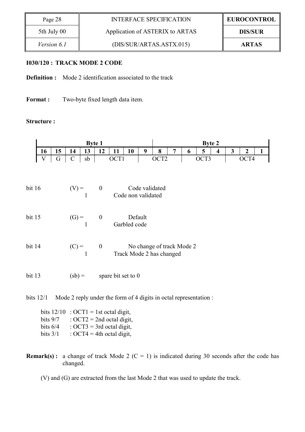Page 28 | INTERFACE SPECIFICATION | EUROCONTROL

5th July 00 Application of ASTERIX to ARTAS **DIS/SUR** 

*Version 6.1* (DIS/SUR/ARTAS.ASTX.015) **ARTAS** 

#### **I030/120 : TRACK MODE 2 CODE**

**Definition :** Mode 2 identification associated to the track

**Format :** Two-byte fixed length data item.

#### **Structure :**

|        |           |    |               | <b>Byte 1</b> |                                                                 |                                                  |                         | <b>Byte 2</b> |                                                                   |   |   |      |   |   |                  |              |  |  |
|--------|-----------|----|---------------|---------------|-----------------------------------------------------------------|--------------------------------------------------|-------------------------|---------------|-------------------------------------------------------------------|---|---|------|---|---|------------------|--------------|--|--|
|        | 16        | 15 | 14            | 13            | 12                                                              | 11                                               | 10                      | 9             | 8                                                                 | 7 | 6 | 5    | 4 | 3 | $\boldsymbol{2}$ | $\mathbf{1}$ |  |  |
|        | $\bf V$   | G  | $\mathcal{C}$ | sb            |                                                                 | OCT1                                             |                         |               | OCT <sub>2</sub>                                                  |   |   | OCT3 |   |   | OCT4             |              |  |  |
| bit 16 |           |    |               |               |                                                                 | $(V) = 0$ Code validated<br>1 Code non validated |                         |               |                                                                   |   |   |      |   |   |                  |              |  |  |
| bit 15 |           |    |               | $(G) = 0$     |                                                                 |                                                  | Default<br>Garbled code |               |                                                                   |   |   |      |   |   |                  |              |  |  |
| bit 14 |           |    |               | $\mathbf{1}$  | $(C) = 0$ No change of track Mode 2<br>Track Mode 2 has changed |                                                  |                         |               |                                                                   |   |   |      |   |   |                  |              |  |  |
| bit 13 |           |    |               |               |                                                                 | $(sb)$ = spare bit set to 0                      |                         |               |                                                                   |   |   |      |   |   |                  |              |  |  |
|        | bits 12/1 |    |               |               |                                                                 |                                                  |                         |               | Mode 2 reply under the form of 4 digits in octal representation : |   |   |      |   |   |                  |              |  |  |

bits  $12/10$  : OCT1 = 1st octal digit, bits  $9/7$  : OCT2 = 2nd octal digit, bits  $6/4$  : OCT3 = 3rd octal digit, bits  $3/1$  : OCT4 = 4th octal digit,

**Remark(s):** a change of track Mode 2 ( $C = 1$ ) is indicated during 30 seconds after the code has changed.

(V) and (G) are extracted from the last Mode 2 that was used to update the track.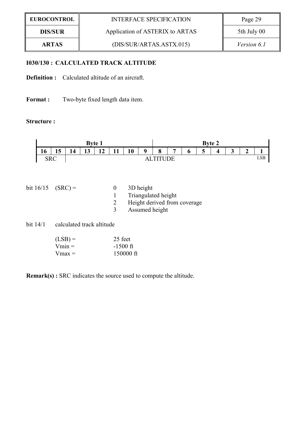**DIS/SUR** Application of ASTERIX to ARTAS 5th July 00

**ARTAS** (DIS/SUR/ARTAS.ASTX.015) *Version 6.1* 

#### **I030/130 : CALCULATED TRACK ALTITUDE**

**Definition :** Calculated altitude of an aircraft.

Format : Two-byte fixed length data item.

#### **Structure :**

|                     |            |    |    | <b>Byte 1</b>             |          |    | Byte 2    |                     |                              |   |   |   |  |   |     |
|---------------------|------------|----|----|---------------------------|----------|----|-----------|---------------------|------------------------------|---|---|---|--|---|-----|
| 16                  | 15         | 14 | 13 | 12                        |          | 10 | 9         | 8                   |                              | 6 | 5 | 4 |  | 2 |     |
|                     | <b>SRC</b> |    |    |                           |          |    |           | <b>ALTITUDE</b>     |                              |   |   |   |  |   | LSB |
|                     |            |    |    |                           |          |    |           |                     |                              |   |   |   |  |   |     |
|                     |            |    |    |                           |          |    |           |                     |                              |   |   |   |  |   |     |
| bit $16/15$ (SRC) = |            |    |    |                           | $\theta$ |    | 3D height |                     |                              |   |   |   |  |   |     |
|                     |            |    |    |                           |          |    |           | Triangulated height |                              |   |   |   |  |   |     |
|                     |            |    |    |                           | 2        |    |           |                     | Height derived from coverage |   |   |   |  |   |     |
|                     |            |    |    |                           | 3        |    |           | Assumed height      |                              |   |   |   |  |   |     |
| bit 14/1            |            |    |    | calculated track altitude |          |    |           |                     |                              |   |   |   |  |   |     |

| $(LSB) =$          | 25 feet             |
|--------------------|---------------------|
| $V_{\text{min}} =$ | $-1500$ ft          |
| $V$ max $=$        | $150000 \text{ ft}$ |

**Remark(s) :** SRC indicates the source used to compute the altitude.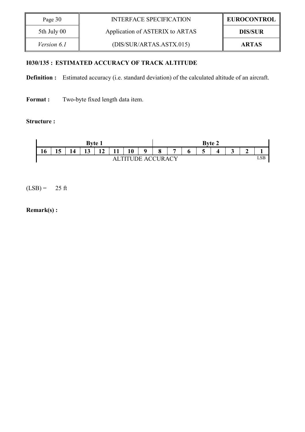| Page 30            | <b>INTERFACE SPECIFICATION</b>  | <b>EUROCONTROL</b> |
|--------------------|---------------------------------|--------------------|
| 5th July 00        | Application of ASTERIX to ARTAS | <b>DIS/SUR</b>     |
| <i>Version 6.1</i> | (DIS/SUR/ARTAS.ASTX.015)        | <b>ARTAS</b>       |

#### **I030/135 : ESTIMATED ACCURACY OF TRACK ALTITUDE**

**Definition :** Estimated accuracy (i.e. standard deviation) of the calculated altitude of an aircraft.

**Format :** Two-byte fixed length data item.

#### **Structure :**

|    | <b>Byte</b>                   |                  |              |    |        |    |          | <b>Byte 2</b> |   |   |                     |  |   |            |  |
|----|-------------------------------|------------------|--------------|----|--------|----|----------|---------------|---|---|---------------------|--|---|------------|--|
| 10 | 15                            | $\sqrt{2}$<br>┸┱ | $\sim$<br>19 | 12 | -4<br> | 10 | $\Omega$ | Ω             | - | v | $\overline{ }$<br>ັ |  | ີ | A<br>▰     |  |
|    | DE ACCURACY<br>71 T T T T T T |                  |              |    |        |    |          |               |   |   |                     |  |   | <b>LSB</b> |  |

 $(LSB) = 25 \text{ ft}$ 

**Remark(s) :**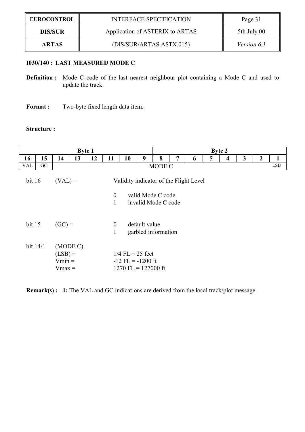| <b>EUROCONTROL</b> | <b>INTERFACE SPECIFICATION</b>  | Page 31     |
|--------------------|---------------------------------|-------------|
| <b>DIS/SUR</b>     | Application of ASTERIX to ARTAS | 5th July 00 |
| <b>ARTAS</b>       | (DIS/SUR/ARTAS.ASTX.015)        | Version 6.1 |

#### **I030/140 : LAST MEASURED MODE C**

- **Definition :** Mode C code of the last nearest neighbour plot containing a Mode C and used to update the track.
- Format : Two-byte fixed length data item.

#### **Structure :**

|                                                                                                                                    |                                                                 |    | <b>Byte 1</b> |    |    |    |   | Byte 2 |                |   |   |   |   |                  |                             |  |
|------------------------------------------------------------------------------------------------------------------------------------|-----------------------------------------------------------------|----|---------------|----|----|----|---|--------|----------------|---|---|---|---|------------------|-----------------------------|--|
| 16                                                                                                                                 | 15                                                              | 14 | 13            | 12 | 11 | 10 | 9 | 8      | $\overline{7}$ | 6 | 5 | 4 | 3 | $\boldsymbol{2}$ | 1                           |  |
| <b>VAL</b>                                                                                                                         | ${\rm GC}$                                                      |    |               |    |    |    |   | MODE C |                |   |   |   |   |                  | $\ensuremath{\mathrm{LSB}}$ |  |
| bit 16<br>$(VAL) =$<br>Validity indicator of the Flight Level                                                                      |                                                                 |    |               |    |    |    |   |        |                |   |   |   |   |                  |                             |  |
|                                                                                                                                    | $\overline{0}$<br>valid Mode C code<br>1<br>invalid Mode C code |    |               |    |    |    |   |        |                |   |   |   |   |                  |                             |  |
| bit 15<br>$(GC)$ =<br>default value<br>$\overline{0}$<br>$\mathbf{1}$<br>garbled information                                       |                                                                 |    |               |    |    |    |   |        |                |   |   |   |   |                  |                             |  |
| bit 14/1<br>(MODE C)<br>$(LSB) =$<br>$1/4$ FL = 25 feet<br>$Vmin =$<br>$-12$ FL = $-1200$ ft<br>$1270$ FL = 127000 ft<br>$V$ max = |                                                                 |    |               |    |    |    |   |        |                |   |   |   |   |                  |                             |  |

**Remark(s) :** 1: The VAL and GC indications are derived from the local track/plot message.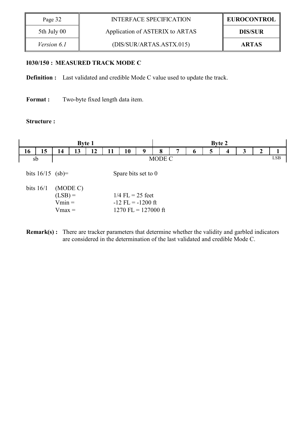#### **I030/150 : MEASURED TRACK MODE C**

**Definition :** Last validated and credible Mode C value used to update the track.

**Format :** Two-byte fixed length data item.

#### **Structure :**

|    |                    |                                                | <b>Byte 1</b> |    |    |    |                                                                    | Byte 2 |   |             |   |   |   |   |     |  |
|----|--------------------|------------------------------------------------|---------------|----|----|----|--------------------------------------------------------------------|--------|---|-------------|---|---|---|---|-----|--|
| 16 | 15                 | 14                                             | 13            | 12 | 11 | 10 | 9                                                                  | 8      | 7 | $\mathbf b$ | 5 | 4 | 3 | 2 |     |  |
|    | sb                 |                                                |               |    |    |    |                                                                    | MODE C |   |             |   |   |   |   | LSB |  |
|    | bits $16/15$ (sb)= |                                                |               |    |    |    | Spare bits set to 0                                                |        |   |             |   |   |   |   |     |  |
|    | bits $16/1$        | (MODE C)<br>$(LSB) =$<br>$Vmin =$<br>$V$ max = |               |    |    |    | $1/4$ FL = 25 feet<br>$-12$ FL = $-1200$ ft<br>1270 FL = 127000 ft |        |   |             |   |   |   |   |     |  |

**Remark(s) :** There are tracker parameters that determine whether the validity and garbled indicators are considered in the determination of the last validated and credible Mode C.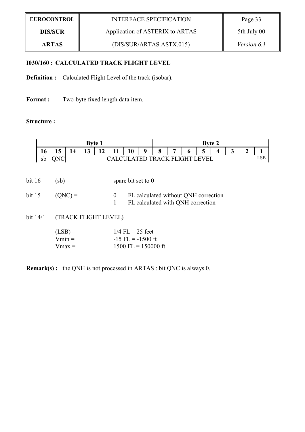| <b>EUROCONTROL</b> |
|--------------------|
|--------------------|

**ARTAS** (DIS/SUR/ARTAS.ASTX.015) *Version 6.1* 

### **I030/160 : CALCULATED TRACK FLIGHT LEVEL**

**Definition :** Calculated Flight Level of the track (isobar).

Format : Two-byte fixed length data item.

#### **Structure :**

l.

|          |    |                    |                        | <b>Byte 1</b> |    |                      |                                                                           |   | Byte 2 |   |   |                               |                  |  |   |     |  |  |
|----------|----|--------------------|------------------------|---------------|----|----------------------|---------------------------------------------------------------------------|---|--------|---|---|-------------------------------|------------------|--|---|-----|--|--|
|          | 16 | 15                 | 14                     | 13            | 12 | l 1                  | 10                                                                        | 9 | 8      | 7 | 6 | 5                             | $\boldsymbol{4}$ |  | 2 |     |  |  |
|          | sb | QNC                |                        |               |    |                      |                                                                           |   |        |   |   | CALCULATED TRACK FLIGHT LEVEL |                  |  |   | LSB |  |  |
|          |    |                    |                        |               |    |                      |                                                                           |   |        |   |   |                               |                  |  |   |     |  |  |
| bit 16   |    | $(sb) =$           |                        |               |    |                      | spare bit set to 0                                                        |   |        |   |   |                               |                  |  |   |     |  |  |
| bit 15   |    |                    | $(QNC)$ =              |               |    | $\overline{0}$       | FL calculated without QNH correction<br>FL calculated with QNH correction |   |        |   |   |                               |                  |  |   |     |  |  |
| bit 14/1 |    |                    |                        |               |    | (TRACK FLIGHT LEVEL) |                                                                           |   |        |   |   |                               |                  |  |   |     |  |  |
|          |    | $V_{\text{min}} =$ | $(LSB) =$<br>$V$ max = |               |    |                      | $1/4$ FL = 25 feet<br>$-15$ FL = $-1500$ ft<br>$1500$ FL = $150000$ ft    |   |        |   |   |                               |                  |  |   |     |  |  |

**Remark(s) :** the QNH is not processed in ARTAS : bit QNC is always 0.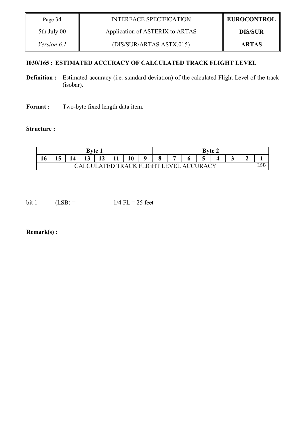| Page 34            | <b>INTERFACE SPECIFICATION</b>  | <b>EUROCONTROL</b> |
|--------------------|---------------------------------|--------------------|
| 5th July 00        | Application of ASTERIX to ARTAS | <b>DIS/SUR</b>     |
| <i>Version 6.1</i> | (DIS/SUR/ARTAS.ASTX.015)        | <b>ARTAS</b>       |

#### **I030/165 : ESTIMATED ACCURACY OF CALCULATED TRACK FLIGHT LEVEL**

- **Definition :** Estimated accuracy (i.e. standard deviation) of the calculated Flight Level of the track (isobar).
- Format : Two-byte fixed length data item.

#### **Structure :**

|     |                                        |                | <b>Byte</b> |  |  |    |   | <b>Byte</b> |  |  |                     |  |  |     |  |
|-----|----------------------------------------|----------------|-------------|--|--|----|---|-------------|--|--|---------------------|--|--|-----|--|
| 1 O | IJ                                     | $\overline{A}$ |             |  |  | 10 | Q |             |  |  | $\overline{ }$<br>ັ |  |  | ◢   |  |
|     | CALCULATED TRACK FLIGHT LEVEL ACCURACY |                |             |  |  |    |   |             |  |  |                     |  |  | LSE |  |

bit 1  $(LSB) = 1/4 FL = 25 feet$ 

### **Remark(s) :**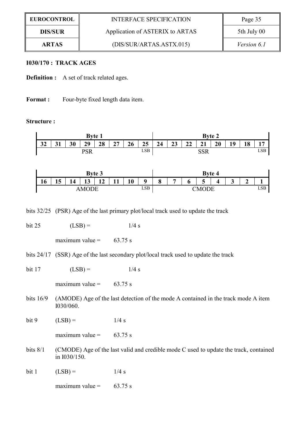| <b>EUROCONTROL</b> |
|--------------------|
|--------------------|

**DIS/SUR** Application of ASTERIX to ARTAS 5th July 00

**ARTAS** (DIS/SUR/ARTAS.ASTX.015) *Version 6.1* 

#### **I030/170 : TRACK AGES**

**Definition :** A set of track related ages.

**Format :** Four-byte fixed length data item.

#### **Structure :**

|                            |    |    | <b>Byte 1</b> |    |    |    |    |                                                  |   |   |              | <b>Byte 2</b> |   |   |            |
|----------------------------|----|----|---------------|----|----|----|----|--------------------------------------------------|---|---|--------------|---------------|---|---|------------|
| 32                         | 31 | 30 | 29            | 28 | 27 | 26 | 25 | 18<br>23<br>$20\,$<br>24<br>22<br>19<br>17<br>21 |   |   |              |               |   |   |            |
| <b>LSB</b><br><b>PSR</b>   |    |    |               |    |    |    |    |                                                  |   |   | <b>SSR</b>   |               |   |   | <b>LSB</b> |
|                            |    |    |               |    |    |    |    |                                                  |   |   |              |               |   |   |            |
|                            |    |    |               |    |    |    |    |                                                  |   |   |              |               |   |   |            |
|                            |    |    | Byte 3        |    |    |    |    | <b>Byte 4</b>                                    |   |   |              |               |   |   |            |
| 16                         | 15 | 14 | 13            | 12 | 11 | 10 | 9  | 8                                                | ▀ | 6 | 5            |               | 3 | 2 |            |
| <b>LSB</b><br><b>AMODE</b> |    |    |               |    |    |    |    |                                                  |   |   | <b>CMODE</b> |               |   |   | <b>LSB</b> |

bits 32/25 (PSR) Age of the last primary plot/local track used to update the track

bit 25 (LSB) =  $1/4 \text{ s}$ 

maximum value  $=$  63.75 s

bits 24/17 (SSR) Age of the last secondary plot/local track used to update the track

- bit 17  $(LSB) = 1/4 \text{ s}$ maximum value  $=$  63.75 s
- bits 16/9 (AMODE) Age of the last detection of the mode A contained in the track mode A item I030/060.
- bit 9  $(LSB) =$  1/4 s

maximum value  $=$  63.75 s

- bits 8/1 (CMODE) Age of the last valid and credible mode C used to update the track, contained in I030/150.
- bit 1  $(LSB) =$  1/4 s

maximum value  $=$  63.75 s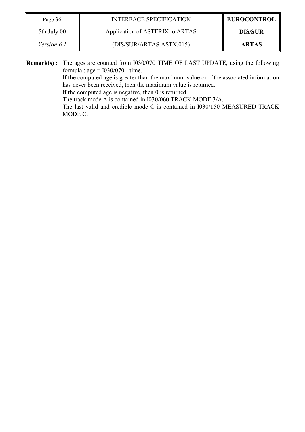| Page 36            | <b>INTERFACE SPECIFICATION</b>  | <b>EUROCONTROL</b> |
|--------------------|---------------------------------|--------------------|
| 5th July 00        | Application of ASTERIX to ARTAS | <b>DIS/SUR</b>     |
| <i>Version 6.1</i> | (DIS/SUR/ARTAS.ASTX.015)        | <b>ARTAS</b>       |

**Remark(s) :** The ages are counted from I030/070 TIME OF LAST UPDATE, using the following formula :  $age = 1030/070$  - time.

 If the computed age is greater than the maximum value or if the associated information has never been received, then the maximum value is returned.

If the computed age is negative, then 0 is returned.

The track mode A is contained in I030/060 TRACK MODE 3/A.

 The last valid and credible mode C is contained in I030/150 MEASURED TRACK MODE C.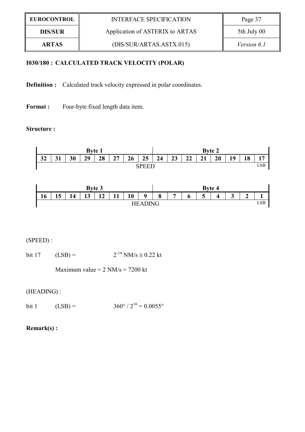**DIS/SUR** Application of ASTERIX to ARTAS 5th July 00

**ARTAS** (DIS/SUR/ARTAS.ASTX.015) *Version 6.1* 

# **I030/180 : CALCULATED TRACK VELOCITY (POLAR)**

**Definition :** Calculated track velocity expressed in polar coordinates.

**Format :** Four-byte fixed length data item.

# **Structure :**

|                                                              |  |  | <b>Byte</b> |  |  |  |  |      |    |                    | <b>Byte</b> |    |    |    |     |
|--------------------------------------------------------------|--|--|-------------|--|--|--|--|------|----|--------------------|-------------|----|----|----|-----|
| 22<br>28<br>27<br>25<br>30<br>$^{\bullet}$<br>29<br>26<br>JZ |  |  |             |  |  |  |  | 24   | 23 | $\mathbf{A}$<br>44 | 21          | 20 | 19 | 18 |     |
| .PF                                                          |  |  |             |  |  |  |  | `H L |    |                    |             |    |    |    | LSB |

|    |                                                                     |  | <b>Byte 3</b> |  |  |  |               |   |   |   | Byte 4 |   |             |        |     |
|----|---------------------------------------------------------------------|--|---------------|--|--|--|---------------|---|---|---|--------|---|-------------|--------|-----|
| 10 | 10<br>19<br>1.0<br>$\mathbf 0$<br>11<br>14<br>19<br>14<br>12<br>. . |  |               |  |  |  |               | Q | − | O | -<br>ັ | Λ | $\sim$<br>ັ | ⌒<br>◢ |     |
|    |                                                                     |  |               |  |  |  | <b>FADING</b> |   |   |   |        |   |             |        | LSB |

# (SPEED) :

bit 17 (LSB) =  $2^{-14}$  NM/s  $\approx 0.22$  kt

Maximum value =  $2 \text{ NM/s} = 7200 \text{ kt}$ 

(HEADING) :

bit 1 (LSB) =  $360^{\circ}/2^{16} = 0.0055^{\circ}$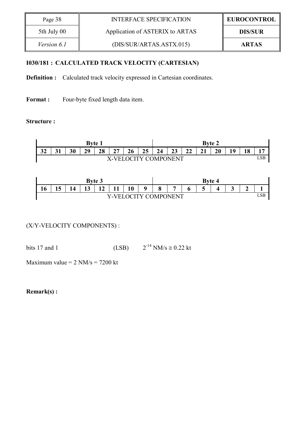| Page 38 |  |
|---------|--|
|---------|--|

5th July 00 Application of ASTERIX to ARTAS **DIS/SUR** 

*Version 6.1* **COIS/SUR/ARTAS.ASTX.015) ARTAS** 

**PAGE 38 INTERFACE SPECIFICATION IF UROCONTROL** 

# **I030/181 : CALCULATED TRACK VELOCITY (CARTESIAN)**

**Definition :** Calculated track velocity expressed in Cartesian coordinates.

**Format :** Four-byte fixed length data item.

# **Structure :**

|                    |                    |    | <b>Byte</b> |    |    |    |    |                                                  |         |  |  | <b>Byte 2</b> |    |  |     |
|--------------------|--------------------|----|-------------|----|----|----|----|--------------------------------------------------|---------|--|--|---------------|----|--|-----|
| $\mathbf{A}$<br>JZ | $\sim$ $\sim$<br>ັ | 30 | 20<br>ムフ    | 28 | 27 | 26 | 25 | 20<br>19<br>23<br>22<br>$\mathbf{A}$<br>24<br>◢⊥ |         |  |  |               | 18 |  |     |
|                    | H.<br>м            |    |             |    |    |    |    |                                                  | MPONENT |  |  |               |    |  | LSB |

|                                                      |  |  | <b>Byte 3</b> |  |  |  |  |               |                |   | Byte 4 |   |   |     |
|------------------------------------------------------|--|--|---------------|--|--|--|--|---------------|----------------|---|--------|---|---|-----|
| 10<br>1.1<br>$\bullet$<br>Δ<br>12<br>14<br>19<br>1 V |  |  |               |  |  |  |  | $\Omega$<br>О | $\overline{ }$ | υ | -<br>ັ | ັ | ∸ |     |
| Y-VEI<br>ิ้<br>1 I T                                 |  |  |               |  |  |  |  |               | COMPONENT      |   |        |   |   | LSB |

(X/Y-VELOCITY COMPONENTS) :

bits 17 and 1 (LSB)  $2^{-14}$  NM/s  $\approx 0.22$  kt

Maximum value =  $2$  NM/s = 7200 kt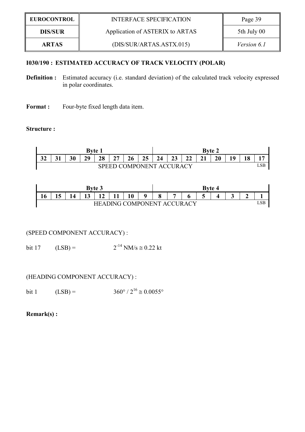| <b>EUROCONTROL</b> | <b>INTERFACE SPECIFICATION</b>  | Page 39            |
|--------------------|---------------------------------|--------------------|
| <b>DIS/SUR</b>     | Application of ASTERIX to ARTAS | 5th July 00        |
| <b>ARTAS</b>       | (DIS/SUR/ARTAS.ASTX.015)        | <i>Version 6.1</i> |

# **I030/190 : ESTIMATED ACCURACY OF TRACK VELOCITY (POLAR)**

- **Definition :** Estimated accuracy (i.e. standard deviation) of the calculated track velocity expressed in polar coordinates.
- **Format :** Four-byte fixed length data item.

## **Structure :**

|                                                    |  |  | <b>Byte 1</b> |  |  |  |  |    |    |    |    | <b>Byte 2</b> |    |    |  |
|----------------------------------------------------|--|--|---------------|--|--|--|--|----|----|----|----|---------------|----|----|--|
| 28<br>25<br>20<br>22<br>30<br>27<br>21<br>26<br>◡▵ |  |  |               |  |  |  |  | 24 | 23 | 22 | 21 | 20            | 19 | 18 |  |
| SPEED COMPONENT ACCURACY                           |  |  |               |  |  |  |  |    |    |    |    |               |    |    |  |

|                                   |    |    |    | <b>Byte 3</b> |  |    |          |                                         |  |  |  | <b>Byte 4</b> |  |  |  |
|-----------------------------------|----|----|----|---------------|--|----|----------|-----------------------------------------|--|--|--|---------------|--|--|--|
|                                   | ⊥↓ | 14 | 13 | 12            |  | 10 | $\bf{Q}$ | -<br>$\mathbf{o}$<br>$\mathbf{r}$<br>نہ |  |  |  |               |  |  |  |
| <b>HEADING COMPONENT ACCURACY</b> |    |    |    |               |  |    |          |                                         |  |  |  |               |  |  |  |

# (SPEED COMPONENT ACCURACY) :

bit 17 (LSB) =  $2^{-14}$  NM/s  $\approx$  0.22 kt

## (HEADING COMPONENT ACCURACY) :

bit 1 (LSB) =  $360^{\circ}/2^{16} \approx 0.0055^{\circ}$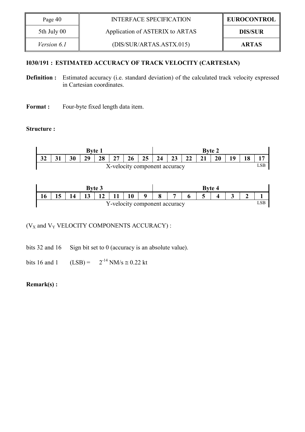| Page 40            | <b>INTERFACE SPECIFICATION</b>  | <b>EUROCONTROL</b> |
|--------------------|---------------------------------|--------------------|
| 5th July 00        | Application of ASTERIX to ARTAS | <b>DIS/SUR</b>     |
| <i>Version 6.1</i> | (DIS/SUR/ARTAS.ASTX.015)        | <b>ARTAS</b>       |

# **I030/191 : ESTIMATED ACCURACY OF TRACK VELOCITY (CARTESIAN)**

- **Definition :** Estimated accuracy (i.e. standard deviation) of the calculated track velocity expressed in Cartesian coordinates.
- **Format :** Four-byte fixed length data item.

## **Structure :**

|                                     | Byte 1<br>27<br>28<br>29<br>30<br>26 |  |  |  |  |  |  | <b>Byte 2</b> |    |    |    |    |    |    |  |
|-------------------------------------|--------------------------------------|--|--|--|--|--|--|---------------|----|----|----|----|----|----|--|
|                                     | 25                                   |  |  |  |  |  |  |               | 23 | 22 | 21 | 20 | 19 | 18 |  |
| 24<br>X-velocity component accuracy |                                      |  |  |  |  |  |  |               |    |    |    |    |    |    |  |

| Bvte 3<br>10<br>▪ |  |  |  |  |                               |          |   |  |  |  | <b>Byte 4</b> |  |  |  |
|-------------------|--|--|--|--|-------------------------------|----------|---|--|--|--|---------------|--|--|--|
|                   |  |  |  |  |                               | $\Omega$ | ັ |  |  |  |               |  |  |  |
|                   |  |  |  |  | Y-velocity component accuracy |          |   |  |  |  |               |  |  |  |

( $V_X$  and  $V_Y$  VELOCITY COMPONENTS ACCURACY) :

bits 32 and 16 Sign bit set to 0 (accuracy is an absolute value).

bits 16 and 1 (LSB) =  $2^{-14}$  NM/s  $\approx 0.22$  kt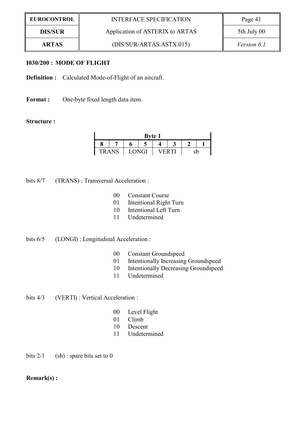**EUROCONTROL** INTERFACE SPECIFICATION Page 41

**DIS/SUR** Application of ASTERIX to ARTAS 5th July 00

**ARTAS** (DIS/SUR/ARTAS.ASTX.015) *Version 6.1* 

# **I030/200 : MODE OF FLIGHT**

**Definition :** Calculated Mode-of-Flight of an aircraft.

**Format :** One-byte fixed length data item.

## **Structure :**

|        |                                |  | <b>Byte 1</b> |  |  |  |  |  |  |  |  |
|--------|--------------------------------|--|---------------|--|--|--|--|--|--|--|--|
| Ω<br>σ |                                |  |               |  |  |  |  |  |  |  |  |
|        | <b>ONGI</b><br>TR ANS<br>ו ו ט |  |               |  |  |  |  |  |  |  |  |

bits 8/7 (TRANS) : Transversal Acceleration :

- 00 Constant Course
- 01 Intentional Right Turn
- 10 Intentional Left Turn
- 11 Undetermined

bits  $6/5$  (LONGI) : Longitudinal Acceleration :

- 00 Constant Groundspeed
- 01 Intentionally Increasing Groundspeed
- 10 Intentionally Decreasing Groundspeed
- 11 Undetermined

bits  $4/3$  (VERTI) : Vertical Acceleration :

- 00 Level Flight
- 01 Climb
- 10 Descent
- 11 Undetermined

bits  $2/1$  (sb) : spare bits set to 0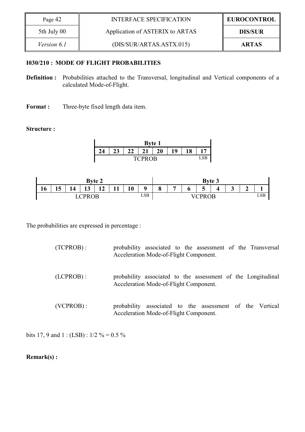| Page 42            | <b>INTERFACE SPECIFICATION</b>  | <b>EUROCONTROL</b> |
|--------------------|---------------------------------|--------------------|
| 5th July 00        | Application of ASTERIX to ARTAS | <b>DIS/SUR</b>     |
| <i>Version 6.1</i> | (DIS/SUR/ARTAS.ASTX.015)        | <b>ARTAS</b>       |

## **I030/210 : MODE OF FLIGHT PROBABILITIES**

- **Definition :** Probabilities attached to the Transversal, longitudinal and Vertical components of a calculated Mode-of-Flight.
- **Format :** Three-byte fixed length data item.

## **Structure :**





The probabilities are expressed in percentage :

- (TCPROB) : probability associated to the assessment of the Transversal Acceleration Mode-of-Flight Component.
- (LCPROB) : probability associated to the assessment of the Longitudinal Acceleration Mode-of-Flight Component.
- (VCPROB) : probability associated to the assessment of the Vertical Acceleration Mode-of-Flight Component.

bits 17, 9 and 1 : (LSB) :  $1/2 \% = 0.5 \%$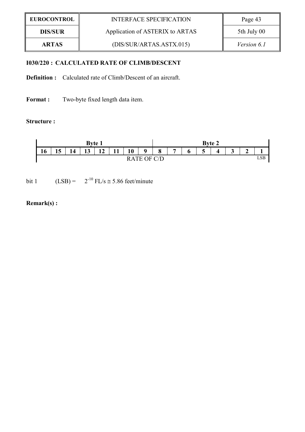| <b>EUROCONTROL</b> | INTERFACE SPECIFICATION         | Page 43            |
|--------------------|---------------------------------|--------------------|
| <b>DIS/SUR</b>     | Application of ASTERIX to ARTAS | 5th July 00        |
| <b>ARTAS</b>       | (DIS/SUR/ARTAS.ASTX.015)        | <i>Version 6.1</i> |

## **I030/220 : CALCULATED RATE OF CLIMB/DESCENT**

**Definition :** Calculated rate of Climb/Descent of an aircraft.

Format : Two-byte fixed length data item.

## **Structure :**

|                                          | <b>Byte</b>      |    |                    |           |    |    | <b>Byte 2</b> |                                                                         |  |     |  |  |  |  |
|------------------------------------------|------------------|----|--------------------|-----------|----|----|---------------|-------------------------------------------------------------------------|--|-----|--|--|--|--|
| 10                                       | $\epsilon$<br>15 | 14 | $\ddot{\,}$<br>19. | 1.0<br>14 | 11 | 10 | Q             | $\overline{\phantom{0}}$<br>$\Omega$<br>-<br>Α<br>o<br>O<br>▰<br>ັ<br>ັ |  |     |  |  |  |  |
| $\sim$ $\blacksquare$<br>RATE O<br>.) Hi |                  |    |                    |           |    |    |               |                                                                         |  | LSB |  |  |  |  |

bit 1 (LSB) =  $2^{-10}$  FL/s  $\approx$  5.86 feet/minute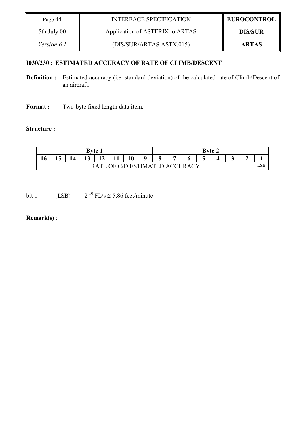| Page 44            | <b>INTERFACE SPECIFICATION</b>  | <b>EUROCONTROL</b> |
|--------------------|---------------------------------|--------------------|
| 5th July 00        | Application of ASTERIX to ARTAS | <b>DIS/SUR</b>     |
| <i>Version 6.1</i> | (DIS/SUR/ARTAS.ASTX.015)        | <b>ARTAS</b>       |

## **I030/230 : ESTIMATED ACCURACY OF RATE OF CLIMB/DESCENT**

- **Definition :** Estimated accuracy (i.e. standard deviation) of the calculated rate of Climb/Descent of an aircraft.
- Format : Two-byte fixed length data item.

## **Structure :**

| <b>Byte</b>                           |    |    |  |  |  |    | <b>Byte 2</b> |                                              |  |      |  |  |  |  |
|---------------------------------------|----|----|--|--|--|----|---------------|----------------------------------------------|--|------|--|--|--|--|
|                                       | ⊥ಎ | 14 |  |  |  | 10 | Q             | $\overline{\phantom{0}}$<br>$\mathbf o$<br>ີ |  |      |  |  |  |  |
| <b>RATE OF C/D ESTIMATED ACCURACY</b> |    |    |  |  |  |    |               |                                              |  | LSB. |  |  |  |  |

bit 1 (LSB) =  $2^{-10}$  FL/s  $\approx$  5.86 feet/minute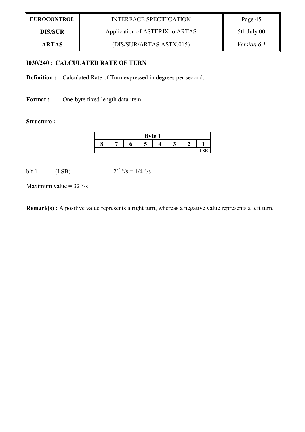| <b>EUROCONTROL</b> | <b>INTERFACE SPECIFICATION</b>  | Page 45            |
|--------------------|---------------------------------|--------------------|
| <b>DIS/SUR</b>     | Application of ASTERIX to ARTAS | 5th July 00        |
| <b>ARTAS</b>       | (DIS/SUR/ARTAS.ASTX.015)        | <i>Version 6.1</i> |

## **I030/240 : CALCULATED RATE OF TURN**

**Definition :** Calculated Rate of Turn expressed in degrees per second.

Format : One-byte fixed length data item.

## **Structure :**

| <b>Byte 1</b> |  |  |  |  |  |  |           |  |  |
|---------------|--|--|--|--|--|--|-----------|--|--|
|               |  |  |  |  |  |  |           |  |  |
|               |  |  |  |  |  |  | <u>__</u> |  |  |

bit 1 (LSB) :  $2^{-2}$  °/s = 1/4 °/s

Maximum value =  $32 \degree/s$ 

**Remark(s) :** A positive value represents a right turn, whereas a negative value represents a left turn.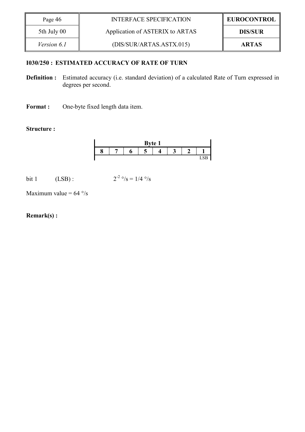| Page 46 |  |
|---------|--|
|---------|--|

5th July 00 Application of ASTERIX to ARTAS **DIS/SUR** *Version 6.1* **COIS/SUR/ARTAS.ASTX.015) ARTAS** 

**PAGE AFTERFACE SPECIFICATION IF UROCONTROL** 

# **I030/250 : ESTIMATED ACCURACY OF RATE OF TURN**

- **Definition :** Estimated accuracy (i.e. standard deviation) of a calculated Rate of Turn expressed in degrees per second.
- **Format :** One-byte fixed length data item.

# **Structure :**

| <b>Byte 1</b> |  |  |  |  |  |  |  |  |  |
|---------------|--|--|--|--|--|--|--|--|--|
|               |  |  |  |  |  |  |  |  |  |
|               |  |  |  |  |  |  |  |  |  |

bit 1 (LSB) :  $2^{-2}$  °/s = 1/4 °/s

Maximum value =  $64 \degree$ /s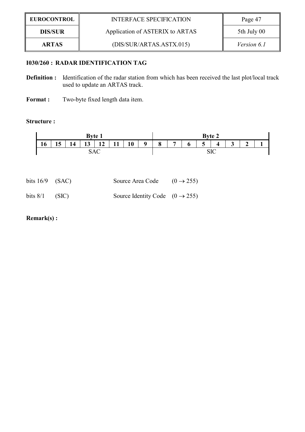| <b>EUROCONTROL</b> | <b>INTERFACE SPECIFICATION</b>  | Page 47            |
|--------------------|---------------------------------|--------------------|
| <b>DIS/SUR</b>     | Application of ASTERIX to ARTAS | 5th July 00        |
| <b>ARTAS</b>       | (DIS/SUR/ARTAS.ASTX.015)        | <i>Version 6.1</i> |

# **I030/260 : RADAR IDENTIFICATION TAG**

- **Definition :** Identification of the radar station from which has been received the last plot/local track used to update an ARTAS track.
- Format : Two-byte fixed length data item.

## **Structure :**

|            |           |       |    | <b>Byte 1</b> |    |                  | <b>Byte 2</b> |                                            |   |                       |   |            |   |   |  |
|------------|-----------|-------|----|---------------|----|------------------|---------------|--------------------------------------------|---|-----------------------|---|------------|---|---|--|
|            | 16        | 15    | 14 | 13            | 12 | 10               | 9             | 8                                          | 7 | 6                     | 5 | 4          | 3 | 2 |  |
|            |           |       |    | <b>SAC</b>    |    |                  |               |                                            |   |                       |   | <b>SIC</b> |   |   |  |
|            |           |       |    |               |    |                  |               |                                            |   |                       |   |            |   |   |  |
|            |           |       |    |               |    |                  |               |                                            |   |                       |   |            |   |   |  |
|            | bits 16/9 | (SAC) |    |               |    | Source Area Code |               |                                            |   | $(0 \rightarrow 255)$ |   |            |   |   |  |
| bits $8/1$ |           | (SIC) |    |               |    |                  |               | Source Identity Code $(0 \rightarrow 255)$ |   |                       |   |            |   |   |  |
|            |           |       |    |               |    |                  |               |                                            |   |                       |   |            |   |   |  |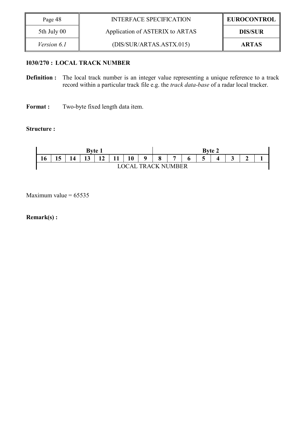| Page 48     | <b>INTERFACE SPECIFICATION</b>  | <b>EUROCONTROL</b> |
|-------------|---------------------------------|--------------------|
| 5th July 00 | Application of ASTERIX to ARTAS | <b>DIS/SUR</b>     |
| Version 6.1 | (DIS/SUR/ARTAS.ASTX.015)        | <b>ARTAS</b>       |

# **I030/270 : LOCAL TRACK NUMBER**

- **Definition :** The local track number is an integer value representing a unique reference to a track record within a particular track file e.g. the *track data-base* of a radar local tracker.
- Format : Two-byte fixed length data item.

## **Structure :**

|                                                |  |  | <b>Byte</b> |  |  |              |  | <b>Byte 2</b> |                     |  |        |  |  |  |  |  |
|------------------------------------------------|--|--|-------------|--|--|--------------|--|---------------|---------------------|--|--------|--|--|--|--|--|
| 1.0<br>10<br>11<br>14<br>14<br>19.<br>10<br>15 |  |  |             |  |  |              |  | $\Omega$      | -                   |  | ►<br>ັ |  |  |  |  |  |
|                                                |  |  |             |  |  | <b>DO AL</b> |  |               | <b>TRACK NUMBER</b> |  |        |  |  |  |  |  |

Maximum value  $= 65535$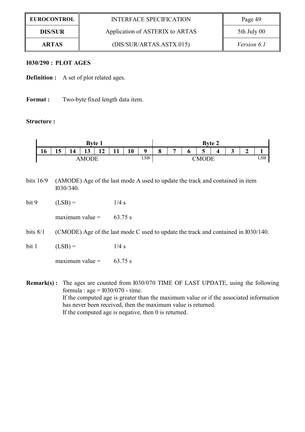| EUROCONTROL |
|-------------|
|-------------|

**EUROCONTROL INTERFACE SPECIFICATION** Page 49

**DIS/SUR** Application of ASTERIX to ARTAS 5th July 00

**ARTAS** (DIS/SUR/ARTAS.ASTX.015) *Version 6.1* 

## **I030/290 : PLOT AGES**

**Definition :** A set of plot related ages.

**Format :** Two-byte fixed length data item.

## **Structure :**



- bits 16/9 (AMODE) Age of the last mode A used to update the track and contained in item I030/340.
- bit 9  $(LSB) =$   $1/4 \text{ s}$

maximum value  $=$  63.75 s

- bits 8/1 (CMODE) Age of the last mode C used to update the track and contained in I030/140.
- bit 1  $(LSB) =$  1/4 s

maximum value  $=$  63.75 s

**Remark(s) :** The ages are counted from I030/070 TIME OF LAST UPDATE, using the following formula :  $age = 1030/070 - time$ . If the computed age is greater than the maximum value or if the associated information has never been received, then the maximum value is returned. If the computed age is negative, then 0 is returned.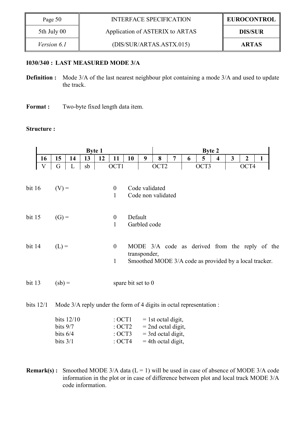| Page 50            | <b>INTERFACE SPECIFICATION</b>  | <b>EUROCONTROL</b> |
|--------------------|---------------------------------|--------------------|
| 5th July 00        | Application of ASTERIX to ARTAS | <b>DIS/SUR</b>     |
| <i>Version 6.1</i> | (DIS/SUR/ARTAS.ASTX.015)        | <b>ARTAS</b>       |

## **I030/340 : LAST MEASURED MODE 3/A**

- **Definition :** Mode 3/A of the last nearest neighbour plot containing a mode 3/A and used to update the track.
- Format : Two-byte fixed length data item.

## **Structure :**

|                                                      |             |          |    | <b>Byte 1</b> |    |                                            |                    |              |                                                                                                          |                |   | <b>Byte 2</b> |   |              |                  |   |  |
|------------------------------------------------------|-------------|----------|----|---------------|----|--------------------------------------------|--------------------|--------------|----------------------------------------------------------------------------------------------------------|----------------|---|---------------|---|--------------|------------------|---|--|
|                                                      | 16          | 15       | 14 | 13            | 12 | 11                                         | 10                 | 9            | 8                                                                                                        | $\overline{7}$ | 6 | 5             | 4 | $\mathbf{3}$ | $\boldsymbol{2}$ | 1 |  |
|                                                      | V           | G        | L  | sb            |    | OCT1                                       |                    |              | OCT <sub>2</sub>                                                                                         |                |   | OCT3          |   |              | OCT4             |   |  |
| bit 16                                               |             | $(V) =$  |    |               |    | $\boldsymbol{0}$<br>$\mathbf{1}$           |                    |              | Code validated<br>Code non validated                                                                     |                |   |               |   |              |                  |   |  |
| bit 15                                               |             | $(G)$ =  |    |               |    | $\boldsymbol{0}$<br>$\mathbf{1}$           | Default            | Garbled code |                                                                                                          |                |   |               |   |              |                  |   |  |
| bit 14                                               |             | $(L) =$  |    |               |    | $\boldsymbol{0}$<br>$\mathbf{1}$           |                    | transponder, | MODE 3/A code as derived from the reply of the<br>Smoothed MODE 3/A code as provided by a local tracker. |                |   |               |   |              |                  |   |  |
| bit 13                                               |             | $(sb) =$ |    |               |    |                                            | spare bit set to 0 |              |                                                                                                          |                |   |               |   |              |                  |   |  |
|                                                      | bits $12/1$ |          |    |               |    |                                            |                    |              | Mode 3/A reply under the form of 4 digits in octal representation :                                      |                |   |               |   |              |                  |   |  |
| bits 12/10<br>bits $9/7$<br>bits $6/4$<br>bits $3/1$ |             |          |    |               |    | $:$ OCT1<br>$:$ OCT2<br>$:$ OCT3<br>: OCT4 |                    |              | $=$ 1st octal digit,<br>$=$ 2nd octal digit,<br>$=$ 3rd octal digit,<br>$=$ 4th octal digit,             |                |   |               |   |              |                  |   |  |

**Remark(s) :** Smoothed MODE  $3/A$  data ( $L = 1$ ) will be used in case of absence of MODE  $3/A$  code information in the plot or in case of difference between plot and local track MODE 3/A code information.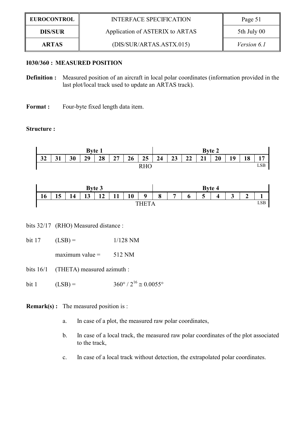| <b>EUROCONTROL</b> | <b>INTERFACE SPECIFICATION</b>  | Page 51            |
|--------------------|---------------------------------|--------------------|
| <b>DIS/SUR</b>     | Application of ASTERIX to ARTAS | 5th July 00        |
| <b>ARTAS</b>       | (DIS/SUR/ARTAS.ASTX.015)        | <i>Version 6.1</i> |

## **I030/360 : MEASURED POSITION**

- **Definition :** Measured position of an aircraft in local polar coordinates (information provided in the last plot/local track used to update an ARTAS track).
- **Format :** Four-byte fixed length data item.

## **Structure :**

|                                                          |  |  | <b>Byte 1</b> |  |  |  |  | <b>Byte 2</b> |    |    |    |    |    |    |     |  |
|----------------------------------------------------------|--|--|---------------|--|--|--|--|---------------|----|----|----|----|----|----|-----|--|
| 28<br>25<br>27<br>21<br>29<br>30<br>32<br>26<br>41<br>◡▴ |  |  |               |  |  |  |  | 24            | 23 | 22 | 21 | 20 | 19 | 18 | 17  |  |
| RHC                                                      |  |  |               |  |  |  |  |               |    |    |    |    |    |    | LSB |  |

|    | Byte 3 |                            |                  |    |           |    |             |                   | <b>Byte 4</b>  |   |        |                 |             |        |            |  |
|----|--------|----------------------------|------------------|----|-----------|----|-------------|-------------------|----------------|---|--------|-----------------|-------------|--------|------------|--|
| 10 | 15     | $^{\prime}$ $\Delta$<br>┸┱ | $\sqrt{ }$<br>19 | 12 | <b>11</b> | 10 | $\mathbf 0$ | $\mathbf{o}$<br>О | $\overline{ }$ | O | -<br>ັ | $\sqrt{2}$<br>T | $\sim$<br>ັ | ⌒<br>◢ |            |  |
|    |        |                            |                  |    |           |    |             |                   |                |   |        |                 |             |        | <b>LSB</b> |  |

- bits 32/17 (RHO) Measured distance :
- bit 17  $(LSB) =$  1/128 NM

maximum value  $=$  512 NM

- bits  $16/1$  (THETA) measured azimuth :
- bit 1 (LSB) =  $360^{\circ}/2^{16} \approx 0.0055^{\circ}$

**Remark(s) :** The measured position is :

- a. In case of a plot, the measured raw polar coordinates,
- b. In case of a local track, the measured raw polar coordinates of the plot associated to the track,
- c. In case of a local track without detection, the extrapolated polar coordinates.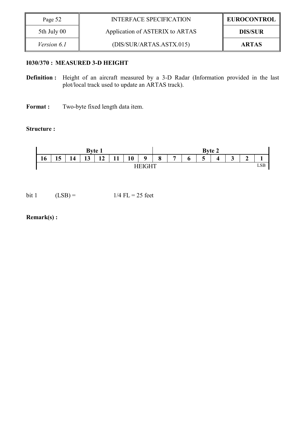| Page 52            | <b>INTERFACE SPECIFICATION</b>  | <b>EUROCONTROL</b> |
|--------------------|---------------------------------|--------------------|
| 5th July 00        | Application of ASTERIX to ARTAS | <b>DIS/SUR</b>     |
| <i>Version 6.1</i> | (DIS/SUR/ARTAS.ASTX.015)        | <b>ARTAS</b>       |

# **I030/370 : MEASURED 3-D HEIGHT**

- **Definition :** Height of an aircraft measured by a 3-D Radar (Information provided in the last plot/local track used to update an ARTAS track).
- Format : Two-byte fixed length data item.

## **Structure :**

|    | <b>Byte</b>          |    |                   |                     |              |            |           |               | <b>Byte</b> |  |        |   |   |   |                 |  |  |
|----|----------------------|----|-------------------|---------------------|--------------|------------|-----------|---------------|-------------|--|--------|---|---|---|-----------------|--|--|
| 10 | $\overline{a}$<br>15 | 14 | $\ddot{\,}$<br>19 | 1.4<br>$\mathbf{L}$ | $-1.4$<br>11 | 1 A<br>1 V | 0         | $\Omega$<br>О | -           |  | -<br>ັ | Λ | ີ | 车 |                 |  |  |
|    |                      |    |                   |                     |              |            | 4 H<br>тН |               |             |  |        |   |   |   | $\alpha$<br>LOD |  |  |

bit 1  $(LSB) =$  1/4 FL = 25 feet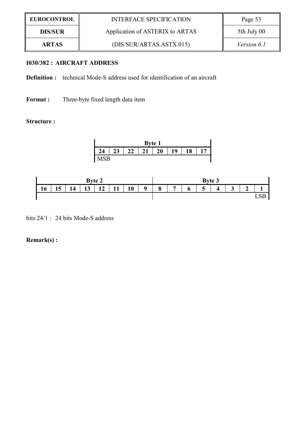| <b>EUROCONTROL</b> |
|--------------------|
|--------------------|

**EXAMPLE INTERFACE SPECIFICATION** Page 53 **DIS/SUR** Application of ASTERIX to ARTAS 5th July 00

**ARTAS** (DIS/SUR/ARTAS.ASTX.015) *Version 6.1* 

# **I030/382 : AIRCRAFT ADDRESS**

**Definition :** technical Mode-S address used for identification of an aircraft

**Format :** Three-byte fixed length data item

# **Structure :**

| <b>Byte 1</b> |    |    |    |    |    |    |  |  |  |  |  |  |  |
|---------------|----|----|----|----|----|----|--|--|--|--|--|--|--|
|               | ∠J | າາ | 21 | 20 | 19 | 18 |  |  |  |  |  |  |  |
| ש :           |    |    |    |    |    |    |  |  |  |  |  |  |  |

|    |                  |    |    | <b>Byte 2</b> |    |    |   | <b>Byte 3</b>               |  |   |                     |  |        |                               |  |  |
|----|------------------|----|----|---------------|----|----|---|-----------------------------|--|---|---------------------|--|--------|-------------------------------|--|--|
| 10 | $\epsilon$<br>15 | 14 | 13 | 12            | 11 | 10 | Q | $\mathbf{o}$<br>$\mathbf o$ |  | o | $\overline{a}$<br>ັ |  | $\sim$ | $\overline{\phantom{a}}$<br>◢ |  |  |
|    |                  |    |    |               |    |    |   |                             |  |   |                     |  |        |                               |  |  |

bits 24/1 : 24 bits Mode-S address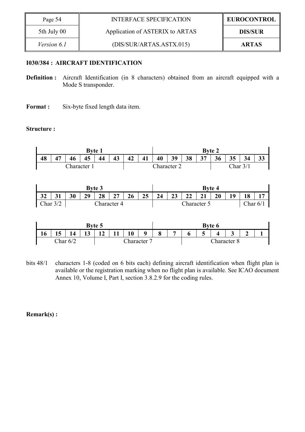| Page 54            | <b>INTERFACE SPECIFICATION</b>  | <b>EUROCONTROL</b> |
|--------------------|---------------------------------|--------------------|
| 5th July 00        | Application of ASTERIX to ARTAS | <b>DIS/SUR</b>     |
| <i>Version 6.1</i> | (DIS/SUR/ARTAS.ASTX.015)        | <b>ARTAS</b>       |

## **I030/384 : AIRCRAFT IDENTIFICATION**

- **Definition :** Aircraft Identification (in 8 characters) obtained from an aircraft equipped with a Mode S transponder.
- **Format :** Six-byte fixed length data item.

## **Structure :**

|                                              |    |    | <b>Byte 1</b> |               |    |    | <b>Byte 2</b> |    |             |             |    |               |            |            |    |
|----------------------------------------------|----|----|---------------|---------------|----|----|---------------|----|-------------|-------------|----|---------------|------------|------------|----|
| 48                                           | 47 | 46 | 45            | 44            | 43 | 42 | 41            | 40 | 39          | 38          | 37 | 36            | 35         | 34         | 33 |
| Character 1                                  |    |    |               |               |    |    |               |    | Character 2 |             |    |               | Char $3/1$ |            |    |
|                                              |    |    |               |               |    |    |               |    |             |             |    |               |            |            |    |
|                                              |    |    |               |               |    |    |               |    |             |             |    |               |            |            |    |
|                                              |    |    |               | <b>Byte 3</b> |    |    |               |    |             |             |    | <b>Byte 4</b> |            |            |    |
| 32<br>30<br>29<br>28<br>25<br>31<br>27<br>26 |    |    |               |               |    |    |               | 24 | 23          | 22          | 21 | 20            | 19         | 18         | 17 |
| Char $3/2$<br>Character 4                    |    |    |               |               |    |    |               |    |             | Character 5 |    |               |            | Char $6/1$ |    |

|                        | Byte 5 |    |         |    |  |    |  | Byte 6                           |  |  |  |            |  |        |  |
|------------------------|--------|----|---------|----|--|----|--|----------------------------------|--|--|--|------------|--|--------|--|
| 10                     | 15     | 14 | ◝<br>19 | 12 |  | 10 |  | $\mathbf{r}$<br>-<br>O<br>O<br>ີ |  |  |  |            |  | $\sim$ |  |
| Char $6/2$<br>haracter |        |    |         |    |  |    |  |                                  |  |  |  | haracter : |  |        |  |

bits 48/1 characters 1-8 (coded on 6 bits each) defining aircraft identification when flight plan is available or the registration marking when no flight plan is available. See ICAO document Annex 10, Volume I, Part I, section 3.8.2.9 for the coding rules.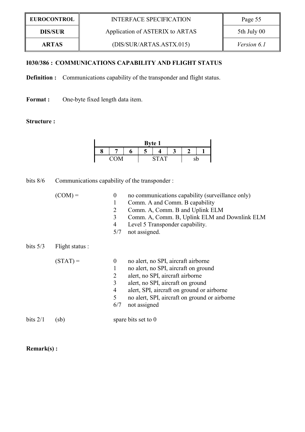| <b>EUROCONTROL</b> | <b>INTERFACE SPECIFICATION</b>  | Page 55     |
|--------------------|---------------------------------|-------------|
| <b>DIS/SUR</b>     | Application of ASTERIX to ARTAS | 5th July 00 |

**ARTAS** (DIS/SUR/ARTAS.ASTX.015) *Version 6.1* 

# **I030/386 : COMMUNICATIONS CAPABILITY AND FLIGHT STATUS**

**Definition :** Communications capability of the transponder and flight status.

Format : One-byte fixed length data item.

# **Structure :**

|                 | <b>Byte 1</b> |  |  |  |  |  |  |  |  |  |  |  |  |
|-----------------|---------------|--|--|--|--|--|--|--|--|--|--|--|--|
|                 |               |  |  |  |  |  |  |  |  |  |  |  |  |
| $\mathbf{A}$ 'i |               |  |  |  |  |  |  |  |  |  |  |  |  |

bits 8/6 Communications capability of the transponder :

|            | $\text{COM}$ ) = | $\theta$<br>2<br>3<br>4<br>5/7      | no communications capability (surveillance only)<br>Comm. A and Comm. B capability<br>Comm. A, Comm. B and Uplink ELM<br>Comm. A, Comm. B, Uplink ELM and Downlink ELM<br>Level 5 Transponder capability.<br>not assigned.                                          |
|------------|------------------|-------------------------------------|---------------------------------------------------------------------------------------------------------------------------------------------------------------------------------------------------------------------------------------------------------------------|
| bits $5/3$ | Flight status :  |                                     |                                                                                                                                                                                                                                                                     |
|            | $(STAT) =$       | $\theta$<br>2<br>3<br>4<br>5<br>6/7 | no alert, no SPI, aircraft airborne<br>no alert, no SPI, aircraft on ground<br>alert, no SPI, aircraft airborne<br>alert, no SPI, aircraft on ground<br>alert, SPI, aircraft on ground or airborne<br>no alert, SPI, aircraft on ground or airborne<br>not assigned |
| bits $2/1$ | (sb)             |                                     | spare bits set to 0                                                                                                                                                                                                                                                 |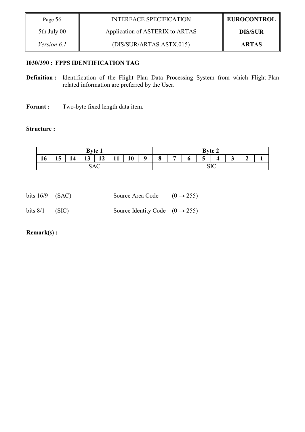| Page 56            | <b>INTERFACE SPECIFICATION</b>  | <b>EUROCONTROL</b> |
|--------------------|---------------------------------|--------------------|
| 5th July 00        | Application of ASTERIX to ARTAS | <b>DIS/SUR</b>     |
| <i>Version 6.1</i> | (DIS/SUR/ARTAS.ASTX.015)        | <b>ARTAS</b>       |

## **I030/390 : FPPS IDENTIFICATION TAG**

- **Definition :** Identification of the Flight Plan Data Processing System from which Flight-Plan related information are preferred by the User.
- Format : Two-byte fixed length data item.

## **Structure :**

|    |    |    | <b>Byte 1</b> |    |    |    |          |   |                |   | <b>Byte 2</b>   |    |   |   |  |
|----|----|----|---------------|----|----|----|----------|---|----------------|---|-----------------|----|---|---|--|
| 16 | ⊥√ | 14 | 13            | 12 | 11 | 10 | $\bf{Q}$ | 8 | $\overline{ }$ | o | $\epsilon$<br>◡ |    | ມ | G |  |
|    |    |    | SAC           |    |    |    |          |   |                |   |                 | σπ |   |   |  |

| bits $16/9$ (SAC) | Source Area Code $(0 \rightarrow 255)$     |  |
|-------------------|--------------------------------------------|--|
| bits $8/1$ (SIC)  | Source Identity Code $(0 \rightarrow 255)$ |  |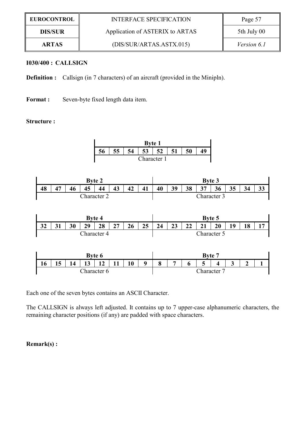| <b>EUROCONTROL</b> | <b>INTERFACE SPECIFICATION</b>  | Page 57            |
|--------------------|---------------------------------|--------------------|
| <b>DIS/SUR</b>     | Application of ASTERIX to ARTAS | 5th July 00        |
| <b>ARTAS</b>       | (DIS/SUR/ARTAS.ASTX.015)        | <i>Version 6.1</i> |

## **I030/400 : CALLSIGN**

**Definition :** Callsign (in 7 characters) of an aircraft (provided in the Minipln).

Format : Seven-byte fixed length data item.

## **Structure :**

|    | <b>Byte 1</b> |    |  |                   |    |    |  |  |  |  |  |  |  |
|----|---------------|----|--|-------------------|----|----|--|--|--|--|--|--|--|
| 56 | 55            | 54 |  | $53 \mid 52 \mid$ | 51 | 50 |  |  |  |  |  |  |  |
|    | Character 1   |    |  |                   |    |    |  |  |  |  |  |  |  |

|             | <b>Byte 2</b> |    |    |    |    |    |          | <b>Byte 3</b>                         |  |            |  |  |  |  |    |
|-------------|---------------|----|----|----|----|----|----------|---------------------------------------|--|------------|--|--|--|--|----|
| 48          | 47            | 46 | 45 | 44 | 43 | 42 | 41<br>т. | 27<br>35<br>40<br>39<br>36<br>38<br>ີ |  |            |  |  |  |  | 33 |
| Character 2 |               |    |    |    |    |    |          |                                       |  | Character. |  |  |  |  |    |

|          |    |    |    | Byte 4      |    |    |    |    |    |    |    | Byte 5      |    |    |  |
|----------|----|----|----|-------------|----|----|----|----|----|----|----|-------------|----|----|--|
| 22<br>JZ | ◡▴ | 30 | 29 | 28          | 27 | 26 | 25 | 24 | 23 | 22 | 21 | 20          | 10 | 18 |  |
|          |    |    |    | Character 4 |    |    |    |    |    |    |    | Character 5 |    |    |  |

|                      |                      |     |                       | Byte 6    |          |    |   |   | <b>Byte</b> |  |           |                          |  |        |  |
|----------------------|----------------------|-----|-----------------------|-----------|----------|----|---|---|-------------|--|-----------|--------------------------|--|--------|--|
| $\overline{1}$<br>10 | $\overline{ }$<br>⊥↓ | ا 1 | 13                    | 1.0<br>14 | 11<br>11 | 10 | Q | O |             |  | ີ         | $\overline{\phantom{a}}$ |  | $\sim$ |  |
|                      |                      |     | haracter <sup>'</sup> |           |          |    |   |   |             |  | Character |                          |  |        |  |

Each one of the seven bytes contains an ASCII Character.

The CALLSIGN is always left adjusted. It contains up to 7 upper-case alphanumeric characters, the remaining character positions (if any) are padded with space characters.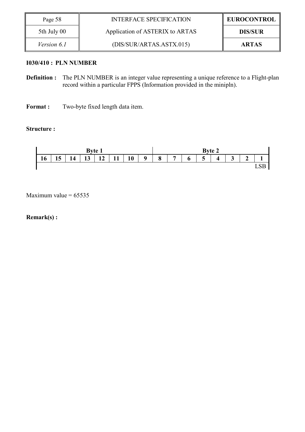| Page 58            | <b>INTERFACE SPECIFICATION</b>  | <b>EUROCONTROL</b> |
|--------------------|---------------------------------|--------------------|
| 5th July 00        | Application of ASTERIX to ARTAS | <b>DIS/SUR</b>     |
| <i>Version 6.1</i> | (DIS/SUR/ARTAS.ASTX.015)        | <b>ARTAS</b>       |

## **I030/410 : PLN NUMBER**

**Definition :** The PLN NUMBER is an integer value representing a unique reference to a Flight-plan record within a particular FPPS (Information provided in the minipln).

**Format :** Two-byte fixed length data item.

## **Structure :**

|    |    |    | <b>Byte 1</b> |    |    |    |   |                             |   | <b>Byte 2</b>                 |   |        |  |
|----|----|----|---------------|----|----|----|---|-----------------------------|---|-------------------------------|---|--------|--|
| 16 | 15 | 14 | 13            | 12 | 11 | 10 | Q | $\mathbf{o}$<br>$\mathbf o$ | o | $\overline{\phantom{0}}$<br>ັ | ັ | -<br>∸ |  |
|    |    |    |               |    |    |    |   |                             |   |                               |   |        |  |

Maximum value  $= 65535$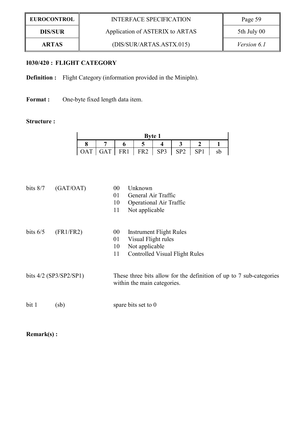| <b>EUROCONTROL</b> |
|--------------------|
|--------------------|

**EUROCONTROL INTERFACE SPECIFICATION** Page 59 **DIS/SUR** Application of ASTERIX to ARTAS 5th July 00

**ARTAS** (DIS/SUR/ARTAS.ASTX.015) *Version 6.1* 

# **I030/420 : FLIGHT CATEGORY**

**Definition :** Flight Category (information provided in the Minipln).

**Format :** One-byte fixed length data item.

# **Structure :**

| <b>Byte 1</b> |     |     |                 |     |                 |                 |    |  |
|---------------|-----|-----|-----------------|-----|-----------------|-----------------|----|--|
|               |     |     |                 |     |                 |                 |    |  |
| <b>OAT</b>    | GAT | FR1 | FR <sub>2</sub> | SP3 | SP <sub>2</sub> | SP <sub>1</sub> | sb |  |

| bits $8/7$ | (GAT/OAT)                | 00<br>Unknown<br>01<br>General Air Traffic<br>10<br><b>Operational Air Traffic</b><br>11<br>Not applicable                        |
|------------|--------------------------|-----------------------------------------------------------------------------------------------------------------------------------|
| bits $6/5$ | (FR1/FR2)                | 00<br><b>Instrument Flight Rules</b><br>01<br>Visual Flight rules<br>10<br>Not applicable<br>11<br>Controlled Visual Flight Rules |
|            | bits $4/2$ (SP3/SP2/SP1) | These three bits allow for the definition of up to 7 sub-categories<br>within the main categories.                                |
| bit 1      | (s <b>b</b> )            | spare bits set to 0                                                                                                               |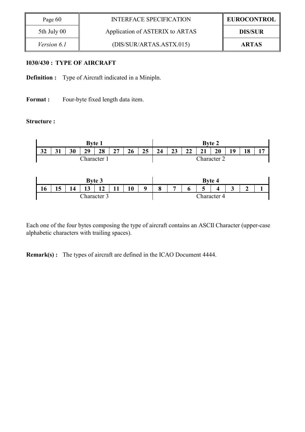Page 60 | INTERFACE SPECIFICATION | EUROCONTROL

5th July 00 Application of ASTERIX to ARTAS **DIS/SUR** 

*Version 6.1* (DIS/SUR/ARTAS.ASTX.015) **ARTAS** 

# **I030/430 : TYPE OF AIRCRAFT**

**Definition :** Type of Aircraft indicated in a Minipln.

**Format :** Four-byte fixed length data item.

# **Structure :**



Each one of the four bytes composing the type of aircraft contains an ASCII Character (upper-case alphabetic characters with trailing spaces).

**Remark(s) :** The types of aircraft are defined in the ICAO Document 4444.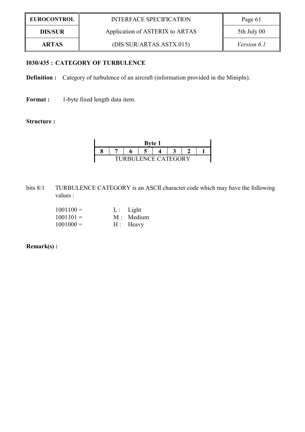**EUROCONTROL INTERFACE SPECIFICATION** Page 61 **DIS/SUR** Application of ASTERIX to ARTAS 5th July 00

**ARTAS** (DIS/SUR/ARTAS.ASTX.015) *Version 6.1* 

# **I030/435 : CATEGORY OF TURBULENCE**

**Definition :** Category of turbulence of an aircraft (information provided in the Minipln).

Format : 1-byte fixed length data item.

# **Structure :**

|  | <b>Byte 1</b> |                     |  |  |
|--|---------------|---------------------|--|--|
|  |               |                     |  |  |
|  |               | TURBULENCE CATEGORY |  |  |

bits 8/1 TURBULENCE CATEGORY is an ASCII character code which may have the following values :

| $1001100 =$ | $L:$ Light |
|-------------|------------|
| $1001101 =$ | M: Medium  |
| $1001000 =$ | $H:$ Heavy |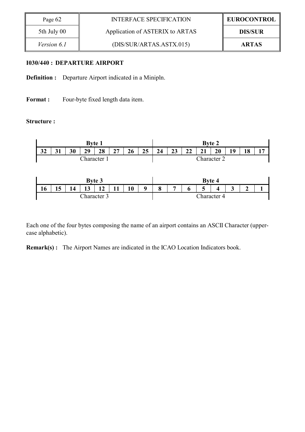5th July 00 Application of ASTERIX to ARTAS **DIS/SUR** 

Page 62 | INTERFACE SPECIFICATION | EUROCONTROL

*Version 6.1* (DIS/SUR/ARTAS.ASTX.015) **ARTAS** 

# **I030/440 : DEPARTURE AIRPORT**

**Definition :** Departure Airport indicated in a Minipln.

**Format :** Four-byte fixed length data item.

# **Structure :**



Each one of the four bytes composing the name of an airport contains an ASCII Character (uppercase alphabetic).

**Remark(s) :** The Airport Names are indicated in the ICAO Location Indicators book.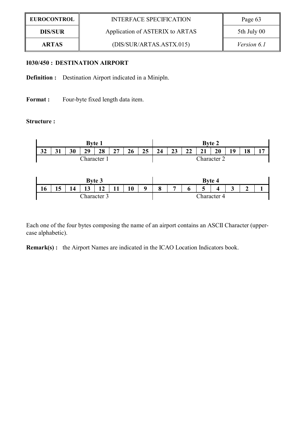| <b>EUROCONTROL</b> | <b>INTERFACE SPECIFICATION</b>  | Page 63     |
|--------------------|---------------------------------|-------------|
| <b>DIS/SUR</b>     | Application of ASTERIX to ARTAS | 5th July 00 |

**ARTAS** (DIS/SUR/ARTAS.ASTX.015) *Version 6.1* 

## **I030/450 : DESTINATION AIRPORT**

**Definition :** Destination Airport indicated in a Minipln.

**Format :** Four-byte fixed length data item.

## **Structure :**



Each one of the four bytes composing the name of an airport contains an ASCII Character (uppercase alphabetic).

**Remark(s) :** the Airport Names are indicated in the ICAO Location Indicators book.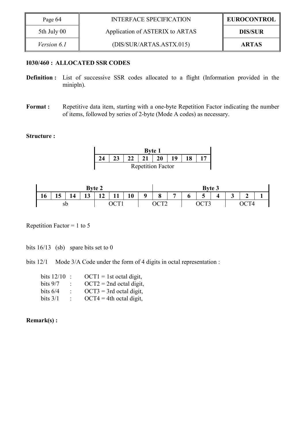| Page 64 |  |
|---------|--|
|---------|--|

**PAGE 64 INTERFACE SPECIFICATION IF UROCONTROL** 5th July 00 Application of ASTERIX to ARTAS **DIS/SUR** 

*Version 6.1* (DIS/SUR/ARTAS.ASTX.015) **ARTAS** 

## **I030/460 : ALLOCATED SSR CODES**

- **Definition :** List of successive SSR codes allocated to a flight (Information provided in the minipln).
- **Format :** Repetitive data item, starting with a one-byte Repetition Factor indicating the number of items, followed by series of 2-byte (Mode A codes) as necessary.

## **Structure :**

| <b>Byte 1</b>            |    |  |  |                   |  |    |  |  |  |  |
|--------------------------|----|--|--|-------------------|--|----|--|--|--|--|
| 24                       | 23 |  |  | 22   21   20   19 |  | 18 |  |  |  |  |
| <b>Repetition Factor</b> |    |  |  |                   |  |    |  |  |  |  |

|    | <b>Byte 2</b> |    |         |                         |         |    |   | <b>Byte 3</b> |                          |   |        |  |   |  |  |
|----|---------------|----|---------|-------------------------|---------|----|---|---------------|--------------------------|---|--------|--|---|--|--|
| 10 | . .<br>⊥↓     | 14 | ⌒<br>19 | $\sim$<br>┸ <del></del> | . .<br> | 10 | U | Ω<br>О        | $\overline{\phantom{0}}$ | O | -<br>ັ |  | ັ |  |  |
|    | sb            |    |         |                         | U J 1   |    |   | ◡◡ ェ∠         |                          |   | vv.i   |  |   |  |  |

Repetition Factor = 1 to 5

bits  $16/13$  (sb) spare bits set to 0

bits 12/1 Mode 3/A Code under the form of 4 digits in octal representation :

| bits $12/10$ | $OCT1 = 1$ st octal digit,                     |
|--------------|------------------------------------------------|
| bits $9/7$   | $OCT2 = 2nd \text{ octal digit},$              |
| bits $6/4$   | $OCT3 = 3rd \, \text{octal } \, \text{digit},$ |
| bits $3/1$   | $OCT4 = 4th$ octal digit,                      |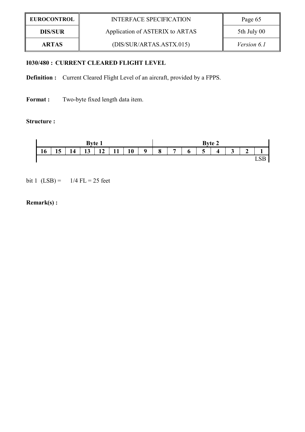| <b>EUROCONTROL</b> | <b>INTERFACE SPECIFICATION</b>  | Page 65            |
|--------------------|---------------------------------|--------------------|
| <b>DIS/SUR</b>     | Application of ASTERIX to ARTAS | 5th July 00        |
| <b>ARTAS</b>       | (DIS/SUR/ARTAS.ASTX.015)        | <i>Version 6.1</i> |

# **I030/480 : CURRENT CLEARED FLIGHT LEVEL**

**Definition :** Current Cleared Flight Level of an aircraft, provided by a FPPS.

Format : Two-byte fixed length data item.

## **Structure :**

|    | <b>Byte 1</b>    |    |    |    |    |    |             | <b>Byte 2</b> |   |   |                     |  |        |                     |  |
|----|------------------|----|----|----|----|----|-------------|---------------|---|---|---------------------|--|--------|---------------------|--|
| 10 | $\epsilon$<br>12 | 14 | 13 | 12 | 11 | 10 | $\mathbf o$ | 8             | - | o | $\overline{ }$<br>ັ |  | ◠<br>ັ | $\overline{ }$<br>◢ |  |
|    |                  |    |    |    |    |    |             |               |   |   |                     |  |        |                     |  |

bit 1  $(LSB) = 1/4 FL = 25 feet$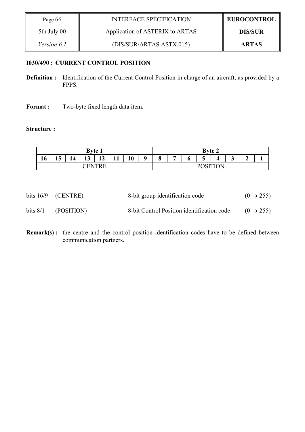| Page 66            | <b>INTERFACE SPECIFICATION</b>  | <b>EUROCONTROL</b> |
|--------------------|---------------------------------|--------------------|
| 5th July 00        | Application of ASTERIX to ARTAS | <b>DIS/SUR</b>     |
| <i>Version 6.1</i> | (DIS/SUR/ARTAS.ASTX.015)        | <b>ARTAS</b>       |

## **I030/490 : CURRENT CONTROL POSITION**

- **Definition :** Identification of the Current Control Position in charge of an aircraft, as provided by a FPPS.
- Format : Two-byte fixed length data item.

#### **Structure :**

|    | <b>Byte 1</b>    |    |          |               |    |    |   | <b>Byte 2</b>   |              |  |   |  |             |  |  |
|----|------------------|----|----------|---------------|----|----|---|-----------------|--------------|--|---|--|-------------|--|--|
| 16 | $\epsilon$<br>⊥√ | 14 | ∣ว<br>ıυ | 12            | 11 | 10 | Q | $\Omega$<br>O   | $\mathbf{r}$ |  | J |  | $\sim$<br>J |  |  |
|    |                  |    |          | <b>CENTRE</b> |    |    |   | <b>POSITION</b> |              |  |   |  |             |  |  |
|    |                  |    |          |               |    |    |   |                 |              |  |   |  |             |  |  |
|    |                  |    |          |               |    |    |   |                 |              |  |   |  |             |  |  |

|            | bits $16/9$ (CENTRE) | 8-bit group identification code            | $(0 \rightarrow 255)$ |
|------------|----------------------|--------------------------------------------|-----------------------|
| bits $8/1$ | (POSITION)           | 8-bit Control Position identification code | $(0 \rightarrow 255)$ |

**Remark(s) :** the centre and the control position identification codes have to be defined between communication partners.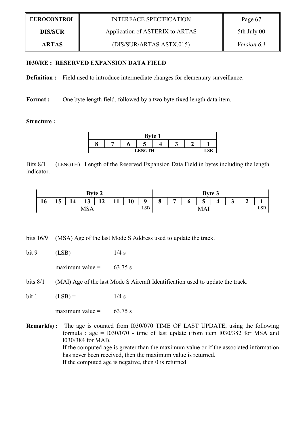| <b>EUROCONTROL</b> | <b>INTERFACE SPECIFICATION</b>  | Page 67            |
|--------------------|---------------------------------|--------------------|
| <b>DIS/SUR</b>     | Application of ASTERIX to ARTAS | 5th July 00        |
| <b>ARTAS</b>       | (DIS/SUR/ARTAS.ASTX.015)        | <i>Version 6.1</i> |

## **I030/RE : RESERVED EXPANSION DATA FIELD**

**Definition :** Field used to introduce intermediate changes for elementary surveillance.

**Format :** One byte length field, followed by a two byte fixed length data item.

#### **Structure :**

| <b>Byte 1</b>               |   |                          |  |  |  |  |  |  |  |
|-----------------------------|---|--------------------------|--|--|--|--|--|--|--|
|                             | ω | $\overline{\phantom{0}}$ |  |  |  |  |  |  |  |
| <b>LENGTH</b><br><b>LSB</b> |   |                          |  |  |  |  |  |  |  |

Bits 8/1 (LENGTH) Length of the Reserved Expansion Data Field in bytes including the length indicator.



bits 16/9 (MSA) Age of the last Mode S Address used to update the track.

bit 9  $(LSB) =$   $1/4 \text{ s}$ 

maximum value  $=$  63.75 s

- bits 8/1 (MAI) Age of the last Mode S Aircraft Identification used to update the track.
- bit 1  $(LSB) =$  1/4 s

maximum value  $=$  63.75 s

**Remark(s) :** The age is counted from I030/070 TIME OF LAST UPDATE, using the following formula : age =  $1030/070$  - time of last update (from item  $1030/382$  for MSA and I030/384 for MAI). If the computed age is greater than the maximum value or if the associated information has never been received, then the maximum value is returned. If the computed age is negative, then 0 is returned.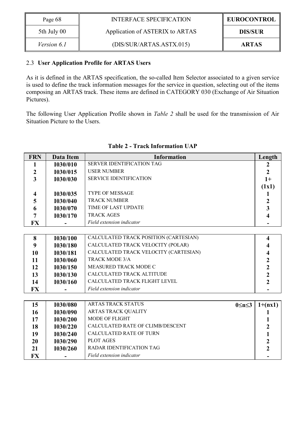| Page 68            | <b>INTERFACE SPECIFICATION</b>  | <b>EUROCONTROL</b> |
|--------------------|---------------------------------|--------------------|
| 5th July 00        | Application of ASTERIX to ARTAS | <b>DIS/SUR</b>     |
| <i>Version 6.1</i> | (DIS/SUR/ARTAS.ASTX.015)        | <b>ARTAS</b>       |

# 2.3 **User Application Profile for ARTAS Users**

As it is defined in the ARTAS specification, the so-called Item Selector associated to a given service is used to define the track information messages for the service in question, selecting out of the items composing an ARTAS track. These items are defined in CATEGORY 030 (Exchange of Air Situation Pictures).

The following User Application Profile shown in *Table 2* shall be used for the transmission of Air Situation Picture to the Users.

| <b>FRN</b>              | Data Item | <b>Information</b>                             | Length                  |
|-------------------------|-----------|------------------------------------------------|-------------------------|
| 1                       | 1030/010  | <b>SERVER IDENTIFICATION TAG</b>               | $\boldsymbol{2}$        |
| $\boldsymbol{2}$        | 1030/015  | <b>USER NUMBER</b>                             | $\overline{2}$          |
| $\overline{\mathbf{3}}$ | 1030/030  | <b>SERVICE IDENTIFICATION</b>                  | $1+$                    |
|                         |           |                                                | (1x1)                   |
| $\overline{\mathbf{4}}$ | 1030/035  | <b>TYPE OF MESSAGE</b>                         |                         |
| 5                       | 1030/040  | <b>TRACK NUMBER</b>                            | $\boldsymbol{2}$        |
| 6                       | 1030/070  | TIME OF LAST UPDATE                            | $\overline{\mathbf{3}}$ |
| 7                       | 1030/170  | <b>TRACK AGES</b>                              | $\overline{\mathbf{4}}$ |
| <b>FX</b>               |           | Field extension indicator                      |                         |
|                         |           |                                                |                         |
| 8                       | 1030/100  | CALCULATED TRACK POSITION (CARTESIAN)          | $\overline{\mathbf{4}}$ |
| 9                       | 1030/180  | CALCULATED TRACK VELOCITY (POLAR)              | $\overline{\mathbf{4}}$ |
| 10                      | 1030/181  | CALCULATED TRACK VELOCITY (CARTESIAN)          | $\overline{\mathbf{4}}$ |
| 11                      | 1030/060  | <b>TRACK MODE 3/A</b>                          | $\boldsymbol{2}$        |
| 12                      | 1030/150  | MEASURED TRACK MODE C                          | $\overline{\mathbf{2}}$ |
| 13                      | 1030/130  | CALCULATED TRACK ALTITUDE                      | $\overline{2}$          |
| 14                      | 1030/160  | CALCULATED TRACK FLIGHT LEVEL                  | $\overline{2}$          |
| <b>FX</b>               |           | Field extension indicator                      |                         |
|                         |           |                                                |                         |
| 15                      | 1030/080  | <b>ARTAS TRACK STATUS</b><br>$0 \leq n \leq 3$ | $1+(nx1)$               |
| 16                      | 1030/090  | <b>ARTAS TRACK QUALITY</b>                     |                         |
| 17                      | 1030/200  | <b>MODE OF FLIGHT</b>                          | 1                       |
| 18                      | 1030/220  | CALCULATED RATE OF CLIMB/DESCENT               | $\boldsymbol{2}$        |
| 19                      | 1030/240  | <b>CALCULATED RATE OF TURN</b>                 | $\mathbf{1}$            |
| 20                      | 1030/290  | <b>PLOT AGES</b>                               | $\overline{\mathbf{c}}$ |
| 21                      | 1030/260  | RADAR IDENTIFICATION TAG                       | $\overline{2}$          |
| <b>FX</b>               |           | Field extension indicator                      |                         |

# **Table 2 - Track Information UAP**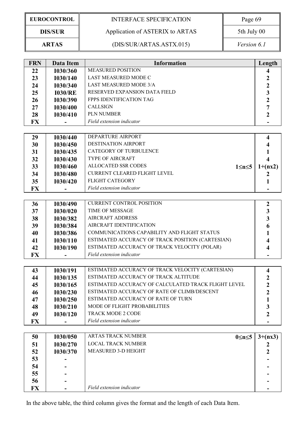| <b>EUROCONTROL</b> |                            | <b>INTERFACE SPECIFICATION</b>                                                           | Page 69           |                                                    |
|--------------------|----------------------------|------------------------------------------------------------------------------------------|-------------------|----------------------------------------------------|
| <b>DIS/SUR</b>     |                            | Application of ASTERIX to ARTAS                                                          | 5th July 00       |                                                    |
| <b>ARTAS</b>       |                            |                                                                                          | Version 6.1       |                                                    |
|                    |                            | (DIS/SUR/ARTAS.ASTX.015)                                                                 |                   |                                                    |
|                    |                            | <b>Information</b>                                                                       |                   |                                                    |
| <b>FRN</b><br>22   | Data Item<br>1030/360      | <b>MEASURED POSITION</b>                                                                 |                   | Length                                             |
|                    | 1030/140                   | LAST MEASURED MODE C                                                                     |                   | $\overline{\mathbf{4}}$                            |
| 23                 |                            | <b>LAST MEASURED MODE 3/A</b>                                                            |                   | $\boldsymbol{2}$                                   |
| 24<br>25           | 1030/340<br><b>I030/RE</b> | RESERVED EXPANSION DATA FIELD                                                            |                   | $\overline{\mathbf{c}}$<br>$\overline{\mathbf{3}}$ |
|                    | 1030/390                   | FPPS IDENTIFICATION TAG                                                                  |                   | $\overline{2}$                                     |
| 26<br>27           | 1030/400                   | <b>CALLSIGN</b>                                                                          |                   | $\overline{7}$                                     |
|                    | 1030/410                   | <b>PLN NUMBER</b>                                                                        |                   | $\overline{2}$                                     |
| 28<br><b>FX</b>    |                            | Field extension indicator                                                                |                   |                                                    |
|                    |                            |                                                                                          |                   |                                                    |
| 29                 | 1030/440                   | DEPARTURE AIRPORT                                                                        |                   | 4                                                  |
| 30                 | 1030/450                   | <b>DESTINATION AIRPORT</b>                                                               |                   | 4                                                  |
| 31                 | 1030/435                   | CATEGORY OF TURBULENCE                                                                   |                   | 1                                                  |
| 32                 | 1030/430                   | TYPE OF AIRCRAFT                                                                         |                   | 4                                                  |
| 33                 | 1030/460                   | <b>ALLOCATED SSR CODES</b>                                                               | $1\leq n\leq 5$   | $1+(nx2)$                                          |
| 34                 | 1030/480                   | <b>CURRENT CLEARED FLIGHT LEVEL</b>                                                      |                   |                                                    |
| 35                 | 1030/420                   | <b>FLIGHT CATEGORY</b>                                                                   |                   | 1                                                  |
| <b>FX</b>          |                            | Field extension indicator                                                                |                   |                                                    |
|                    |                            |                                                                                          |                   |                                                    |
| 36                 | 1030/490                   | <b>CURRENT CONTROL POSITION</b>                                                          |                   | $\boldsymbol{2}$                                   |
| 37                 | 1030/020                   | <b>TIME OF MESSAGE</b>                                                                   |                   | $\mathbf{3}$                                       |
| 38                 | 1030/382                   | <b>AIRCRAFT ADDRESS</b>                                                                  |                   | $\overline{\mathbf{3}}$                            |
| 39                 | 1030/384                   | AIRCRAFT IDENTIFICATION                                                                  |                   | 6                                                  |
| 40                 | 1030/386                   | COMMUNICATIONS CAPABILITY AND FLIGHT STATUS                                              |                   | 1                                                  |
| 41                 | 1030/110                   | ESTIMATED ACCURACY OF TRACK POSITION (CARTESIAN)                                         |                   |                                                    |
| 42                 | 1030/190                   | ESTIMATED ACCURACY OF TRACK VELOCITY (POLAR)                                             |                   | 4                                                  |
| <b>FX</b>          |                            | Field extension indicator                                                                |                   |                                                    |
|                    |                            |                                                                                          |                   |                                                    |
| 43                 | 1030/191                   | ESTIMATED ACCURACY OF TRACK VELOCITY (CARTESIAN)<br>ESTIMATED ACCURACY OF TRACK ALTITUDE |                   | 4                                                  |
| 44                 | 1030/135                   | ESTIMATED ACCURACY OF CALCULATED TRACK FLIGHT LEVEL                                      |                   | $\boldsymbol{2}$                                   |
| 45                 | 1030/165                   | ESTIMATED ACCURACY OF RATE OF CLIMB/DESCENT                                              |                   | $\mathbf 2$                                        |
| 46                 | 1030/230                   | ESTIMATED ACCURACY OF RATE OF TURN                                                       |                   | $\overline{2}$                                     |
| 47                 | 1030/250                   | MODE OF FLIGHT PROBABILITIES                                                             |                   | $\mathbf{1}$                                       |
| 48                 | 1030/210                   | <b>TRACK MODE 2 CODE</b>                                                                 |                   | $\mathbf{3}$                                       |
| 49                 | 1030/120                   | Field extension indicator                                                                |                   | $\boldsymbol{2}$                                   |
| <b>FX</b>          |                            |                                                                                          |                   |                                                    |
| 50                 | 1030/050                   | <b>ARTAS TRACK NUMBER</b>                                                                | $0 \leq n \leq 5$ | $3+(nx3)$                                          |
| 51                 | 1030/270                   | <b>LOCAL TRACK NUMBER</b>                                                                |                   | 2                                                  |
| 52                 | 1030/370                   | <b>MEASURED 3-D HEIGHT</b>                                                               |                   | 2                                                  |
| 53                 |                            |                                                                                          |                   |                                                    |
| 54                 |                            |                                                                                          |                   |                                                    |
| 55                 |                            |                                                                                          |                   |                                                    |
|                    |                            |                                                                                          |                   |                                                    |

In the above table, the third column gives the format and the length of each Data Item.

**56** - **1** - **1** - **1** - **1** - **1** - **1 FX**  $\blacksquare$  **-**  $\blacksquare$  *Field extension indicator*  $\blacksquare$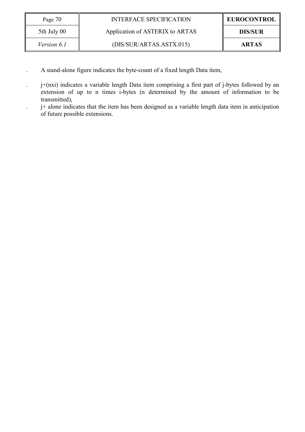| Page 70            | INTERFACE SPECIFICATION         | <b>EUROCONTROL</b> |
|--------------------|---------------------------------|--------------------|
| 5th July 00        | Application of ASTERIX to ARTAS | <b>DIS/SUR</b>     |
| <i>Version 6.1</i> | (DIS/SUR/ARTAS.ASTX.015)        | <b>ARTAS</b>       |

- . A stand-alone figure indicates the byte-count of a fixed length Data item,
- . j+(nxi) indicates a variable length Data item comprising a first part of j-bytes followed by an extension of up to n times i-bytes (n determined by the amount of information to be transmitted),
- . j+ alone indicates that the item has been designed as a variable length data item in anticipation of future possible extensions.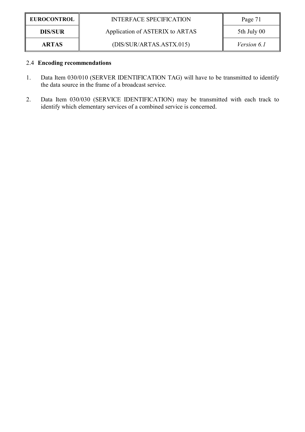| <b>EUROCONTROL</b> | <b>INTERFACE SPECIFICATION</b>  | Page 71            |  |
|--------------------|---------------------------------|--------------------|--|
| <b>DIS/SUR</b>     | Application of ASTERIX to ARTAS | 5th July 00        |  |
| <b>ARTAS</b>       | (DIS/SUR/ARTAS.ASTX.015)        | <i>Version 6.1</i> |  |

# 2.4 **Encoding recommendations**

- 1. Data Item 030/010 (SERVER IDENTIFICATION TAG) will have to be transmitted to identify the data source in the frame of a broadcast service.
- 2. Data Item 030/030 (SERVICE IDENTIFICATION) may be transmitted with each track to identify which elementary services of a combined service is concerned.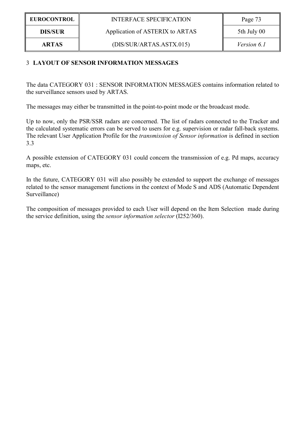**ARTAS** (DIS/SUR/ARTAS.ASTX.015) *Version 6.1* 

## 3 **LAYOUT OF SENSOR INFORMATION MESSAGES**

The data CATEGORY 031 : SENSOR INFORMATION MESSAGES contains information related to the surveillance sensors used by ARTAS.

The messages may either be transmitted in the point-to-point mode or the broadcast mode.

Up to now, only the PSR/SSR radars are concerned. The list of radars connected to the Tracker and the calculated systematic errors can be served to users for e.g. supervision or radar fall-back systems. The relevant User Application Profile for the *transmission of Sensor information* is defined in section 3.3

A possible extension of CATEGORY 031 could concern the transmission of e.g. Pd maps, accuracy maps, etc.

In the future, CATEGORY 031 will also possibly be extended to support the exchange of messages related to the sensor management functions in the context of Mode S and ADS (Automatic Dependent Surveillance)

The composition of messages provided to each User will depend on the Item Selection made during the service definition, using the *sensor information selector* (I252/360).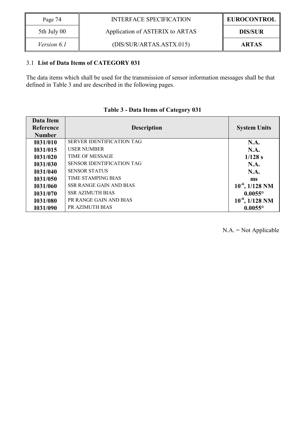| Page 74            | <b>INTERFACE SPECIFICATION</b>  | <b>EUROCONTROL</b> |
|--------------------|---------------------------------|--------------------|
| 5th July 00        | Application of ASTERIX to ARTAS | <b>DIS/SUR</b>     |
| <i>Version 6.1</i> | (DIS/SUR/ARTAS.ASTX.015)        | <b>ARTAS</b>       |

## 3.1 **List of Data Items of CATEGORY 031**

The data items which shall be used for the transmission of sensor information messages shall be that defined in Table 3 and are described in the following pages.

| Data Item       |                                  |                        |
|-----------------|----------------------------------|------------------------|
| Reference       | <b>Description</b>               | <b>System Units</b>    |
| <b>Number</b>   |                                  |                        |
| <b>I031/010</b> | <b>SERVER IDENTIFICATION TAG</b> | <b>N.A.</b>            |
| 1031/015        | <b>USER NUMBER</b>               | <b>N.A.</b>            |
| 1031/020        | <b>TIME OF MESSAGE</b>           | 1/128 s                |
| 1031/030        | <b>SENSOR IDENTIFICATION TAG</b> | <b>N.A.</b>            |
| I031/040        | <b>SENSOR STATUS</b>             | <b>N.A.</b>            |
| I031/050        | TIME STAMPING BIAS               | ms                     |
| I031/060        | <b>SSR RANGE GAIN AND BIAS</b>   | $10^{-6}$ , $1/128$ NM |
| I031/070        | <b>SSR AZIMUTH BIAS</b>          | $0.0055^{\circ}$       |
| 1031/080        | PR RANGE GAIN AND BIAS           | $10^{-6}$ , $1/128$ NM |
| 1031/090        | PR AZIMUTH BIAS                  | $0.0055^{\circ}$       |

**Table 3 - Data Items of Category 031** 

N.A. = Not Applicable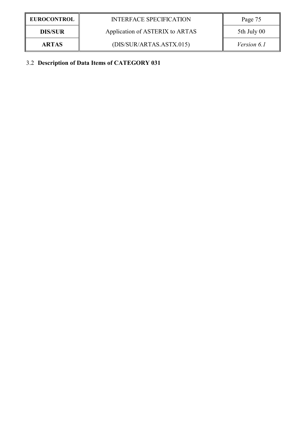| <b>EUROCONTROL</b> | <b>INTERFACE SPECIFICATION</b>  | Page 75            |  |  |
|--------------------|---------------------------------|--------------------|--|--|
| <b>DIS/SUR</b>     | Application of ASTERIX to ARTAS | 5th July 00        |  |  |
| <b>ARTAS</b>       | (DIS/SUR/ARTAS.ASTX.015)        | <i>Version 6.1</i> |  |  |

# 3.2 **Description of Data Items of CATEGORY 031**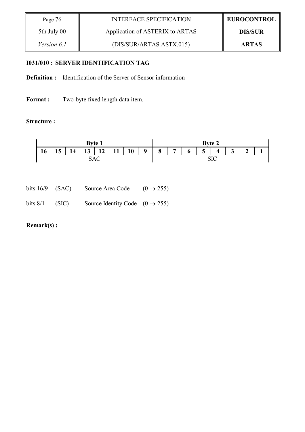Page 76 | **INTERFACE SPECIFICATION** | EUROCONTROL

5th July 00 Application of ASTERIX to ARTAS **DIS/SUR** 

*Version 6.1* **COIS/SUR/ARTAS.ASTX.015) ARTAS** 

## **I031/010 : SERVER IDENTIFICATION TAG**

**Definition :** Identification of the Server of Sensor information

**Format :** Two-byte fixed length data item.

## **Structure :**



| bits $16/9$ (SAC) | Source Area Code | $(0 \rightarrow 255)$ |
|-------------------|------------------|-----------------------|
|                   |                  |                       |

bits  $8/1$  (SIC) Source Identity Code (0  $\rightarrow$  255)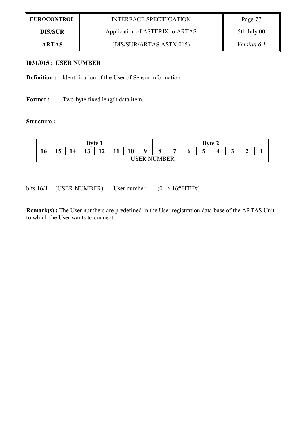| <b>EUROCONTROL</b> |  |
|--------------------|--|
|--------------------|--|

**EUROCONTROL INTERFACE SPECIFICATION** Page 77

**DIS/SUR** Application of ASTERIX to ARTAS 5th July 00

**ARTAS** (DIS/SUR/ARTAS.ASTX.015) *Version 6.1* 

## **I031/015 : USER NUMBER**

**Definition :** Identification of the User of Sensor information

**Format :** Two-byte fixed length data item.

#### **Structure :**

| <b>Byte</b>                                                               |                               |  |  |  |  |  |                         |   | <b>Byte 2</b> |                     |   |   |  |
|---------------------------------------------------------------------------|-------------------------------|--|--|--|--|--|-------------------------|---|---------------|---------------------|---|---|--|
| $\blacksquare$<br>10<br>1.4<br>$\sim$<br>14<br>11<br>10<br>14<br>⊥√<br>⊥୰ |                               |  |  |  |  |  | $\Omega$<br>$\mathbf o$ | - | o             | $\overline{ }$<br>ູ | ັ | ◢ |  |
|                                                                           | <b>IMBER</b><br>'SER .<br>NI. |  |  |  |  |  |                         |   |               |                     |   |   |  |

bits 16/1 (USER NUMBER) User number  $(0 \rightarrow 16 \#$ FFFF#)

**Remark(s) :** The User numbers are predefined in the User registration data base of the ARTAS Unit to which the User wants to connect.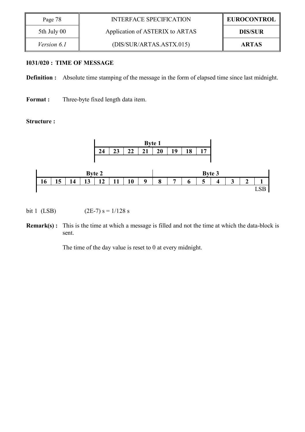| Page 78            | <b>INTERFACE SPECIFICATION</b>  | <b>EUROCONTROL</b> |
|--------------------|---------------------------------|--------------------|
| 5th July 00        | Application of ASTERIX to ARTAS | <b>DIS/SUR</b>     |
| <i>Version 6.1</i> | (DIS/SUR/ARTAS.ASTX.015)        | <b>ARTAS</b>       |

#### **I031/020 : TIME OF MESSAGE**

**Definition :** Absolute time stamping of the message in the form of elapsed time since last midnight.

**Format :** Three-byte fixed length data item.

#### **Structure :**



bit 1 (LSB)  $(2E-7) s = 1/128 s$ 

**Remark(s) :** This is the time at which a message is filled and not the time at which the data-block is sent.

The time of the day value is reset to 0 at every midnight.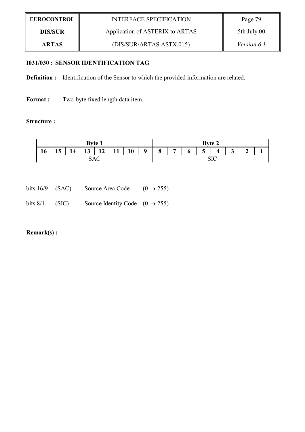| <b>EUROCONTROL</b> | <b>INTERFACE SPECIFICATION</b>  | Page 79            |
|--------------------|---------------------------------|--------------------|
| <b>DIS/SUR</b>     | Application of ASTERIX to ARTAS | 5th July 00        |
| <b>ARTAS</b>       | (DIS/SUR/ARTAS.ASTX.015)        | <i>Version 6.1</i> |

#### **I031/030 : SENSOR IDENTIFICATION TAG**

**Definition :** Identification of the Sensor to which the provided information are related.

Format : Two-byte fixed length data item.

## **Structure :**



|  | bits $16/9$ (SAC) |  | Source Area Code | $(0 \rightarrow 255)$ |
|--|-------------------|--|------------------|-----------------------|
|--|-------------------|--|------------------|-----------------------|

bits 8/1 (SIC) Source Identity Code  $(0 \rightarrow 255)$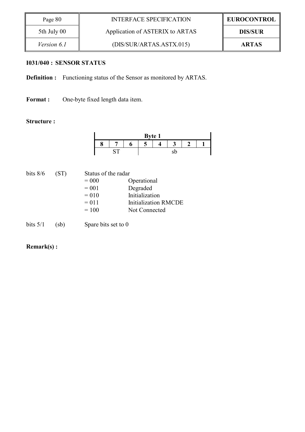Page 80 | INTERFACE SPECIFICATION | EUROCONTROL

5th July 00 Application of ASTERIX to ARTAS **DIS/SUR** 

*Version 6.1* (DIS/SUR/ARTAS.ASTX.015) **ARTAS** 

## **I031/040 : SENSOR STATUS**

**Definition :** Functioning status of the Sensor as monitored by ARTAS.

Format : One-byte fixed length data item.

## **Structure :**

| bits $8/6$ | (ST) | Status of the radar |                             |
|------------|------|---------------------|-----------------------------|
|            |      | $= 000$             | Operational                 |
|            |      | $= 001$             | Degraded                    |
|            |      | $= 010$             | Initialization              |
|            |      | $= 011$             | <b>Initialization RMCDE</b> |
|            |      | $= 100$             | Not Connected               |
| bits $5/1$ | (sb) | Spare bits set to 0 |                             |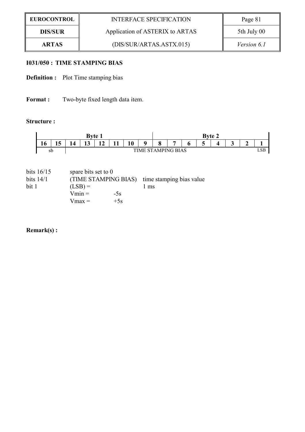**DIS/SUR** Application of ASTERIX to ARTAS 5th July 00

**ARTAS** (DIS/SUR/ARTAS.ASTX.015) *Version 6.1* 

## **I031/050 : TIME STAMPING BIAS**

**Definition :** Plot Time stamping bias

Format : Two-byte fixed length data item.

#### **Structure :**

|    | <b>Byte</b> |   |                    |              |  |     |    |   |               |  | <b>Byte</b> |               |   |           |
|----|-------------|---|--------------------|--------------|--|-----|----|---|---------------|--|-------------|---------------|---|-----------|
| 10 |             | ▪ |                    | $\sim$<br>19 |  | . . | 10 | 0 | $\Omega$<br>ື |  | ັ           | $\rightarrow$ | - |           |
|    | sb          |   | TIME STAMPING BIAS |              |  |     |    |   |               |  |             |               |   | CD<br>LOD |

| bits $16/15$ | spare bits set to 0 |       |                                               |
|--------------|---------------------|-------|-----------------------------------------------|
| bits $14/1$  |                     |       | (TIME STAMPING BIAS) time stamping bias value |
| bit 1        | $(LSB) =$           |       | l ms                                          |
|              | $V_{\text{min}} =$  | $-5s$ |                                               |
|              | $V$ max $=$         | $+5s$ |                                               |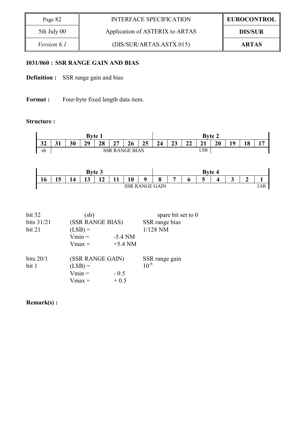Page 82 | INTERFACE SPECIFICATION | EUROCONTROL

5th July 00 Application of ASTERIX to ARTAS **DIS/SUR** 

*Version 6.1* (DIS/SUR/ARTAS.ASTX.015) **ARTAS** 

## **I031/060 : SSR RANGE GAIN AND BIAS**

**Definition :** SSR range gain and bias

Format : Four-byte fixed length data item.

#### **Structure :**

|    | <b>Byte 1</b><br>21 |                |    |    |    |         |                       |    |    | <b>Byte 2</b> |    |                 |    |    |    |  |  |  |
|----|---------------------|----------------|----|----|----|---------|-----------------------|----|----|---------------|----|-----------------|----|----|----|--|--|--|
| 32 |                     | J <sub>1</sub> | 30 | 29 | 28 | 27<br>◢ | 26                    | 25 | 24 | 23            | 22 | $^{\sim}$<br>◢⊥ | 20 | 19 | 18 |  |  |  |
| sb |                     |                |    |    |    |         | <b>SSR RANGE BIAS</b> |    |    |               |    | LSB             |    |    |    |  |  |  |

|                  |   |         | Byte 3    |                      |                  |           |                       |  |   | <b>Byte 4</b> |   |                                |
|------------------|---|---------|-----------|----------------------|------------------|-----------|-----------------------|--|---|---------------|---|--------------------------------|
| $\epsilon$<br>10 | ∸ | Δ<br>┸┱ | ໍ່<br>19. | - -<br>┸ <del></del> | - -<br><b>II</b> | 1 Л<br>πv | О                     |  | ັ |               | - |                                |
|                  |   |         |           |                      |                  |           | <b>SSR RANGE GAIN</b> |  |   |               |   | $\alpha$ $\blacksquare$<br>LOD |

| bit 32      | (s <b>b</b> )    |           | spare bit set to 0 |
|-------------|------------------|-----------|--------------------|
| bits 31/21  | (SSR RANGE BIAS) |           | SSR range bias     |
| bit 21      | $(LSB) =$        |           | $1/128$ NM         |
|             | $Vmin =$         | $-5.4$ NM |                    |
|             | $V$ max $=$      | $+5.4$ NM |                    |
| bits $20/1$ | (SSR RANGE GAIN) |           | SSR range gain     |
| bit 1       | $(LSB) =$        |           | $10^{-6}$          |
|             | $Vmin =$         | $-0.5$    |                    |
|             | Vmax =           | $+0.5$    |                    |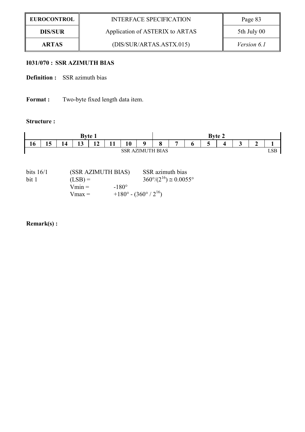EUROCONTROL **INTERFACE SPECIFICATION** Page 83

**DIS/SUR** Application of ASTERIX to ARTAS 5th July 00

**ARTAS** (DIS/SUR/ARTAS.ASTX.015) *Version 6.1* 

**I031/070 : SSR AZIMUTH BIAS** 

**Definition :** SSR azimuth bias

Format : Two-byte fixed length data item.

#### **Structure :**

|    | <b>Byte 1</b> |  |          |   |    |    |  |                         | <b>Byte 2</b> |  |   |  |  |  |            |  |
|----|---------------|--|----------|---|----|----|--|-------------------------|---------------|--|---|--|--|--|------------|--|
| πv | 15            |  | 12<br>17 | ി | ▪▪ | 10 |  | О                       | -             |  | ັ |  |  |  |            |  |
|    |               |  |          |   |    |    |  | <b>SSR AZIMUTH BIAS</b> |               |  |   |  |  |  | <b>LSB</b> |  |
|    |               |  |          |   |    |    |  |                         |               |  |   |  |  |  |            |  |
|    |               |  |          |   |    |    |  |                         |               |  |   |  |  |  |            |  |

| bits $16/1$ | (SSR AZIMUTH BIAS) |                                       | SSR azimuth bias                              |
|-------------|--------------------|---------------------------------------|-----------------------------------------------|
| bit 1       | $(LSB) =$          |                                       | $360^{\circ}/(2^{16}) \approx 0.0055^{\circ}$ |
|             | $Vmin =$           | $-180^\circ$                          |                                               |
|             | $V$ max =          | $+180^{\circ} - (360^{\circ}/2^{16})$ |                                               |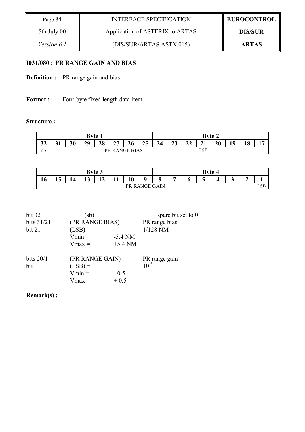Page 84 | **INTERFACE SPECIFICATION** | **EUROCONTROL** 

5th July 00 **Application of ASTERIX to ARTAS DIS/SUR** 

*Version 6.1* (DIS/SUR/ARTAS.ASTX.015) **ARTAS** 

## **I031/080 : PR RANGE GAIN AND BIAS**

**Definition :** PR range gain and bias

Format : Four-byte fixed length data item.

#### **Structure :**

|          |    |    | <b>Byte 1</b> |    |         |               |    |    |    |                    |         | <b>Byte 2</b> |    |    |  |
|----------|----|----|---------------|----|---------|---------------|----|----|----|--------------------|---------|---------------|----|----|--|
| 22<br>JZ | ◡▴ | 30 | 29            | 28 | 27<br>" | 26            | 25 | 24 | 23 | $\mathbf{A}$<br>77 | 21<br>◢ | 20            | 19 | 10 |  |
| sb       |    |    |               |    |         | PR RANGE BIAS |    |    |    |                    | LSB     |               |    |    |  |
|          |    |    |               |    |         |               |    |    |    |                    |         |               |    |    |  |

|                  |   |         | Byte 3        |                      |           |            |               |        |  |   | <b>Byte 4</b> |   |               |
|------------------|---|---------|---------------|----------------------|-----------|------------|---------------|--------|--|---|---------------|---|---------------|
| $\epsilon$<br>10 | ∸ | Δ<br>┸┱ | $\sim$<br>19. | - -<br>┸ <del></del> | <b>II</b> | 1 A<br>1 V |               | Ω<br>О |  | ັ |               | ∸ |               |
|                  |   |         |               |                      |           |            | PR RANGE GAIN |        |  |   |               |   | $\sim$<br>LOD |

| bit 32      | (sb)               |           | spare bit set to 0 |
|-------------|--------------------|-----------|--------------------|
| bits 31/21  | (PR RANGE BIAS)    |           | PR range bias      |
| bit 21      | $(LSB) =$          |           | $1/128$ NM         |
|             | $V_{\text{min}} =$ | $-5.4$ NM |                    |
|             | $V$ max =          | $+5.4$ NM |                    |
| bits $20/1$ | (PR RANGE GAIN)    |           | PR range gain      |
| bit 1       | $(LSB) =$          |           | $10^{-6}$          |
|             | $Vmin =$           | $-0.5$    |                    |
|             | Vmax =             | $+0.5$    |                    |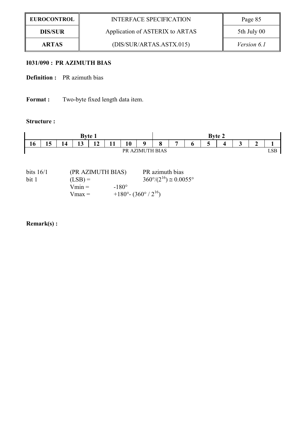**EUROCONTROL** INTERFACE SPECIFICATION Page 85

**DIS/SUR** Application of ASTERIX to ARTAS 5th July 00

**ARTAS** (DIS/SUR/ARTAS.ASTX.015) *Version 6.1* 

## **I031/090 : PR AZIMUTH BIAS**

**Definition :** PR azimuth bias

Format : Two-byte fixed length data item.

#### **Structure :**

| <b>Byte 1</b> |           |               |     |                     |  |    |                 | <b>Byte 2</b> |  |  |   |  |  |  |           |  |
|---------------|-----------|---------------|-----|---------------------|--|----|-----------------|---------------|--|--|---|--|--|--|-----------|--|
| 10            | 1 F<br>15 | $\mathbf{14}$ | 1J. | 12<br>┸ <del></del> |  | 10 |                 | Ω             |  |  | ັ |  |  |  |           |  |
|               |           |               |     |                     |  |    | PR AZIMUTH BIAS |               |  |  |   |  |  |  | <b>SR</b> |  |
|               |           |               |     |                     |  |    |                 |               |  |  |   |  |  |  |           |  |

| bits $16/1$ | (PR AZIMUTH BIAS) |              | PR azimuth bias                               |
|-------------|-------------------|--------------|-----------------------------------------------|
| bit 1       | $(LSB) =$         |              | $360^{\circ}/(2^{16}) \approx 0.0055^{\circ}$ |
|             | $Vmin =$          | $-180^\circ$ |                                               |
|             | $V$ max $=$       |              | +180° - $(360^{\circ}/2^{16})$                |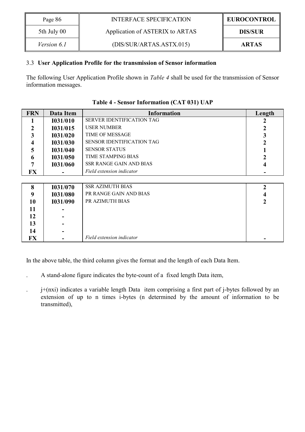| Page 86            | <b>INTERFACE SPECIFICATION</b>  | <b>EUROCONTROL</b> |
|--------------------|---------------------------------|--------------------|
| 5th July 00        | Application of ASTERIX to ARTAS | <b>DIS/SUR</b>     |
| <i>Version 6.1</i> | (DIS/SUR/ARTAS.ASTX.015)        | <b>ARTAS</b>       |

## 3.3 **User Application Profile for the transmission of Sensor information**

The following User Application Profile shown in *Table 4* shall be used for the transmission of Sensor information messages.

| <b>FRN</b> | Data Item | <b>Information</b>               | Length |
|------------|-----------|----------------------------------|--------|
|            | 1031/010  | <b>SERVER IDENTIFICATION TAG</b> |        |
|            | 1031/015  | <b>USER NUMBER</b>               |        |
|            | 1031/020  | TIME OF MESSAGE                  |        |
|            | 1031/030  | <b>SENSOR IDENTIFICATION TAG</b> |        |
|            | 1031/040  | <b>SENSOR STATUS</b>             |        |
| 6          | 1031/050  | TIME STAMPING BIAS               |        |
|            | 1031/060  | SSR RANGE GAIN AND BIAS          |        |
| <b>FX</b>  |           | Field extension indicator        |        |
|            |           |                                  |        |
|            | 1031/070  | <b>SSR AZIMUTH BIAS</b>          |        |

|  |  | Table 4 - Sensor Information (CAT 031) UAP |  |  |  |
|--|--|--------------------------------------------|--|--|--|
|--|--|--------------------------------------------|--|--|--|

| 8  | 1031/070                 | <b>SSR AZIMUTH BIAS</b>   |  |
|----|--------------------------|---------------------------|--|
| 9  | 1031/080                 | PR RANGE GAIN AND BIAS    |  |
| 10 | 1031/090                 | PR AZIMUTH BIAS           |  |
| 11 | $\overline{\phantom{0}}$ |                           |  |
| 12 | -                        |                           |  |
| 13 | -                        |                           |  |
| 14 | -                        |                           |  |
| FX | -                        | Field extension indicator |  |

In the above table, the third column gives the format and the length of each Data Item.

- . A stand-alone figure indicates the byte-count of a fixed length Data item,
- . j+(nxi) indicates a variable length Data item comprising a first part of j-bytes followed by an extension of up to n times i-bytes (n determined by the amount of information to be transmitted),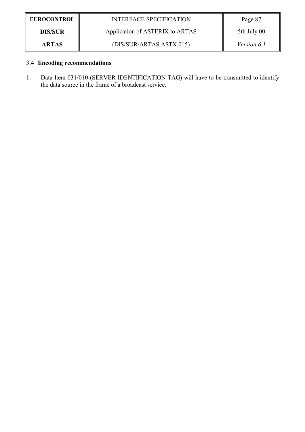| <b>EUROCONTROL</b> | <b>INTERFACE SPECIFICATION</b>  | Page 87            |
|--------------------|---------------------------------|--------------------|
| <b>DIS/SUR</b>     | Application of ASTERIX to ARTAS | 5th July 00        |
| <b>ARTAS</b>       | (DIS/SUR/ARTAS.ASTX.015)        | <i>Version 6.1</i> |

## 3.4 **Encoding recommendations**

1. Data Item 031/010 (SERVER IDENTIFICATION TAG) will have to be transmitted to identify the data source in the frame of a broadcast service.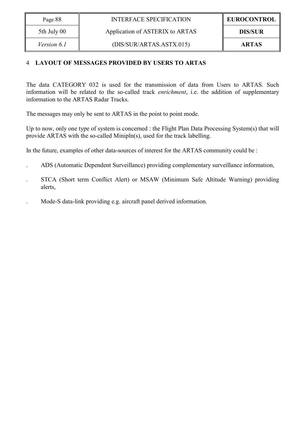5th July 00 Application of ASTERIX to ARTAS **DIS/SUR** 

Page 88 | **INTERFACE SPECIFICATION** | EUROCONTROL

*Version 6.1* (DIS/SUR/ARTAS.ASTX.015) **ARTAS** 

## 4 **LAYOUT OF MESSAGES PROVIDED BY USERS TO ARTAS**

The data CATEGORY 032 is used for the transmission of data from Users to ARTAS. Such information will be related to the so-called track *enrichment*, i.e. the addition of supplementary information to the ARTAS Radar Tracks.

The messages may only be sent to ARTAS in the point to point mode.

Up to now, only one type of system is concerned : the Flight Plan Data Processing System(s) that will provide ARTAS with the so-called Minipln(s), used for the track labelling.

In the future, examples of other data-sources of interest for the ARTAS community could be :

- . ADS (Automatic Dependent Surveillance) providing complementary surveillance information,
- . STCA (Short term Conflict Alert) or MSAW (Minimum Safe Altitude Warning) providing alerts,
- . Mode-S data-link providing e.g. aircraft panel derived information.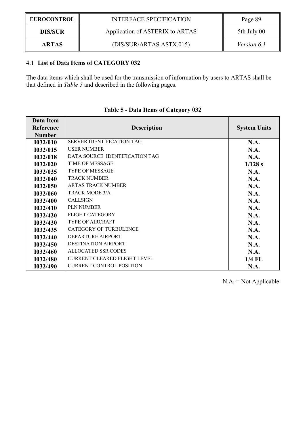| <b>EUROCONTROL</b> | <b>INTERFACE SPECIFICATION</b>  | Page 89            |
|--------------------|---------------------------------|--------------------|
| <b>DIS/SUR</b>     | Application of ASTERIX to ARTAS | 5th July 00        |
| <b>ARTAS</b>       | (DIS/SUR/ARTAS.ASTX.015)        | <i>Version 6.1</i> |

## 4.1 **List of Data Items of CATEGORY 032**

The data items which shall be used for the transmission of information by users to ARTAS shall be that defined in *Table 5* and described in the following pages.

| Data Item     |                                     |                     |
|---------------|-------------------------------------|---------------------|
| Reference     | <b>Description</b>                  | <b>System Units</b> |
| <b>Number</b> |                                     |                     |
| 1032/010      | <b>SERVER IDENTIFICATION TAG</b>    | <b>N.A.</b>         |
| 1032/015      | <b>USER NUMBER</b>                  | N.A.                |
| 1032/018      | DATA SOURCE IDENTIFICATION TAG      | <b>N.A.</b>         |
| 1032/020      | TIME OF MESSAGE                     | 1/128s              |
| 1032/035      | TYPE OF MESSAGE                     | <b>N.A.</b>         |
| 1032/040      | <b>TRACK NUMBER</b>                 | <b>N.A.</b>         |
| 1032/050      | <b>ARTAS TRACK NUMBER</b>           | <b>N.A.</b>         |
| 1032/060      | TRACK MODE 3/A                      | <b>N.A.</b>         |
| 1032/400      | <b>CALLSIGN</b>                     | <b>N.A.</b>         |
| 1032/410      | <b>PLN NUMBER</b>                   | <b>N.A.</b>         |
| 1032/420      | <b>FLIGHT CATEGORY</b>              | N.A.                |
| 1032/430      | <b>TYPE OF AIRCRAFT</b>             | N.A.                |
| 1032/435      | <b>CATEGORY OF TURBULENCE</b>       | <b>N.A.</b>         |
| 1032/440      | DEPARTURE AIRPORT                   | <b>N.A.</b>         |
| 1032/450      | <b>DESTINATION AIRPORT</b>          | <b>N.A.</b>         |
| 1032/460      | <b>ALLOCATED SSR CODES</b>          | <b>N.A.</b>         |
| 1032/480      | <b>CURRENT CLEARED FLIGHT LEVEL</b> | $1/4$ FL            |
| 1032/490      | <b>CURRENT CONTROL POSITION</b>     | <b>N.A.</b>         |

**Table 5 - Data Items of Category 032** 

N.A. = Not Applicable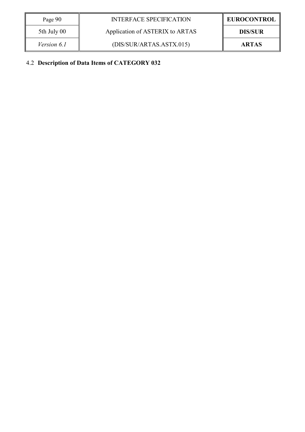| Page 90            | <b>INTERFACE SPECIFICATION</b>  | <b>EUROCONTROL</b> |
|--------------------|---------------------------------|--------------------|
| 5th July 00        | Application of ASTERIX to ARTAS | <b>DIS/SUR</b>     |
| <i>Version 6.1</i> | (DIS/SUR/ARTAS.ASTX.015)        | <b>ARTAS</b>       |

# 4.2 **Description of Data Items of CATEGORY 032**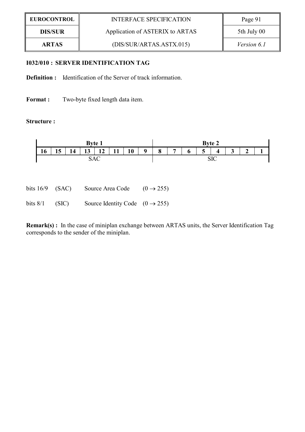| <b>EUROCONTROL</b> | <b>INTERFACE SPECIFICATION</b>  | Page 91            |  |  |
|--------------------|---------------------------------|--------------------|--|--|
| <b>DIS/SUR</b>     | Application of ASTERIX to ARTAS | 5th July 00        |  |  |
| <b>ARTAS</b>       | (DIS/SUR/ARTAS.ASTX.015)        | <i>Version 6.1</i> |  |  |

#### **I032/010 : SERVER IDENTIFICATION TAG**

**Definition :** Identification of the Server of track information.

Format : Two-byte fixed length data item.

#### **Structure :**

|            |           |       |    | <b>Byte 1</b> |            |                                            |   |   |   | Byte 2 |            |   |  |
|------------|-----------|-------|----|---------------|------------|--------------------------------------------|---|---|---|--------|------------|---|--|
|            | 16        | 15    | 14 | 13            | 12         | 10                                         | 9 | 8 | 6 | 5      | 4          | 3 |  |
|            |           |       |    |               | <b>SAC</b> |                                            |   |   |   |        | <b>SIC</b> |   |  |
|            |           |       |    |               |            |                                            |   |   |   |        |            |   |  |
|            |           |       |    |               |            |                                            |   |   |   |        |            |   |  |
|            | bits 16/9 | (SAC) |    |               |            | Source Area Code $(0 \rightarrow 255)$     |   |   |   |        |            |   |  |
|            |           |       |    |               |            |                                            |   |   |   |        |            |   |  |
| bits $8/1$ |           | (SIC) |    |               |            | Source Identity Code $(0 \rightarrow 255)$ |   |   |   |        |            |   |  |

**Remark(s) :** In the case of miniplan exchange between ARTAS units, the Server Identification Tag corresponds to the sender of the miniplan.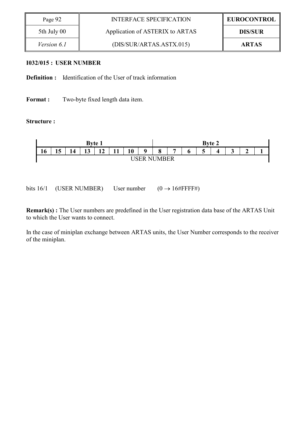Page 92 | INTERFACE SPECIFICATION | EUROCONTROL

5th July 00 Application of ASTERIX to ARTAS **DIS/SUR** 

*Version 6.1* (DIS/SUR/ARTAS.ASTX.015) **ARTAS** 

#### **I032/015 : USER NUMBER**

**Definition :** Identification of the User of track information

**Format :** Two-byte fixed length data item.

**Structure :** 

| <b>Byte</b> |   |                |             |                      |          |    |   |                   | <b>Byte</b> | e |                               |  |                     |  |
|-------------|---|----------------|-------------|----------------------|----------|----|---|-------------------|-------------|---|-------------------------------|--|---------------------|--|
| 10          | ∸ | $\Lambda$<br>∸ | 1. 1<br>19. | . .<br>┸ <del></del> | -4<br>11 | 10 | Q | $\mathbf{o}$<br>O |             | o | $\overline{\phantom{0}}$<br>ັ |  | $\overline{ }$<br>∸ |  |
|             |   |                |             |                      |          |    |   |                   |             |   |                               |  |                     |  |

bits 16/1 (USER NUMBER) User number  $(0 \rightarrow 16 \#$ FFFF#)

**Remark(s) :** The User numbers are predefined in the User registration data base of the ARTAS Unit to which the User wants to connect.

In the case of miniplan exchange between ARTAS units, the User Number corresponds to the receiver of the miniplan.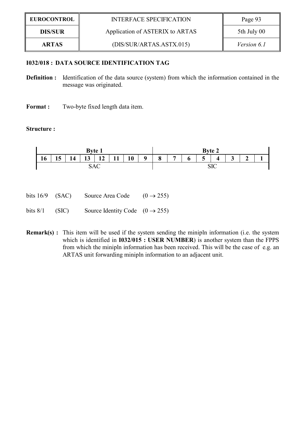| <b>EUROCONTROL</b> | <b>INTERFACE SPECIFICATION</b>  | Page 93            |  |  |
|--------------------|---------------------------------|--------------------|--|--|
| <b>DIS/SUR</b>     | Application of ASTERIX to ARTAS | 5th July 00        |  |  |
| ARTAS              | (DIS/SUR/ARTAS.ASTX.015)        | <i>Version 6.1</i> |  |  |

#### **I032/018 : DATA SOURCE IDENTIFICATION TAG**

- **Definition :** Identification of the data source (system) from which the information contained in the message was originated.
- **Format :** Two-byte fixed length data item.

#### **Structure :**

| <b>Byte 1</b>                                                            |  |  |  |  |  |  | <b>Byte 2</b> |                |   |                                |          |   |        |  |
|--------------------------------------------------------------------------|--|--|--|--|--|--|---------------|----------------|---|--------------------------------|----------|---|--------|--|
| 10<br><b>P</b><br>13<br>- -<br>Q<br>12<br>14<br>$\mathbf{H}$<br>10<br>15 |  |  |  |  |  |  | 8             | $\mathbf{r}$   | o | $\overline{ }$<br>$\mathbf{c}$ | $\Delta$ | ັ | ∼<br>◢ |  |
| SAC                                                                      |  |  |  |  |  |  |               | $\alpha$<br>DЦ |   |                                |          |   |        |  |

| bits $16/9$ (SAC) |  | Source Area Code | $(0 \rightarrow 255)$ |
|-------------------|--|------------------|-----------------------|
|-------------------|--|------------------|-----------------------|

|  | bits $8/1$ | (SIC) | Source Identity Code $(0 \rightarrow 255)$ |  |
|--|------------|-------|--------------------------------------------|--|
|--|------------|-------|--------------------------------------------|--|

**Remark(s)**: This item will be used if the system sending the minipln information (i.e. the system which is identified in **I032/015 : USER NUMBER**) is another system than the FPPS from which the minipln information has been received. This will be the case of e.g. an ARTAS unit forwarding minipln information to an adjacent unit.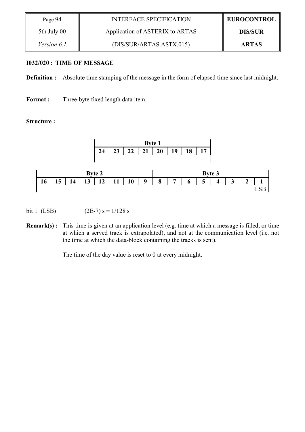| Page 94            | <b>INTERFACE SPECIFICATION</b>  | <b>EUROCONTROL</b> |
|--------------------|---------------------------------|--------------------|
| 5th July 00        | Application of ASTERIX to ARTAS | <b>DIS/SUR</b>     |
| <i>Version 6.1</i> | (DIS/SUR/ARTAS.ASTX.015)        | <b>ARTAS</b>       |

#### **I032/020 : TIME OF MESSAGE**

**Definition :** Absolute time stamping of the message in the form of elapsed time since last midnight.

**Format :** Three-byte fixed length data item.

#### **Structure :**



bit 1 (LSB)  $(2E-7) s = 1/128 s$ 

**Remark(s) :** This time is given at an application level (e.g. time at which a message is filled, or time at which a served track is extrapolated), and not at the communication level (i.e. not the time at which the data-block containing the tracks is sent).

The time of the day value is reset to 0 at every midnight.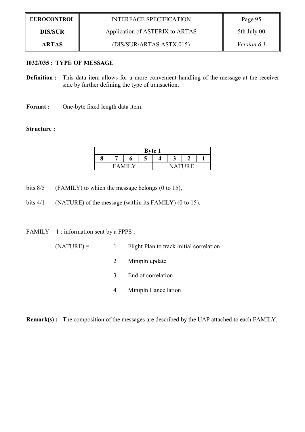| <b>EUROCONTROL</b> | INTERFACE SPECIFICATION         | Page 95            |
|--------------------|---------------------------------|--------------------|
| <b>DIS/SUR</b>     | Application of ASTERIX to ARTAS | 5th July 00        |
| <b>ARTAS</b>       | (DIS/SUR/ARTAS.ASTX.015)        | <i>Version 6.1</i> |

#### **I032/035 : TYPE OF MESSAGE**

- **Definition :** This data item allows for a more convenient handling of the message at the receiver side by further defining the type of transaction.
- **Format :** One-byte fixed length data item.

#### **Structure :**

| <b>Byte 1</b> |           |  |  |                        |  |  |  |  |  |
|---------------|-----------|--|--|------------------------|--|--|--|--|--|
|               |           |  |  |                        |  |  |  |  |  |
|               | $\Lambda$ |  |  | 112 E<br>ш<br>$\Delta$ |  |  |  |  |  |

- bits 8/5 (FAMILY) to which the message belongs (0 to 15),
- bits 4/1 (NATURE) of the message (within its FAMILY) (0 to 15).

#### FAMILY =  $1$  : information sent by a FPPS :

| $(NATURE) =$ |   | Flight Plan to track initial correlation |
|--------------|---|------------------------------------------|
|              | 2 | Minipln update                           |
|              | 3 | End of correlation                       |
|              | 4 | Minipln Cancellation                     |

**Remark(s) :** The composition of the messages are described by the UAP attached to each FAMILY.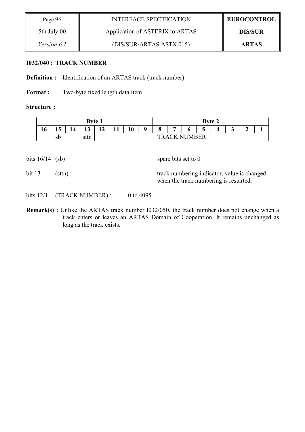Page 96 | **INTERFACE SPECIFICATION** | EUROCONTROL

5th July 00 Application of ASTERIX to ARTAS **DIS/SUR** 

*Version 6.1* **COIS/SUR/ARTAS.ASTX.015) ARTAS** 

#### **I032/040 : TRACK NUMBER**

**Definition :** Identification of an ARTAS track (track number)

**Format :** Two-byte fixed length data item

#### **Structure :**

|        |    |                     |    | <b>Byte 1</b> |             |  |    |   | <b>Byte 2</b>       |                     |   |   |                                                                                       |  |  |  |
|--------|----|---------------------|----|---------------|-------------|--|----|---|---------------------|---------------------|---|---|---------------------------------------------------------------------------------------|--|--|--|
|        | 16 | 15                  | 14 | 13            | $\mathbf 2$ |  | 10 | Q | 8                   | 7                   | 6 | 5 | 4                                                                                     |  |  |  |
|        |    | sb                  |    | sttn          |             |  |    |   |                     | <b>TRACK NUMBER</b> |   |   |                                                                                       |  |  |  |
|        |    |                     |    |               |             |  |    |   |                     |                     |   |   |                                                                                       |  |  |  |
|        |    | bits $16/14$ (sb) = |    |               |             |  |    |   | spare bits set to 0 |                     |   |   |                                                                                       |  |  |  |
| bit 13 |    | $\text{(sttn)}$ :   |    |               |             |  |    |   |                     |                     |   |   | track numbering indicator, value is changed<br>when the track numbering is restarted. |  |  |  |
|        |    |                     |    |               |             |  |    |   |                     |                     |   |   |                                                                                       |  |  |  |

bits 12/1 (TRACK NUMBER): 0 to 4095

**Remark(s) :** Unlike the ARTAS track number I032/050, the track number does not change when a track enters or leaves an ARTAS Domain of Cooperation. It remains unchanged as long as the track exists.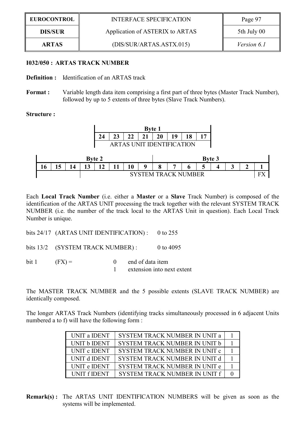| <b>EUROCONTROL</b> | INTERFACE SPECIFICATION         | Page 97            |
|--------------------|---------------------------------|--------------------|
| <b>DIS/SUR</b>     | Application of ASTERIX to ARTAS | 5th July 00        |
| <b>ARTAS</b>       | (DIS/SUR/ARTAS.ASTX.015)        | <i>Version 6.1</i> |

#### **I032/050 : ARTAS TRACK NUMBER**

- **Definition :** Identification of an ARTAS track
- **Format :** Variable length data item comprising a first part of three bytes (Master Track Number), followed by up to 5 extents of three bytes (Slave Track Numbers).

#### **Structure :**

|                            | <b>Byte 1</b> |    |    |    |    |    |    |                                  |  |    |  |               |   |   |  |
|----------------------------|---------------|----|----|----|----|----|----|----------------------------------|--|----|--|---------------|---|---|--|
|                            |               |    |    | 24 | 23 | 22 | 21 | 20                               |  | 18 |  |               |   |   |  |
|                            |               |    |    |    |    |    |    | <b>ARTAS UNIT IDENTIFICATION</b> |  |    |  |               |   |   |  |
|                            |               |    |    |    |    |    |    |                                  |  |    |  |               |   |   |  |
|                            | <b>Byte 2</b> |    |    |    |    |    |    |                                  |  |    |  | <b>Byte 3</b> |   |   |  |
|                            | 15            | 14 | 13 |    |    | 10 |    | 8                                |  | O  |  |               | J | ◠ |  |
| <b>SYSTEM TRACK NUMBER</b> |               |    |    |    |    |    |    |                                  |  |    |  |               |   |   |  |

Each **Local Track Number** (i.e. either a **Master** or a **Slave** Track Number) is composed of the identification of the ARTAS UNIT processing the track together with the relevant SYSTEM TRACK NUMBER (i.e. the number of the track local to the ARTAS Unit in question). Each Local Track Number is unique.

bits 24/17 (ARTAS UNIT IDENTIFICATION): 0 to 255

bits 13/2 (SYSTEM TRACK NUMBER): 0 to 4095

| bit 1 | $(FX) =$ | end of data item           |
|-------|----------|----------------------------|
|       |          | extension into next extent |

The MASTER TRACK NUMBER and the 5 possible extents (SLAVE TRACK NUMBER) are identically composed.

The longer ARTAS Track Numbers (identifying tracks simultaneously processed in 6 adjacent Units numbered a to f) will have the following form :

| UNIT a IDENT | SYSTEM TRACK NUMBER IN UNIT a |  |
|--------------|-------------------------------|--|
| UNIT b IDENT | SYSTEM TRACK NUMBER IN UNIT b |  |
| UNIT c IDENT | SYSTEM TRACK NUMBER IN UNIT c |  |
| UNIT d IDENT | SYSTEM TRACK NUMBER IN UNIT d |  |
| UNIT e IDENT | SYSTEM TRACK NUMBER IN UNIT e |  |
| UNIT fIDENT  | SYSTEM TRACK NUMBER IN UNIT f |  |

**Remark(s) :** The ARTAS UNIT IDENTIFICATION NUMBERS will be given as soon as the systems will be implemented.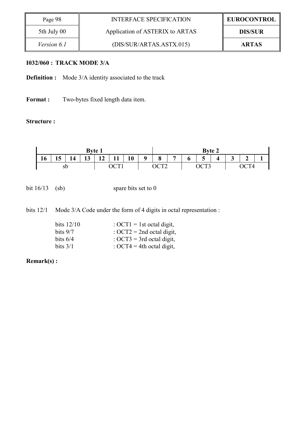Page 98 | **INTERFACE SPECIFICATION EUROCONTROL** 

5th July 00 Application of ASTERIX to ARTAS **DIS/SUR** 

*Version 6.1* (DIS/SUR/ARTAS.ASTX.015) **ARTAS** 

**I032/060 : TRACK MODE 3/A** 

**Definition :** Mode 3/A identity associated to the track

Format : Two-bytes fixed length data item.

**Structure :**

| <b>Byte 1</b>                                                                                                                                                                 |                   |  |  |  |  |                                  | <b>Byte</b><br>e |  |  |  |  |  |  |
|-------------------------------------------------------------------------------------------------------------------------------------------------------------------------------|-------------------|--|--|--|--|----------------------------------|------------------|--|--|--|--|--|--|
| -<br>$\Omega$<br>1 Л<br>0<br>-<br>$\blacksquare$<br>$\blacktriangleleft$<br>$\sim$<br>$\sim$<br>14<br>10<br>o<br>11<br>́<br>1 V<br>⊥◡<br>⊥◡<br>车<br>┸ <i>▙</i><br>v<br>ັ<br>ັ |                   |  |  |  |  |                                  |                  |  |  |  |  |  |  |
|                                                                                                                                                                               | SU<br>$\check{~}$ |  |  |  |  | $\cap$ Tra<br>◡ ・<br>$\check{ }$ |                  |  |  |  |  |  |  |

bit  $16/13$  (sb) spare bits set to 0

bits 12/1 Mode 3/A Code under the form of 4 digits in octal representation :

| bits $12/10$ | : OCT1 = 1st octal digit, |
|--------------|---------------------------|
| bits $9/7$   | : OCT2 = 2nd octal digit, |
| bits $6/4$   | : OCT3 = 3rd octal digit, |
| bits $3/1$   | : OCT4 = 4th octal digit, |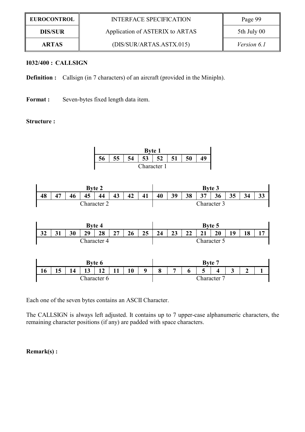| <b>EUROCONTROL</b> | <b>INTERFACE SPECIFICATION</b>  | Page 99            |  |  |
|--------------------|---------------------------------|--------------------|--|--|
| <b>DIS/SUR</b>     | Application of ASTERIX to ARTAS | 5th July 00        |  |  |
| <b>ARTAS</b>       | (DIS/SUR/ARTAS.ASTX.015)        | <i>Version 6.1</i> |  |  |

#### **I032/400 : CALLSIGN**

**Definition :** Callsign (in 7 characters) of an aircraft (provided in the Minipln).

**Format :** Seven-bytes fixed length data item.

#### **Structure :**

| <b>Byte 1</b> |    |    |              |  |    |    |    |  |  |  |  |
|---------------|----|----|--------------|--|----|----|----|--|--|--|--|
| 56            | 55 | 54 | $53 \mid 52$ |  | 51 | 50 | 49 |  |  |  |  |
| Character 1   |    |    |              |  |    |    |    |  |  |  |  |

|                                                                                          |        |    | Byte 2 |             |    |    |    | Byte 3      |    |    |    |             |    |    |    |
|------------------------------------------------------------------------------------------|--------|----|--------|-------------|----|----|----|-------------|----|----|----|-------------|----|----|----|
| 48                                                                                       | 47     | 46 | 45     | 44          | 43 | 42 | 41 | 40          | 39 | 38 | 37 | 36          | 35 | 34 | 33 |
| Character 2                                                                              |        |    |        |             |    |    |    |             |    |    |    | Character 3 |    |    |    |
|                                                                                          |        |    |        |             |    |    |    |             |    |    |    |             |    |    |    |
|                                                                                          | Byte 4 |    |        |             |    |    |    |             |    |    |    |             |    |    |    |
|                                                                                          |        |    |        |             |    |    |    | Byte 5      |    |    |    |             |    |    |    |
| 32                                                                                       | 31     | 30 | 29     | 28          | 27 | 26 | 25 | 24          | 23 | 22 | 21 | 20          | 19 | 18 | 17 |
|                                                                                          |        |    |        | Character 4 |    |    |    | Character 5 |    |    |    |             |    |    |    |
|                                                                                          |        |    |        |             |    |    |    |             |    |    |    |             |    |    |    |
|                                                                                          |        |    |        |             |    |    |    |             |    |    |    |             |    |    |    |
|                                                                                          |        |    | Byte 6 |             |    |    |    | Byte 7      |    |    |    |             |    |    |    |
| 15<br>10<br>8<br>5<br>13<br>12<br>9<br>3<br>$\mathbf 2$<br>16<br>11<br>14<br>7<br>4<br>0 |        |    |        |             |    |    |    |             |    |    |    |             |    |    |    |
| Character 6                                                                              |        |    |        |             |    |    |    | Character 7 |    |    |    |             |    |    |    |

Each one of the seven bytes contains an ASCII Character.

The CALLSIGN is always left adjusted. It contains up to 7 upper-case alphanumeric characters, the remaining character positions (if any) are padded with space characters.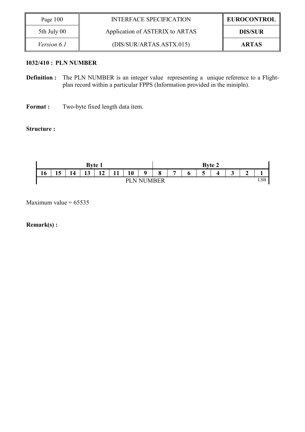| Page 100 |  |
|----------|--|
|----------|--|

5th July 00 Application of ASTERIX to ARTAS **DIS/SUR** 

**PAGE 100 INTERFACE SPECIFICATION IF UROCONTROL** 

*Version 6.1* **COIS/SUR/ARTAS.ASTX.015) ARTAS** 

## **I032/410 : PLN NUMBER**

**Definition :** The PLN NUMBER is an integer value representing a unique reference to a Flightplan record within a particular FPPS (Information provided in the minipln).

Format : Two-byte fixed length data item.

#### **Structure :**

| <b>Byte 1</b>     |   |                |           |          |           |    | <b>Byte</b> |              |  |  |                               |  |   |                     |           |
|-------------------|---|----------------|-----------|----------|-----------|----|-------------|--------------|--|--|-------------------------------|--|---|---------------------|-----------|
| $\sim$<br>10      | ∸ | $\Lambda$<br>∸ | 19<br>19. | - -<br>┸ | . .<br>11 | 10 | Q           | O            |  |  | $\overline{\phantom{0}}$<br>ັ |  | ົ | $\overline{ }$<br>∼ |           |
| $\mathbb{N}$<br>N |   |                |           |          |           |    |             | <b>IMRER</b> |  |  |                               |  |   |                     | CD<br>LOD |

Maximum value  $= 65535$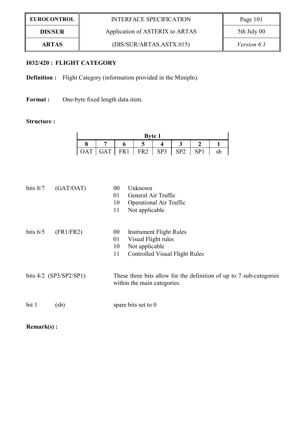| <b>EUROCONTROL</b> |
|--------------------|
|--------------------|

**EUROCONTROL INTERFACE SPECIFICATION** Page 101 **DIS/SUR** Application of ASTERIX to ARTAS 5th July 00

**ARTAS** (DIS/SUR/ARTAS.ASTX.015) *Version 6.1* 

## **I032/420 : FLIGHT CATEGORY**

**Definition :** Flight Category (information provided in the Minipln).

**Format :** One-byte fixed length data item.

## **Structure :**

| <b>Byte 1</b> |  |  |                           |  |  |                 |    |  |  |  |  |
|---------------|--|--|---------------------------|--|--|-----------------|----|--|--|--|--|
|               |  |  |                           |  |  |                 |    |  |  |  |  |
|               |  |  | $OAT$ GAT FR1 FR2 SP3 SP2 |  |  | SP <sub>1</sub> | sb |  |  |  |  |

| (GAT/OAT)<br>bits $8/7$  | $00\,$<br>Unknown<br>01<br>General Air Traffic<br><b>Operational Air Traffic</b><br>10<br>11<br>Not applicable                        |
|--------------------------|---------------------------------------------------------------------------------------------------------------------------------------|
| (FR1/FR2)<br>bits $6/5$  | $00\,$<br><b>Instrument Flight Rules</b><br>Visual Flight rules<br>01<br>Not applicable<br>10<br>11<br>Controlled Visual Flight Rules |
| bits $4/2$ (SP3/SP2/SP1) | These three bits allow for the definition of up to 7 sub-categories<br>within the main categories.                                    |
| bit 1<br>(s <b>b</b> )   | spare bits set to 0                                                                                                                   |
| Remark(s):               |                                                                                                                                       |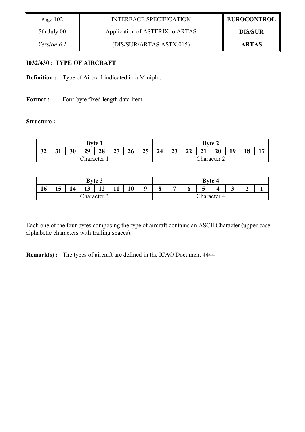Page 102 | INTERFACE SPECIFICATION | EUROCONTROL

5th July 00 Application of ASTERIX to ARTAS **DIS/SUR** 

*Version 6.1* (DIS/SUR/ARTAS.ASTX.015) **ARTAS** 

## **I032/430 : TYPE OF AIRCRAFT**

**Definition :** Type of Aircraft indicated in a Minipln.

**Format :** Four-byte fixed length data item.

#### **Structure :**



Each one of the four bytes composing the type of aircraft contains an ASCII Character (upper-case alphabetic characters with trailing spaces).

**Remark(s) :** The types of aircraft are defined in the ICAO Document 4444.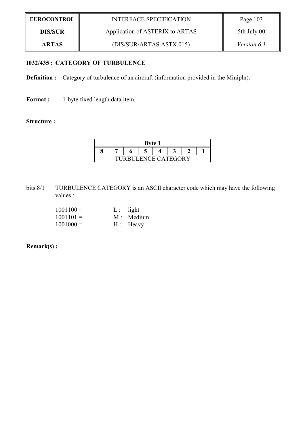| <b>EUROCONTROL</b> | INTE |
|--------------------|------|
|                    |      |

**DIS/SUR** Application of ASTERIX to ARTAS 5th July 00

**ARTAS** (DIS/SUR/ARTAS.ASTX.015) *Version 6.1* 

## **I032/435 : CATEGORY OF TURBULENCE**

**Definition :** Category of turbulence of an aircraft (information provided in the Minipln).

Format : 1-byte fixed length data item.

#### **Structure :**

| <b>Byte 1</b>        |  |  |  |  |  |  |  |  |  |  |  |
|----------------------|--|--|--|--|--|--|--|--|--|--|--|
|                      |  |  |  |  |  |  |  |  |  |  |  |
| IR RHI ENCE CATEGORY |  |  |  |  |  |  |  |  |  |  |  |

bits 8/1 TURBULENCE CATEGORY is an ASCII character code which may have the following values :

| $1001100 =$ | $L:$ light  |
|-------------|-------------|
| $1001101 =$ | $M:$ Medium |
| $1001000 =$ | $H:$ Heavy  |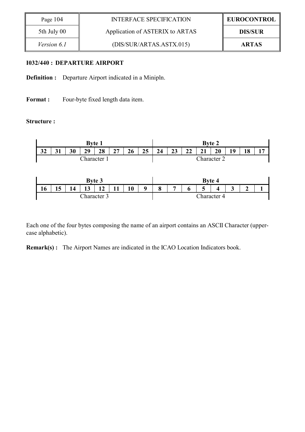5th July 00 Application of ASTERIX to ARTAS **DIS/SUR** 

*Version 6.1* (DIS/SUR/ARTAS.ASTX.015) **ARTAS** 

## **I032/440 : DEPARTURE AIRPORT**

**Definition :** Departure Airport indicated in a Minipln.

**Format :** Four-byte fixed length data item.

## **Structure :**



Each one of the four bytes composing the name of an airport contains an ASCII Character (uppercase alphabetic).

**Remark(s) :** The Airport Names are indicated in the ICAO Location Indicators book.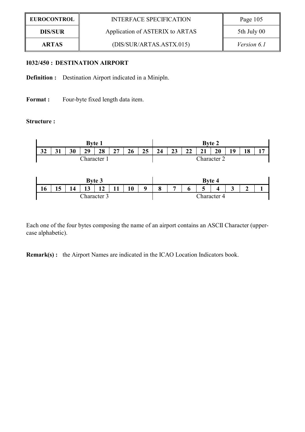| <b>EUROCONTROL</b> | <b>INTERFACE SPECIFICATION</b>  | Page 105    |
|--------------------|---------------------------------|-------------|
| <b>DIS/SUR</b>     | Application of ASTERIX to ARTAS | 5th July 00 |

**ARTAS** (DIS/SUR/ARTAS.ASTX.015) *Version 6.1* 

#### **I032/450 : DESTINATION AIRPORT**

**Definition :** Destination Airport indicated in a Minipln.

**Format :** Four-byte fixed length data item.

#### **Structure :**



Each one of the four bytes composing the name of an airport contains an ASCII Character (uppercase alphabetic).

**Remark(s) :** the Airport Names are indicated in the ICAO Location Indicators book.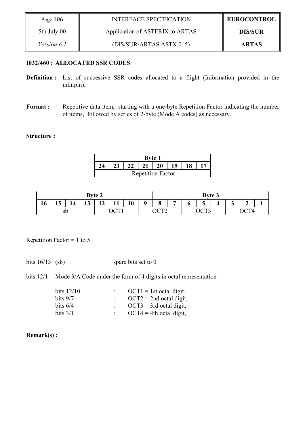| Page $106$ |  |
|------------|--|
|------------|--|

**INTERFACE SPECIFICATION EUROCONTROL** 5th July 00 Application of ASTERIX to ARTAS **DIS/SUR** 

*Version 6.1* (DIS/SUR/ARTAS.ASTX.015) **ARTAS** 

#### **I032/460 : ALLOCATED SSR CODES**

- **Definition :** List of successive SSR codes allocated to a flight (Information provided in the minipln).
- **Format :** Repetitive data item, starting with a one-byte Repetition Factor indicating the number of items, followed by series of 2-byte (Mode A codes) as necessary.

#### **Structure :**

|                          |  |    | <b>Byte 1</b> |                           |           |    |  |
|--------------------------|--|----|---------------|---------------------------|-----------|----|--|
| 24                       |  | 22 |               | $\vert 21 \vert 20 \vert$ | <b>19</b> | 18 |  |
| <b>Repetition Factor</b> |  |    |               |                           |           |    |  |

|    | <b>Byte 2</b>                                                         |  |  |  |      |  |  |                           |   | <b>Byte 3</b> |                        |                    |   |  |
|----|-----------------------------------------------------------------------|--|--|--|------|--|--|---------------------------|---|---------------|------------------------|--------------------|---|--|
| 10 | 10<br>11<br>1.1<br>1.0<br>$\Omega$<br>14<br>$\mathbf{L}$<br>19.<br>⊥୰ |  |  |  |      |  |  | $\mathbf{o}$<br>$\bullet$ | - | o             | ►<br>ັ                 | $\rightarrow$<br>ັ | Α |  |
|    | ນບ                                                                    |  |  |  | 2211 |  |  | ◡▴▱                       |   |               | $\sim$ $\sim$ 1 $\sim$ |                    |   |  |

## Repetition Factor = 1 to 5

bits 16/13 (sb) spare bits set to 0

bits 12/1 Mode 3/A Code under the form of 4 digits in octal representation :

| bits $12/10$ | $OCT1 = 1$ st octal digit,                      |
|--------------|-------------------------------------------------|
| bits $9/7$   | $OCT2 = 2nd \text{ octal digit}$ ,              |
| bits $6/4$   | $OCT3 = 3rd \, \text{octal } \, \text{digit}$ , |
| bits $3/1$   | $OCT4 = 4th$ octal digit,                       |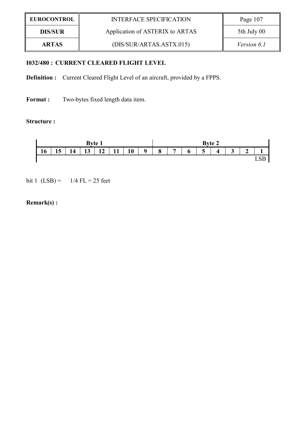| <b>EUROCONTROL</b> | <b>INTERFACE SPECIFICATION</b>  | Page 107           |
|--------------------|---------------------------------|--------------------|
| <b>DIS/SUR</b>     | Application of ASTERIX to ARTAS | 5th July 00        |
| <b>ARTAS</b>       | (DIS/SUR/ARTAS.ASTX.015)        | <i>Version 6.1</i> |

## **I032/480 : CURRENT CLEARED FLIGHT LEVEL**

**Definition :** Current Cleared Flight Level of an aircraft, provided by a FPPS.

**Format :** Two-bytes fixed length data item.

#### **Structure :**

| <b>Byte 1</b>                                                       |  |  |  |  |  |   |   |   |                     |  | <b>Byte 2</b> |                     |  |  |  |
|---------------------------------------------------------------------|--|--|--|--|--|---|---|---|---------------------|--|---------------|---------------------|--|--|--|
| 10<br>$\mathbf o$<br>12<br>13<br>11<br>$\epsilon$<br>14<br>10<br>12 |  |  |  |  |  | 8 | - | o | $\overline{ }$<br>ັ |  | ◠<br>ັ        | $\overline{ }$<br>◢ |  |  |  |
|                                                                     |  |  |  |  |  |   |   |   |                     |  |               |                     |  |  |  |

bit 1  $(LSB) = 1/4 FL = 25 feet$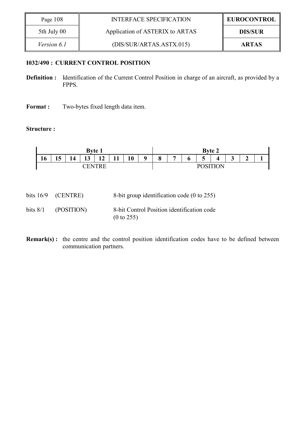| Page $108$         | <b>INTERFACE SPECIFICATION</b>  | <b>EUROCONTROL</b> |
|--------------------|---------------------------------|--------------------|
| 5th July 00        | Application of ASTERIX to ARTAS | <b>DIS/SUR</b>     |
| <i>Version 6.1</i> | (DIS/SUR/ARTAS.ASTX.015)        | <b>ARTAS</b>       |

#### **I032/490 : CURRENT CONTROL POSITION**

- **Definition :** Identification of the Current Control Position in charge of an aircraft, as provided by a FPPS.
- **Format :** Two-bytes fixed length data item.

#### **Structure :**

| <b>Byte 1</b>                                                                                             |  |  |  |  |  |  |  |                  |  | <b>Byte</b>         | $\sqrt{2}$ |        |        |  |
|-----------------------------------------------------------------------------------------------------------|--|--|--|--|--|--|--|------------------|--|---------------------|------------|--------|--------|--|
| $\overline{a}$<br>ר ו<br>10<br>$\sim$<br>- 4<br>Q<br>14<br>15<br>$\mathbf{r}$<br>1V<br>$\mathbf{L}$<br>⊥୰ |  |  |  |  |  |  |  | $\mathbf o$<br>O |  | $\overline{a}$<br>ັ | $\sqrt{2}$ | -<br>ີ | A<br>◢ |  |
| <b>JTRE</b><br>`HN.                                                                                       |  |  |  |  |  |  |  |                  |  | P(                  | ΊOΝ        |        |        |  |

|            | bits $16/9$ (CENTRE) | 8-bit group identification code (0 to 255)                          |
|------------|----------------------|---------------------------------------------------------------------|
| bits $8/1$ | (POSITION)           | 8-bit Control Position identification code<br>$(0 \text{ to } 255)$ |

**Remark(s) :** the centre and the control position identification codes have to be defined between communication partners.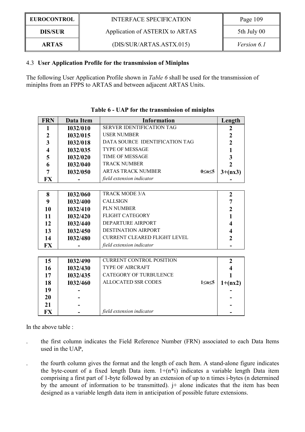| <b>EUROCONTROL</b> | <b>INTERFACE SPECIFICATION</b>  |                    |  |  |  |  |  |
|--------------------|---------------------------------|--------------------|--|--|--|--|--|
| <b>DIS/SUR</b>     | Application of ASTERIX to ARTAS | 5th July 00        |  |  |  |  |  |
| <b>ARTAS</b>       | (DIS/SUR/ARTAS.ASTX.015)        | <i>Version 6.1</i> |  |  |  |  |  |

## 4.3 **User Application Profile for the transmission of Miniplns**

The following User Application Profile shown in *Table 6* shall be used for the transmission of miniplns from an FPPS to ARTAS and between adjacent ARTAS Units.

| <b>FRN</b>              | Data Item | <b>Information</b>                            | Length                  |
|-------------------------|-----------|-----------------------------------------------|-------------------------|
| 1                       | 1032/010  | <b>SERVER IDENTIFICATION TAG</b>              | 2                       |
| $\boldsymbol{2}$        | 1032/015  | <b>USER NUMBER</b>                            | $\boldsymbol{2}$        |
| $\overline{\mathbf{3}}$ | 1032/018  | DATA SOURCE IDENTIFICATION TAG                | $\overline{2}$          |
| $\overline{\mathbf{4}}$ | 1032/035  | <b>TYPE OF MESSAGE</b>                        | $\mathbf{1}$            |
| 5                       | 1032/020  | <b>TIME OF MESSAGE</b>                        | 3                       |
| 6                       | 1032/040  | <b>TRACK NUMBER</b>                           | $\overline{2}$          |
| $\overline{7}$          | 1032/050  | <b>ARTAS TRACK NUMBER</b><br>$0 \le n \le 5$  | $3+(nx3)$               |
| <b>FX</b>               |           | field extension indicator                     |                         |
|                         |           |                                               |                         |
| 8                       | 1032/060  | TRACK MODE 3/A                                | $\overline{2}$          |
| 9                       | 1032/400  | <b>CALLSIGN</b>                               | 7                       |
| 10                      | 1032/410  | <b>PLN NUMBER</b>                             | $\overline{2}$          |
| 11                      | 1032/420  | <b>FLIGHT CATEGORY</b>                        | $\mathbf{1}$            |
| 12                      | 1032/440  | DEPARTURE AIRPORT                             | $\overline{\mathbf{4}}$ |
| 13                      | 1032/450  | <b>DESTINATION AIRPORT</b>                    | $\overline{\mathbf{4}}$ |
| 14                      | 1032/480  | <b>CURRENT CLEARED FLIGHT LEVEL</b>           | $\overline{2}$          |
| <b>FX</b>               |           | field extension indicator                     |                         |
|                         |           |                                               |                         |
| 15                      | 1032/490  | <b>CURRENT CONTROL POSITION</b>               | $\overline{2}$          |
| 16                      | 1032/430  | <b>TYPE OF AIRCRAFT</b>                       | $\overline{\mathbf{4}}$ |
| 17                      | 1032/435  | <b>CATEGORY OF TURBULENCE</b>                 |                         |
| 18                      | 1032/460  | <b>ALLOCATED SSR CODES</b><br>$1\leq n\leq 5$ | $1+(nx2)$               |
| 19                      |           |                                               |                         |
| 20                      |           |                                               |                         |
| 21                      |           |                                               |                         |
| <b>FX</b>               |           | field extension indicator                     |                         |

In the above table :

- . the first column indicates the Field Reference Number (FRN) associated to each Data Items used in the UAP,
- . the fourth column gives the format and the length of each Item. A stand-alone figure indicates the byte-count of a fixed length Data item.  $1+(n^*i)$  indicates a variable length Data item comprising a first part of 1-byte followed by an extension of up to n times i-bytes (n determined by the amount of information to be transmitted).  $j+$  alone indicates that the item has been designed as a variable length data item in anticipation of possible future extensions.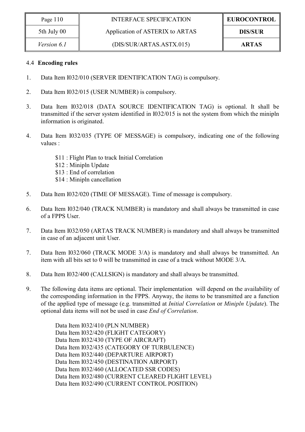#### 4.4 **Encoding rules**

- 1. Data Item I032/010 (SERVER IDENTIFICATION TAG) is compulsory.
- 2. Data Item I032/015 (USER NUMBER) is compulsory.
- 3. Data Item I032/018 (DATA SOURCE IDENTIFICATION TAG) is optional. It shall be transmitted if the server system identified in I032/015 is not the system from which the minipln information is originated.
- 4. Data Item I032/035 (TYPE OF MESSAGE) is compulsory, indicating one of the following values :
	- \$11 : Flight Plan to track Initial Correlation
	- \$12 : Minipln Update
	- \$13 : End of correlation
	- \$14 : Minipln cancellation
- 5. Data Item I032/020 (TIME OF MESSAGE). Time of message is compulsory.
- 6. Data Item I032/040 (TRACK NUMBER) is mandatory and shall always be transmitted in case of a FPPS User.
- 7. Data Item I032/050 (ARTAS TRACK NUMBER) is mandatory and shall always be transmitted in case of an adjacent unit User.
- 7. Data Item I032/060 (TRACK MODE 3/A) is mandatory and shall always be transmitted. An item with all bits set to 0 will be transmitted in case of a track without MODE 3/A.
- 8. Data Item I032/400 (CALLSIGN) is mandatory and shall always be transmitted.
- 9. The following data items are optional. Their implementation will depend on the availability of the corresponding information in the FPPS. Anyway, the items to be transmitted are a function of the applied type of message (e.g. transmitted at *Initial Correlation* or *Minipln Update*). The optional data items will not be used in case *End of Correlation*.

 Data Item I032/410 (PLN NUMBER) Data Item I032/420 (FLIGHT CATEGORY) Data Item I032/430 (TYPE OF AIRCRAFT) Data Item I032/435 (CATEGORY OF TURBULENCE) Data Item I032/440 (DEPARTURE AIRPORT) Data Item I032/450 (DESTINATION AIRPORT) Data Item I032/460 (ALLOCATED SSR CODES) Data Item I032/480 (CURRENT CLEARED FLIGHT LEVEL) Data Item I032/490 (CURRENT CONTROL POSITION)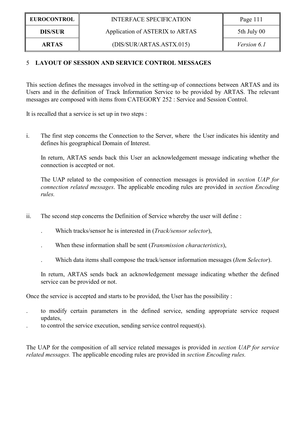**EUROCONTROL** NTERFACE SPECIFICATION Page 111

**DIS/SUR** Application of ASTERIX to ARTAS 5th July 00

**ARTAS** (DIS/SUR/ARTAS.ASTX.015) *Version 6.1* 

## 5 **LAYOUT OF SESSION AND SERVICE CONTROL MESSAGES**

This section defines the messages involved in the setting-up of connections between ARTAS and its Users and in the definition of Track Information Service to be provided by ARTAS. The relevant messages are composed with items from CATEGORY 252 : Service and Session Control.

It is recalled that a service is set up in two steps :

i. The first step concerns the Connection to the Server, where the User indicates his identity and defines his geographical Domain of Interest.

In return, ARTAS sends back this User an acknowledgement message indicating whether the connection is accepted or not.

The UAP related to the composition of connection messages is provided in *section UAP for connection related messages*. The applicable encoding rules are provided in *section Encoding rules.*

- ii. The second step concerns the Definition of Service whereby the user will define :
	- . Which tracks/sensor he is interested in (*Track/sensor selector*),
	- . When these information shall be sent (*Transmission characteristics*),
	- . Which data items shall compose the track/sensor information messages (*Item Selector*).

In return, ARTAS sends back an acknowledgement message indicating whether the defined service can be provided or not.

Once the service is accepted and starts to be provided, the User has the possibility :

- . to modify certain parameters in the defined service, sending appropriate service request updates,
- . to control the service execution, sending service control request(s).

The UAP for the composition of all service related messages is provided in *section UAP for service related messages.* The applicable encoding rules are provided in *section Encoding rules.*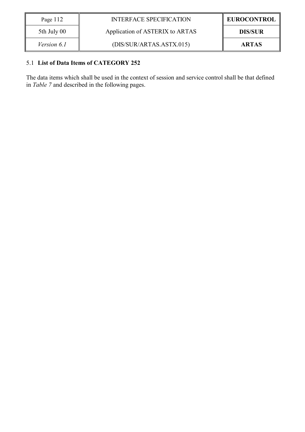| Page $112$         | <b>INTERFACE SPECIFICATION</b>  | <b>EUROCONTROL</b> |
|--------------------|---------------------------------|--------------------|
| 5th July 00        | Application of ASTERIX to ARTAS | <b>DIS/SUR</b>     |
| <i>Version 6.1</i> | (DIS/SUR/ARTAS.ASTX.015)        | <b>ARTAS</b>       |

## 5.1 **List of Data Items of CATEGORY 252**

The data items which shall be used in the context of session and service control shall be that defined in *Table 7* and described in the following pages.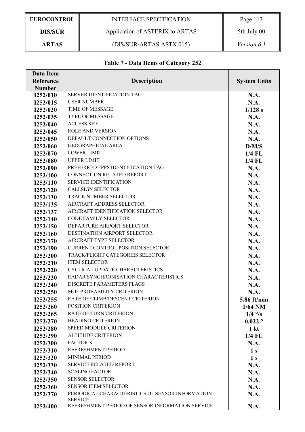**EXAMPLE INTERFACE SPECIFICATION** Page 113

**DIS/SUR** Application of ASTERIX to ARTAS 5th July 00

**ARTAS** (DIS/SUR/ARTAS.ASTX.015) *Version 6.1* 

# **Table 7 - Data Items of Category 252**

| Data Item            |                                                                    |                       |
|----------------------|--------------------------------------------------------------------|-----------------------|
| Reference            | <b>Description</b>                                                 | <b>System Units</b>   |
| <b>Number</b>        |                                                                    |                       |
| I252/010             | SERVER IDENTIFICATION TAG                                          | N.A.                  |
| I252/015             | <b>USER NUMBER</b>                                                 | N.A.                  |
| I252/020             | <b>TIME OF MESSAGE</b>                                             | 1/128s                |
| I252/035             | <b>TYPE OF MESSAGE</b>                                             | <b>N.A.</b>           |
| I252/040             | <b>ACCESS KEY</b>                                                  | N.A.                  |
| I252/045             | <b>ROLE AND VERSION</b>                                            | N.A.                  |
| I252/050             | DEFAULT CONNECTION OPTIONS                                         | <b>N.A.</b>           |
| I252/060             | <b>GEOGRAPHICAL AREA</b>                                           | D/M/S                 |
| <b>I252/070</b>      | <b>LOWER LIMIT</b>                                                 | $1/4$ FL              |
| <b>I252/080</b>      | <b>UPPER LIMIT</b>                                                 | $1/4$ FL              |
| I252/090             | PREFERRED FPPS IDENTIFICATION TAG                                  | <b>N.A.</b>           |
| I252/100             | CONNECTION RELATED REPORT                                          | <b>N.A.</b>           |
| I252/110             | <b>SERVICE IDENTIFICATION</b>                                      | <b>N.A.</b>           |
| I252/120             | <b>CALLSIGN SELECTOR</b>                                           | N.A.                  |
| I252/130             | TRACK NUMBER SELECTOR<br><b>AIRCRAFT ADDRESS SELECTOR</b>          | <b>N.A.</b>           |
| I252/135             |                                                                    | N.A.                  |
| I252/137             | AIRCRAFT IDENTIFICATION SELECTOR<br><b>CODE FAMILY SELECTOR</b>    | <b>N.A.</b>           |
| I252/140             | DEPARTURE AIRPORT SELECTOR                                         | <b>N.A.</b>           |
| I252/150             | DESTINATION AIRPORT SELECTOR                                       | N.A.                  |
| I252/160             | AIRCRAFT TYPE SELECTOR                                             | <b>N.A.</b>           |
| <b>I252/170</b>      | CURRENT CONTROL POSITION SELECTOR                                  | <b>N.A.</b>           |
| I252/190             | TRACK/FLIGHT CATEGORIES SELECTOR                                   | N.A.                  |
| I252/200<br>I252/210 | <b>ITEM SELECTOR</b>                                               | <b>N.A.</b><br>N.A.   |
| I252/220             | CYCLICAL UPDATE CHARACTERISTICS                                    | N.A.                  |
| I252/230             | RADAR SYNCHRONISATION CHARACTERISTICS                              | <b>N.A.</b>           |
| I252/240             | DISCRETE PARAMETERS FLAGS                                          | N.A.                  |
| I252/250             | MOF PROBABILITY CRITERION                                          | N.A.                  |
| I252/255             | RATE OF CLIMB/DESCENT CRITERION                                    | 5.86 ft/min           |
| I252/260             | POSITION CRITERION                                                 | $1/64$ NM             |
| I252/265             | <b>RATE OF TURN CRITERION</b>                                      | $1/4 \frac{\circ}{s}$ |
| I252/270             | <b>HEADING CRITERION</b>                                           | 0.022                 |
| <b>I252/280</b>      | <b>SPEED MODULE CRITERION</b>                                      | 1 <sup>kt</sup>       |
| I252/290             | <b>ALTITUDE CRITERION</b>                                          | $1/4$ FL              |
| <b>I252/300</b>      | <b>FACTOR K</b>                                                    | <b>N.A.</b>           |
| I252/310             | REFRESHMENT PERIOD                                                 | 1 <sub>s</sub>        |
| 1252/320             | MINIMAL PERIOD                                                     | 1 <sub>s</sub>        |
| <b>I252/330</b>      | <b>SERVICE RELATED REPORT</b>                                      | N.A.                  |
| <b>I252/340</b>      | <b>SCALING FACTOR</b>                                              | <b>N.A.</b>           |
| I252/350             | <b>SENSOR SELECTOR</b>                                             | <b>N.A.</b>           |
| I252/360             | <b>SENSOR ITEM SELECTOR</b>                                        | <b>N.A.</b>           |
| I252/370             | PERIODICAL CHARACTERISTICS OF SENSOR INFORMATION                   | <b>N.A.</b>           |
| I252/400             | <b>SERVICE</b><br>REFRESHMENT PERIOD OF SENSOR INFORMATION SERVICE | N.A.                  |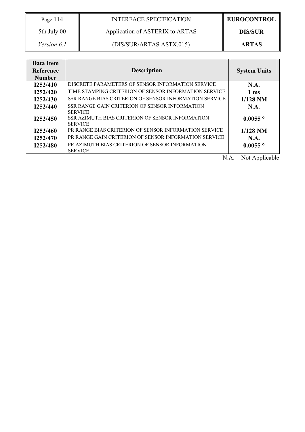|--|--|

## **PARTICULE INTERFACE SPECIFICATION EUROCONTROL**

5th July 00 Application of ASTERIX to ARTAS **DIS/SUR** 

*Version 6.1* (DIS/SUR/ARTAS.ASTX.015) **ARTAS** 

| Data Item       |                                                                    |                     |
|-----------------|--------------------------------------------------------------------|---------------------|
| Reference       | <b>Description</b>                                                 | <b>System Units</b> |
| <b>Number</b>   |                                                                    |                     |
| I252/410        | DISCRETE PARAMETERS OF SENSOR INFORMATION SERVICE                  | <b>N.A.</b>         |
| I252/420        | TIME STAMPING CRITERION OF SENSOR INFORMATION SERVICE              | 1 ms                |
| I252/430        | SSR RANGE BIAS CRITERION OF SENSOR INFORMATION SERVICE             | $1/128$ NM          |
| I252/440        | SSR RANGE GAIN CRITERION OF SENSOR INFORMATION                     | <b>N.A.</b>         |
|                 | <b>SERVICE</b>                                                     |                     |
| <b>I252/450</b> | SSR AZIMUTH BIAS CRITERION OF SENSOR INFORMATION<br><b>SERVICE</b> | $0.0055$ °          |
| I252/460        | PR RANGE BIAS CRITERION OF SENSOR INFORMATION SERVICE              | $1/128$ NM          |
| I252/470        | PR RANGE GAIN CRITERION OF SENSOR INFORMATION SERVICE              | <b>N.A.</b>         |
| <b>I252/480</b> | PR AZIMUTH BIAS CRITERION OF SENSOR INFORMATION                    | $0.0055$ °          |
|                 | <b>SERVICE</b>                                                     |                     |

N.A. = Not Applicable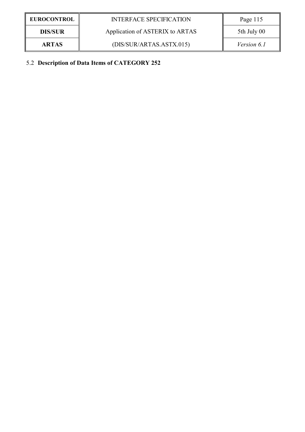| <b>EUROCONTROL</b> | <b>INTERFACE SPECIFICATION</b>  |                    |  |  |  |  |
|--------------------|---------------------------------|--------------------|--|--|--|--|
| <b>DIS/SUR</b>     | Application of ASTERIX to ARTAS | 5th July 00        |  |  |  |  |
| <b>ARTAS</b>       | (DIS/SUR/ARTAS.ASTX.015)        | <i>Version 6.1</i> |  |  |  |  |

# 5.2 **Description of Data Items of CATEGORY 252**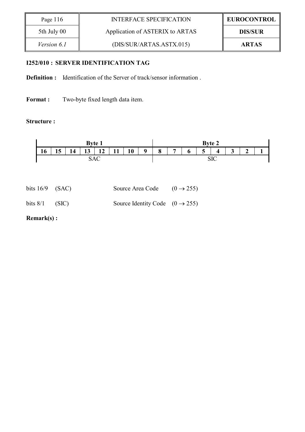Page 116 | INTERFACE SPECIFICATION | EUROCONTROL 5th July 00 **Application of ASTERIX to ARTAS DIS/SUR** 

*Version 6.1* **COIS/SUR/ARTAS.ASTX.015) ARTAS** 

## **I252/010 : SERVER IDENTIFICATION TAG**

**Definition :** Identification of the Server of track/sensor information .

**Format :** Two-byte fixed length data item.

#### **Structure :**

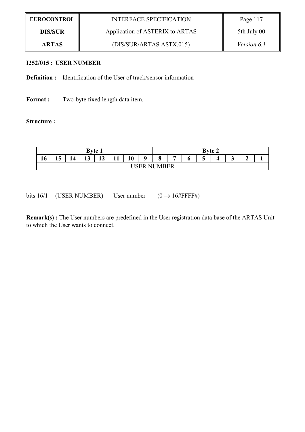| <b>EUROCONTROL</b> | <b>INTERFACE SPECIFICATION</b>  |                    |  |  |  |  |  |
|--------------------|---------------------------------|--------------------|--|--|--|--|--|
| <b>DIS/SUR</b>     | Application of ASTERIX to ARTAS | 5th July 00        |  |  |  |  |  |
| <b>ARTAS</b>       | (DIS/SUR/ARTAS.ASTX.015)        | <i>Version 6.1</i> |  |  |  |  |  |

#### **I252/015 : USER NUMBER**

**Definition :** Identification of the User of track/sensor information

Format : Two-byte fixed length data item.

**Structure :** 

|                                                                   |                    | <b>Byte</b> |  |  |  | <b>Byte</b> |  |                    |   |   |                               |  |   |                               |  |
|-------------------------------------------------------------------|--------------------|-------------|--|--|--|-------------|--|--------------------|---|---|-------------------------------|--|---|-------------------------------|--|
| . .<br>10<br>1.4<br>11<br>0<br>1.0<br>14<br>11<br>12<br>1 V<br>▴◡ |                    |             |  |  |  |             |  | $\Omega$<br>́<br>v | − | o | $\overline{\phantom{0}}$<br>ັ |  | ັ | $\overline{\phantom{a}}$<br>◢ |  |
|                                                                   | 'MBER<br>SER.<br>N |             |  |  |  |             |  |                    |   |   |                               |  |   |                               |  |

bits 16/1 (USER NUMBER) User number  $(0 \rightarrow 16 \# F F F F \#)$ 

**Remark(s) :** The User numbers are predefined in the User registration data base of the ARTAS Unit to which the User wants to connect.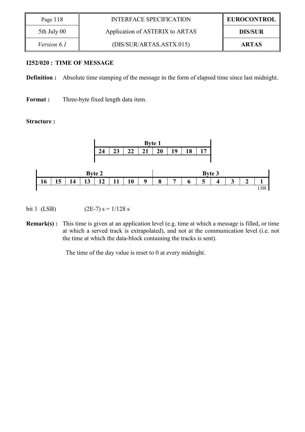| Page $118$         | <b>INTERFACE SPECIFICATION</b>  | <b>EUROCONTROL</b> |
|--------------------|---------------------------------|--------------------|
| 5th July 00        | Application of ASTERIX to ARTAS | <b>DIS/SUR</b>     |
| <i>Version 6.1</i> | (DIS/SUR/ARTAS.ASTX.015)        | <b>ARTAS</b>       |

#### **I252/020 : TIME OF MESSAGE**

**Definition :** Absolute time stamping of the message in the form of elapsed time since last midnight.

**Format :** Three-byte fixed length data item.

#### **Structure :**



bit 1 (LSB)  $(2E-7) s = 1/128 s$ 

**Remark(s) :** This time is given at an application level (e.g. time at which a message is filled, or time at which a served track is extrapolated), and not at the communication level (i.e. not the time at which the data-block containing the tracks is sent).

The time of the day value is reset to 0 at every midnight.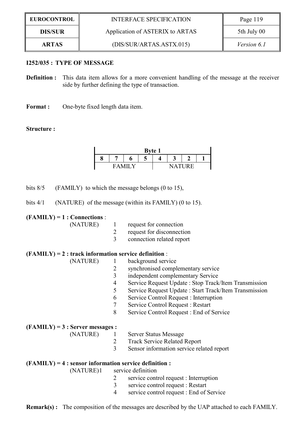| <b>EUROCONTROL</b> | <b>INTERFACE SPECIFICATION</b>  | Page 119           |
|--------------------|---------------------------------|--------------------|
| <b>DIS/SUR</b>     | Application of ASTERIX to ARTAS | 5th July 00        |
| <b>ARTAS</b>       | (DIS/SUR/ARTAS.ASTX.015)        | <i>Version 6.1</i> |

#### **I252/035 : TYPE OF MESSAGE**

- **Definition :** This data item allows for a more convenient handling of the message at the receiver side by further defining the type of transaction.
- **Format :** One-byte fixed length data item.

#### **Structure :**

| <b>Byte 1</b> |     |       |  |  |       |              |  |  |
|---------------|-----|-------|--|--|-------|--------------|--|--|
|               |     |       |  |  |       |              |  |  |
|               | 'ΔN | AIL V |  |  | N A ' | IR E<br>L 1. |  |  |

- bits 8/5 (FAMILY) to which the message belongs (0 to 15),
- bits 4/1 (NATURE) of the message (within its FAMILY) (0 to 15).

#### **(FAMILY) = 1 : Connections** :

 (NATURE) 1 request for connection 2 request for disconnection 3 connection related report

#### **(FAMILY) = 2 : track information service definition** :

- (NATURE) 1 background service 2 synchronised complementary service
	- 3 independent complementary Service
	- 4 Service Request Update : Stop Track/Item Transmission
	- 5 Service Request Update : Start Track/Item Transmission
	- 6 Service Control Request : Interruption
	- 7 Service Control Request : Restart
	- 8 Service Control Request : End of Service

#### **(FAMILY) = 3 : Server messages :**

- (NATURE) 1 Server Status Message
	- 2 Track Service Related Report
	- 3 Sensor information service related report

#### **(FAMILY) = 4 : sensor information service definition :**

- (NATURE)1 service definition
	- 2 service control request : Interruption
	- 3 service control request : Restart
	- 4 service control request : End of Service

**Remark(s) :** The composition of the messages are described by the UAP attached to each FAMILY.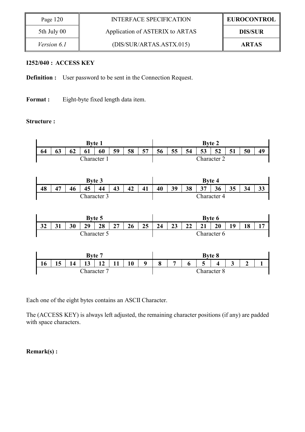Page 120 | INTERFACE SPECIFICATION | EUROCONTROL

5th July 00 Application of ASTERIX to ARTAS **DIS/SUR** 

*Version 6.1* (DIS/SUR/ARTAS.ASTX.015) **ARTAS** 

## **I252/040 : ACCESS KEY**

**Definition :** User password to be sent in the Connection Request.

Format : Eight-byte fixed length data item.

## **Structure :**

| <b>Byte 1</b> |    |    |             |             |    |    |    |    |    | <b>Byte 2</b> |    |               |    |                |    |
|---------------|----|----|-------------|-------------|----|----|----|----|----|---------------|----|---------------|----|----------------|----|
| 64            | 63 | 62 | 61          | 60          | 59 | 58 | 57 | 56 | 55 | 54            | 53 | 52            | 51 | 50             | 49 |
|               |    |    | Character 1 |             |    |    |    |    |    |               |    | Character 2   |    |                |    |
|               |    |    |             |             |    |    |    |    |    |               |    |               |    |                |    |
|               |    |    |             |             |    |    |    |    |    |               |    |               |    |                |    |
|               |    |    | Byte 3      |             |    |    |    |    |    |               |    | Byte 4        |    |                |    |
| 48            | 47 | 46 | 45          | 44          | 43 | 42 | 41 | 40 | 39 | 38            | 37 | 36            | 35 | 34             | 33 |
|               |    |    |             | Character 3 |    |    |    |    |    |               |    | Character 4   |    |                |    |
|               |    |    |             |             |    |    |    |    |    |               |    |               |    |                |    |
|               |    |    |             |             |    |    |    |    |    |               |    |               |    |                |    |
|               |    |    |             |             |    |    |    |    |    |               |    |               |    |                |    |
|               |    |    | Byte 5      |             |    |    |    |    |    |               |    | Byte 6        |    |                |    |
| 32            | 31 | 30 | 29          | 28          | 27 | 26 | 25 | 24 | 23 | 22            | 21 | 20            | 19 | 18             | 17 |
|               |    |    |             |             |    |    |    |    |    |               |    |               |    |                |    |
|               |    |    |             | Character 5 |    |    |    |    |    |               |    | Character 6   |    |                |    |
|               |    |    |             |             |    |    |    |    |    |               |    |               |    |                |    |
|               |    |    | Byte 7      |             |    |    |    |    |    |               |    | <b>Byte 8</b> |    |                |    |
| 16            | 15 | 14 | 13          | 12          | 11 | 10 | 9  | 8  | 7  | 6             | 5  | 4             | 3  | $\overline{2}$ | 1  |
|               |    |    |             | Character 7 |    |    |    |    |    |               |    | Character 8   |    |                |    |

Each one of the eight bytes contains an ASCII Character.

The (ACCESS KEY) is always left adjusted, the remaining character positions (if any) are padded with space characters.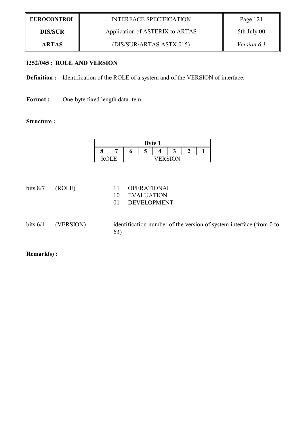| <b>EUROCONTROL</b> |
|--------------------|
|--------------------|

**EUROPERFACE SPECIFICATION** Page 121 **DIS/SUR** Application of ASTERIX to ARTAS 5th July 00

**ARTAS** (DIS/SUR/ARTAS.ASTX.015) *Version 6.1* 

# **I252/045 : ROLE AND VERSION**

**Definition :** Identification of the ROLE of a system and of the VERSION of interface.

Format : One-byte fixed length data item.

## **Structure :**

| <b>Byte 1</b> |  |  |  |  |  |  |  |  |
|---------------|--|--|--|--|--|--|--|--|
|               |  |  |  |  |  |  |  |  |
|               |  |  |  |  |  |  |  |  |

|                   | 11 OPERATIONAL |
|-------------------|----------------|
|                   | 10 EVALUATION  |
|                   | 01 DEVELOPMENT |
| bits $8/7$ (ROLE) |                |

| bits $6/1$ (VERSION) | identification number of the version of system interface (from 0 to |
|----------------------|---------------------------------------------------------------------|
|                      | 63)                                                                 |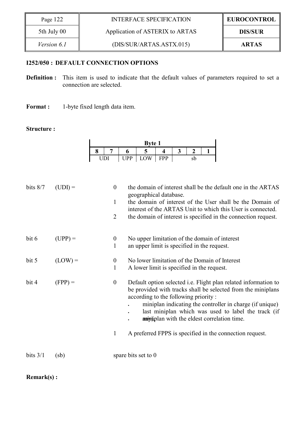| Page 122           | <b>INTERFACE SPECIFICATION</b>  | <b>EUROCONTROL</b> |
|--------------------|---------------------------------|--------------------|
| 5th July 00        | Application of ASTERIX to ARTAS | <b>DIS/SUR</b>     |
| <i>Version 6.1</i> | (DIS/SUR/ARTAS.ASTX.015)        | <b>ARTAS</b>       |

## **I252/050 : DEFAULT CONNECTION OPTIONS**

- **Definition :** This item is used to indicate that the default values of parameters required to set a connection are selected.
- Format : 1-byte fixed length data item.

## **Structure :**

| <b>Byte 1</b> |  |                         |    |     |  |  |  |  |  |
|---------------|--|-------------------------|----|-----|--|--|--|--|--|
| Ω<br>O        |  | U                       |    |     |  |  |  |  |  |
|               |  | $\mathbb{P} \mathsf{P}$ | )W | FDD |  |  |  |  |  |

| bits $8/7$ | $(UDI) =$         | $\boldsymbol{0}$<br>1<br>$\overline{2}$ | the domain of interest shall be the default one in the ARTAS<br>geographical database.<br>the domain of interest of the User shall be the Domain of<br>interest of the ARTAS Unit to which this User is connected.<br>the domain of interest is specified in the connection request.                                                               |
|------------|-------------------|-----------------------------------------|----------------------------------------------------------------------------------------------------------------------------------------------------------------------------------------------------------------------------------------------------------------------------------------------------------------------------------------------------|
| bit 6      | $(UPP) =$         | $\boldsymbol{0}$<br>$\mathbf{1}$        | No upper limitation of the domain of interest<br>an upper limit is specified in the request.                                                                                                                                                                                                                                                       |
| bit 5      | $(LOW) =$         | $\boldsymbol{0}$<br>$\mathbf{1}$        | No lower limitation of the Domain of Interest<br>A lower limit is specified in the request.                                                                                                                                                                                                                                                        |
| bit 4      | $(FPP) =$         | $\boldsymbol{0}$                        | Default option selected <i>i.e.</i> Flight plan related information to<br>be provided with tracks shall be selected from the miniplans<br>according to the following priority:<br>miniplan indicating the controller in charge (if unique)<br>last miniplan which was used to label the track (if<br>aniyi) plan with the eldest correlation time. |
|            |                   | $\mathbf{1}$                            | A preferred FPPS is specified in the connection request.                                                                                                                                                                                                                                                                                           |
| bits $3/1$ | (s <sub>b</sub> ) |                                         | spare bits set to 0                                                                                                                                                                                                                                                                                                                                |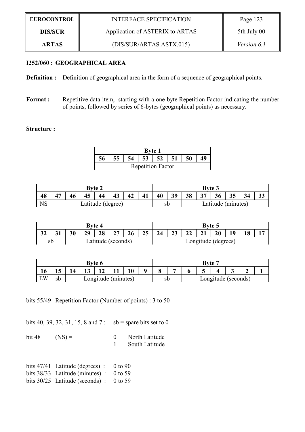| <b>EUROCONTROL</b> | <b>INTERFACE SPECIFICATION</b>  | Page 123           |
|--------------------|---------------------------------|--------------------|
| <b>DIS/SUR</b>     | Application of ASTERIX to ARTAS | 5th July 00        |
| <b>ARTAS</b>       | (DIS/SUR/ARTAS.ASTX.015)        | <i>Version 6.1</i> |

## **I252/060 : GEOGRAPHICAL AREA**

- **Definition :** Definition of geographical area in the form of a sequence of geographical points.
- **Format :** Repetitive data item, starting with a one-byte Repetition Factor indicating the number of points, followed by series of 6-bytes (geographical points) as necessary.

#### **Structure :**

| <b>Byte 1</b>            |    |    |  |                      |  |    |    |  |  |
|--------------------------|----|----|--|----------------------|--|----|----|--|--|
|                          | 55 | 54 |  | $53 \mid 52 \mid 51$ |  | 50 | 49 |  |  |
| <b>Repetition Factor</b> |    |    |  |                      |  |    |    |  |  |

| <b>Byte 2</b>                  |    |    |    |    |    |    | <b>Byte 3</b> |    |    |    |    |                    |  |  |  |  |
|--------------------------------|----|----|----|----|----|----|---------------|----|----|----|----|--------------------|--|--|--|--|
| 48                             | 47 | 46 | 45 | 44 | 43 | 42 |               | 40 | 39 | 38 | 27 | 35<br>36<br>33     |  |  |  |  |
| <b>NS</b><br>Latitude (degree) |    |    |    |    |    |    | sb            |    |    |    |    | Latitude (minutes) |  |  |  |  |

| <b>Byte 4</b>            |  |    |    |    |    |    |    |  | <b>Byte 5</b><br>23<br>18<br>24<br>20<br>21 |                     |  |  |  |  |  |  |
|--------------------------|--|----|----|----|----|----|----|--|---------------------------------------------|---------------------|--|--|--|--|--|--|
|                          |  | 30 | 29 | 28 | 27 | 26 | 25 |  |                                             |                     |  |  |  |  |  |  |
| Latitude (seconds)<br>sb |  |    |    |    |    |    |    |  |                                             | Longitude (degrees) |  |  |  |  |  |  |

|                      | Byte 6 |                     |  |  |  |  |  |  |    |  | <b>Byte</b> 7 |  |                     |  |  |  |  |  |  |
|----------------------|--------|---------------------|--|--|--|--|--|--|----|--|---------------|--|---------------------|--|--|--|--|--|--|
| 12<br>15<br>16<br>14 |        |                     |  |  |  |  |  |  |    |  |               |  |                     |  |  |  |  |  |  |
| EW                   | sb     | Longitude (minutes) |  |  |  |  |  |  | sb |  |               |  | Longitude (seconds) |  |  |  |  |  |  |

bits 55/49 Repetition Factor (Number of points) : 3 to 50

bits 40, 39, 32, 31, 15, 8 and 7: sb = spare bits set to 0

| bit 48 | $(NS) =$ | North Latitude |
|--------|----------|----------------|
|        |          | South Latitude |

| bits $47/41$ Latitude (degrees): 0 to 90 |  |
|------------------------------------------|--|
| bits $38/33$ Latitude (minutes): 0 to 59 |  |
| bits $30/25$ Latitude (seconds): 0 to 59 |  |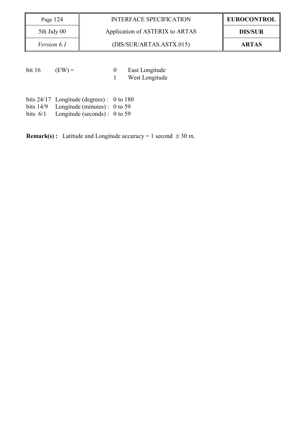Page 124 | INTERFACE SPECIFICATION **EUROCONTROL** 

5th July 00 Application of ASTERIX to ARTAS **DIS/SUR** 

*Version 6.1* (DIS/SUR/ARTAS.ASTX.015) **ARTAS** 

| bit 16 | $(EW) =$ | East Longitude |
|--------|----------|----------------|
|        |          | West Longitude |
|        |          |                |

bits 24/17 Longitude (degrees) : 0 to 180<br>bits 14/9 Longitude (minutes) : 0 to 59

bits 14/9 Longitude (minutes) : 0 to 59<br>bits 6/1 Longitude (seconds) : 0 to 59

Longitude (seconds) : 0 to 59

**Remark(s) :** Latitude and Longitude accuracy = 1 second  $\approx 30$  m.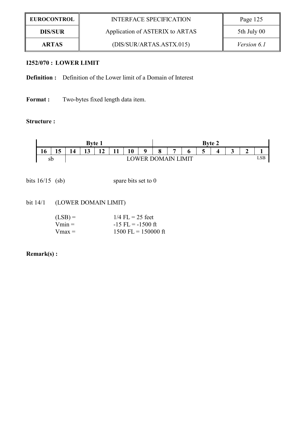EUROCONTROL **INTERFACE SPECIFICATION** Page 125

**DIS/SUR** Application of ASTERIX to ARTAS 5th July 00

**ARTAS** (DIS/SUR/ARTAS.ASTX.015) *Version 6.1* 

## **I252/070 : LOWER LIMIT**

**Definition :** Definition of the Lower limit of a Domain of Interest

Format : Two-bytes fixed length data item.

#### **Structure :**

| <b>Byte</b>    |    |    |           |  |           |    | <b>Byte</b> |               |   |       |        |  |   |  |  |
|----------------|----|----|-----------|--|-----------|----|-------------|---------------|---|-------|--------|--|---|--|--|
| 10             | ⊥√ | 14 | ı A<br>⊥୰ |  | i T<br>11 | 10 | 0           | $\Omega$<br>О | − | v     | -<br>ັ |  | ັ |  |  |
| LOWER DC<br>sb |    |    |           |  |           |    |             | )MAIN         |   | LIMIT |        |  |   |  |  |

bits 16/15 (sb) spare bits set to 0

bit 14/1 (LOWER DOMAIN LIMIT)

| $(LSB) =$          | $1/4$ FL = 25 feet    |
|--------------------|-----------------------|
| $V_{\text{min}} =$ | $-15$ FL = $-1500$ ft |
| $V$ max $=$        | $1500$ FL = 150000 ft |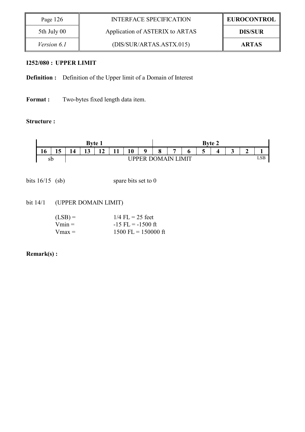5th July 00 Application of ASTERIX to ARTAS **DIS/SUR** 

Page 126 | INTERFACE SPECIFICATION | EUROCONTROL

*Version 6.1* (DIS/SUR/ARTAS.ASTX.015) **ARTAS** 

## **I252/080 : UPPER LIMIT**

**Definition :** Definition of the Upper limit of a Domain of Interest

Format : Two-bytes fixed length data item.

## **Structure :**

|    | <b>Byte</b> |    |   |        |              |    |                     | <b>Byte</b>                   |  |  |                     |  |  |   |  |  |
|----|-------------|----|---|--------|--------------|----|---------------------|-------------------------------|--|--|---------------------|--|--|---|--|--|
| 10 | 1J.         | 14 | ∸ | $\sim$ | $\sim$<br>11 | 10 |                     | $\Omega$<br>o                 |  |  | $\overline{ }$<br>ັ |  |  | A |  |  |
| sb |             |    |   |        |              |    | <b>IPPER</b><br>1 H | LSB<br><b>IMIT</b><br>DMAIN I |  |  |                     |  |  |   |  |  |

bits  $16/15$  (sb) spare bits set to 0

bit 14/1 (UPPER DOMAIN LIMIT)

| $(LSB) =$          | $1/4$ FL = 25 feet    |
|--------------------|-----------------------|
| $V_{\text{min}} =$ | $-15$ FL = $-1500$ ft |
| $V$ max $=$        | $1500$ FL = 150000 ft |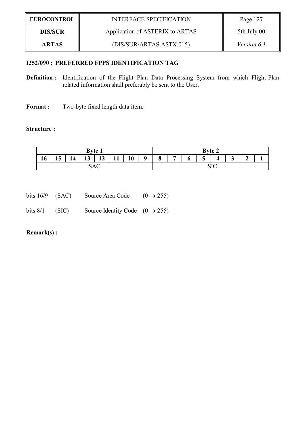| <b>EUROCONTROL</b> | <b>INTERFACE SPECIFICATION</b>  | Page 127           |
|--------------------|---------------------------------|--------------------|
| <b>DIS/SUR</b>     | Application of ASTERIX to ARTAS | 5th July 00        |
| <b>ARTAS</b>       | (DIS/SUR/ARTAS.ASTX.015)        | <i>Version 6.1</i> |

#### **I252/090 : PREFERRED FPPS IDENTIFICATION TAG**

- **Definition :** Identification of the Flight Plan Data Processing System from which Flight-Plan related information shall preferably be sent to the User.
- Format : Two-byte fixed length data item.

#### **Structure :**

|            | <b>Byte</b>          |    |          |                                |           |    |          |                             |                | <b>Byte 2</b>       |  |               |        |  |
|------------|----------------------|----|----------|--------------------------------|-----------|----|----------|-----------------------------|----------------|---------------------|--|---------------|--------|--|
| 10         | $\blacksquare$<br>12 | 14 | 12<br>⊥୰ | $\blacksquare$<br>$\mathbf{L}$ | - -<br>11 | 10 | $\bf{0}$ | $\mathbf{o}$<br>$\mathbf o$ | $\overline{ }$ | $\overline{a}$<br>ັ |  | $\rightarrow$ | ∼<br>∸ |  |
| <b>SAC</b> |                      |    |          |                                |           |    |          |                             |                | $\alpha$<br>oіc     |  |               |        |  |

| bits $16/9$ (SAC) | Source Area Code                           | $(0 \rightarrow 255)$ |
|-------------------|--------------------------------------------|-----------------------|
| bits $8/1$ (SIC)  | Source Identity Code $(0 \rightarrow 255)$ |                       |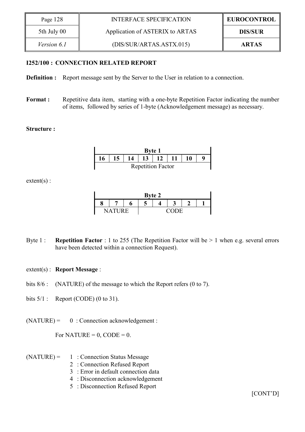Page 128 | INTERFACE SPECIFICATION **EUROCONTROL** 5th July 00 Application of ASTERIX to ARTAS **DIS/SUR** 

*Version 6.1* (DIS/SUR/ARTAS.ASTX.015) **ARTAS** 

## **I252/100 : CONNECTION RELATED REPORT**

**Definition :** Report message sent by the Server to the User in relation to a connection.

**Format :** Repetitive data item, starting with a one-byte Repetition Factor indicating the number of items, followed by series of 1-byte (Acknowledgement message) as necessary.

#### **Structure :**

| <b>Byte 1</b>                                    |  |  |  |  |  |  |  |  |
|--------------------------------------------------|--|--|--|--|--|--|--|--|
| $15 \mid 14 \mid 13 \mid 12 \mid 11$<br>16<br>10 |  |  |  |  |  |  |  |  |
| <b>Repetition Factor</b>                         |  |  |  |  |  |  |  |  |

 $extent(s)$ :

| <b>Byte 2</b> |               |  |  |  |           |  |  |  |
|---------------|---------------|--|--|--|-----------|--|--|--|
|               |               |  |  |  |           |  |  |  |
|               | <b>NATHRE</b> |  |  |  | $\cap$ DE |  |  |  |

- Byte 1 : **Repetition Factor** : 1 to 255 (The Repetition Factor will be > 1 when e.g. several errors have been detected within a connection Request).
- extent(s) : **Report Message** :
- bits 8/6 : (NATURE) of the message to which the Report refers (0 to 7).
- bits 5/1 : Report (CODE) (0 to 31).
- $(NATURE) = 0$ : Connection acknowledgement :

For NATURE =  $0$ , CODE =  $0$ .

- $(NATURE) = 1$ : Connection Status Message
	- 2 : Connection Refused Report
	- 3 : Error in default connection data
	- 4 : Disconnection acknowledgement
	- 5 : Disconnection Refused Report

[CONT'D]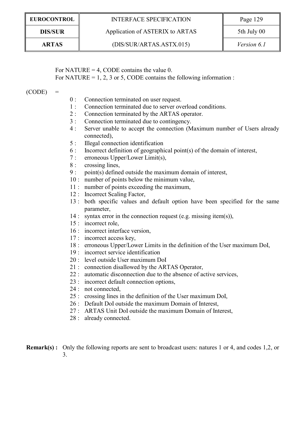| <b>EUROCONTROL</b> |
|--------------------|
|--------------------|

## **EUROCONTROL INTERFACE SPECIFICATION** Page 129

**DIS/SUR** Application of ASTERIX to ARTAS 5th July 00

**ARTAS** (DIS/SUR/ARTAS.ASTX.015) *Version 6.1* 

For NATURE = 4, CODE contains the value 0.

For NATURE =  $1, 2, 3$  or 5, CODE contains the following information :

## $(CODE)$

- 0 : Connection terminated on user request.
- 1 : Connection terminated due to server overload conditions.
- 2 : Connection terminated by the ARTAS operator.
- 3 : Connection terminated due to contingency.
- 4 : Server unable to accept the connection (Maximum number of Users already connected),
- 5 : Illegal connection identification
- 6 : Incorrect definition of geographical point(s) of the domain of interest,
- 7 : erroneous Upper/Lower Limit(s),
- 8 : crossing lines,
- 9 : point(s) defined outside the maximum domain of interest,
- 10 : number of points below the minimum value,
- 11 : number of points exceeding the maximum,
- 12 : Incorrect Scaling Factor,
- 13 : both specific values and default option have been specified for the same parameter,
- 14 : syntax error in the connection request (e.g. missing item(s)),
- 15 : incorrect role,
- 16 : incorrect interface version,
- 17 : incorrect access key,
- 18 : erroneous Upper/Lower Limits in the definition of the User maximum DoI,
- 19 : incorrect service identification
- 20 : level outside User maximum DoI
- 21 : connection disallowed by the ARTAS Operator,
- 22 : automatic disconnection due to the absence of active services,
- 23 : incorrect default connection options,
- 24 : not connected,
- 25 : crossing lines in the definition of the User maximum DoI,
- 26 : Default DoI outside the maximum Domain of Interest,
- 27 : ARTAS Unit DoI outside the maximum Domain of Interest,
- 28 : already connected.

**Remark(s) :** Only the following reports are sent to broadcast users: natures 1 or 4, and codes 1,2, or 3.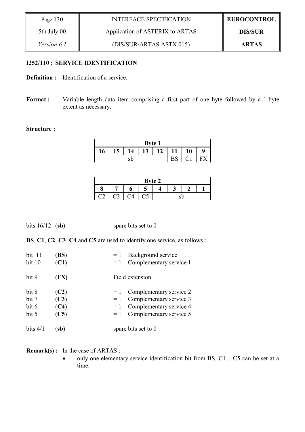5th July 00 Application of ASTERIX to ARTAS **DIS/SUR** 

Page 130 | INTERFACE SPECIFICATION | EUROCONTROL

*Version 6.1* (DIS/SUR/ARTAS.ASTX.015) **ARTAS** 

## **I252/110 : SERVICE IDENTIFICATION**

- **Definition :** Identification of a service.
- Format : Variable length data item comprising a first part of one byte followed by a 1-byte extent as necessary.

#### **Structure :**

| <b>Byte 1</b>                                                 |  |  |  |  |    |  |  |  |
|---------------------------------------------------------------|--|--|--|--|----|--|--|--|
| $13 \mid 12 \mid$<br>$15 \mid$<br>14<br>10<br><b>11</b><br>16 |  |  |  |  |    |  |  |  |
|                                                               |  |  |  |  | H. |  |  |  |

| <b>Byte 2</b>  |  |                   |                |  |  |  |  |  |
|----------------|--|-------------------|----------------|--|--|--|--|--|
|                |  |                   |                |  |  |  |  |  |
| C <sub>2</sub> |  | $C3 \mid C4 \mid$ | C <sub>5</sub> |  |  |  |  |  |

bits  $16/12$  (sb) = spare bits set to 0

**BS**, **C1**, **C2**, **C3**, **C4** and **C5** are used to identify one service, as follows :

| bit 11<br>bit 10                 | (BS)<br>(C1)                 | Background service<br>$=$ 1<br>Complementary service 1<br>$=1$                                                                      |
|----------------------------------|------------------------------|-------------------------------------------------------------------------------------------------------------------------------------|
| bit 9                            | (FX)                         | Field extension                                                                                                                     |
| bit 8<br>bit 7<br>bit 6<br>bit 5 | (C2)<br>(C3)<br>(C4)<br>(C5) | $= 1$ Complementary service 2<br>$= 1$ Complementary service 3<br>$= 1$ Complementary service 4<br>Complementary service 5<br>$=$ 1 |
| bits $4/1$                       | $sb) =$                      | spare bits set to 0                                                                                                                 |

**Remark(s) :** In the case of ARTAS :

• only one elementary service identification bit from BS, C1 .. C5 can be set at a time.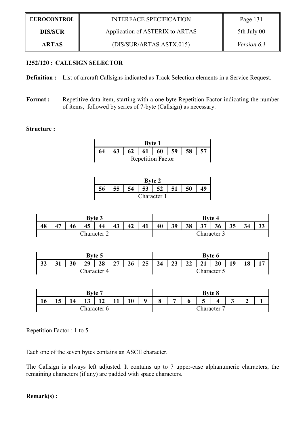| <b>EUROCONTROL</b> | <b>INTERFACE SPECIFICATION</b>  | Page 131    |
|--------------------|---------------------------------|-------------|
| <b>DIS/SUR</b>     | Application of ASTERIX to ARTAS | 5th July 00 |
| ARTAS              | (DIS/SUR/ARTAS.ASTX.015)        | Version 6.1 |

## **I252/120 : CALLSIGN SELECTOR**

**Definition :** List of aircraft Callsigns indicated as Track Selection elements in a Service Request.

Format : Repetitive data item, starting with a one-byte Repetition Factor indicating the number of items, followed by series of 7-byte (Callsign) as necessary.

#### **Structure :**

| <b>Byte 1</b>                                    |  |  |  |  |  |  |  |  |
|--------------------------------------------------|--|--|--|--|--|--|--|--|
| $63 \mid 62 \mid 61 \mid 60 \mid 59$<br>58<br>64 |  |  |  |  |  |  |  |  |
| <b>Repetition Factor</b>                         |  |  |  |  |  |  |  |  |

| <b>Byte 2</b>                                   |  |  |  |  |  |  |  |  |  |
|-------------------------------------------------|--|--|--|--|--|--|--|--|--|
| $53 \mid 52 \mid$<br>51<br>55<br>50<br>54<br>56 |  |  |  |  |  |  |  |  |  |
| Character 1                                     |  |  |  |  |  |  |  |  |  |

| Byte 3      |    |    |             |    |    |    |    |    |             |    | Byte 4 |             |    |                |    |
|-------------|----|----|-------------|----|----|----|----|----|-------------|----|--------|-------------|----|----------------|----|
| 48          | 47 | 46 | 45          | 44 | 43 | 42 | 41 | 40 | 39          | 38 | 37     | 36          | 35 | 34             | 33 |
|             |    |    | Character 2 |    |    |    |    |    |             |    |        | Character 3 |    |                |    |
|             |    |    |             |    |    |    |    |    |             |    |        |             |    |                |    |
|             |    |    | Byte 5      |    |    |    |    |    |             |    |        | Byte 6      |    |                |    |
| 32          | 31 | 30 | 29          | 28 | 27 | 26 | 25 | 24 | 23          | 22 | 21     | 20          | 19 | 18             | 17 |
|             |    |    | Character 4 |    |    |    |    |    |             |    |        | Character 5 |    |                |    |
|             |    |    |             |    |    |    |    |    |             |    |        |             |    |                |    |
|             |    |    | Byte 7      |    |    |    |    |    |             |    |        | Byte 8      |    |                |    |
|             |    |    |             |    |    |    |    |    |             |    |        |             |    |                |    |
| 16          | 15 | 14 | 13          | 12 | 11 | 10 | 9  | 8  | 7           | 6  | 5      | 4           | 3  | $\overline{2}$ | 1  |
| Character 6 |    |    |             |    |    |    |    |    | Character 7 |    |        |             |    |                |    |

Repetition Factor : 1 to 5

Each one of the seven bytes contains an ASCII character.

The Callsign is always left adjusted. It contains up to 7 upper-case alphanumeric characters, the remaining characters (if any) are padded with space characters.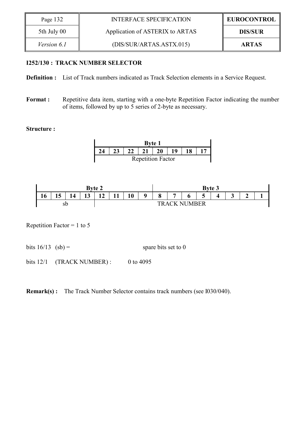| e |  |
|---|--|
|---|--|

**PAGE 132 INTERFACE SPECIFICATION IF UROCONTROL** 5th July 00 Application of ASTERIX to ARTAS **DIS/SUR** 

*Version 6.1* (DIS/SUR/ARTAS.ASTX.015) **ARTAS** 

## **I252/130 : TRACK NUMBER SELECTOR**

**Definition :** List of Track numbers indicated as Track Selection elements in a Service Request.

**Format :** Repetitive data item, starting with a one-byte Repetition Factor indicating the number of items, followed by up to 5 series of 2-byte as necessary.

#### **Structure :**

| <b>Byte 1</b>            |  |  |  |                              |  |    |  |  |  |
|--------------------------|--|--|--|------------------------------|--|----|--|--|--|
| 24                       |  |  |  | $22 \mid 21 \mid 20 \mid 19$ |  | 18 |  |  |  |
| <b>Repetition Factor</b> |  |  |  |                              |  |    |  |  |  |

|     |                      |    |            | <b>Byte 2</b> |                     |    |   | <b>Byte 3</b>     |        |     |                               |          |        |        |  |
|-----|----------------------|----|------------|---------------|---------------------|----|---|-------------------|--------|-----|-------------------------------|----------|--------|--------|--|
| 1 V | $\blacksquare$<br>⊥◡ | 14 | 1. 1<br>⊥୰ | $\sim$        | $\rightarrow$<br>11 | 10 | Q | $\mathbf{o}$<br>O |        |     | $\overline{\phantom{0}}$<br>ັ | $\Delta$ | $\sim$ | ∼<br>◢ |  |
|     | SÜ                   |    |            |               |                     |    |   |                   | TRACK. | NI. | <b>JMBER</b>                  |          |        |        |  |

Repetition Factor = 1 to 5

bits  $16/13$  (sb) = spare bits set to 0

bits 12/1 (TRACK NUMBER): 0 to 4095

**Remark(s) :** The Track Number Selector contains track numbers (see I030/040).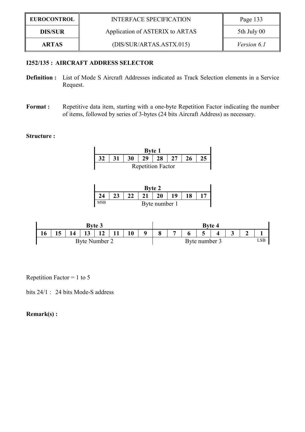| <b>EUROCONTROL</b> | <b>INTERFACE SPECIFICATION</b>  | Page 133           |
|--------------------|---------------------------------|--------------------|
| <b>DIS/SUR</b>     | Application of ASTERIX to ARTAS | 5th July 00        |
| <b>ARTAS</b>       | (DIS/SUR/ARTAS.ASTX.015)        | <i>Version 6.1</i> |

#### **I252/135 : AIRCRAFT ADDRESS SELECTOR**

- **Definition :** List of Mode S Aircraft Addresses indicated as Track Selection elements in a Service Request.
- Format : Repetitive data item, starting with a one-byte Repetition Factor indicating the number of items, followed by series of 3-bytes (24 bits Aircraft Address) as necessary.

#### **Structure :**

| <b>Byte 1</b>     |              |  |  |              |  |    |  |  |  |
|-------------------|--------------|--|--|--------------|--|----|--|--|--|
| 32 <sup>2</sup>   | $31 \mid 30$ |  |  | 29   28   27 |  | 26 |  |  |  |
| Repetition Factor |              |  |  |              |  |    |  |  |  |

| <b>Byte 2</b> |    |    |    |                |    |    |  |  |  |
|---------------|----|----|----|----------------|----|----|--|--|--|
| 24            | 23 | 22 | 21 | $\frac{1}{20}$ | 19 | 18 |  |  |  |
| <b>MSB</b>    |    |    |    | Byte number 1  |    |    |  |  |  |

|    |               |    |  | <b>Byte 3</b> |  |                   |  | <b>Byte 4</b> |   |  |               |  |  |  |  |
|----|---------------|----|--|---------------|--|-------------------|--|---------------|---|--|---------------|--|--|--|--|
| 10 | 15            | 14 |  | 12            |  | $\mathbf{o}$<br>O |  |               | ັ |  |               |  |  |  |  |
|    | Byte Number 2 |    |  |               |  |                   |  |               |   |  | Byte number 3 |  |  |  |  |

Repetition Factor = 1 to 5

bits 24/1 : 24 bits Mode-S address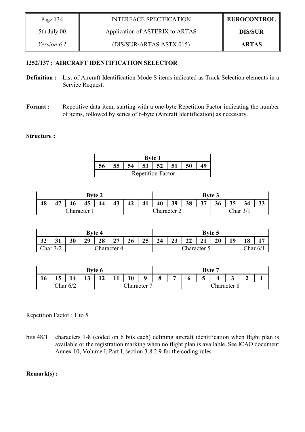| Page 134           | <b>INTERFACE SPECIFICATION</b>  | <b>EUROCONTROL</b> |
|--------------------|---------------------------------|--------------------|
| 5th July 00        | Application of ASTERIX to ARTAS | <b>DIS/SUR</b>     |
| <i>Version 6.1</i> | (DIS/SUR/ARTAS.ASTX.015)        | <b>ARTAS</b>       |

## **I252/137 : AIRCRAFT IDENTIFICATION SELECTOR**

- **Definition :** List of Aircraft Identification Mode S items indicated as Track Selection elements in a Service Request.
- Format : Repetitive data item, starting with a one-byte Repetition Factor indicating the number of items, followed by series of 6-byte (Aircraft Identification) as necessary.

#### **Structure :**

| <b>Byte 1</b> |    |    |  |                          |  |    |    |  |  |  |
|---------------|----|----|--|--------------------------|--|----|----|--|--|--|
|               | 55 | 54 |  | $53 \mid 52 \mid 51$     |  | 50 | 49 |  |  |  |
|               |    |    |  | <b>Repetition Factor</b> |  |    |    |  |  |  |

|           |  |    |    | <b>Byte 2</b> |    |    |    | <b>Byte 3</b> |    |    |    |    |          |            |    |
|-----------|--|----|----|---------------|----|----|----|---------------|----|----|----|----|----------|------------|----|
| 48        |  | 46 | 45 | 44            | 43 | 42 | 41 | 40            | 39 | 38 | 37 | 36 | 2E<br>IJ | 34         | 33 |
| Character |  |    |    |               |    |    |    | Character     |    |    |    |    |          | Char $3/1$ |    |

|                                       |                                                          |  |  | Byte 4 |  |  |  | <b>Byte 5</b> |    |                    |    |    |            |    |  |
|---------------------------------------|----------------------------------------------------------|--|--|--------|--|--|--|---------------|----|--------------------|----|----|------------|----|--|
| 22<br>JZ                              | 27<br>28<br>30<br>25<br>29<br>$^{\bullet}$ 1<br>26<br>ັ້ |  |  |        |  |  |  | 24            | 23 | $\mathbf{A}$<br>∠∠ | 21 | 20 |            | 18 |  |
| Char $3/2$<br>haracter 4 <sup>'</sup> |                                                          |  |  |        |  |  |  |               |    | Character 5        |    |    | Char $6/1$ |    |  |

|                               |    |    |           | Byte 6                |                       |    |   | <b>Byte 7</b>     |  |   |        |  |             |        |  |
|-------------------------------|----|----|-----------|-----------------------|-----------------------|----|---|-------------------|--|---|--------|--|-------------|--------|--|
| $\overline{\mathbf{f}}$<br>10 | ⊥↓ | 14 | 19<br>19. | $\rightarrow$<br>14 L | $\blacksquare$<br>. . | 10 | Q | $\mathbf{o}$<br>O |  | o | -<br>ັ |  |             | ∼<br>车 |  |
| Char $6/2$<br>haracter        |    |    |           |                       |                       |    |   |                   |  |   |        |  | Character 8 |        |  |

#### Repetition Factor : 1 to 5

bits 48/1 characters 1-8 (coded on 6 bits each) defining aircraft identification when flight plan is available or the registration marking when no flight plan is available. See ICAO document Annex 10, Volume I, Part I, section 3.8.2.9 for the coding rules.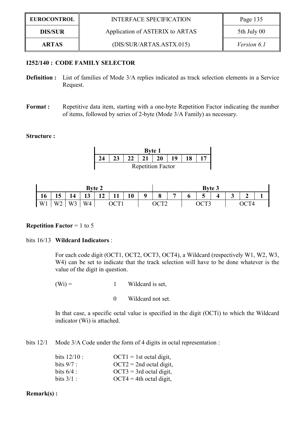| <b>EUROCONTROL</b> | <b>INTERFACE SPECIFICATION</b>  | Page 135           |
|--------------------|---------------------------------|--------------------|
| <b>DIS/SUR</b>     | Application of ASTERIX to ARTAS | 5th July 00        |
| ARTAS              | (DIS/SUR/ARTAS.ASTX.015)        | <i>Version 6.1</i> |

#### **I252/140 : CODE FAMILY SELECTOR**

- **Definition :** List of families of Mode 3/A replies indicated as track selection elements in a Service Request.
- **Format :** Repetitive data item, starting with a one-byte Repetition Factor indicating the number of items, followed by series of 2-byte (Mode 3/A Family) as necessary.

#### **Structure :**

| <b>Byte 1</b>            |    |    |                       |  |           |    |  |  |  |  |
|--------------------------|----|----|-----------------------|--|-----------|----|--|--|--|--|
| 24                       | 23 | 22 | $\vert$ 21 $\vert$ 20 |  | <b>19</b> | 18 |  |  |  |  |
| <b>Repetition Factor</b> |    |    |                       |  |           |    |  |  |  |  |

|                | <b>Byte 2</b>  |    |              |    |            |    |  |        | <b>Byte 3</b> |   |        |  |  |                          |  |  |
|----------------|----------------|----|--------------|----|------------|----|--|--------|---------------|---|--------|--|--|--------------------------|--|--|
| 10             | 1 E<br>⊥√      | 14 | $\sim$<br>lν | 12 | ∢ ∢<br>. . | 10 |  | Ω<br>О | $\mathbf{r}$  | v | -<br>ັ |  |  | $\overline{\phantom{a}}$ |  |  |
| W <sub>1</sub> | W <sub>2</sub> | W٦ | W4           |    | ◡▴▴        |    |  |        |               |   | UU 19  |  |  |                          |  |  |

#### **Repetition Factor** = 1 to 5

#### bits 16/13 **Wildcard Indicators** :

For each code digit (OCT1, OCT2, OCT3, OCT4), a Wildcard (respectively W1, W2, W3, W4) can be set to indicate that the track selection will have to be done whatever is the value of the digit in question.

 $(Wi) = 1$  Wildcard is set,

0 Wildcard not set.

In that case, a specific octal value is specified in the digit (OCTi) to which the Wildcard indicator (Wi) is attached.

bits 12/1 Mode 3/A Code under the form of 4 digits in octal representation :

| bits $12/10$ : | $OCT1 = 1$ st octal digit,         |
|----------------|------------------------------------|
| bits $9/7$ :   | $OCT2$ = 2nd octal digit,          |
| bits $6/4$ :   | $OCT3 = 3rd \text{ octal digit}$ , |
| bits $3/1$ :   | $OCT4 = 4th$ octal digit,          |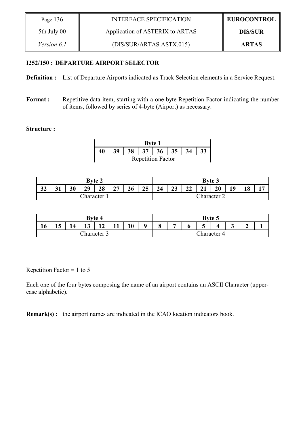| Page $136$ |  |
|------------|--|
|------------|--|

**PAGE 136 INTERFACE SPECIFICATION IF UROCONTROL** 5th July 00 Application of ASTERIX to ARTAS **DIS/SUR**  *Version 6.1* (DIS/SUR/ARTAS.ASTX.015) **ARTAS** 

## **I252/150 : DEPARTURE AIRPORT SELECTOR**

**Definition :** List of Departure Airports indicated as Track Selection elements in a Service Request.

**Format :** Repetitive data item, starting with a one-byte Repetition Factor indicating the number of items, followed by series of 4-byte (Airport) as necessary.

## **Structure :**

| <b>Byte 1</b>            |    |             |  |  |  |    |    |  |  |  |
|--------------------------|----|-------------|--|--|--|----|----|--|--|--|
| 40                       | 39 | 38 37 36 35 |  |  |  | 34 | 33 |  |  |  |
| <b>Repetition Factor</b> |    |             |  |  |  |    |    |  |  |  |

| <b>Byte 2</b>          |          |    |    |    |          |    |    | <b>Byte 3</b> |    |    |    |             |    |    |  |
|------------------------|----------|----|----|----|----------|----|----|---------------|----|----|----|-------------|----|----|--|
| $\mathbf{A}$<br>JZ     | 31<br>◡▴ | 30 | 29 | 28 | 27<br>41 | 26 | 25 | 24            | 23 | 22 | 21 | 20          | 10 | 18 |  |
| Character <sub>1</sub> |          |    |    |    |          |    |    |               |    |    |    | Character 2 |    |    |  |

|             |         |    |    | Byte 4              |  |    |   | <b>Byte 5</b> |              |  |        |             |  |        |  |
|-------------|---------|----|----|---------------------|--|----|---|---------------|--------------|--|--------|-------------|--|--------|--|
| 10          | -<br>15 | 14 | ⊥┙ | 1 A<br>$\mathbf{L}$ |  | 10 | Q | Ω<br>О        | $\mathbf{r}$ |  | -<br>ັ |             |  | -<br>◢ |  |
| 'haracter 3 |         |    |    |                     |  |    |   |               |              |  |        | Character 4 |  |        |  |

Repetition Factor = 1 to 5

Each one of the four bytes composing the name of an airport contains an ASCII Character (uppercase alphabetic).

**Remark(s):** the airport names are indicated in the ICAO location indicators book.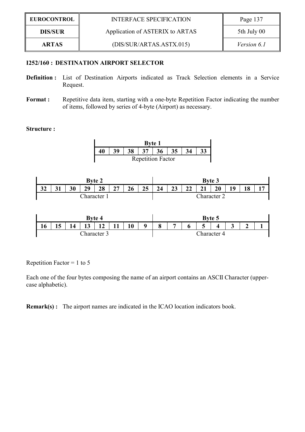| <b>EUROCONTROL</b> | <b>INTERFACE SPECIFICATION</b>  | Page 137           |
|--------------------|---------------------------------|--------------------|
| <b>DIS/SUR</b>     | Application of ASTERIX to ARTAS | 5th July 00        |
| <b>ARTAS</b>       | (DIS/SUR/ARTAS.ASTX.015)        | <i>Version 6.1</i> |

#### **I252/160 : DESTINATION AIRPORT SELECTOR**

- **Definition :** List of Destination Airports indicated as Track Selection elements in a Service Request.
- Format : Repetitive data item, starting with a one-byte Repetition Factor indicating the number of items, followed by series of 4-byte (Airport) as necessary.

#### **Structure :**

| <b>Byte 1</b>            |    |  |  |                     |  |              |  |  |  |  |
|--------------------------|----|--|--|---------------------|--|--------------|--|--|--|--|
| 40                       | 39 |  |  | $38$   37   36   35 |  | $34 \mid 33$ |  |  |  |  |
| <b>Repetition Factor</b> |    |  |  |                     |  |              |  |  |  |  |

| <b>Byte 2</b> |              |    |    |    |    |    |    | <b>Byte 3</b> |    |    |           |    |    |    |  |
|---------------|--------------|----|----|----|----|----|----|---------------|----|----|-----------|----|----|----|--|
| 22<br>JZ      | $\sim$<br>◡┸ | 30 | 29 | 28 | 27 | 26 | 25 | 24            | 23 | 22 | 21        | 20 | 10 | 18 |  |
| haracter_     |              |    |    |    |    |    |    |               |    |    | Character |    |    |    |  |

|            |                                |    |           | Byte 4 |                 |    |   | <b>Byte 5</b> |   |  |        |             |  |        |  |
|------------|--------------------------------|----|-----------|--------|-----------------|----|---|---------------|---|--|--------|-------------|--|--------|--|
| 10         | $\overline{\phantom{0}}$<br>⊥ၪ | 14 | 1 7<br>IJ |        | 11<br>$\bf{11}$ | 10 | Q | O             | − |  | -<br>◡ |             |  | -<br>◢ |  |
| haracter 3 |                                |    |           |        |                 |    |   |               |   |  |        | Character 4 |  |        |  |

Repetition Factor = 1 to 5

Each one of the four bytes composing the name of an airport contains an ASCII Character (uppercase alphabetic).

**Remark(s) :** The airport names are indicated in the ICAO location indicators book.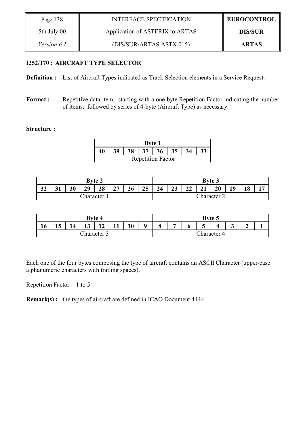| Page 138 |  |
|----------|--|
|----------|--|

**PAGE 138 INTERFACE SPECIFICATION IF UROCONTROL** 5th July 00 Application of ASTERIX to ARTAS **DIS/SUR** 

*Version 6.1* (DIS/SUR/ARTAS.ASTX.015) **ARTAS** 

## **I252/170 : AIRCRAFT TYPE SELECTOR**

**Definition :** List of Aircraft Types indicated as Track Selection elements in a Service Request.

**Format :** Repetitive data item, starting with a one-byte Repetition Factor indicating the number of items, followed by series of 4-byte (Aircraft Type) as necessary.

## **Structure :**

| <b>Byte 1</b>            |    |             |  |  |  |    |    |  |  |  |  |
|--------------------------|----|-------------|--|--|--|----|----|--|--|--|--|
| 40                       | 39 | 38 37 36 35 |  |  |  | 34 | 33 |  |  |  |  |
| <b>Repetition Factor</b> |    |             |  |  |  |    |    |  |  |  |  |

|          | <b>Byte 2</b>       |    |    |    |    |    |    |    |            |    |    | <b>Byte 3</b> |    |    |  |
|----------|---------------------|----|----|----|----|----|----|----|------------|----|----|---------------|----|----|--|
| 32       | $\sim$ $\sim$<br>◡┸ | 30 | 29 | 28 | 27 | 26 | 25 | 24 | 23         | 22 | 21 | 20            | 10 | 18 |  |
| haracter |                     |    |    |    |    |    |    |    | Character. |    |    |               |    |    |  |

|                       | Byte 4                         |    |           |   |           |    |   |                                                                  |  |             | <b>Byte 5</b> |  |  |  |
|-----------------------|--------------------------------|----|-----------|---|-----------|----|---|------------------------------------------------------------------|--|-------------|---------------|--|--|--|
| 10                    | $\overline{\phantom{0}}$<br>⊥◡ | 14 | 1 7<br>IJ | ┸ | <b>II</b> | 10 | Q | $\overline{ }$<br>$\mathbf{r}$<br>-<br>$\sqrt{2}$<br>O<br>О<br>ັ |  |             |               |  |  |  |
| haracter <sub>-</sub> |                                |    |           |   |           |    |   |                                                                  |  | Character 4 |               |  |  |  |

Each one of the four bytes composing the type of aircraft contains an ASCII Character (upper-case alphanumeric characters with trailing spaces).

Repetition Factor = 1 to 5

**Remark(s) :** the types of aircraft are defined in ICAO Document 4444.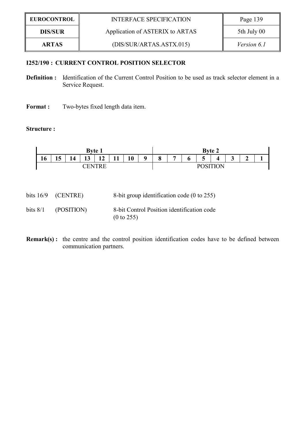| <b>EUROCONTROL</b> | <b>INTERFACE SPECIFICATION</b>  | Page 139           |
|--------------------|---------------------------------|--------------------|
| <b>DIS/SUR</b>     | Application of ASTERIX to ARTAS | 5th July 00        |
| <b>ARTAS</b>       | (DIS/SUR/ARTAS.ASTX.015)        | <i>Version 6.1</i> |

#### **I252/190 : CURRENT CONTROL POSITION SELECTOR**

- **Definition :** Identification of the Current Control Position to be used as track selector element in a Service Request.
- **Format :** Two-bytes fixed length data item.

#### **Structure :**

|                 | <b>Byte 1</b> |    |              |                      |                     |    |   |                            |  |        | <b>Byte 2</b> |  |  |  |  |
|-----------------|---------------|----|--------------|----------------------|---------------------|----|---|----------------------------|--|--------|---------------|--|--|--|--|
| 1V              | 12            | 14 | $\sim$<br>⊥◡ | . .<br>┸ <del></del> | . .<br>$\mathbf{r}$ | 10 | Q | -<br>Q<br>o<br>O<br>ັ<br>ັ |  |        |               |  |  |  |  |
| `HN.<br>ับ<br>- |               |    |              |                      |                     |    |   |                            |  | SITION |               |  |  |  |  |

|            | bits $16/9$ (CENTRE) | 8-bit group identification code (0 to 255)                          |
|------------|----------------------|---------------------------------------------------------------------|
| bits $8/1$ | (POSITION)           | 8-bit Control Position identification code<br>$(0 \text{ to } 255)$ |

**Remark(s) :** the centre and the control position identification codes have to be defined between communication partners.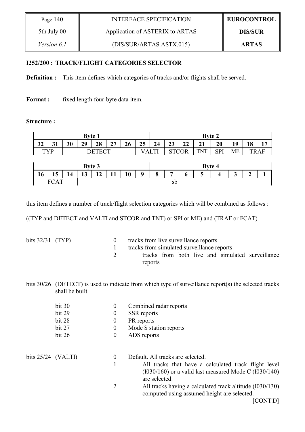| Page $140$         | <b>INTERFACE SPECIFICATION</b>  | <b>EUROCONTROL</b> |
|--------------------|---------------------------------|--------------------|
| 5th July 00        | Application of ASTERIX to ARTAS | <b>DIS/SUR</b>     |
| <i>Version 6.1</i> | (DIS/SUR/ARTAS.ASTX.015)        | <b>ARTAS</b>       |

## **I252/200 : TRACK/FLIGHT CATEGORIES SELECTOR**

**Definition :** This item defines which categories of tracks and/or flights shall be served.

Format : fixed length four-byte data item.

#### **Structure :**

|                   | <b>Byte 1</b> |    |    |               |    |    |    |                                        |   |              |     | <b>Byte 2</b> |    |  |             |
|-------------------|---------------|----|----|---------------|----|----|----|----------------------------------------|---|--------------|-----|---------------|----|--|-------------|
| 32                | 31            | 30 | 29 | 28            | 27 | 26 | 25 | 22<br>18<br>23<br>21<br>24<br>20<br>19 |   |              |     |               |    |  |             |
|                   | <b>TYP</b>    |    |    | <b>DETECT</b> |    |    |    | <b>VALTI</b>                           |   | <b>STCOR</b> | TNT | <b>SPI</b>    | ME |  | <b>TRAF</b> |
| Byte 3            |               |    |    |               |    |    |    |                                        |   |              |     | <b>Byte 4</b> |    |  |             |
| 10                | 15            | 14 | 13 | 2             |    | 10 | 9  | 8                                      | − | 6            | 5   |               |    |  |             |
| <b>FCAT</b><br>sb |               |    |    |               |    |    |    |                                        |   |              |     |               |    |  |             |

this item defines a number of track/flight selection categories which will be combined as follows :

((TYP and DETECT and VALTI and STCOR and TNT) or SPI or ME) and (TRAF or FCAT)

bits 32/31 (TYP) 0 tracks from live surveillance reports

- 1 tracks from simulated surveillance reports
- 2 tracks from both live and simulated surveillance reports

bits 30/26 (DETECT) is used to indicate from which type of surveillance report(s) the selected tracks shall be built.

| bit 30 | Combined radar reports |
|--------|------------------------|
| bit 29 | SSR reports            |
| bit 28 | PR reports             |
| bit 27 | Mode S station reports |
| bit 26 | ADS reports            |

bits 25/24 (VALTI) 0 Default. All tracks are selected.

- 1 All tracks that have a calculated track flight level (I030/160) or a valid last measured Mode C (I030/140) are selected.
- 2 All tracks having a calculated track altitude (I030/130) computed using assumed height are selected.

[CONT'D]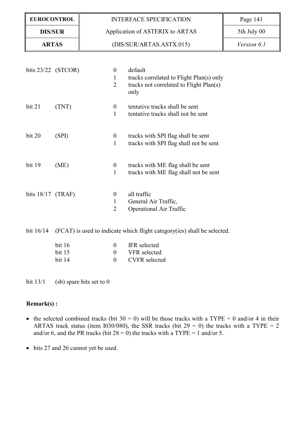| <b>EUROCONTROL</b>  |                      | <b>INTERFACE SPECIFICATION</b>                                                                                                                    | Page 141    |
|---------------------|----------------------|---------------------------------------------------------------------------------------------------------------------------------------------------|-------------|
| <b>DIS/SUR</b>      |                      | Application of ASTERIX to ARTAS                                                                                                                   | 5th July 00 |
| <b>ARTAS</b>        |                      | (DIS/SUR/ARTAS.ASTX.015)                                                                                                                          | Version 6.1 |
|                     | bits $23/22$ (STCOR) | default<br>$\boldsymbol{0}$<br>tracks correlated to Flight Plan(s) only<br>1<br>$\overline{2}$<br>tracks not correlated to Flight Plan(s)<br>only |             |
| bit 21              | (TNT)                | tentative tracks shall be sent<br>$\boldsymbol{0}$<br>tentative tracks shall not be sent<br>1                                                     |             |
| bit 20              | (SPI)                | tracks with SPI flag shall be sent<br>$\overline{0}$<br>1<br>tracks with SPI flag shall not be sent                                               |             |
| bit 19              | (ME)                 | tracks with ME flag shall be sent<br>$\boldsymbol{0}$<br>tracks with ME flag shall not be sent<br>$\mathbf{1}$                                    |             |
| bits $18/17$ (TRAF) |                      | all traffic<br>$\boldsymbol{0}$<br>General Air Traffic,<br>$\mathbf{1}$<br>$\overline{2}$<br>Operational Air Traffic                              |             |
| bit 16/14           |                      | (FCAT) is used to indicate which flight category(ies) shall be selected.                                                                          |             |

| bit 16 | <b>IFR</b> selected |
|--------|---------------------|
| bit 15 | VFR selected        |
| bit 14 | CVFR selected       |

bit 13/1 (sb) spare bits set to 0

- the selected combined tracks (bit  $30 = 0$ ) will be those tracks with a TYPE = 0 and/or 4 in their ARTAS track status (item I030/080), the SSR tracks (bit  $29 = 0$ ) the tracks with a TYPE = 2 and/or 6, and the PR tracks (bit  $28 = 0$ ) the tracks with a TYPE = 1 and/or 5.
- bits 27 and 26 cannot yet be used.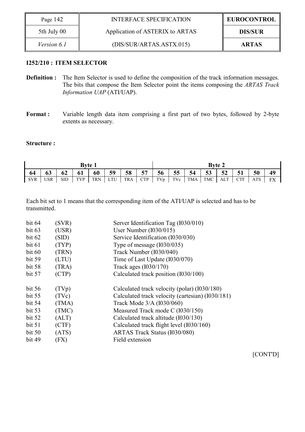Page 142 | INTERFACE SPECIFICATION | EUROCONTROL

5th July 00 Application of ASTERIX to ARTAS **DIS/SUR** 

*Version 6.1* (DIS/SUR/ARTAS.ASTX.015) **ARTAS** 

#### **I252/210 : ITEM SELECTOR**

- **Definition :** The Item Selector is used to define the composition of the track information messages. The bits that compose the Item Selector point the items composing the *ARTAS Track Information UAP* (ATI/UAP).
- Format : Variable length data item comprising a first part of two bytes, followed by 2-byte extents as necessary.

#### **Structure :**

|       | <b>Byte 1</b> |  |  |                                                                                                              |  |  |  |  | <b>Byte 2</b> |  |                                                                            |    |
|-------|---------------|--|--|--------------------------------------------------------------------------------------------------------------|--|--|--|--|---------------|--|----------------------------------------------------------------------------|----|
| 64    |               |  |  | $63 \mid 62 \mid 61 \mid 60 \mid 59 \mid 58 \mid 57 \mid 56 \mid 55 \mid 54 \mid 53 \mid 52 \mid 51 \mid 50$ |  |  |  |  |               |  |                                                                            | 49 |
| SVR 1 | USR SID       |  |  |                                                                                                              |  |  |  |  |               |  | TYP   TRN   LTU   TRA   CTP   TVp   TVc   TMA   TMC   ALT   CTF   ATS   FX |    |

Each bit set to 1 means that the corresponding item of the ATI/UAP is selected and has to be transmitted.

| bit 64   | (SVR) | Server Identification Tag (I030/010)             |
|----------|-------|--------------------------------------------------|
| bit $63$ | (USR) | User Number $(1030/015)$                         |
| bit $62$ | (SID) | Service Identification (I030/030)                |
| bit 61   | (TYP) | Type of message $(1030/035)$                     |
| bit 60   | (TRN) | Track Number (I030/040)                          |
| bit 59   | (LTU) | Time of Last Update (I030/070)                   |
| bit 58   | (TRA) | Track ages $(1030/170)$                          |
| bit 57   | (CTP) | Calculated track position (I030/100)             |
|          |       |                                                  |
| bit 56   | (TVp) | Calculated track velocity (polar) (I030/180)     |
| bit 55   | (TVc) | Calculated track velocity (cartesian) (I030/181) |
| bit 54   | (TMA) | Track Mode 3/A (I030/060)                        |
| bit 53   | (TMC) | Measured Track mode C (I030/150)                 |
| bit 52   | (ALT) | Calculated track altitude (I030/130)             |
| bit 51   | (CTF) | Calculated track flight level (I030/160)         |
| bit 50   | (ATS) | ARTAS Track Status (1030/080)                    |
| bit 49   | FX)   | Field extension                                  |

[CONT'D]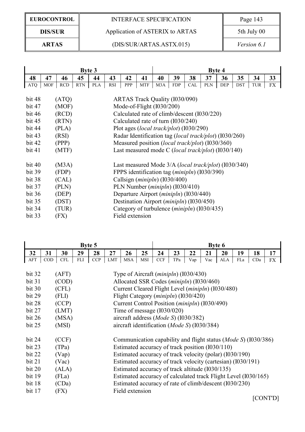# **EUROCONTROL** INTERFACE SPECIFICATION Page 143

**DIS/SUR** Application of ASTERIX to ARTAS 5th July 00

**ARTAS** (DIS/SUR/ARTAS.ASTX.015) *Version 6.1* 

| <b>Byte 3</b> |            |                                                                          |            |     |            |            |                 |                                                               | Byte 4     |     |            |     |            |     |    |  |
|---------------|------------|--------------------------------------------------------------------------|------------|-----|------------|------------|-----------------|---------------------------------------------------------------|------------|-----|------------|-----|------------|-----|----|--|
| 48            | 47         | 46                                                                       | 45         | 44  | 43         | 42         | 41              | 40                                                            | 39         | 38  | 37         | 36  | 35         | 34  | 33 |  |
| <b>ATQ</b>    | <b>MOF</b> | <b>RCD</b>                                                               | <b>RTN</b> | PLA | <b>RSI</b> | <b>PPP</b> | <b>MTF</b>      | M <sub>3</sub> A                                              | <b>FDP</b> | CAL | <b>PLN</b> | DEP | <b>DST</b> | TUR | FX |  |
|               |            |                                                                          |            |     |            |            |                 |                                                               |            |     |            |     |            |     |    |  |
| bit 48        |            | (ATQ)                                                                    |            |     |            |            |                 | <b>ARTAS Track Quality (I030/090)</b>                         |            |     |            |     |            |     |    |  |
| bit 47        |            | (MOF)                                                                    |            |     |            |            |                 | Mode-of-Flight (I030/200)                                     |            |     |            |     |            |     |    |  |
| bit 46        |            | (RCD)                                                                    |            |     |            |            |                 | Calculated rate of climb/descent (I030/220)                   |            |     |            |     |            |     |    |  |
| bit 45        |            | (RTN)<br>Calculated rate of turn (I030/240)                              |            |     |            |            |                 |                                                               |            |     |            |     |            |     |    |  |
| bit 44        |            | (PLA)<br>Plot ages ( <i>local track/plot</i> ) (I030/290)                |            |     |            |            |                 |                                                               |            |     |            |     |            |     |    |  |
| bit 43        |            | (RSI)<br>Radar Identification tag ( <i>local track/plot</i> ) (I030/260) |            |     |            |            |                 |                                                               |            |     |            |     |            |     |    |  |
| bit 42        |            | (PPP)<br>Measured position ( <i>local track/plot</i> ) (I030/360)        |            |     |            |            |                 |                                                               |            |     |            |     |            |     |    |  |
| <b>bit 41</b> |            | (MTF)                                                                    |            |     |            |            |                 | Last measured mode C ( <i>local track/plot</i> ) (I030/140)   |            |     |            |     |            |     |    |  |
|               |            |                                                                          |            |     |            |            |                 |                                                               |            |     |            |     |            |     |    |  |
| bit 40        |            | (M3A)                                                                    |            |     |            |            |                 | Last measured Mode 3/A ( <i>local track/plot</i> ) (I030/340) |            |     |            |     |            |     |    |  |
| bit 39        |            | (FDP)                                                                    |            |     |            |            |                 | FPPS identification tag ( <i>minipln</i> ) (1030/390)         |            |     |            |     |            |     |    |  |
| bit 38        |            | (CAL)                                                                    |            |     |            |            |                 | Callsign $(minph)$ (1030/400)                                 |            |     |            |     |            |     |    |  |
| bit 37        |            | (PLN)                                                                    |            |     |            |            |                 | PLN Number ( <i>minipln</i> ) (I030/410)                      |            |     |            |     |            |     |    |  |
| bit 36        |            | (DEP)                                                                    |            |     |            |            |                 | Departure Airport (minipln) (I030/440)                        |            |     |            |     |            |     |    |  |
| bit 35        |            | (DST)                                                                    |            |     |            |            |                 | Destination Airport ( <i>minipln</i> ) (I030/450)             |            |     |            |     |            |     |    |  |
| bit 34        |            | (TUR)                                                                    |            |     |            |            |                 | Category of turbulence ( <i>minipln</i> ) (I030/435)          |            |     |            |     |            |     |    |  |
| bit 33        |            | (FX)                                                                     |            |     |            |            | Field extension |                                                               |            |     |            |     |            |     |    |  |
|               |            |                                                                          |            |     |            |            |                 |                                                               |            |     |            |     |            |     |    |  |

| Byte 5 |                                                                      |                                                            |                                                                            |     |            |                 |     |                                                      |     |     |     | Byte 6                                                                  |     |     |    |
|--------|----------------------------------------------------------------------|------------------------------------------------------------|----------------------------------------------------------------------------|-----|------------|-----------------|-----|------------------------------------------------------|-----|-----|-----|-------------------------------------------------------------------------|-----|-----|----|
| 32     | 31                                                                   | 30                                                         | 29<br>28<br>27<br>25<br>24<br>23<br>22<br>20<br>19<br>18<br>17<br>21<br>26 |     |            |                 |     |                                                      |     |     |     |                                                                         |     |     |    |
| AFT    | <b>COD</b>                                                           | <b>CFL</b>                                                 | <b>FLI</b>                                                                 | CCP | <b>LMT</b> | <b>MSA</b>      | MSI | <b>CCF</b>                                           | TPa | Vap | Vac | <b>ALA</b>                                                              | FLa | CDa | FX |
|        |                                                                      |                                                            |                                                                            |     |            |                 |     |                                                      |     |     |     |                                                                         |     |     |    |
| bit 32 | (AFT)<br>Type of Aircraft ( <i>minipln</i> ) ( $1030/430$ )          |                                                            |                                                                            |     |            |                 |     |                                                      |     |     |     |                                                                         |     |     |    |
| bit 31 |                                                                      | (COD)                                                      |                                                                            |     |            |                 |     | Allocated SSR Codes (minipln) (I030/460)             |     |     |     |                                                                         |     |     |    |
|        | bit 30<br>(CFL)<br>Current Cleared Flight Level (minipln) (I030/480) |                                                            |                                                                            |     |            |                 |     |                                                      |     |     |     |                                                                         |     |     |    |
|        | bit 29<br>(FLI)<br>Flight Category ( <i>minipln</i> ) (1030/420)     |                                                            |                                                                            |     |            |                 |     |                                                      |     |     |     |                                                                         |     |     |    |
| bit 28 | (CCP)<br>Current Control Position ( <i>minipln</i> ) (I030/490)      |                                                            |                                                                            |     |            |                 |     |                                                      |     |     |     |                                                                         |     |     |    |
| bit 27 | Time of message $(1030/020)$<br>(LMT)                                |                                                            |                                                                            |     |            |                 |     |                                                      |     |     |     |                                                                         |     |     |    |
| bit 26 |                                                                      | (MSA)<br>aircraft address ( <i>Mode S</i> ) ( $1030/382$ ) |                                                                            |     |            |                 |     |                                                      |     |     |     |                                                                         |     |     |    |
| bit 25 |                                                                      | (MSI)                                                      |                                                                            |     |            |                 |     | aircraft identification ( <i>Mode S</i> ) (I030/384) |     |     |     |                                                                         |     |     |    |
|        |                                                                      |                                                            |                                                                            |     |            |                 |     |                                                      |     |     |     |                                                                         |     |     |    |
| bit 24 |                                                                      | (CCF)                                                      |                                                                            |     |            |                 |     |                                                      |     |     |     | Communication capability and flight status ( <i>Mode S</i> ) (1030/386) |     |     |    |
| bit 23 |                                                                      | (TPa)                                                      |                                                                            |     |            |                 |     |                                                      |     |     |     | Estimated accuracy of track position (I030/110)                         |     |     |    |
| bit 22 |                                                                      | (Vap)                                                      |                                                                            |     |            |                 |     |                                                      |     |     |     | Estimated accuracy of track velocity (polar) (I030/190)                 |     |     |    |
| bit 21 |                                                                      | (Vac)                                                      |                                                                            |     |            |                 |     |                                                      |     |     |     | Estimated accuracy of track velocity (cartesian) (1030/191)             |     |     |    |
| bit 20 |                                                                      | (ALA)                                                      |                                                                            |     |            |                 |     | Estimated accuracy of track altitude (I030/135)      |     |     |     |                                                                         |     |     |    |
| bit 19 |                                                                      | (FLa)                                                      |                                                                            |     |            |                 |     |                                                      |     |     |     | Estimated accuracy of calculated track Flight Level (1030/165)          |     |     |    |
| bit 18 |                                                                      | (CDa)                                                      |                                                                            |     |            |                 |     |                                                      |     |     |     | Estimated accuracy of rate of climb/descent (I030/230)                  |     |     |    |
| bit 17 |                                                                      | (FX)                                                       |                                                                            |     |            | Field extension |     |                                                      |     |     |     |                                                                         |     |     |    |

[CONT'D]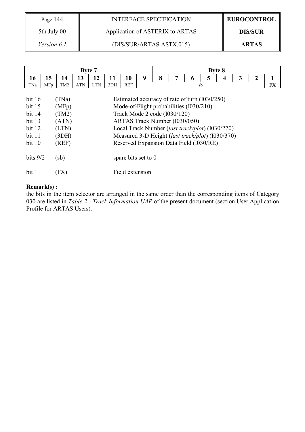| Page $144$         | <b>INTERFACE SPECIFICATION</b>  | <b>EUROCONTROL</b> |
|--------------------|---------------------------------|--------------------|
| 5th July 00        | Application of ASTERIX to ARTAS | <b>DIS/SUR</b>     |
| <i>Version 6.1</i> | (DIS/SUR/ARTAS.ASTX.015)        | <b>ARTAS</b>       |

| <b>Byte 7</b>                                                      |     |                                                             |                     |            |     |            |   | Byte 8                                                                                                                                                                                                                                                                                                                        |   |             |   |   |   |   |    |  |
|--------------------------------------------------------------------|-----|-------------------------------------------------------------|---------------------|------------|-----|------------|---|-------------------------------------------------------------------------------------------------------------------------------------------------------------------------------------------------------------------------------------------------------------------------------------------------------------------------------|---|-------------|---|---|---|---|----|--|
| 16                                                                 | 15  | 14                                                          | 13                  | 12         | 11  | 10         | 9 | 8                                                                                                                                                                                                                                                                                                                             | 7 | $\mathbf b$ | 5 | 4 | 3 | 2 | 1  |  |
| TNa                                                                | MFp | TM <sub>2</sub>                                             | <b>ATN</b>          | <b>LTN</b> | 3DH | <b>REF</b> |   |                                                                                                                                                                                                                                                                                                                               |   | sb          |   |   |   |   | FX |  |
| bit 16<br>bit 15<br>bit 14<br>bit 13<br>bit 12<br>bit 11<br>bit 10 |     | (TNa)<br>(MFp)<br>(TM2)<br>(ATN)<br>(LTN)<br>(3DH)<br>(REF) |                     |            |     |            |   | Estimated accuracy of rate of turn (1030/250)<br>Mode-of-Flight probabilities (1030/210)<br>Track Mode 2 code (1030/120)<br>ARTAS Track Number (I030/050)<br>Local Track Number ( <i>last track/plot</i> ) (I030/270)<br>Measured 3-D Height ( <i>last track/plot</i> ) (I030/370)<br>Reserved Expansion Data Field (I030/RE) |   |             |   |   |   |   |    |  |
| bits $9/2$                                                         |     | (s <b>b</b> )                                               | spare bits set to 0 |            |     |            |   |                                                                                                                                                                                                                                                                                                                               |   |             |   |   |   |   |    |  |
| bit 1                                                              |     | (FX)                                                        | Field extension     |            |     |            |   |                                                                                                                                                                                                                                                                                                                               |   |             |   |   |   |   |    |  |

## **Remark(s) :**

the bits in the item selector are arranged in the same order than the corresponding items of Category 030 are listed in *Table 2 - Track Information UAP* of the present document (section User Application Profile for ARTAS Users).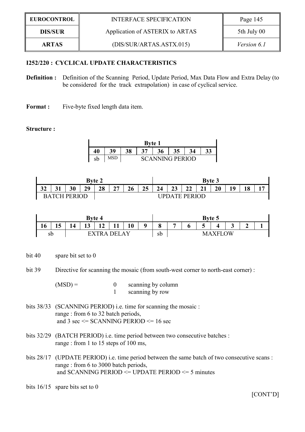| <b>EUROCONTROL</b> | <b>INTERFACE SPECIFICATION</b>  | Page 145           |
|--------------------|---------------------------------|--------------------|
| <b>DIS/SUR</b>     | Application of ASTERIX to ARTAS | 5th July 00        |
| <b>ARTAS</b>       | (DIS/SUR/ARTAS.ASTX.015)        | <i>Version 6.1</i> |

# **I252/220 : CYCLICAL UPDATE CHARACTERISTICS**

- **Definition :** Definition of the Scanning Period, Update Period, Max Data Flow and Extra Delay (to be considered for the track extrapolation) in case of cyclical service.
- **Format :** Five-byte fixed length data item.

#### **Structure :**

| <b>Byte 1</b> |                               |    |    |    |    |    |  |  |  |  |
|---------------|-------------------------------|----|----|----|----|----|--|--|--|--|
| 40            | 39                            | 38 | 37 | 36 | 35 | 34 |  |  |  |  |
| sb            | MSD<br><b>SCANNING PERIOD</b> |    |    |    |    |    |  |  |  |  |

| <b>Byte 2</b>            |    |    |    |    | Byte 3           |    |    |    |                      |    |    |    |    |    |  |
|--------------------------|----|----|----|----|------------------|----|----|----|----------------------|----|----|----|----|----|--|
| 22<br>JZ                 | 21 | 30 | 29 | 28 | <b>27</b><br>، ء | 26 | 25 | 24 | 23                   | 22 | 21 | 20 | 19 | 18 |  |
| $E$ PERIOD<br>RΔ<br>17 E |    |    |    |    |                  |    |    |    | <b>JPDATE PERIOD</b> |    |    |    |    |    |  |

| <b>Byte 4</b>                           |    |    |                    |  |  |    |  |    | <b>Byte 5</b> |    |  |                    |   |  |
|-----------------------------------------|----|----|--------------------|--|--|----|--|----|---------------|----|--|--------------------|---|--|
| 10                                      | ⊥⊽ | 14 | $\mathbf{A}$<br>19 |  |  | 10 |  |    | o             | ີ  |  | $\rightarrow$<br>ີ | - |  |
| $\cdot$ if $\rm{A}V$<br>sb<br>$\Lambda$ |    |    |                    |  |  | sb |  | МA | <b>XFL</b>    | OW |  |                    |   |  |

- bit 40 spare bit set to 0
- bit 39 Directive for scanning the mosaic (from south-west corner to north-east corner) :

| $(MSD) =$ | scanning by column |
|-----------|--------------------|
|           | scanning by row    |

- bits 38/33 (SCANNING PERIOD) i.e. time for scanning the mosaic : range : from 6 to 32 batch periods, and 3 sec  $\leq$  SCANNING PERIOD  $\leq$  16 sec
- bits 32/29 (BATCH PERIOD) i.e. time period between two consecutive batches : range : from 1 to 15 steps of 100 ms,
- bits 28/17 (UPDATE PERIOD) i.e. time period between the same batch of two consecutive scans : range : from 6 to 3000 batch periods, and SCANNING PERIOD  $\leq$  UPDATE PERIOD  $\leq$  5 minutes
- bits 16/15 spare bits set to 0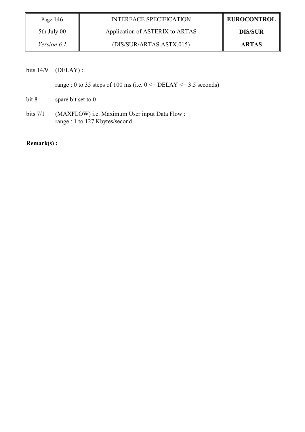| - |  |
|---|--|
|   |  |

**PAGE INTERFACE SPECIFICATION EUROCONTROL** 5th July 00 Application of ASTERIX to ARTAS **DIS/SUR** 

*Version 6.1* **COIS/SUR/ARTAS.ASTX.015) ARTAS** 

bits 14/9 (DELAY) :

range : 0 to 35 steps of 100 ms (i.e.  $0 \leq$  DELAY  $\leq$  3.5 seconds)

bit 8 spare bit set to 0

bits 7/1 (MAXFLOW) i.e. Maximum User input Data Flow : range : 1 to 127 Kbytes/second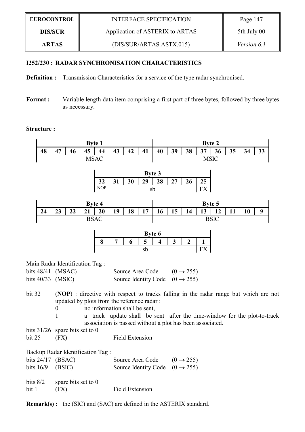| <b>EUROCONTROL</b> | <b>INTERFACE SPECIFICATION</b>  | Page 147           |  |  |  |  |  |  |
|--------------------|---------------------------------|--------------------|--|--|--|--|--|--|
| <b>DIS/SUR</b>     | Application of ASTERIX to ARTAS |                    |  |  |  |  |  |  |
| <b>ARTAS</b>       | (DIS/SUR/ARTAS.ASTX.015)        | <i>Version 6.1</i> |  |  |  |  |  |  |

# **I252/230 : RADAR SYNCHRONISATION CHARACTERISTICS**

**Definition :** Transmission Characteristics for a service of the type radar synchronised.

**Format :** Variable length data item comprising a first part of three bytes, followed by three bytes as necessary.

#### **Structure :**

|                                         |                       |                     |    | <b>Byte 1</b> |                |                                                                                                                                                                                   |    |        |              |                       |              | <b>Byte 2</b> |    |    |    |
|-----------------------------------------|-----------------------|---------------------|----|---------------|----------------|-----------------------------------------------------------------------------------------------------------------------------------------------------------------------------------|----|--------|--------------|-----------------------|--------------|---------------|----|----|----|
| 48                                      | 47                    | 46                  | 45 | 44            | 43             | 42                                                                                                                                                                                | 41 | 40     | 39           | 38                    | 37           | 36            | 35 | 34 | 33 |
|                                         |                       |                     |    | <b>MSAC</b>   |                |                                                                                                                                                                                   |    |        |              |                       |              | <b>MSIC</b>   |    |    |    |
|                                         |                       |                     |    |               |                |                                                                                                                                                                                   |    | Byte 3 |              |                       |              |               |    |    |    |
|                                         |                       |                     |    | 32            | 31             | 30                                                                                                                                                                                | 29 | 28     | 27           | 26                    | 25           |               |    |    |    |
|                                         |                       |                     |    | <b>NOP</b>    |                |                                                                                                                                                                                   |    | sb     |              |                       | <b>FX</b>    |               |    |    |    |
|                                         |                       |                     |    | Byte 4        |                |                                                                                                                                                                                   |    |        |              |                       |              | Byte 5        |    |    |    |
| 24                                      | 23                    | 22                  | 21 | 20            | 19             | 18                                                                                                                                                                                | 17 | 16     | 15           | 14                    | 13           | 12            | 11 | 10 | 9  |
|                                         |                       |                     |    | <b>BSAC</b>   |                |                                                                                                                                                                                   |    |        |              |                       |              | <b>BSIC</b>   |    |    |    |
|                                         |                       |                     |    |               |                |                                                                                                                                                                                   |    | Byte 6 |              |                       |              |               |    |    |    |
|                                         |                       |                     |    | 8             | $\overline{7}$ | 6                                                                                                                                                                                 | 5  | 4      | $\mathbf{3}$ | $\overline{2}$        | $\mathbf{1}$ |               |    |    |    |
|                                         |                       |                     |    |               |                |                                                                                                                                                                                   | sb |        |              |                       | <b>FX</b>    |               |    |    |    |
| bits $40/33$ (MSIC)<br>bit 32           |                       |                     |    |               |                | Source Identity Code $(0 \rightarrow 255)$<br>(NOP) : directive with respect to tracks falling in the radar range but which are not<br>updated by plots from the reference radar: |    |        |              |                       |              |               |    |    |    |
|                                         | $\boldsymbol{0}$<br>1 |                     |    |               |                | no information shall be sent,<br>a track update shall be sent after the time-window for the plot-to-track<br>association is passed without a plot has been associated.            |    |        |              |                       |              |               |    |    |    |
| bits $31/26$ spare bits set to 0        |                       |                     |    |               |                |                                                                                                                                                                                   |    |        |              |                       |              |               |    |    |    |
| bit 25                                  | (FX)                  |                     |    |               |                | Field Extension                                                                                                                                                                   |    |        |              |                       |              |               |    |    |    |
| <b>Backup Radar Identification Tag:</b> |                       |                     |    |               |                |                                                                                                                                                                                   |    |        |              |                       |              |               |    |    |    |
| bits $24/17$ (BSAC)                     |                       |                     |    |               |                | Source Area Code                                                                                                                                                                  |    |        |              | $(0 \rightarrow 255)$ |              |               |    |    |    |
| bits 16/9                               | (BSIC)                |                     |    |               |                | Source Identity Code $(0 \rightarrow 255)$                                                                                                                                        |    |        |              |                       |              |               |    |    |    |
| bits $8/2$                              |                       | spare bits set to 0 |    |               |                |                                                                                                                                                                                   |    |        |              |                       |              |               |    |    |    |
| bit 1                                   | (FX)                  |                     |    |               |                | <b>Field Extension</b>                                                                                                                                                            |    |        |              |                       |              |               |    |    |    |

**Remark(s) :** the (SIC) and (SAC) are defined in the ASTERIX standard.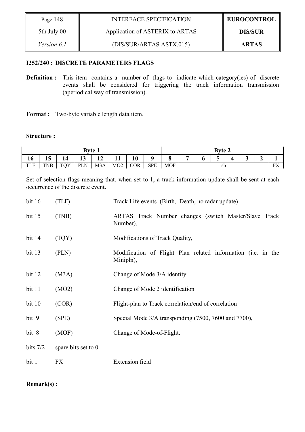| Page $148$         | <b>INTERFACE SPECIFICATION</b>  | <b>EUROCONTROL</b> |
|--------------------|---------------------------------|--------------------|
| 5th July 00        | Application of ASTERIX to ARTAS | <b>DIS/SUR</b>     |
| <i>Version 6.1</i> | (DIS/SUR/ARTAS.ASTX.015)        | <b>ARTAS</b>       |

# **I252/240 : DISCRETE PARAMETERS FLAGS**

**Definition :** This item contains a number of flags to indicate which category(ies) of discrete events shall be considered for triggering the track information transmission (aperiodical way of transmission).

**Format :** Two-byte variable length data item.

#### **Structure :**

| <b>Byte 1</b> |            |    |  |                                                                     |  |            |            |                | <b>Byte 2</b> |  |                                                             |  |           |
|---------------|------------|----|--|---------------------------------------------------------------------|--|------------|------------|----------------|---------------|--|-------------------------------------------------------------|--|-----------|
|               | $15 \quad$ | 14 |  | $13 \mid 12 \mid 11 \mid 10 \mid 9 \mid 8$                          |  |            |            | $\overline{7}$ | 6             |  | $\begin{array}{c c c c c c c} \hline 5 & 4 & 3 \end{array}$ |  |           |
| TLF           | TNB        |    |  | $\vert$ TQY $\vert$ PLN $\vert$ M3A $\vert$ MO2 $\vert$ COR $\vert$ |  | <b>SPE</b> | <b>MOF</b> |                |               |  |                                                             |  | <b>FX</b> |

Set of selection flags meaning that, when set to 1, a track information update shall be sent at each occurrence of the discrete event.

| bit 16     | (TLF)               | Track Life events (Birth, Death, no radar update)                         |
|------------|---------------------|---------------------------------------------------------------------------|
| bit 15     | (TNB)               | ARTAS Track Number changes (switch Master/Slave Track<br>Number),         |
| bit 14     | (TQY)               | Modifications of Track Quality,                                           |
| bit 13     | (PLN)               | Modification of Flight Plan related information (i.e. in the<br>Minipln), |
| bit 12     | (M3A)               | Change of Mode 3/A identity                                               |
| bit 11     | (MO2)               | Change of Mode 2 identification                                           |
| bit 10     | (COR)               | Flight-plan to Track correlation/end of correlation                       |
| bit 9      | (SPE)               | Special Mode 3/A transponding (7500, 7600 and 7700),                      |
| bit 8      | (MOF)               | Change of Mode-of-Flight.                                                 |
| bits $7/2$ | spare bits set to 0 |                                                                           |
| bit 1      | FX                  | <b>Extension field</b>                                                    |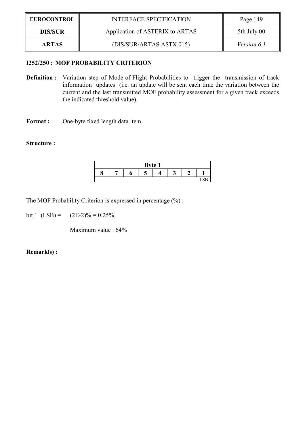| <b>EUROCONTROL</b> | <b>INTERFACE SPECIFICATION</b>  | Page $149$         |
|--------------------|---------------------------------|--------------------|
| <b>DIS/SUR</b>     | Application of ASTERIX to ARTAS | 5th July 00        |
| <b>ARTAS</b>       | (DIS/SUR/ARTAS.ASTX.015)        | <i>Version 6.1</i> |

# **I252/250 : MOF PROBABILITY CRITERION**

- **Definition :** Variation step of Mode-of-Flight Probabilities to trigger the transmission of track information updates (i.e. an update will be sent each time the variation between the current and the last transmitted MOF probability assessment for a given track exceeds the indicated threshold value).
- **Format :** One-byte fixed length data item.

# **Structure :**

| <b>Byte 1</b> |  |   |                          |  |  |  |   |
|---------------|--|---|--------------------------|--|--|--|---|
|               |  | v | $\overline{\phantom{a}}$ |  |  |  |   |
|               |  |   |                          |  |  |  | ⊷ |

The MOF Probability Criterion is expressed in percentage (%) :

bit 1  $(LSB) = (2E-2)\% = 0.25\%$ 

Maximum value : 64%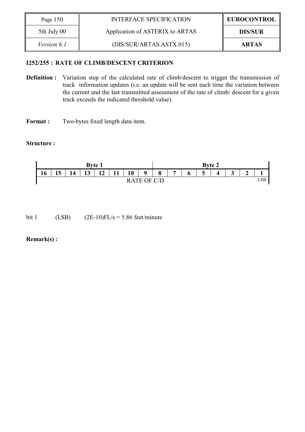| Page $150$  | <b>INTERFACE SPECIFICATION</b>  | <b>EUROCONTROL</b> |
|-------------|---------------------------------|--------------------|
| 5th July 00 | Application of ASTERIX to ARTAS | <b>DIS/SUR</b>     |
| Version 6.1 | (DIS/SUR/ARTAS.ASTX.015)        | <b>ARTAS</b>       |

# **I252/255 : RATE OF CLIMB/DESCENT CRITERION**

- **Definition :** Variation step of the calculated rate of climb/descent to trigger the transmission of track information updates (i.e. an update will be sent each time the variation between the current and the last transmitted assessment of the rate of climb/ descent for a given track exceeds the indicated threshold value).
- **Format :** Two-bytes fixed length data item.

# **Structure :**

| <b>Byte</b> 1                                                                                    |  |  |  |  |                   |   |   |                     | <b>Byte 2</b> |   |  |    |
|--------------------------------------------------------------------------------------------------|--|--|--|--|-------------------|---|---|---------------------|---------------|---|--|----|
| 10<br>11<br>$\blacksquare$<br>1 <sub>2</sub><br>$\mathbf 0$<br>1 7<br>14<br>19<br>11<br>10<br>12 |  |  |  |  | $\mathbf{o}$<br>O | - | o | $\overline{ }$<br>ັ |               | Α |  |    |
| <b>RATE OF C/D</b>                                                                               |  |  |  |  |                   |   |   |                     |               |   |  | ∟പ |

bit 1  $(LSB)$   $(2E-10)FL/s = 5.86$  feet/minute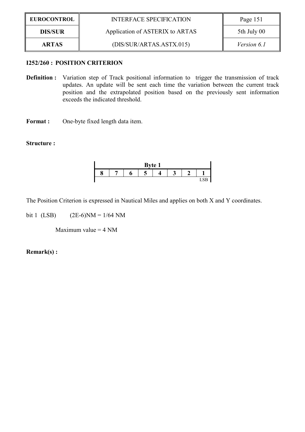| <b>EUROCONTROL</b> | <b>INTERFACE SPECIFICATION</b>  | Page 151           |  |
|--------------------|---------------------------------|--------------------|--|
| <b>DIS/SUR</b>     | Application of ASTERIX to ARTAS | 5th July 00        |  |
| <b>ARTAS</b>       | (DIS/SUR/ARTAS.ASTX.015)        | <i>Version 6.1</i> |  |

# **I252/260 : POSITION CRITERION**

- **Definition :** Variation step of Track positional information to trigger the transmission of track updates. An update will be sent each time the variation between the current track position and the extrapolated position based on the previously sent information exceeds the indicated threshold.
- **Format :** One-byte fixed length data item.

#### **Structure :**

| <b>Byte 1</b> |  |   |  |  |  |  |            |
|---------------|--|---|--|--|--|--|------------|
|               |  | v |  |  |  |  |            |
|               |  |   |  |  |  |  | <b>LUD</b> |

The Position Criterion is expressed in Nautical Miles and applies on both X and Y coordinates.

bit 1 (LSB)  $(2E-6)NM = 1/64 NM$ 

Maximum value  $=$  4 NM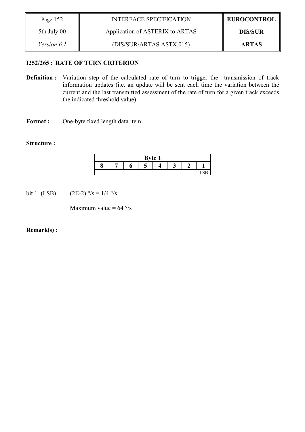| Page 152           | <b>INTERFACE SPECIFICATION</b>  | <b>EUROCONTROL</b> |
|--------------------|---------------------------------|--------------------|
| 5th July 00        | Application of ASTERIX to ARTAS | <b>DIS/SUR</b>     |
| <i>Version 6.1</i> | (DIS/SUR/ARTAS.ASTX.015)        | <b>ARTAS</b>       |

# **I252/265 : RATE OF TURN CRITERION**

- **Definition :** Variation step of the calculated rate of turn to trigger the transmission of track information updates (i.e. an update will be sent each time the variation between the current and the last transmitted assessment of the rate of turn for a given track exceeds the indicated threshold value).
- **Format :** One-byte fixed length data item.

#### **Structure :**

| <b>Byte 1</b> |  |  |  |  |  |  |  |
|---------------|--|--|--|--|--|--|--|
|               |  |  |  |  |  |  |  |
|               |  |  |  |  |  |  |  |

bit 1 (LSB)  $(2E-2)$  °/s = 1/4 °/s

Maximum value =  $64 \degree$ /s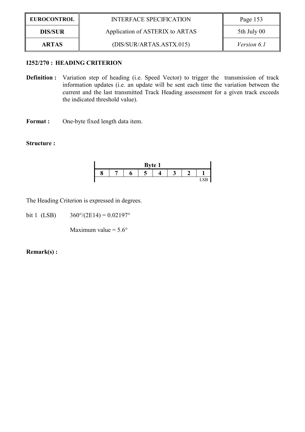| <b>EUROCONTROL</b> | <b>INTERFACE SPECIFICATION</b>  | Page 153           |
|--------------------|---------------------------------|--------------------|
| <b>DIS/SUR</b>     | Application of ASTERIX to ARTAS | 5th July 00        |
| <b>ARTAS</b>       | (DIS/SUR/ARTAS.ASTX.015)        | <i>Version 6.1</i> |

# **I252/270 : HEADING CRITERION**

- **Definition :** Variation step of heading (i.e. Speed Vector) to trigger the transmission of track information updates (i.e. an update will be sent each time the variation between the current and the last transmitted Track Heading assessment for a given track exceeds the indicated threshold value).
- **Format :** One-byte fixed length data item.

# **Structure :**

| <b>Byte 1</b> |  |  |  |  |  |  |  |
|---------------|--|--|--|--|--|--|--|
|               |  |  |  |  |  |  |  |
|               |  |  |  |  |  |  |  |

The Heading Criterion is expressed in degrees.

bit 1 (LSB)  $360^{\circ}/(2E14) = 0.02197^{\circ}$ 

Maximum value =  $5.6^\circ$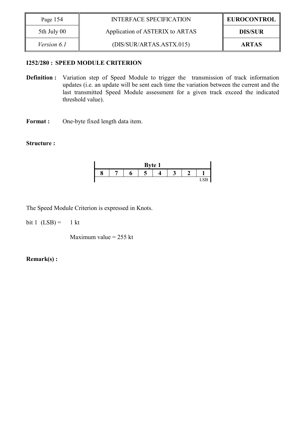| Page $154$         | <b>INTERFACE SPECIFICATION</b>  | EUROCONTROL    |
|--------------------|---------------------------------|----------------|
| 5th July 00        | Application of ASTERIX to ARTAS | <b>DIS/SUR</b> |
| <i>Version 6.1</i> | (DIS/SUR/ARTAS.ASTX.015)        | <b>ARTAS</b>   |

# **I252/280 : SPEED MODULE CRITERION**

**Definition :** Variation step of Speed Module to trigger the transmission of track information updates (i.e. an update will be sent each time the variation between the current and the last transmitted Speed Module assessment for a given track exceed the indicated threshold value).

**Format :** One-byte fixed length data item.

# **Structure :**

| <b>Byte 1</b> |  |  |  |  |  |  |  |
|---------------|--|--|--|--|--|--|--|
|               |  |  |  |  |  |  |  |
|               |  |  |  |  |  |  |  |

The Speed Module Criterion is expressed in Knots.

bit 1  $(LSB) = 1 kt$ 

Maximum value  $= 255$  kt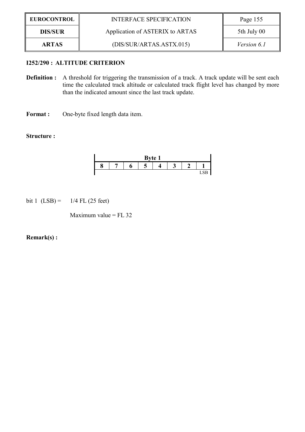| <b>EUROCONTROL</b> | <b>INTERFACE SPECIFICATION</b>  | Page 155           |  |
|--------------------|---------------------------------|--------------------|--|
| <b>DIS/SUR</b>     | Application of ASTERIX to ARTAS | 5th July 00        |  |
| <b>ARTAS</b>       | (DIS/SUR/ARTAS.ASTX.015)        | <i>Version 6.1</i> |  |

# **I252/290 : ALTITUDE CRITERION**

- **Definition :** A threshold for triggering the transmission of a track. A track update will be sent each time the calculated track altitude or calculated track flight level has changed by more than the indicated amount since the last track update.
- **Format :** One-byte fixed length data item.

#### **Structure :**

| <b>Byte 1</b> |  |  |  |  |  |  |  |  |  |
|---------------|--|--|--|--|--|--|--|--|--|
|               |  |  |  |  |  |  |  |  |  |
|               |  |  |  |  |  |  |  |  |  |

bit 1  $(LSB) = 1/4$  FL (25 feet)

Maximum value  $=$  FL 32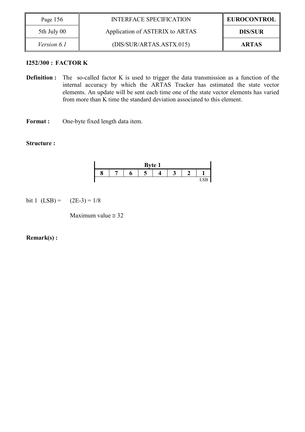| Page $156$         | <b>INTERFACE SPECIFICATION</b>  | <b>EUROCONTROL</b> |
|--------------------|---------------------------------|--------------------|
| 5th July 00        | Application of ASTERIX to ARTAS | <b>DIS/SUR</b>     |
| <i>Version 6.1</i> | (DIS/SUR/ARTAS.ASTX.015)        | <b>ARTAS</b>       |

### **I252/300 : FACTOR K**

**Definition :** The so-called factor K is used to trigger the data transmission as a function of the internal accuracy by which the ARTAS Tracker has estimated the state vector elements. An update will be sent each time one of the state vector elements has varied from more than K time the standard deviation associated to this element.

**Format :** One-byte fixed length data item.

### **Structure :**

| <b>Byte 1</b> |  |  |  |  |  |  |  |  |  |  |  |
|---------------|--|--|--|--|--|--|--|--|--|--|--|
|               |  |  |  |  |  |  |  |  |  |  |  |
|               |  |  |  |  |  |  |  |  |  |  |  |

bit 1  $(LSB) = (2E-3) = 1/8$ 

Maximum value  $\approx$  32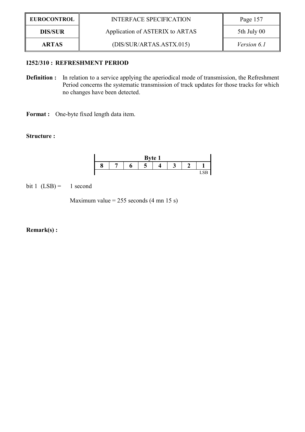| <b>EUROCONTROL</b> | <b>INTERFACE SPECIFICATION</b>  | Page 157           |
|--------------------|---------------------------------|--------------------|
| <b>DIS/SUR</b>     | Application of ASTERIX to ARTAS | 5th July 00        |
| <b>ARTAS</b>       | (DIS/SUR/ARTAS.ASTX.015)        | <i>Version 6.1</i> |

# **I252/310 : REFRESHMENT PERIOD**

**Definition :** In relation to a service applying the aperiodical mode of transmission, the Refreshment Period concerns the systematic transmission of track updates for those tracks for which no changes have been detected.

**Format :** One-byte fixed length data item.

#### **Structure :**



bit 1  $(LSB) = 1$  second

Maximum value =  $255$  seconds (4 mn 15 s)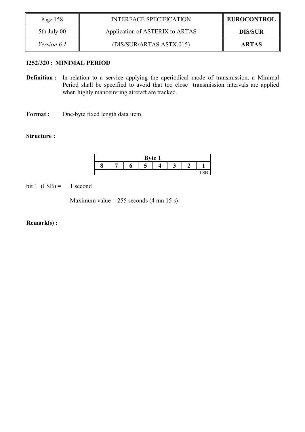Page 158 | INTERFACE SPECIFICATION | EUROCONTROL

5th July 00 Application of ASTERIX to ARTAS **DIS/SUR** 

*Version 6.1* (DIS/SUR/ARTAS.ASTX.015) **ARTAS** 

# **I252/320 : MINIMAL PERIOD**

**Definition :** In relation to a service applying the aperiodical mode of transmission, a Minimal Period shall be specified to avoid that too close transmission intervals are applied when highly manoeuvring aircraft are tracked.

**Format :** One-byte fixed length data item.

# **Structure :**



bit 1  $(LSB) = 1$  second

Maximum value =  $255$  seconds (4 mn 15 s)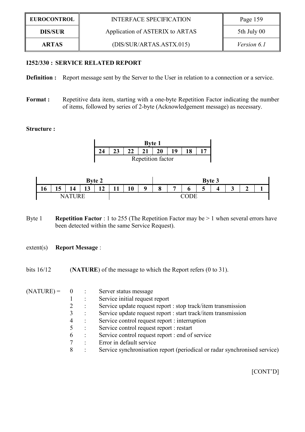| <b>EUROCONTROL</b> | INTERFACE SPECIFICATION         | Page 159           |
|--------------------|---------------------------------|--------------------|
| <b>DIS/SUR</b>     | Application of ASTERIX to ARTAS | 5th July 00        |
| <b>ARTAS</b>       | (DIS/SUR/ARTAS.ASTX.015)        | <i>Version 6.1</i> |

### **I252/330 : SERVICE RELATED REPORT**

**Definition :** Report message sent by the Server to the User in relation to a connection or a service.

Format : Repetitive data item, starting with a one-byte Repetition Factor indicating the number of items, followed by series of 2-byte (Acknowledgement message) as necessary.

#### **Structure :**

| <b>Byte 1</b>     |  |    |            |  |    |    |  |  |  |  |  |
|-------------------|--|----|------------|--|----|----|--|--|--|--|--|
| 24                |  | 22 | $21 \t 20$ |  | 19 | 18 |  |  |  |  |  |
| Repetition factor |  |    |            |  |    |    |  |  |  |  |  |

| <b>Byte 2</b> |    |                                |         |    |           |                     |   |               | <b>Byte 3</b>                                     |   |  |  |  |  |  |
|---------------|----|--------------------------------|---------|----|-----------|---------------------|---|---------------|---------------------------------------------------|---|--|--|--|--|--|
| 16            | 19 | $\boldsymbol{\varDelta}$<br>┸┱ | ໍ<br>19 | ┸᠘ | . .<br>11 | $\mathbf{A}$<br>1 V | o | $\Omega$<br>O | -<br>$\overline{\phantom{0}}$<br>A<br>O<br>ັ<br>ັ |   |  |  |  |  |  |
|               |    | $\Lambda$<br>1 R H             |         |    |           |                     |   |               |                                                   | ິ |  |  |  |  |  |

- Byte 1 **Repetition Factor** : 1 to 255 (The Repetition Factor may be > 1 when several errors have been detected within the same Service Request).
- extent(s) **Report Message** :

bits 16/12 (**NATURE**) of the message to which the Report refers (0 to 31).

| $(NATURE) =$ | $\overline{0}$ | $\mathcal{L}^{\text{max}}_{\text{max}}$ | Server status message                                                     |
|--------------|----------------|-----------------------------------------|---------------------------------------------------------------------------|
|              |                | ÷                                       | Service initial request report                                            |
|              |                |                                         | Service update request report : stop track/item transmission              |
|              |                | ÷                                       | Service update request report : start track/item transmission             |
|              | 4              | ÷                                       | Service control request report : interruption                             |
|              |                |                                         | Service control request report : restart                                  |
|              | 6              | $\mathbb{R}^n$                          | Service control request report : end of service                           |
|              |                | $\hat{\mathcal{C}}$                     | Error in default service                                                  |
|              | 8              |                                         | Service synchronisation report (periodical or radar synchronised service) |
|              |                |                                         |                                                                           |

[CONT'D]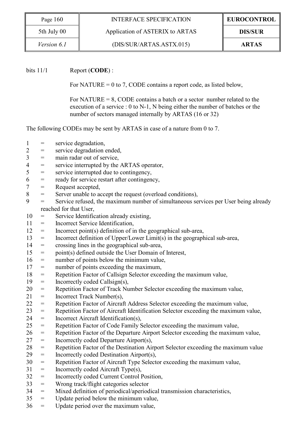Page 160 | INTERFACE SPECIFICATION | EUROCONTROL

5th July 00 Application of ASTERIX to ARTAS **DIS/SUR** 

*Version 6.1* (DIS/SUR/ARTAS.ASTX.015) **ARTAS** 

bits 11/1 Report (**CODE**) :

For NATURE  $= 0$  to 7, CODE contains a report code, as listed below,

For NATURE  $= 8$ , CODE contains a batch or a sector number related to the execution of a service : 0 to N-1, N being either the number of batches or the number of sectors managed internally by ARTAS (16 or 32)

The following CODEs may be sent by ARTAS in case of a nature from 0 to 7.

- $1 =$  service degradation,
- 2 = service degradation ended,
- 3 = main radar out of service,
- 4 = service interrupted by the ARTAS operator,
- $5 =$  service interrupted due to contingency,
- $6 =$  ready for service restart after contingency.
- 7 = Request accepted,
- 8 = Server unable to accept the request (overload conditions),
- 9 = Service refused, the maximum number of simultaneous services per User being already reached for that User,
- 10 = Service Identification already existing,
- 11 = Incorrect Service Identification,
- $12 =$  Incorrect point(s) definition of in the geographical sub-area,
- 13 = Incorrect definition of Upper/Lower Limit(s) in the geographical sub-area,
- $14 = \cos \sin \theta$  lines in the geographical sub-area,
- 15 = point(s) defined outside the User Domain of Interest,
- 16 = number of points below the minimum value,
- 17 = number of points exceeding the maximum,
- 18 = Repetition Factor of Callsign Selector exceeding the maximum value,
- $19 =$  Incorrectly coded Callsign(s),
- 20 = Repetition Factor of Track Number Selector exceeding the maximum value,
- $21 =$  Incorrect Track Number(s),
- 22 = Repetition Factor of Aircraft Address Selector exceeding the maximum value,
- 23 = Repetition Factor of Aircraft Identification Selector exceeding the maximum value,
- $24 =$  Incorrect Aircraft Identification(s),
- 25 = Repetition Factor of Code Family Selector exceeding the maximum value,
- 26 = Repetition Factor of the Departure Airport Selector exceeding the maximum value,
- $27 =$  Incorrectly coded Departure Airport(s),
- 28 = Repetition Factor of the Destination Airport Selector exceeding the maximum value
- $29 =$  Incorrectly coded Destination Airport(s),
- 30 = Repetition Factor of Aircraft Type Selector exceeding the maximum value,
- $31 =$  Incorrectly coded Aircraft Type(s),
- 32 = Incorrectly coded Current Control Position,
- 33 = Wrong track/flight categories selector
- 34 = Mixed definition of periodical/aperiodical transmission characteristics,
- $35 =$  Update period below the minimum value.
- $36 =$  Update period over the maximum value,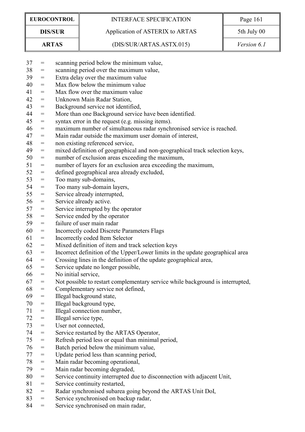| <b>EUROCONTROL</b> |                |                       | <b>INTERFACE SPECIFICATION</b>                                                 | Page 161    |
|--------------------|----------------|-----------------------|--------------------------------------------------------------------------------|-------------|
|                    | <b>DIS/SUR</b> |                       | Application of ASTERIX to ARTAS                                                | 5th July 00 |
| <b>ARTAS</b>       |                |                       | (DIS/SUR/ARTAS.ASTX.015)                                                       | Version 6.1 |
| 37                 | $=$            |                       | scanning period below the minimum value,                                       |             |
| 38                 | $=$            |                       | scanning period over the maximum value,                                        |             |
| 39                 | $=$            |                       | Extra delay over the maximum value                                             |             |
| 40                 | $=$            |                       | Max flow below the minimum value                                               |             |
| 41                 | $=$            |                       | Max flow over the maximum value                                                |             |
| 42                 | $=$            |                       | Unknown Main Radar Station,                                                    |             |
| 43                 | $=$            |                       | Background service not identified,                                             |             |
| 44                 | $=$            |                       | More than one Background service have been identified.                         |             |
| 45                 | =              |                       | syntax error in the request (e.g. missing items).                              |             |
| 46                 | $=$            |                       | maximum number of simultaneous radar synchronised service is reached.          |             |
| 47                 | $=$            |                       | Main radar outside the maximum user domain of interest,                        |             |
| 48                 | $=$            |                       | non existing referenced service,                                               |             |
| 49                 | $=$            |                       | mixed definition of geographical and non-geographical track selection keys,    |             |
| 50                 | $=$            |                       | number of exclusion areas exceeding the maximum,                               |             |
| 51                 | =              |                       | number of layers for an exclusion area exceeding the maximum,                  |             |
| 52                 | =              |                       | defined geographical area already excluded,                                    |             |
| 53                 | $=$            |                       | Too many sub-domains,                                                          |             |
| 54                 | $=$            |                       | Too many sub-domain layers,                                                    |             |
| 55                 | =              |                       | Service already interrupted,                                                   |             |
| 56                 | $=$            |                       | Service already active.                                                        |             |
| 57                 | $=$            |                       | Service interrupted by the operator                                            |             |
| 58                 | $=$            |                       | Service ended by the operator                                                  |             |
| 59                 | $=$            |                       | failure of user main radar                                                     |             |
| 60                 | $=$            |                       | Incorrectly coded Discrete Parameters Flags                                    |             |
| 61                 | $=$            |                       | Incorrectly coded Item Selector                                                |             |
| 62                 | $=$            |                       | Mixed definition of item and track selection keys                              |             |
| 63                 | $=$            |                       | Incorrect definition of the Upper/Lower limits in the update geographical area |             |
| 64                 | =              |                       | Crossing lines in the definition of the update geographical area,              |             |
| 65                 | $=$            |                       | Service update no longer possible,                                             |             |
| 66                 | =              | No initial service,   |                                                                                |             |
| 67                 | $=$            |                       | Not possible to restart complementary service while background is interrupted, |             |
| 68                 | $=$            |                       | Complementary service not defined,                                             |             |
| 69                 | $=$            |                       | Illegal background state,                                                      |             |
| 70                 | $=$            |                       | Illegal background type,                                                       |             |
| 71                 | =              |                       | Illegal connection number,                                                     |             |
| 72                 | =              | Illegal service type, |                                                                                |             |
| 73                 | $=$            | User not connected,   |                                                                                |             |
| 74                 | =              |                       | Service restarted by the ARTAS Operator,                                       |             |
| 75                 | $=$            |                       | Refresh period less or equal than minimal period,                              |             |
| 76                 | $=$            |                       | Batch period below the minimum value,                                          |             |
| 77                 | =              |                       | Update period less than scanning period,                                       |             |
| 78                 | $=$            |                       | Main radar becoming operational,                                               |             |
| 79                 | =              |                       | Main radar becoming degraded,                                                  |             |
| 80                 | $=$            |                       | Service continuity interrupted due to disconnection with adjacent Unit,        |             |
| 81                 | =              |                       | Service continuity restarted,                                                  |             |
| 82                 | =              |                       | Radar synchronised subarea going beyond the ARTAS Unit DoI,                    |             |
| 83                 | $=$            |                       | Service synchronised on backup radar,                                          |             |
| 84                 | $=$            |                       | Service synchronised on main radar,                                            |             |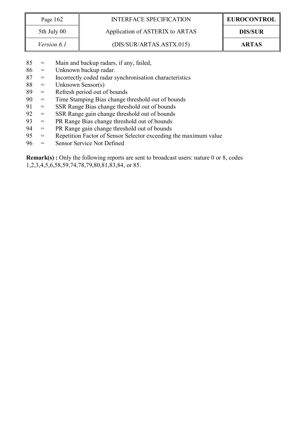| Page $162$         | <b>INTERFACE SPECIFICATION</b>  | <b>EUROCONTROL</b> |
|--------------------|---------------------------------|--------------------|
| 5th July 00        | Application of ASTERIX to ARTAS | <b>DIS/SUR</b>     |
| <i>Version 6.1</i> | (DIS/SUR/ARTAS.ASTX.015)        | <b>ARTAS</b>       |

- = Main and backup radars, if any, failed,
- = Unknown backup radar.
- = Incorrectly coded radar synchronisation characteristics
- = Unknown Sensor(s)
- = Refresh period out of bounds
- = Time Stamping Bias change threshold out of bounds
- = SSR Range Bias change threshold out of bounds
- = SSR Range gain change threshold out of bounds
- = PR Range Bias change threshold out of bounds
- = PR Range gain change threshold out of bounds
- = Repetition Factor of Sensor Selector exceeding the maximum value
- = Sensor Service Not Defined

**Remark(s) :** Only the following reports are sent to broadcast users: nature 0 or 8, codes 1,2,3,4,5,6,58,59,74,78,79,80,81,83,84, or 85.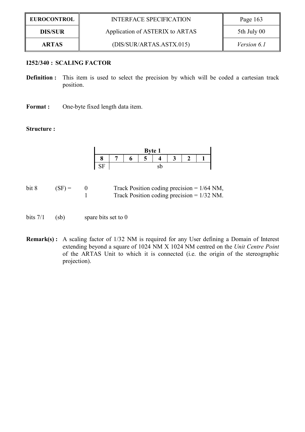| <b>EUROCONTROL</b> | <b>INTERFACE SPECIFICATION</b>  | Page $163$         |
|--------------------|---------------------------------|--------------------|
| <b>DIS/SUR</b>     | Application of ASTERIX to ARTAS | 5th July 00        |
| ARTAS              | (DIS/SUR/ARTAS.ASTX.015)        | <i>Version 6.1</i> |

#### **I252/340 : SCALING FACTOR**

- **Definition :** This item is used to select the precision by which will be coded a cartesian track position.
- **Format :** One-byte fixed length data item.

#### **Structure :**

| <b>Byte 1</b> |  |  |  |  |  |  |  |  |  |  |  |
|---------------|--|--|--|--|--|--|--|--|--|--|--|
|               |  |  |  |  |  |  |  |  |  |  |  |
|               |  |  |  |  |  |  |  |  |  |  |  |

| bit 8 | $(SF) =$ | Track Position coding precision = $1/64$ NM, |
|-------|----------|----------------------------------------------|
|       |          | Track Position coding precision = $1/32$ NM. |

|  | bits $7/1$ | (s <b>b</b> ) | spare bits set to 0 |
|--|------------|---------------|---------------------|
|--|------------|---------------|---------------------|

**Remark(s) :** A scaling factor of 1/32 NM is required for any User defining a Domain of Interest extending beyond a square of 1024 NM X 1024 NM centred on the *Unit Centre Point* of the ARTAS Unit to which it is connected (i.e. the origin of the stereographic projection).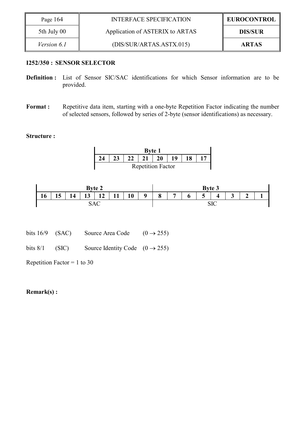| Page 164 |  |
|----------|--|
|----------|--|

**PAGE 164 INTERFACE SPECIFICATION IF UROCONTROL** 5th July 00 Application of ASTERIX to ARTAS **DIS/SUR** 

*Version 6.1* (DIS/SUR/ARTAS.ASTX.015) **ARTAS** 

### **I252/350 : SENSOR SELECTOR**

- **Definition :** List of Sensor SIC/SAC identifications for which Sensor information are to be provided.
- **Format :** Repetitive data item, starting with a one-byte Repetition Factor indicating the number of selected sensors, followed by series of 2-byte (sensor identifications) as necessary.

#### **Structure :**

| <b>Byte 1</b>            |  |  |  |  |  |  |  |  |  |  |  |  |
|--------------------------|--|--|--|--|--|--|--|--|--|--|--|--|
| 22   21   20   19<br>18  |  |  |  |  |  |  |  |  |  |  |  |  |
| <b>Repetition Factor</b> |  |  |  |  |  |  |  |  |  |  |  |  |

| <b>Byte 2</b>                                                       |  |  |  |  |  |  |  | <b>Byte 3</b>                                 |   |   |                     |          |        |                          |  |
|---------------------------------------------------------------------|--|--|--|--|--|--|--|-----------------------------------------------|---|---|---------------------|----------|--------|--------------------------|--|
| 10<br>11<br>12<br>$\epsilon$<br>$\mathbf 0$<br>13<br>14<br>10<br>12 |  |  |  |  |  |  |  | 8                                             | - | o | $\overline{ }$<br>ັ | $\Delta$ | ◠<br>ັ | $\overline{\phantom{a}}$ |  |
| SAC                                                                 |  |  |  |  |  |  |  | $\alpha$ T $\alpha$<br>$\mathsf{u}\mathsf{v}$ |   |   |                     |          |        |                          |  |

bits 16/9 (SAC) Source Area Code  $(0 \rightarrow 255)$ 

bits  $8/1$  (SIC) Source Identity Code (0  $\rightarrow$  255)

Repetition Factor = 1 to 30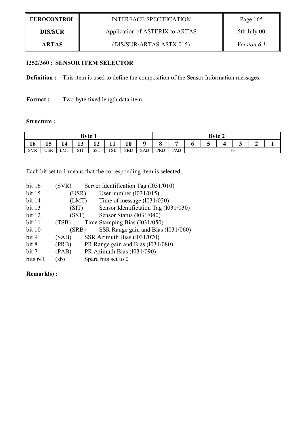| <b>EUROCONTROL</b> | <b>INTERFACE SPECIFICATION</b>  | Page 165           |
|--------------------|---------------------------------|--------------------|
| <b>DIS/SUR</b>     | Application of ASTERIX to ARTAS | 5th July 00        |
| <b>ARTAS</b>       | (DIS/SUR/ARTAS.ASTX.015)        | <i>Version 6.1</i> |

# **I252/360 : SENSOR ITEM SELECTOR**

**Definition :** This item is used to define the composition of the Sensor Information messages.

Format : Two-byte fixed length data item.

#### **Structure :**

| <b>Byte 1</b> |          |            |                     |                      |            |            |            | <b>Byte 2</b> |     |    |  |  |  |  |  |  |
|---------------|----------|------------|---------------------|----------------------|------------|------------|------------|---------------|-----|----|--|--|--|--|--|--|
| 10            | 15<br>⊥⊽ | Δ          | $\rightarrow$<br>10 | 1.4<br>┸ <del></del> | . .        | 10         | Q          |               |     | ◡  |  |  |  |  |  |  |
| <b>SVR</b>    | USR      | <b>LMT</b> | <b>SIT</b>          | <b>SST</b>           | <b>TSB</b> | <b>SRB</b> | <b>SAB</b> | <b>PRB</b>    | PAB | sb |  |  |  |  |  |  |

Each bit set to 1 means that the corresponding item is selected.

| bit 16     | (SVR) |       | Server Identification Tag (I031/010) |
|------------|-------|-------|--------------------------------------|
| bit 15     |       | (USR) | User number $(1031/015)$             |
| bit 14     |       | (LMT) | Time of message $(1031/020)$         |
| bit 13     | (SIT) |       | Sensor Identification Tag (I031/030) |
| bit 12     | (SST) |       | Sensor Status (1031/040)             |
| bit 11     | (TSB) |       | Time Stamping Bias (I031/050)        |
| bit 10     |       | (SRB) | SSR Range gain and Bias (I031/060)   |
| bit 9      | (SAB) |       | SSR Azimuth Bias (I031/070)          |
| bit 8      | (PRB) |       | PR Range gain and Bias (I031/080)    |
| bit 7      | (PAB) |       | PR Azimuth Bias (I031/090)           |
| bits $6/1$ | (sb)  |       | Spare bits set to 0                  |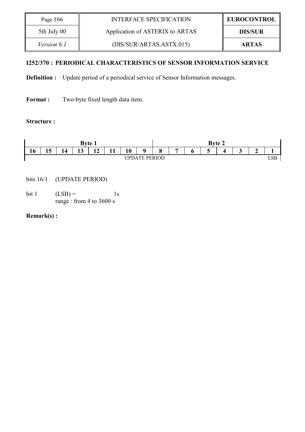| Page $166$         | <b>INTERFACE SPECIFICATION</b>  | <b>EUROCONTROL</b> |
|--------------------|---------------------------------|--------------------|
| 5th July 00        | Application of ASTERIX to ARTAS | <b>DIS/SUR</b>     |
| <i>Version 6.1</i> | (DIS/SUR/ARTAS.ASTX.015)        | <b>ARTAS</b>       |

# **I252/370 : PERIODICAL CHARACTERISTICS OF SENSOR INFORMATION SERVICE**

**Definition :** Update period of a periodical service of Sensor Information messages.

Format : Two-byte fixed length data item.

### **Structure :**

| <b>Byte</b>                                                                                             |  |  |  |  |  |  |  | <b>Byte 2</b> |  |   |                               |  |        |   |                           |
|---------------------------------------------------------------------------------------------------------|--|--|--|--|--|--|--|---------------|--|---|-------------------------------|--|--------|---|---------------------------|
| $\sim$<br>10<br>$\overline{\phantom{0}}$<br>. .<br>$\sim$<br>L.<br>Δ<br>10<br>⊥J<br>∸<br>┸车<br>▴◡<br>11 |  |  |  |  |  |  |  |               |  | o | $\overline{\phantom{0}}$<br>ມ |  | -<br>ັ | ∸ |                           |
| PERIOD<br>TPD.<br>$H$ $\Gamma$ <sup>T</sup>                                                             |  |  |  |  |  |  |  |               |  |   |                               |  |        |   | $T \cap D$<br><b>L'OR</b> |

- bits 16/1 (UPDATE PERIOD)
- bit 1  $(LSB) =$  1s range : from 4 to 3600 s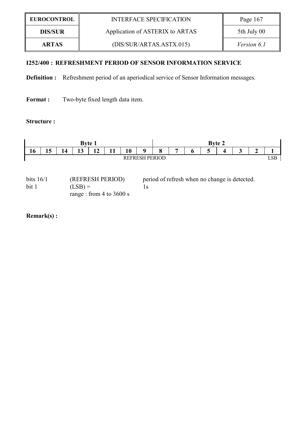| <b>EUROCONTROL</b> | <b>INTERFACE SPECIFICATION</b>  | Page $167$         |
|--------------------|---------------------------------|--------------------|
| <b>DIS/SUR</b>     | Application of ASTERIX to ARTAS | 5th July 00        |
| <b>ARTAS</b>       | (DIS/SUR/ARTAS.ASTX.015)        | <i>Version 6.1</i> |

# **I252/400 : REFRESHMENT PERIOD OF SENSOR INFORMATION SERVICE**

**Definition :** Refreshment period of an aperiodical service of Sensor Information messages.

**Format :** Two-byte fixed length data item.

### **Structure :**

|                                              |    |    | <b>Byte 1</b> |    |  |    | <b>Byte 2</b>         |   |  |             |                                               |  |  |  |     |
|----------------------------------------------|----|----|---------------|----|--|----|-----------------------|---|--|-------------|-----------------------------------------------|--|--|--|-----|
| 10                                           | 15 | 14 | l3            | 12 |  | 10 | 9                     | 8 |  | $\mathbf o$ |                                               |  |  |  |     |
|                                              |    |    |               |    |  |    | <b>REFRESH PERIOD</b> |   |  |             |                                               |  |  |  | LSB |
| bits $16/1$                                  |    |    |               |    |  |    |                       |   |  |             | period of refresh when no change is detected. |  |  |  |     |
| (REFRESH PERIOD)<br>bit 1<br>$(LSB) =$<br>1s |    |    |               |    |  |    |                       |   |  |             |                                               |  |  |  |     |
| range : from 4 to $3600$ s                   |    |    |               |    |  |    |                       |   |  |             |                                               |  |  |  |     |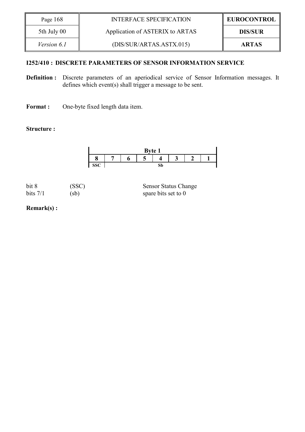| Page $168$         | <b>INTERFACE SPECIFICATION</b>  | <b>EUROCONTROL</b> |
|--------------------|---------------------------------|--------------------|
| 5th July 00        | Application of ASTERIX to ARTAS | <b>DIS/SUR</b>     |
| <i>Version 6.1</i> | (DIS/SUR/ARTAS.ASTX.015)        | <b>ARTAS</b>       |

### **I252/410 : DISCRETE PARAMETERS OF SENSOR INFORMATION SERVICE**

- **Definition :** Discrete parameters of an aperiodical service of Sensor Information messages. It defines which event(s) shall trigger a message to be sent.
- **Format :** One-byte fixed length data item.

# **Structure :**

|            | <b>Byte 1</b> |    |  |  |  |  |  |  |  |  |  |  |  |
|------------|---------------|----|--|--|--|--|--|--|--|--|--|--|--|
|            |               |    |  |  |  |  |  |  |  |  |  |  |  |
| <b>DDC</b> |               | ນ. |  |  |  |  |  |  |  |  |  |  |  |

| bit 8      | (SSC)             | Sensor Status Change |
|------------|-------------------|----------------------|
| bits $7/1$ | (s <sub>b</sub> ) | spare bits set to 0  |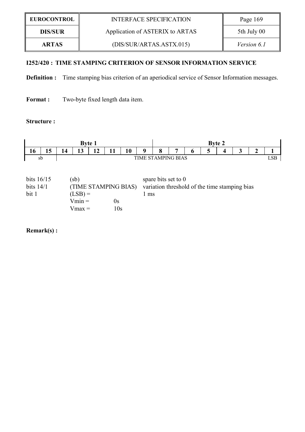| <b>EUROCONTROL</b> | <b>INTERFACE SPECIFICATION</b>  | Page $169$         |
|--------------------|---------------------------------|--------------------|
| <b>DIS/SUR</b>     | Application of ASTERIX to ARTAS | 5th July 00        |
| ARTAS              | (DIS/SUR/ARTAS.ASTX.015)        | <i>Version 6.1</i> |

# **I252/420 : TIME STAMPING CRITERION OF SENSOR INFORMATION SERVICE**

**Definition :** Time stamping bias criterion of an aperiodical service of Sensor Information messages.

**Format :** Two-byte fixed length data item.

### **Structure :**

|              |    |    | <b>Byte 1</b>        |    |                 |    |      |                     |   |   | <b>Byte 2</b> |                                               |   |            |
|--------------|----|----|----------------------|----|-----------------|----|------|---------------------|---|---|---------------|-----------------------------------------------|---|------------|
| 16           | 15 | 14 | 13                   | 12 | 11              | 10 | 9    | 8                   | 7 | 6 | 5             | $\overline{4}$                                | 2 |            |
| sb           |    |    |                      |    |                 |    |      | TIME STAMPING BIAS  |   |   |               |                                               |   | <b>LSB</b> |
|              |    |    |                      |    |                 |    |      |                     |   |   |               |                                               |   |            |
| bits $16/15$ |    |    | (sb)                 |    |                 |    |      | spare bits set to 0 |   |   |               |                                               |   |            |
| bits $14/1$  |    |    | (TIME STAMPING BIAS) |    |                 |    |      |                     |   |   |               | variation threshold of the time stamping bias |   |            |
| bit 1        |    |    | $(LSB) =$            |    |                 |    | 1 ms |                     |   |   |               |                                               |   |            |
|              |    |    | $Vmin =$             |    | 0s              |    |      |                     |   |   |               |                                               |   |            |
|              |    |    | $V$ max =            |    | 10 <sub>s</sub> |    |      |                     |   |   |               |                                               |   |            |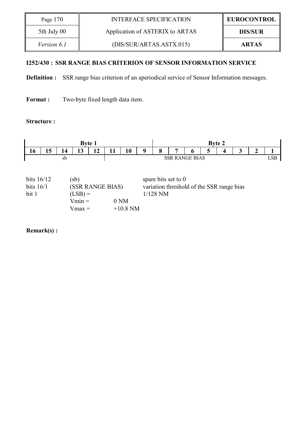| Page $170$         | <b>INTERFACE SPECIFICATION</b>  | <b>EUROCONTROL</b> |
|--------------------|---------------------------------|--------------------|
| 5th July 00        | Application of ASTERIX to ARTAS | <b>DIS/SUR</b>     |
| <i>Version 6.1</i> | (DIS/SUR/ARTAS.ASTX.015)        | <b>ARTAS</b>       |

## **I252/430 : SSR RANGE BIAS CRITERION OF SENSOR INFORMATION SERVICE**

**Definition :** SSR range bias criterion of an aperiodical service of Sensor Information messages.

**Format :** Two-byte fixed length data item.

### **Structure :**

|                                      |    |    |                                            | <b>Byte 1</b>    |                  |            |                              | <b>Byte 2</b>                     |   |   |   |                                           |   |   |  |
|--------------------------------------|----|----|--------------------------------------------|------------------|------------------|------------|------------------------------|-----------------------------------|---|---|---|-------------------------------------------|---|---|--|
| 16                                   | 15 | 14 | 13                                         | 12               | 11               | 10         | 9                            | 8                                 | 7 | 6 | 5 | 4                                         | 3 | 2 |  |
|                                      |    | sb |                                            |                  |                  |            | <b>SSR RANGE BIAS</b><br>LSB |                                   |   |   |   |                                           |   |   |  |
| bits $16/12$<br>bits $16/1$<br>bit 1 |    |    | (sb)<br>$(LSB) =$<br>$Vmin =$<br>$V$ max = | (SSR RANGE BIAS) | 0 <sub>N</sub> M | $+10.8$ NM |                              | spare bits set to 0<br>$1/128$ NM |   |   |   | variation threshold of the SSR range bias |   |   |  |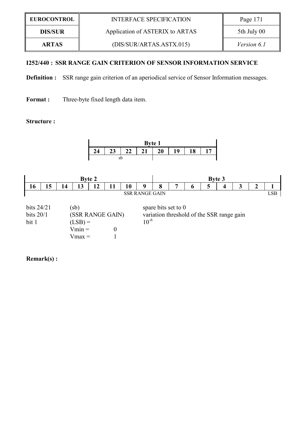| <b>EUROCONTROL</b> | <b>INTERFACE SPECIFICATION</b>  | Page $171$         |
|--------------------|---------------------------------|--------------------|
| <b>DIS/SUR</b>     | Application of ASTERIX to ARTAS | 5th July 00        |
| <b>ARTAS</b>       | (DIS/SUR/ARTAS.ASTX.015)        | <i>Version 6.1</i> |

# **I252/440 : SSR RANGE GAIN CRITERION OF SENSOR INFORMATION SERVICE**

**Definition :** SSR range gain criterion of an aperiodical service of Sensor Information messages.

**Format :** Three-byte fixed length data item.

# **Structure :**

| <b>Byte 1</b> |    |    |    |    |    |  |  |  |  |  |  |  |
|---------------|----|----|----|----|----|--|--|--|--|--|--|--|
| د،∠           | 22 | 21 | 20 | 19 | 18 |  |  |  |  |  |  |  |
| sb            |    |    |    |    |    |  |  |  |  |  |  |  |

| <b>Byte 2</b>                        |    |    |                                              |    |                       |    |                       |                     |  | <b>Byte 3</b>                             |  |            |
|--------------------------------------|----|----|----------------------------------------------|----|-----------------------|----|-----------------------|---------------------|--|-------------------------------------------|--|------------|
| 16                                   | 15 | 14 | 13                                           | 12 |                       | 10 |                       | 8                   |  | 4                                         |  |            |
|                                      |    |    |                                              |    |                       |    | <b>SSR RANGE GAIN</b> |                     |  |                                           |  | <b>LSB</b> |
| bits $24/21$<br>bits $20/1$<br>bit 1 |    |    | (sb)<br>$(LSB) =$<br>$Vmin =$<br>$V$ max $=$ |    | (SSR RANGE GAIN)<br>0 |    | $10^{-6}$             | spare bits set to 0 |  | variation threshold of the SSR range gain |  |            |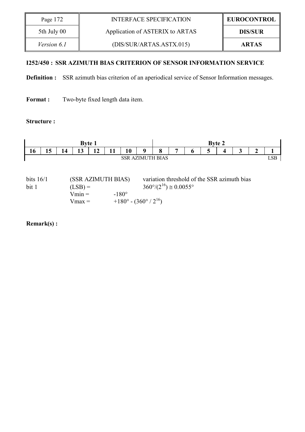| Page 172           | <b>INTERFACE SPECIFICATION</b>  | <b>EUROCONTROL</b> |
|--------------------|---------------------------------|--------------------|
| 5th July 00        | Application of ASTERIX to ARTAS | <b>DIS/SUR</b>     |
| <i>Version 6.1</i> | (DIS/SUR/ARTAS.ASTX.015)        | <b>ARTAS</b>       |

# **I252/450 : SSR AZIMUTH BIAS CRITERION OF SENSOR INFORMATION SERVICE**

**Definition :** SSR azimuth bias criterion of an aperiodical service of Sensor Information messages.

**Format :** Two-byte fixed length data item.

### **Structure :**

| <b>Byte 1</b>                                                                  |    |    |                                 |    |  |    |   |                                                                                              |   |   | <b>Byte 2</b> |  |            |
|--------------------------------------------------------------------------------|----|----|---------------------------------|----|--|----|---|----------------------------------------------------------------------------------------------|---|---|---------------|--|------------|
| 16                                                                             | 15 | 14 | 13                              | 12 |  | 10 | q | 8                                                                                            | 7 | 6 |               |  |            |
|                                                                                |    |    |                                 |    |  |    |   | <b>SSR AZIMUTH BIAS</b>                                                                      |   |   |               |  | <b>LSB</b> |
| bits $16/1$<br>bit 1                                                           |    |    | (SSR AZIMUTH BIAS)<br>$(LSB) =$ |    |  |    |   | variation threshold of the SSR azimuth bias<br>$360^{\circ}/(2^{16}) \approx 0.0055^{\circ}$ |   |   |               |  |            |
| $Vmin =$<br>$-180^\circ$<br>$+180^{\circ} - (360^{\circ}/2^{16})$<br>$V$ max = |    |    |                                 |    |  |    |   |                                                                                              |   |   |               |  |            |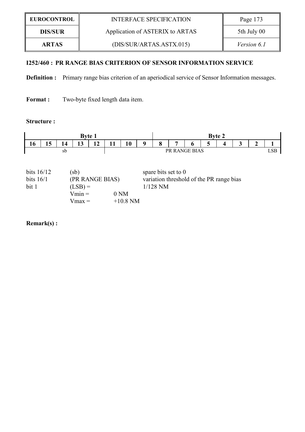| <b>EUROCONTROL</b> | <b>INTERFACE SPECIFICATION</b>  | Page 173           |
|--------------------|---------------------------------|--------------------|
| <b>DIS/SUR</b>     | Application of ASTERIX to ARTAS | 5th July 00        |
| ARTAS              | (DIS/SUR/ARTAS.ASTX.015)        | <i>Version 6.1</i> |

# **I252/460 : PR RANGE BIAS CRITERION OF SENSOR INFORMATION SERVICE**

**Definition :** Primary range bias criterion of an aperiodical service of Sensor Information messages.

**Format :** Two-byte fixed length data item.

#### **Structure :**

|                                      |    |    | <b>Byte 1</b>                              |                 |                  |            |   | <b>Byte 2</b> |                                                                 |   |   |   |  |  |            |
|--------------------------------------|----|----|--------------------------------------------|-----------------|------------------|------------|---|---------------|-----------------------------------------------------------------|---|---|---|--|--|------------|
| 16                                   | 15 | 14 | 13                                         | 12              |                  | 10         | 9 | 8             |                                                                 | O | 5 | 4 |  |  |            |
|                                      |    | sb |                                            |                 |                  |            |   |               | PR RANGE BIAS                                                   |   |   |   |  |  | <b>LSB</b> |
| bits $16/12$<br>bits $16/1$<br>bit 1 |    |    | (sb)<br>$(LSB) =$<br>$Vmin =$<br>$V$ max = | (PR RANGE BIAS) | 0 <sub>N</sub> M | $+10.8$ NM |   | $1/128$ NM    | spare bits set to 0<br>variation threshold of the PR range bias |   |   |   |  |  |            |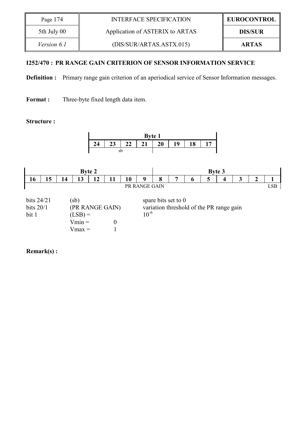| Page $174$         | <b>INTERFACE SPECIFICATION</b>  | <b>EUROCONTROL</b> |
|--------------------|---------------------------------|--------------------|
| 5th July 00        | Application of ASTERIX to ARTAS | <b>DIS/SUR</b>     |
| <i>Version 6.1</i> | (DIS/SUR/ARTAS.ASTX.015)        | <b>ARTAS</b>       |

# **I252/470 : PR RANGE GAIN CRITERION OF SENSOR INFORMATION SERVICE**

**Definition :** Primary range gain criterion of an aperiodical service of Sensor Information messages.

**Format :** Three-byte fixed length data item.

# **Structure :**

| <b>Byte 1</b> |          |    |  |    |    |    |  |  |  |  |
|---------------|----------|----|--|----|----|----|--|--|--|--|
|               | د،       | 22 |  | 20 | 19 | 18 |  |  |  |  |
|               | ch<br>ðυ |    |  |    |    |    |  |  |  |  |

|                                    | Byte 2 |    |                                            |   |                      |    |               |                     | <b>Byte 3</b> |  |                                          |  |  |  |     |
|------------------------------------|--------|----|--------------------------------------------|---|----------------------|----|---------------|---------------------|---------------|--|------------------------------------------|--|--|--|-----|
| 16                                 | 15     | 14 | 13                                         | 2 |                      | 10 |               | 8                   | 7             |  |                                          |  |  |  |     |
|                                    |        |    |                                            |   |                      |    | PR RANGE GAIN |                     |               |  |                                          |  |  |  | LSB |
| bits 24/21<br>bits $20/1$<br>bit 1 |        |    | (sb)<br>$(LSB) =$<br>$Vmin =$<br>$V$ max = |   | (PR RANGE GAIN)<br>0 |    | $10^{-6}$     | spare bits set to 0 |               |  | variation threshold of the PR range gain |  |  |  |     |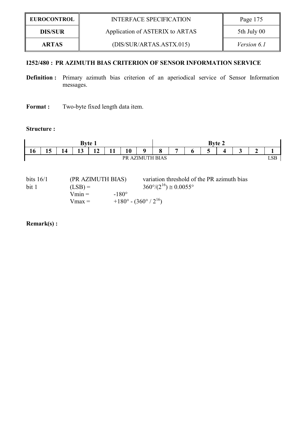| <b>EUROCONTROL</b> | <b>INTERFACE SPECIFICATION</b>  | Page 175           |
|--------------------|---------------------------------|--------------------|
| <b>DIS/SUR</b>     | Application of ASTERIX to ARTAS | 5th July 00        |
| <b>ARTAS</b>       | (DIS/SUR/ARTAS.ASTX.015)        | <i>Version 6.1</i> |

# **I252/480 : PR AZIMUTH BIAS CRITERION OF SENSOR INFORMATION SERVICE**

- **Definition :** Primary azimuth bias criterion of an aperiodical service of Sensor Information messages.
- Format : Two-byte fixed length data item.

#### **Structure :**

|                                                      |    |                 | <b>Byte 1</b>     |    |              |    |   | <b>Byte 2</b>                                 |  |             |     |   |  |  |  |
|------------------------------------------------------|----|-----------------|-------------------|----|--------------|----|---|-----------------------------------------------|--|-------------|-----|---|--|--|--|
| 16                                                   | 15 | $\overline{14}$ | 13                | 12 |              | 10 | 9 | 8                                             |  | $\mathbf b$ |     | 4 |  |  |  |
| PR AZIMUTH BIAS                                      |    |                 |                   |    |              |    |   |                                               |  |             | LSB |   |  |  |  |
|                                                      |    |                 |                   |    |              |    |   |                                               |  |             |     |   |  |  |  |
|                                                      |    |                 |                   |    |              |    |   |                                               |  |             |     |   |  |  |  |
| bits $16/1$                                          |    |                 | (PR AZIMUTH BIAS) |    |              |    |   | variation threshold of the PR azimuth bias    |  |             |     |   |  |  |  |
| bit 1                                                |    |                 | $(LSB) =$         |    |              |    |   | $360^{\circ}/(2^{16}) \approx 0.0055^{\circ}$ |  |             |     |   |  |  |  |
|                                                      |    |                 | $Vmin =$          |    | $-180^\circ$ |    |   |                                               |  |             |     |   |  |  |  |
| $+180^{\circ} - (360^{\circ}/2^{16})$<br>$V$ max $=$ |    |                 |                   |    |              |    |   |                                               |  |             |     |   |  |  |  |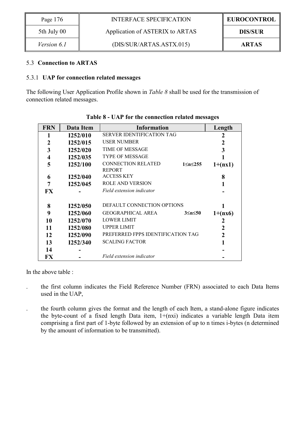| Page $176$         | <b>INTERFACE SPECIFICATION</b>  | <b>EUROCONTROL</b> |
|--------------------|---------------------------------|--------------------|
| 5th July 00        | Application of ASTERIX to ARTAS | <b>DIS/SUR</b>     |
| <i>Version 6.1</i> | (DIS/SUR/ARTAS.ASTX.015)        | <b>ARTAS</b>       |

# 5.3 **Connection to ARTAS**

#### 5.3.1 **UAP for connection related messages**

The following User Application Profile shown in *Table 8* shall be used for the transmission of connection related messages.

| <b>FRN</b>              | Data Item | <b>Information</b>                                    | Length           |
|-------------------------|-----------|-------------------------------------------------------|------------------|
| 1                       | I252/010  | SERVER IDENTIFICATION TAG                             | $\boldsymbol{2}$ |
| $\boldsymbol{2}$        | I252/015  | <b>USER NUMBER</b>                                    | $\overline{2}$   |
| 3                       | I252/020  | <b>TIME OF MESSAGE</b>                                | 3                |
| $\overline{\mathbf{4}}$ | I252/035  | <b>TYPE OF MESSAGE</b>                                | 1                |
| 5                       | I252/100  | <b>CONNECTION RELATED</b><br>1≤n≤255<br><b>REPORT</b> | $1+(nx1)$        |
| 6                       | I252/040  | <b>ACCESS KEY</b>                                     | 8                |
| 7                       | I252/045  | <b>ROLE AND VERSION</b>                               | 1                |
| <b>FX</b>               |           | Field extension indicator                             |                  |
| 8                       | I252/050  | DEFAULT CONNECTION OPTIONS                            | 1                |
| 9                       | I252/060  | <b>GEOGRAPHICAL AREA</b><br>3≤n≤50                    | $1+(nx6)$        |
| 10                      | I252/070  | <b>LOWER LIMIT</b>                                    | 2                |
| 11                      | I252/080  | <b>UPPER LIMIT</b>                                    | $\mathbf{2}$     |
| 12                      | I252/090  | PREFERRED FPPS IDENTIFICATION TAG                     | $\mathbf{2}$     |
| 13                      | 1252/340  | <b>SCALING FACTOR</b>                                 | 1                |
| 14                      |           |                                                       |                  |
| FX                      |           | Field extension indicator                             |                  |

|  |  |  | Table 8 - UAP for the connection related messages |  |  |
|--|--|--|---------------------------------------------------|--|--|
|--|--|--|---------------------------------------------------|--|--|

In the above table :

- . the first column indicates the Field Reference Number (FRN) associated to each Data Items used in the UAP,
	- . the fourth column gives the format and the length of each Item, a stand-alone figure indicates the byte-count of a fixed length Data item, 1+(nxi) indicates a variable length Data item comprising a first part of 1-byte followed by an extension of up to n times i-bytes (n determined by the amount of information to be transmitted).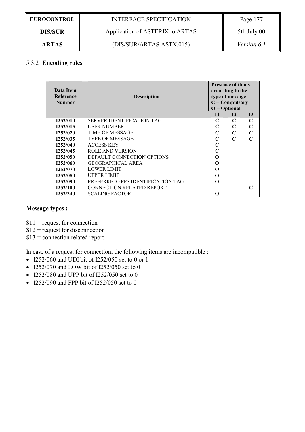| <b>EUROCONTROL</b> | <b>INTERFACE SPECIFICATION</b>  | Page 177    |
|--------------------|---------------------------------|-------------|
| <b>DIS/SUR</b>     | Application of ASTERIX to ARTAS | 5th July 00 |
|                    |                                 |             |

# **ARTAS** (DIS/SUR/ARTAS.ASTX.015) *Version 6.1*

# 5.3.2 **Encoding rules**

| Data Item<br><b>Reference</b><br><b>Number</b> | <b>Description</b>                |    | <b>Presence of items</b><br>according to the<br>type of message<br>$C = Company$<br>$O = Optional$ |    |  |  |  |  |
|------------------------------------------------|-----------------------------------|----|----------------------------------------------------------------------------------------------------|----|--|--|--|--|
|                                                |                                   | 11 | 12                                                                                                 | 13 |  |  |  |  |
| <b>I252/010</b>                                | <b>SERVER IDENTIFICATION TAG</b>  | C  | $\mathbb{C}$                                                                                       | C  |  |  |  |  |
| <b>I252/015</b>                                | <b>USER NUMBER</b>                |    | C                                                                                                  | C  |  |  |  |  |
| 1252/020                                       | <b>TIME OF MESSAGE</b>            | C  | C                                                                                                  | C  |  |  |  |  |
| I252/035                                       | <b>TYPE OF MESSAGE</b>            | C  | C                                                                                                  |    |  |  |  |  |
| <b>I252/040</b>                                | <b>ACCESS KEY</b>                 |    |                                                                                                    |    |  |  |  |  |
| 1252/045                                       | ROLE AND VERSION                  |    |                                                                                                    |    |  |  |  |  |
| I252/050                                       | DEFAULT CONNECTION OPTIONS        | റ  |                                                                                                    |    |  |  |  |  |
| I252/060                                       | <b>GEOGRAPHICAL AREA</b>          | O  |                                                                                                    |    |  |  |  |  |
| <b>I252/070</b>                                | <b>LOWER LIMIT</b>                | O  |                                                                                                    |    |  |  |  |  |
| <b>I252/080</b>                                | <b>UPPER LIMIT</b>                | റ  |                                                                                                    |    |  |  |  |  |
| <b>I252/090</b>                                | PREFERRED FPPS IDENTIFICATION TAG | O  |                                                                                                    |    |  |  |  |  |
| <b>I252/100</b>                                | <b>CONNECTION RELATED REPORT</b>  |    |                                                                                                    |    |  |  |  |  |
| 1252/340                                       | <b>SCALING FACTOR</b>             |    |                                                                                                    |    |  |  |  |  |

# **Message types :**

- $$11$  = request for connection
- $$12$  = request for disconnection

\$13 = connection related report

In case of a request for connection, the following items are incompatible :

- I252/060 and UDI bit of I252/050 set to 0 or 1
- I252/070 and LOW bit of I252/050 set to 0
- I252/080 and UPP bit of I252/050 set to 0
- I252/090 and FPP bit of I252/050 set to 0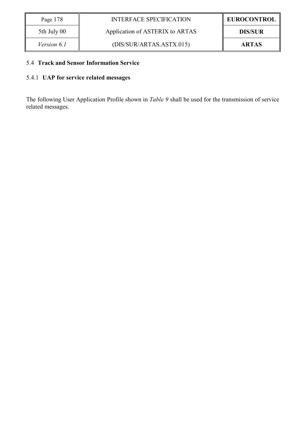# 5.4 **Track and Sensor Information Service**

# 5.4.1 **UAP for service related messages**

The following User Application Profile shown in *Table 9* shall be used for the transmission of service related messages.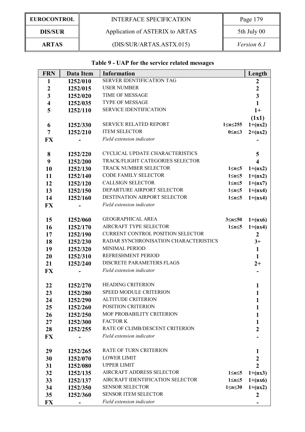| <b>EUROCONTROL</b> | <b>INTERFACE SPECIFICATION</b>  | Page 179           |
|--------------------|---------------------------------|--------------------|
| <b>DIS/SUR</b>     | Application of ASTERIX to ARTAS | 5th July 00        |
| <b>ARTAS</b>       | (DIS/SUR/ARTAS.ASTX.015)        | <i>Version 6.1</i> |

# **Table 9 - UAP for the service related messages**

| <b>FRN</b>              | Data Item       | <b>Information</b>                    |                   | Length                             |
|-------------------------|-----------------|---------------------------------------|-------------------|------------------------------------|
| $\mathbf{1}$            | I252/010        | SERVER IDENTIFICATION TAG             |                   | $\boldsymbol{2}$                   |
| $\boldsymbol{2}$        | I252/015        | <b>USER NUMBER</b>                    |                   | $\overline{\mathbf{c}}$            |
| 3                       | I252/020        | TIME OF MESSAGE                       |                   | $\overline{\mathbf{3}}$            |
| $\overline{\mathbf{4}}$ | I252/035        | TYPE OF MESSAGE                       |                   | $\mathbf{1}$                       |
| 5                       | I252/110        | <b>SERVICE IDENTIFICATION</b>         |                   | $1+$                               |
|                         |                 |                                       |                   | (1x1)                              |
| 6                       | 1252/330        | <b>SERVICE RELATED REPORT</b>         | 1≤n≤255           | $1+(nx2)$                          |
| $\overline{7}$          | I252/210        | <b>ITEM SELECTOR</b>                  | $0\leq n\leq 3$   | $2+(nx2)$                          |
| <b>FX</b>               |                 | Field extension indicator             |                   |                                    |
|                         |                 |                                       |                   |                                    |
| 8                       | I252/220        | CYCLICAL UPDATE CHARACTERISTICS       |                   | 5                                  |
| 9                       | I252/200        | TRACK/FLIGHT CATEGORIES SELECTOR      |                   | $\overline{\mathbf{4}}$            |
| 10                      | I252/130        | TRACK NUMBER SELECTOR                 | $1\leq n\leq 5$   | $1+(nx2)$                          |
| 11                      | I252/140        | CODE FAMILY SELECTOR                  | $1\leq n\leq 5$   | $1+(nx2)$                          |
| 12                      | I252/120        | <b>CALLSIGN SELECTOR</b>              | $1\leq n\leq 5$   | $1+(nx7)$                          |
| 13                      | I252/150        | DEPARTURE AIRPORT SELECTOR            | $1\leq n\leq 5$   | $1+(nx4)$                          |
| 14                      | I252/160        | DESTINATION AIRPORT SELECTOR          | $1 \leq n \leq 5$ | $1+(nx4)$                          |
| <b>FX</b>               |                 | Field extension indicator             |                   |                                    |
|                         |                 |                                       |                   |                                    |
| 15                      | I252/060        | <b>GEOGRAPHICAL AREA</b>              | $3\leq n \leq 50$ | $1+(nx6)$                          |
| 16                      | I252/170        | AIRCRAFT TYPE SELECTOR                | $1\leq n\leq 5$   | $1+(nx4)$                          |
| 17                      | I252/190        | CURRENT CONTROL POSITION SELECTOR     |                   | $\overline{2}$                     |
| 18                      | 1252/230        | RADAR SYNCHRONISATION CHARACTERISTICS |                   | $3+$                               |
| 19                      | 1252/320        | <b>MINIMAL PERIOD</b>                 |                   | $\mathbf{1}$                       |
| 20                      | I252/310        | REFRESHMENT PERIOD                    |                   | $\mathbf{1}$                       |
| 21                      | I252/240        | <b>DISCRETE PARAMETERS FLAGS</b>      |                   | $2+$                               |
| <b>FX</b>               |                 | Field extension indicator             |                   |                                    |
|                         |                 |                                       |                   |                                    |
| 22                      | I252/270        | <b>HEADING CRITERION</b>              |                   | $\mathbf{1}$                       |
| 23                      | I252/280        | <b>SPEED MODULE CRITERION</b>         |                   | 1                                  |
| 24                      | I252/290        | <b>ALTITUDE CRITERION</b>             |                   | 1                                  |
| 25                      | I252/260        | POSITION CRITERION                    |                   | 1                                  |
| 26                      | I252/250        | MOF PROBABILITY CRITERION             |                   | 1                                  |
| 27                      | I252/300        | <b>FACTOR K</b>                       |                   | 1                                  |
| 28                      | I252/255        | RATE OF CLIMB/DESCENT CRITERION       |                   | $\boldsymbol{2}$                   |
| <b>FX</b>               |                 | Field extension indicator             |                   |                                    |
|                         |                 | RATE OF TURN CRITERION                |                   |                                    |
| 29                      | I252/265        | <b>LOWER LIMIT</b>                    |                   | 1                                  |
| 30                      | I252/070        | <b>UPPER LIMIT</b>                    |                   | $\boldsymbol{2}$<br>$\overline{2}$ |
| 31                      | <b>I252/080</b> | AIRCRAFT ADDRESS SELECTOR             |                   |                                    |
| 32                      | I252/135        | AIRCRAFT IDENTIFICATION SELECTOR      | $1\leq n \leq 5$  | $1+(nx3)$                          |
| 33                      | I252/137        | <b>SENSOR SELECTOR</b>                | $1\leq n\leq 5$   | $1+(nx6)$                          |
| 34                      | I252/350        | <b>SENSOR ITEM SELECTOR</b>           | $1\leq n \leq 30$ | $1+(nx2)$                          |
| 35                      | I252/360        |                                       |                   | $\boldsymbol{2}$                   |
| <b>FX</b>               |                 | Field extension indicator             |                   |                                    |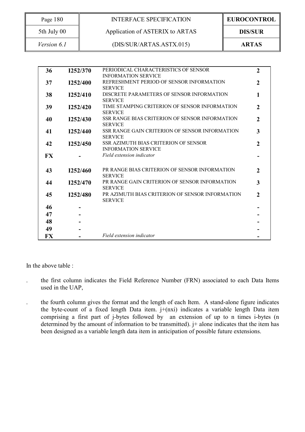| Page $180$         | <b>INTERFACE SPECIFICATION</b>  | EUROCONTROL    |
|--------------------|---------------------------------|----------------|
| 5th July 00        | Application of ASTERIX to ARTAS | <b>DIS/SUR</b> |
| <i>Version 6.1</i> | (DIS/SUR/ARTAS.ASTX.015)        | <b>ARTAS</b>   |

| 36        | <b>I252/370</b> | PERIODICAL CHARACTERISTICS OF SENSOR                            | $\mathbf{2}$   |
|-----------|-----------------|-----------------------------------------------------------------|----------------|
|           |                 | <b>INFORMATION SERVICE</b>                                      |                |
| 37        | <b>I252/400</b> | REFRESHMENT PERIOD OF SENSOR INFORMATION                        | $\overline{2}$ |
|           |                 | <b>SERVICE</b>                                                  |                |
| 38        | <b>I252/410</b> | DISCRETE PARAMETERS OF SENSOR INFORMATION                       | 1              |
|           |                 | <b>SERVICE</b>                                                  |                |
| 39        | <b>I252/420</b> | TIME STAMPING CRITERION OF SENSOR INFORMATION<br><b>SERVICE</b> | $\overline{2}$ |
|           |                 | SSR RANGE BIAS CRITERION OF SENSOR INFORMATION                  |                |
| 40        | I252/430        | <b>SERVICE</b>                                                  | $\overline{2}$ |
| 41        | <b>I252/440</b> | SSR RANGE GAIN CRITERION OF SENSOR INFORMATION                  | 3              |
|           |                 | <b>SERVICE</b>                                                  |                |
| 42        | I252/450        | SSR AZIMUTH BIAS CRITERION OF SENSOR                            | $\mathbf{2}$   |
|           |                 | <b>INFORMATION SERVICE</b>                                      |                |
| <b>FX</b> |                 | Field extension indicator                                       |                |
|           |                 |                                                                 |                |
| 43        | I252/460        | PR RANGE BIAS CRITERION OF SENSOR INFORMATION                   | $\mathcal{L}$  |
|           |                 | <b>SERVICE</b>                                                  |                |
| 44        | I252/470        | PR RANGE GAIN CRITERION OF SENSOR INFORMATION                   | 3              |
|           |                 | <b>SERVICE</b>                                                  |                |
| 45        | <b>I252/480</b> | PR AZIMUTH BIAS CRITERION OF SENSOR INFORMATION                 | $\mathbf{2}$   |
|           |                 | <b>SERVICE</b>                                                  |                |
| 46        |                 |                                                                 |                |
| 47        |                 |                                                                 |                |
| 48        |                 |                                                                 |                |
| 49        |                 |                                                                 |                |
| <b>FX</b> |                 | Field extension indicator                                       |                |
|           |                 |                                                                 |                |

In the above table :

- . the first column indicates the Field Reference Number (FRN) associated to each Data Items used in the UAP,
- . the fourth column gives the format and the length of each Item. A stand-alone figure indicates the byte-count of a fixed length Data item. j+(nxi) indicates a variable length Data item comprising a first part of j-bytes followed by an extension of up to n times i-bytes (n determined by the amount of information to be transmitted). j+ alone indicates that the item has been designed as a variable length data item in anticipation of possible future extensions.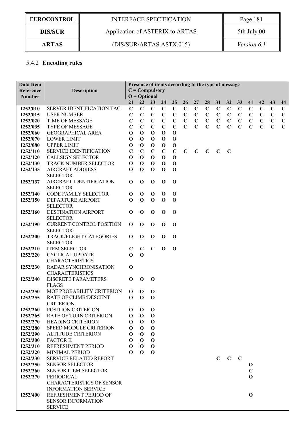## **EUROCONTROL** INTERFACE SPECIFICATION Page 181

**DIS/SUR** Application of ASTERIX to ARTAS 5th July 00

**ARTAS** (DIS/SUR/ARTAS.ASTX.015) *Version 6.1* 

# 5.4.2 **Encoding rules**

| Data Item<br>Reference | Description                                               | Presence of items according to the type of message<br>$C = Company$<br>$O = Optional$ |                                     |                            |                            |                            |                   |                   |             |             |             |                   |                   |             |             |                   |
|------------------------|-----------------------------------------------------------|---------------------------------------------------------------------------------------|-------------------------------------|----------------------------|----------------------------|----------------------------|-------------------|-------------------|-------------|-------------|-------------|-------------------|-------------------|-------------|-------------|-------------------|
| <b>Number</b>          |                                                           | 21                                                                                    | 22                                  | 23                         |                            |                            |                   |                   | 28          | 31          | 32          |                   |                   | 42          | 43          |                   |
| <b>I252/010</b>        | <b>SERVER IDENTIFICATION TAG</b>                          | $\mathbf C$                                                                           | $\mathbf C$                         | $\mathbf C$                | 24<br>$\mathbf C$          | 25<br>$\mathbf C$          | 26<br>$\mathbf C$ | 27<br>$\mathbf C$ | $\mathbf C$ | $\mathbf C$ | $\mathbf C$ | 33<br>$\mathbf C$ | 41<br>$\mathbf C$ | $\mathbf C$ | $\mathbf C$ | 44<br>$\mathbf C$ |
| I252/015               | <b>USER NUMBER</b>                                        | $\mathbf C$                                                                           | $\mathbf C$                         | $\mathbf C$                | $\mathbf C$                | $\mathbf C$                | $\mathbf C$       | $\mathbf C$       | $\mathbf C$ | $\mathbf C$ | $\mathbf C$ | $\mathbf C$       | $\mathbf C$       | $\mathbf C$ | $\mathbf C$ | $\mathbf C$       |
| 1252/020               | TIME OF MESSAGE                                           | $\mathbf C$                                                                           | $\mathbf C$                         | $\mathbf C$                | $\mathbf C$                | $\mathbf C$                | $\mathbf C$       | $\mathbf C$       | $\mathbf C$ | $\mathbf C$ | $\mathbf C$ | $\mathbf C$       | $\mathbf C$       | $\mathbf C$ | $\mathbf C$ | $\mathbf C$       |
| 1252/035               | TYPE OF MESSAGE                                           | $\mathbf C$                                                                           | $\mathbf C$                         | $\mathbf C$                | $\mathbf C$                | $\mathbf C$                | $\mathbf C$       | $\mathbf C$       | $\mathbf C$ | $\mathbf C$ | $\mathbf C$ | $\mathbf C$       | $\mathbf C$       | $\mathbf C$ | $\mathbf C$ | $\mathbf C$       |
| <b>I252/060</b>        | <b>GEOGRAPHICAL AREA</b>                                  | $\mathbf 0$                                                                           | $\mathbf 0$                         | $\mathbf 0$                | $\mathbf 0$                | $\mathbf 0$                |                   |                   |             |             |             |                   |                   |             |             |                   |
| I252/070               | <b>LOWER LIMIT</b>                                        | $\bf{0}$                                                                              | $\mathbf 0$                         | $\mathbf 0$                | $\mathbf 0$                | $\mathbf 0$                |                   |                   |             |             |             |                   |                   |             |             |                   |
| I252/080               | <b>UPPER LIMIT</b>                                        | $\mathbf 0$                                                                           | $\mathbf 0$                         | $\mathbf 0$                | $\mathbf 0$                | $\mathbf 0$                |                   |                   |             |             |             |                   |                   |             |             |                   |
| <b>I252/110</b>        | <b>SERVICE IDENTIFICATION</b>                             | $\mathbf C$                                                                           | $\mathbf C$                         | $\mathbf C$                | $\mathbf C$                | $\mathbf C$                | $\mathbf C$       | $\mathbf C$       | $\mathbf C$ | $\mathbf C$ | $\mathbf C$ |                   |                   |             |             |                   |
| 1252/120               | <b>CALLSIGN SELECTOR</b>                                  | $\mathbf 0$                                                                           | $\mathbf 0$                         | $\mathbf 0$                | $\mathbf 0$                | $\mathbf 0$                |                   |                   |             |             |             |                   |                   |             |             |                   |
| I252/130               | TRACK NUMBER SELECTOR                                     | $\mathbf 0$                                                                           | $\mathbf 0$                         | $\mathbf 0$                | $\mathbf 0$                | $\mathbf 0$                |                   |                   |             |             |             |                   |                   |             |             |                   |
| I252/135               | <b>AIRCRAFT ADDRESS</b>                                   | $\Omega$                                                                              | $\Omega$                            | $\mathbf 0$                | $\mathbf 0$                | $\mathbf 0$                |                   |                   |             |             |             |                   |                   |             |             |                   |
|                        | <b>SELECTOR</b>                                           |                                                                                       |                                     |                            |                            |                            |                   |                   |             |             |             |                   |                   |             |             |                   |
| I252/137               | AIRCRAFT IDENTIFICATION                                   | $\mathbf 0$                                                                           | $\mathbf 0$                         | $\mathbf 0$                | $\mathbf 0$                | $\mathbf 0$                |                   |                   |             |             |             |                   |                   |             |             |                   |
|                        | <b>SELECTOR</b><br><b>CODE FAMILY SELECTOR</b>            |                                                                                       |                                     |                            |                            |                            |                   |                   |             |             |             |                   |                   |             |             |                   |
| I252/140<br>I252/150   | DEPARTURE AIRPORT                                         | $\mathbf 0$<br>$\Omega$                                                               | $\mathbf 0$<br>$\mathbf 0$          | $\mathbf 0$<br>$\mathbf 0$ | $\mathbf 0$<br>$\mathbf 0$ | $\mathbf 0$<br>$\mathbf 0$ |                   |                   |             |             |             |                   |                   |             |             |                   |
|                        | <b>SELECTOR</b>                                           |                                                                                       |                                     |                            |                            |                            |                   |                   |             |             |             |                   |                   |             |             |                   |
| I252/160               | DESTINATION AIRPORT                                       | $\mathbf 0$                                                                           | $\mathbf 0$                         | $\mathbf 0$                | $\mathbf 0$                | $\mathbf 0$                |                   |                   |             |             |             |                   |                   |             |             |                   |
|                        | <b>SELECTOR</b>                                           |                                                                                       |                                     |                            |                            |                            |                   |                   |             |             |             |                   |                   |             |             |                   |
| I252/190               | <b>CURRENT CONTROL POSITION</b>                           | $\mathbf 0$                                                                           | $\mathbf 0$                         | $\mathbf 0$                | $\mathbf 0$                | $\mathbf 0$                |                   |                   |             |             |             |                   |                   |             |             |                   |
|                        | <b>SELECTOR</b>                                           |                                                                                       |                                     |                            |                            |                            |                   |                   |             |             |             |                   |                   |             |             |                   |
| I252/200               | TRACK/FLIGHT CATEGORIES                                   | $\mathbf 0$                                                                           | $\mathbf 0$                         | $\mathbf 0$                | $\mathbf 0$                | $\mathbf 0$                |                   |                   |             |             |             |                   |                   |             |             |                   |
|                        | <b>SELECTOR</b>                                           |                                                                                       |                                     |                            |                            |                            |                   |                   |             |             |             |                   |                   |             |             |                   |
| I252/210               | <b>ITEM SELECTOR</b>                                      | $\mathbf C$                                                                           | $\mathbf C$                         | $\mathbf C$                | $\mathbf 0$                | $\mathbf 0$                |                   |                   |             |             |             |                   |                   |             |             |                   |
| I252/220               | <b>CYCLICAL UPDATE</b>                                    | $\mathbf 0$                                                                           | $\mathbf 0$                         |                            |                            |                            |                   |                   |             |             |             |                   |                   |             |             |                   |
|                        | <b>CHARACTERISTICS</b>                                    |                                                                                       |                                     |                            |                            |                            |                   |                   |             |             |             |                   |                   |             |             |                   |
| 1252/230               | RADAR SYNCHRONISATION                                     | $\mathbf 0$                                                                           |                                     |                            |                            |                            |                   |                   |             |             |             |                   |                   |             |             |                   |
|                        | <b>CHARACTERISTICS</b>                                    |                                                                                       |                                     |                            |                            |                            |                   |                   |             |             |             |                   |                   |             |             |                   |
| I252/240               | <b>DISCRETE PARAMETERS</b>                                | $\mathbf 0$                                                                           | $\bf{0}$                            | $\mathbf 0$                |                            |                            |                   |                   |             |             |             |                   |                   |             |             |                   |
|                        | <b>FLAGS</b>                                              |                                                                                       |                                     |                            |                            |                            |                   |                   |             |             |             |                   |                   |             |             |                   |
| I252/250<br>I252/255   | MOF PROBABILITY CRITERION<br><b>RATE OF CLIMB/DESCENT</b> | $\mathbf 0$<br>$\bf{0}$                                                               | $\mathbf 0$<br>$\mathbf 0$          | $\mathbf 0$<br>$\mathbf 0$ |                            |                            |                   |                   |             |             |             |                   |                   |             |             |                   |
|                        | <b>CRITERION</b>                                          |                                                                                       |                                     |                            |                            |                            |                   |                   |             |             |             |                   |                   |             |             |                   |
| I252/260               | POSITION CRITERION                                        | $\mathbf{O}$                                                                          | $\begin{matrix} 0 & 0 \end{matrix}$ |                            |                            |                            |                   |                   |             |             |             |                   |                   |             |             |                   |
| I252/265               | <b>RATE OF TURN CRITERION</b>                             | $\mathbf 0$                                                                           | $\mathbf 0$                         | $\mathbf 0$                |                            |                            |                   |                   |             |             |             |                   |                   |             |             |                   |
| I252/270               | <b>HEADING CRITERION</b>                                  | $\mathbf 0$                                                                           | $\mathbf 0$                         | $\mathbf 0$                |                            |                            |                   |                   |             |             |             |                   |                   |             |             |                   |
| <b>I252/280</b>        | SPEED MODULE CRITERION                                    | $\mathbf 0$                                                                           | $\mathbf 0$                         | $\mathbf 0$                |                            |                            |                   |                   |             |             |             |                   |                   |             |             |                   |
| I252/290               | <b>ALTITUDE CRITERION</b>                                 | $\mathbf 0$                                                                           | $\mathbf 0$                         | $\mathbf 0$                |                            |                            |                   |                   |             |             |             |                   |                   |             |             |                   |
| 1252/300               | <b>FACTOR K</b>                                           | $\mathbf 0$                                                                           | $\mathbf 0$                         | $\mathbf 0$                |                            |                            |                   |                   |             |             |             |                   |                   |             |             |                   |
| 1252/310               | REFRESHMENT PERIOD                                        | $\mathbf 0$                                                                           | $\mathbf 0$                         | $\mathbf 0$                |                            |                            |                   |                   |             |             |             |                   |                   |             |             |                   |
| 1252/320               | MINIMAL PERIOD                                            | O                                                                                     | $\mathbf 0$                         | $\mathbf 0$                |                            |                            |                   |                   |             |             |             |                   |                   |             |             |                   |
| 1252/330               | <b>SERVICE RELATED REPORT</b>                             |                                                                                       |                                     |                            |                            |                            |                   |                   |             | $\mathbf C$ | $\mathbf C$ | $\mathbf C$       |                   |             |             |                   |
| I252/350               | <b>SENSOR SELECTOR</b>                                    |                                                                                       |                                     |                            |                            |                            |                   |                   |             |             |             |                   | $\bf{O}$          |             |             |                   |
| I252/360               | <b>SENSOR ITEM SELECTOR</b>                               |                                                                                       |                                     |                            |                            |                            |                   |                   |             |             |             |                   | $\mathbf C$       |             |             |                   |
| I252/370               | PERIODICAL                                                |                                                                                       |                                     |                            |                            |                            |                   |                   |             |             |             |                   | $\mathbf 0$       |             |             |                   |
|                        | <b>CHARACTERISTICS OF SENSOR</b>                          |                                                                                       |                                     |                            |                            |                            |                   |                   |             |             |             |                   |                   |             |             |                   |
|                        | <b>INFORMATION SERVICE</b>                                |                                                                                       |                                     |                            |                            |                            |                   |                   |             |             |             |                   |                   |             |             |                   |
| <b>I252/400</b>        | REFRESHMENT PERIOD OF<br><b>SENSOR INFORMATION</b>        |                                                                                       |                                     |                            |                            |                            |                   |                   |             |             |             |                   | $\mathbf 0$       |             |             |                   |
|                        | <b>SERVICE</b>                                            |                                                                                       |                                     |                            |                            |                            |                   |                   |             |             |             |                   |                   |             |             |                   |
|                        |                                                           |                                                                                       |                                     |                            |                            |                            |                   |                   |             |             |             |                   |                   |             |             |                   |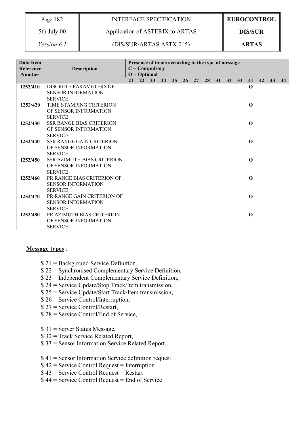### Page 182 | INTERFACE SPECIFICATION **EUROCONTROL**

5th July 00 Application of ASTERIX to ARTAS **DIS/SUR** 

#### *Version 6.1* (DIS/SUR/ARTAS.ASTX.015) **ARTAS**

| Data Item       |                                   |                                                                     |  |               |    |    |  |               |  |       |                 |                 |             |    |    |    |
|-----------------|-----------------------------------|---------------------------------------------------------------------|--|---------------|----|----|--|---------------|--|-------|-----------------|-----------------|-------------|----|----|----|
| Reference       | <b>Description</b>                | Presence of items according to the type of message<br>$C = Company$ |  |               |    |    |  |               |  |       |                 |                 |             |    |    |    |
| <b>Number</b>   |                                   | $O = Optional$                                                      |  |               |    |    |  |               |  |       |                 |                 |             |    |    |    |
|                 |                                   | 21                                                                  |  | $22 \quad 23$ | 24 | 25 |  | $26 \quad 27$ |  | 28 31 | 32 <sup>2</sup> | 33 <sup>°</sup> | 41          | 42 | 43 | 44 |
| I252/410        | DISCRETE PARAMETERS OF            |                                                                     |  |               |    |    |  |               |  |       |                 |                 | $\Omega$    |    |    |    |
|                 | <b>SENSOR INFORMATION</b>         |                                                                     |  |               |    |    |  |               |  |       |                 |                 |             |    |    |    |
|                 | <b>SERVICE</b>                    |                                                                     |  |               |    |    |  |               |  |       |                 |                 |             |    |    |    |
| 1252/420        | <b>TIME STAMPING CRITERION</b>    |                                                                     |  |               |    |    |  |               |  |       |                 |                 | $\mathbf 0$ |    |    |    |
|                 | OF SENSOR INFORMATION             |                                                                     |  |               |    |    |  |               |  |       |                 |                 |             |    |    |    |
|                 | <b>SERVICE</b>                    |                                                                     |  |               |    |    |  |               |  |       |                 |                 |             |    |    |    |
| I252/430        | <b>SSR RANGE BIAS CRITERION</b>   |                                                                     |  |               |    |    |  |               |  |       |                 |                 | $\Omega$    |    |    |    |
|                 | OF SENSOR INFORMATION             |                                                                     |  |               |    |    |  |               |  |       |                 |                 |             |    |    |    |
|                 | <b>SERVICE</b>                    |                                                                     |  |               |    |    |  |               |  |       |                 |                 |             |    |    |    |
| I252/440        | <b>SSR RANGE GAIN CRITERION</b>   |                                                                     |  |               |    |    |  |               |  |       |                 |                 | $\mathbf 0$ |    |    |    |
|                 | OF SENSOR INFORMATION             |                                                                     |  |               |    |    |  |               |  |       |                 |                 |             |    |    |    |
|                 | <b>SERVICE</b>                    |                                                                     |  |               |    |    |  |               |  |       |                 |                 |             |    |    |    |
| I252/450        | <b>SSR AZIMUTH BIAS CRITERION</b> |                                                                     |  |               |    |    |  |               |  |       |                 |                 | $\mathbf 0$ |    |    |    |
|                 | OF SENSOR INFORMATION             |                                                                     |  |               |    |    |  |               |  |       |                 |                 |             |    |    |    |
|                 | <b>SERVICE</b>                    |                                                                     |  |               |    |    |  |               |  |       |                 |                 |             |    |    |    |
| I252/460        | PR RANGE BIAS CRITERION OF        |                                                                     |  |               |    |    |  |               |  |       |                 |                 | $\mathbf 0$ |    |    |    |
|                 | <b>SENSOR INFORMATION</b>         |                                                                     |  |               |    |    |  |               |  |       |                 |                 |             |    |    |    |
|                 | <b>SERVICE</b>                    |                                                                     |  |               |    |    |  |               |  |       |                 |                 |             |    |    |    |
| I252/470        | PR RANGE GAIN CRITERION OF        |                                                                     |  |               |    |    |  |               |  |       |                 |                 | $\mathbf 0$ |    |    |    |
|                 | <b>SENSOR INFORMATION</b>         |                                                                     |  |               |    |    |  |               |  |       |                 |                 |             |    |    |    |
|                 | <b>SERVICE</b>                    |                                                                     |  |               |    |    |  |               |  |       |                 |                 |             |    |    |    |
| <b>I252/480</b> | PR AZIMUTH BIAS CRITERION         |                                                                     |  |               |    |    |  |               |  |       |                 |                 | $\mathbf 0$ |    |    |    |
|                 |                                   |                                                                     |  |               |    |    |  |               |  |       |                 |                 |             |    |    |    |
|                 | OF SENSOR INFORMATION             |                                                                     |  |               |    |    |  |               |  |       |                 |                 |             |    |    |    |
|                 | <b>SERVICE</b>                    |                                                                     |  |               |    |    |  |               |  |       |                 |                 |             |    |    |    |

#### **Message types** :

- \$ 21 = Background Service Definition,
- \$ 22 = Synchronised Complementary Service Definition,
- \$ 23 = Independent Complementary Service Definition,
- \$ 24 = Service Update/Stop Track/Item transmission,
- \$ 25 = Service Update/Start Track/Item transmission,
- \$ 26 = Service Control/Interruption,
- \$ 27 = Service Control/Restart,
- \$ 28 = Service Control/End of Service,
- \$ 31 = Server Status Message,
- \$ 32 = Track Service Related Report,
- \$ 33 = Sensor Information Service Related Report,
- $$ 41$  = Sensor Information Service definition request
- $$ 42$  = Service Control Request = Interruption
- $$ 43$  = Service Control Request = Restart
- \$ 44 = Service Control Request = End of Service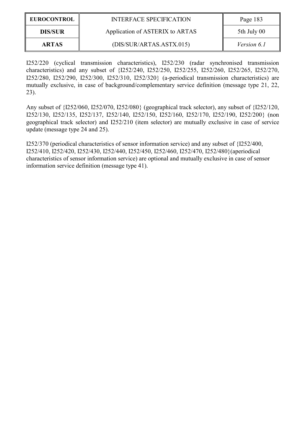| <b>EUROCONTROL</b> | <b>INTERFACE SPECIFICATION</b>  | Page 183           |  |  |  |
|--------------------|---------------------------------|--------------------|--|--|--|
| <b>DIS/SUR</b>     | Application of ASTERIX to ARTAS | 5th July 00        |  |  |  |
| ARTAS              | (DIS/SUR/ARTAS.ASTX.015)        | <i>Version 6.1</i> |  |  |  |

I252/220 (cyclical transmission characteristics), I252/230 (radar synchronised transmission characteristics) and any subset of {I252/240, I252/250, I252/255, I252/260, I252/265, I252/270, I252/280, I252/290, I252/300, I252/310, I252/320} (a-periodical transmission characteristics) are mutually exclusive, in case of background/complementary service definition (message type 21, 22, 23).

Any subset of {I252/060, I252/070, I252/080} (geographical track selector), any subset of {I252/120, I252/130, I252/135, I252/137, I252/140, I252/150, I252/160, I252/170, I252/190, I252/200} (non geographical track selector) and I252/210 (item selector) are mutually exclusive in case of service update (message type 24 and 25).

I252/370 (periodical characteristics of sensor information service) and any subset of {I252/400, I252/410, I252/420, I252/430, I252/440, I252/450, I252/460, I252/470, I252/480}(aperiodical characteristics of sensor information service) are optional and mutually exclusive in case of sensor information service definition (message type 41).